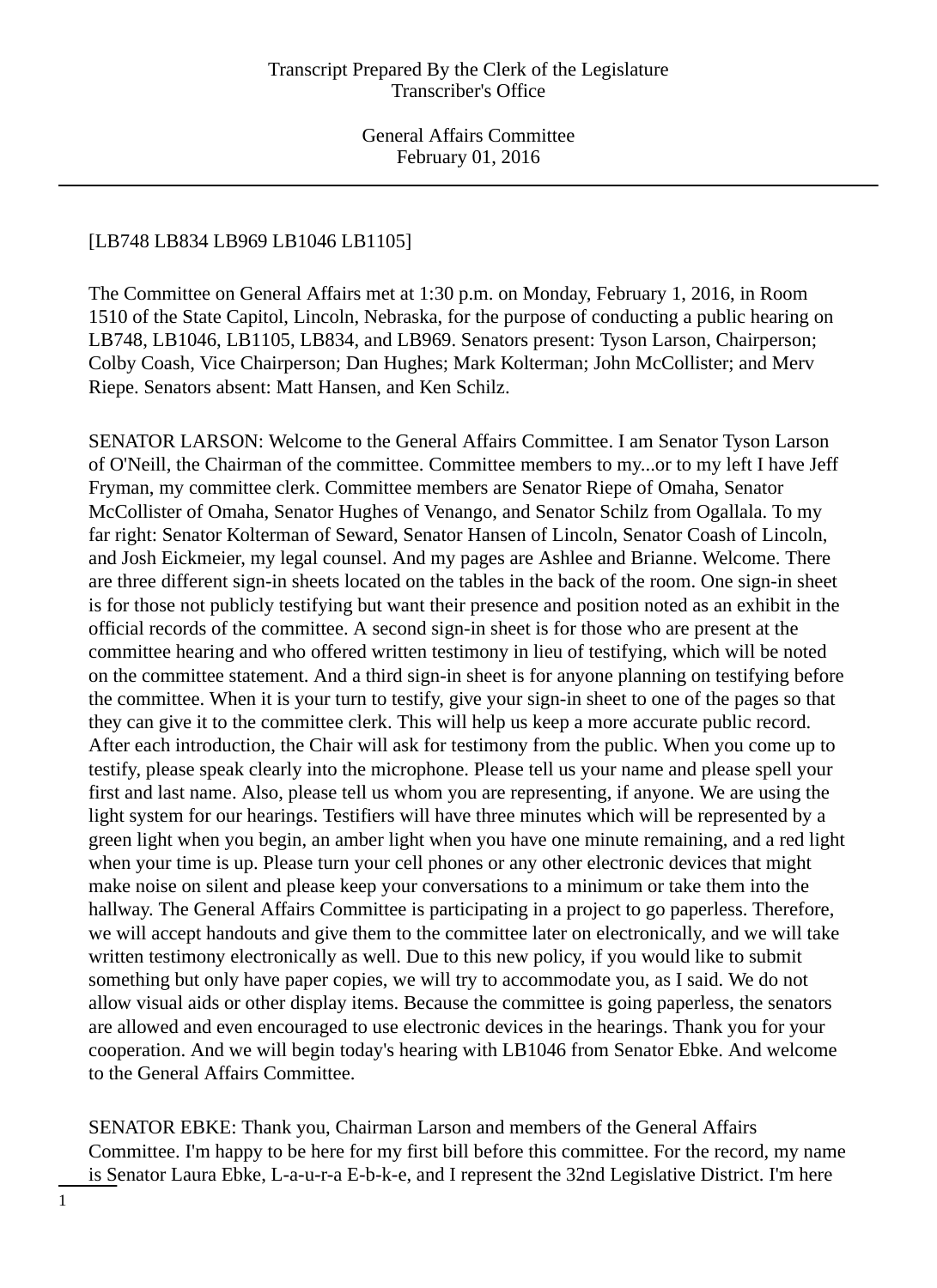# [LB748 LB834 LB969 LB1046 LB1105]

The Committee on General Affairs met at 1:30 p.m. on Monday, February 1, 2016, in Room 1510 of the State Capitol, Lincoln, Nebraska, for the purpose of conducting a public hearing on LB748, LB1046, LB1105, LB834, and LB969. Senators present: Tyson Larson, Chairperson; Colby Coash, Vice Chairperson; Dan Hughes; Mark Kolterman; John McCollister; and Merv Riepe. Senators absent: Matt Hansen, and Ken Schilz.

SENATOR LARSON: Welcome to the General Affairs Committee. I am Senator Tyson Larson of O'Neill, the Chairman of the committee. Committee members to my...or to my left I have Jeff Fryman, my committee clerk. Committee members are Senator Riepe of Omaha, Senator McCollister of Omaha, Senator Hughes of Venango, and Senator Schilz from Ogallala. To my far right: Senator Kolterman of Seward, Senator Hansen of Lincoln, Senator Coash of Lincoln, and Josh Eickmeier, my legal counsel. And my pages are Ashlee and Brianne. Welcome. There are three different sign-in sheets located on the tables in the back of the room. One sign-in sheet is for those not publicly testifying but want their presence and position noted as an exhibit in the official records of the committee. A second sign-in sheet is for those who are present at the committee hearing and who offered written testimony in lieu of testifying, which will be noted on the committee statement. And a third sign-in sheet is for anyone planning on testifying before the committee. When it is your turn to testify, give your sign-in sheet to one of the pages so that they can give it to the committee clerk. This will help us keep a more accurate public record. After each introduction, the Chair will ask for testimony from the public. When you come up to testify, please speak clearly into the microphone. Please tell us your name and please spell your first and last name. Also, please tell us whom you are representing, if anyone. We are using the light system for our hearings. Testifiers will have three minutes which will be represented by a green light when you begin, an amber light when you have one minute remaining, and a red light when your time is up. Please turn your cell phones or any other electronic devices that might make noise on silent and please keep your conversations to a minimum or take them into the hallway. The General Affairs Committee is participating in a project to go paperless. Therefore, we will accept handouts and give them to the committee later on electronically, and we will take written testimony electronically as well. Due to this new policy, if you would like to submit something but only have paper copies, we will try to accommodate you, as I said. We do not allow visual aids or other display items. Because the committee is going paperless, the senators are allowed and even encouraged to use electronic devices in the hearings. Thank you for your cooperation. And we will begin today's hearing with LB1046 from Senator Ebke. And welcome to the General Affairs Committee.

SENATOR EBKE: Thank you, Chairman Larson and members of the General Affairs Committee. I'm happy to be here for my first bill before this committee. For the record, my name is Senator Laura Ebke, L-a-u-r-a E-b-k-e, and I represent the 32nd Legislative District. I'm here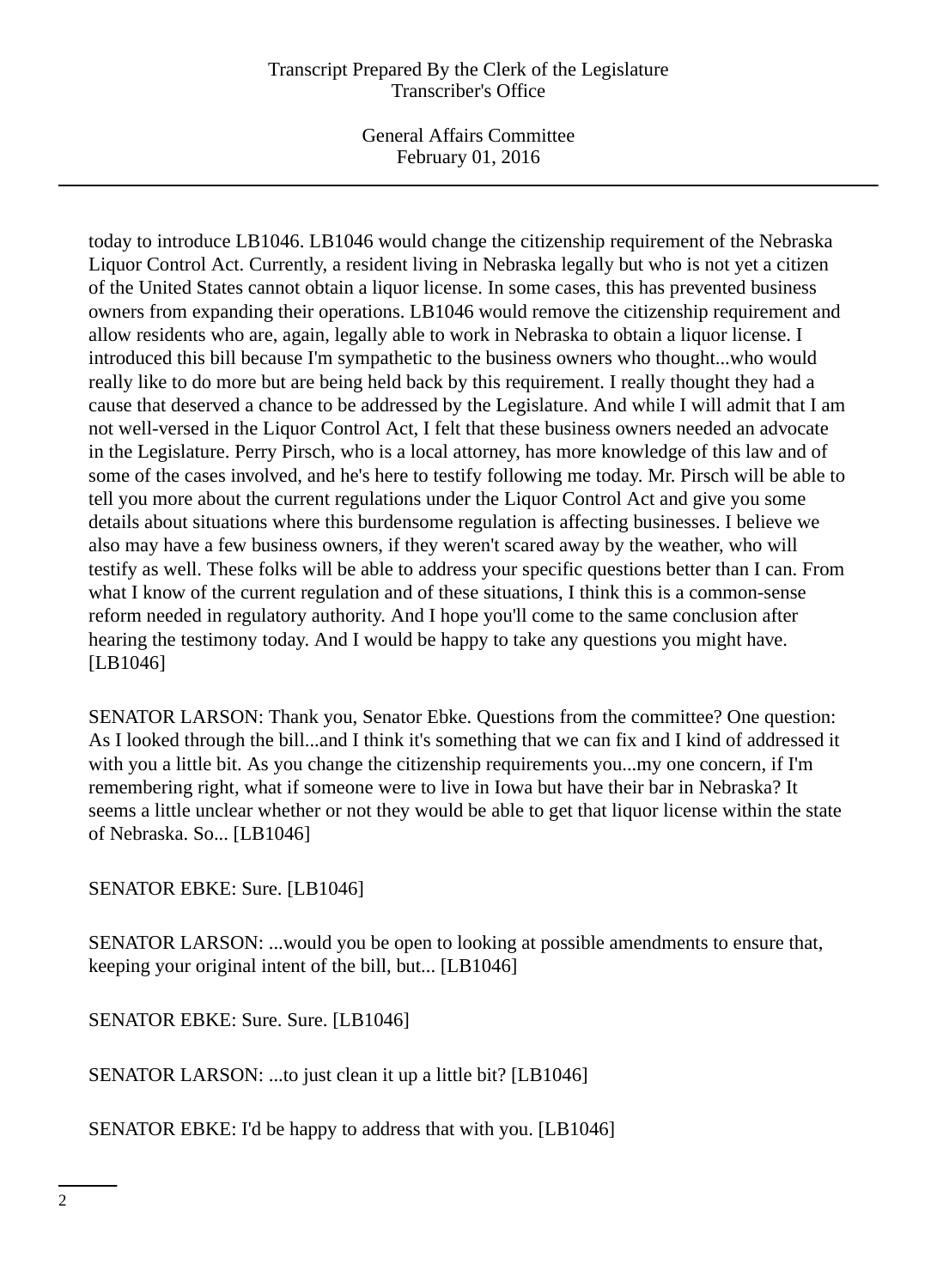General Affairs Committee February 01, 2016

today to introduce LB1046. LB1046 would change the citizenship requirement of the Nebraska Liquor Control Act. Currently, a resident living in Nebraska legally but who is not yet a citizen of the United States cannot obtain a liquor license. In some cases, this has prevented business owners from expanding their operations. LB1046 would remove the citizenship requirement and allow residents who are, again, legally able to work in Nebraska to obtain a liquor license. I introduced this bill because I'm sympathetic to the business owners who thought...who would really like to do more but are being held back by this requirement. I really thought they had a cause that deserved a chance to be addressed by the Legislature. And while I will admit that I am not well-versed in the Liquor Control Act, I felt that these business owners needed an advocate in the Legislature. Perry Pirsch, who is a local attorney, has more knowledge of this law and of some of the cases involved, and he's here to testify following me today. Mr. Pirsch will be able to tell you more about the current regulations under the Liquor Control Act and give you some details about situations where this burdensome regulation is affecting businesses. I believe we also may have a few business owners, if they weren't scared away by the weather, who will testify as well. These folks will be able to address your specific questions better than I can. From what I know of the current regulation and of these situations, I think this is a common-sense reform needed in regulatory authority. And I hope you'll come to the same conclusion after hearing the testimony today. And I would be happy to take any questions you might have. [LB1046]

SENATOR LARSON: Thank you, Senator Ebke. Questions from the committee? One question: As I looked through the bill...and I think it's something that we can fix and I kind of addressed it with you a little bit. As you change the citizenship requirements you...my one concern, if I'm remembering right, what if someone were to live in Iowa but have their bar in Nebraska? It seems a little unclear whether or not they would be able to get that liquor license within the state of Nebraska. So... [LB1046]

SENATOR EBKE: Sure. [LB1046]

SENATOR LARSON: ...would you be open to looking at possible amendments to ensure that, keeping your original intent of the bill, but... [LB1046]

SENATOR EBKE: Sure. Sure. [LB1046]

SENATOR LARSON: ...to just clean it up a little bit? [LB1046]

SENATOR EBKE: I'd be happy to address that with you. [LB1046]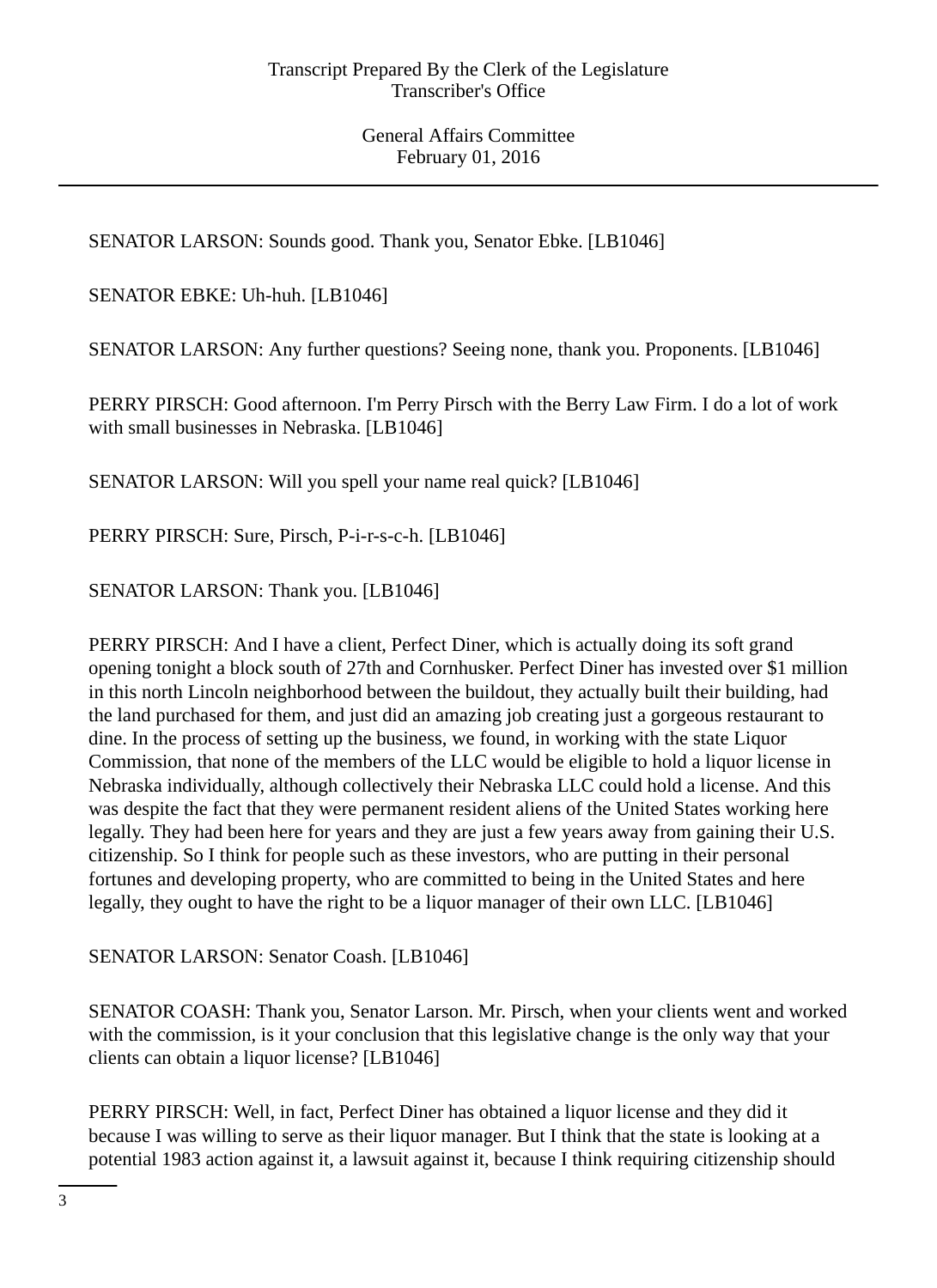SENATOR LARSON: Sounds good. Thank you, Senator Ebke. [LB1046]

SENATOR EBKE: Uh-huh. [LB1046]

SENATOR LARSON: Any further questions? Seeing none, thank you. Proponents. [LB1046]

PERRY PIRSCH: Good afternoon. I'm Perry Pirsch with the Berry Law Firm. I do a lot of work with small businesses in Nebraska. [LB1046]

SENATOR LARSON: Will you spell your name real quick? [LB1046]

PERRY PIRSCH: Sure, Pirsch, P-i-r-s-c-h. [LB1046]

SENATOR LARSON: Thank you. [LB1046]

PERRY PIRSCH: And I have a client, Perfect Diner, which is actually doing its soft grand opening tonight a block south of 27th and Cornhusker. Perfect Diner has invested over \$1 million in this north Lincoln neighborhood between the buildout, they actually built their building, had the land purchased for them, and just did an amazing job creating just a gorgeous restaurant to dine. In the process of setting up the business, we found, in working with the state Liquor Commission, that none of the members of the LLC would be eligible to hold a liquor license in Nebraska individually, although collectively their Nebraska LLC could hold a license. And this was despite the fact that they were permanent resident aliens of the United States working here legally. They had been here for years and they are just a few years away from gaining their U.S. citizenship. So I think for people such as these investors, who are putting in their personal fortunes and developing property, who are committed to being in the United States and here legally, they ought to have the right to be a liquor manager of their own LLC. [LB1046]

SENATOR LARSON: Senator Coash. [LB1046]

SENATOR COASH: Thank you, Senator Larson. Mr. Pirsch, when your clients went and worked with the commission, is it your conclusion that this legislative change is the only way that your clients can obtain a liquor license? [LB1046]

PERRY PIRSCH: Well, in fact, Perfect Diner has obtained a liquor license and they did it because I was willing to serve as their liquor manager. But I think that the state is looking at a potential 1983 action against it, a lawsuit against it, because I think requiring citizenship should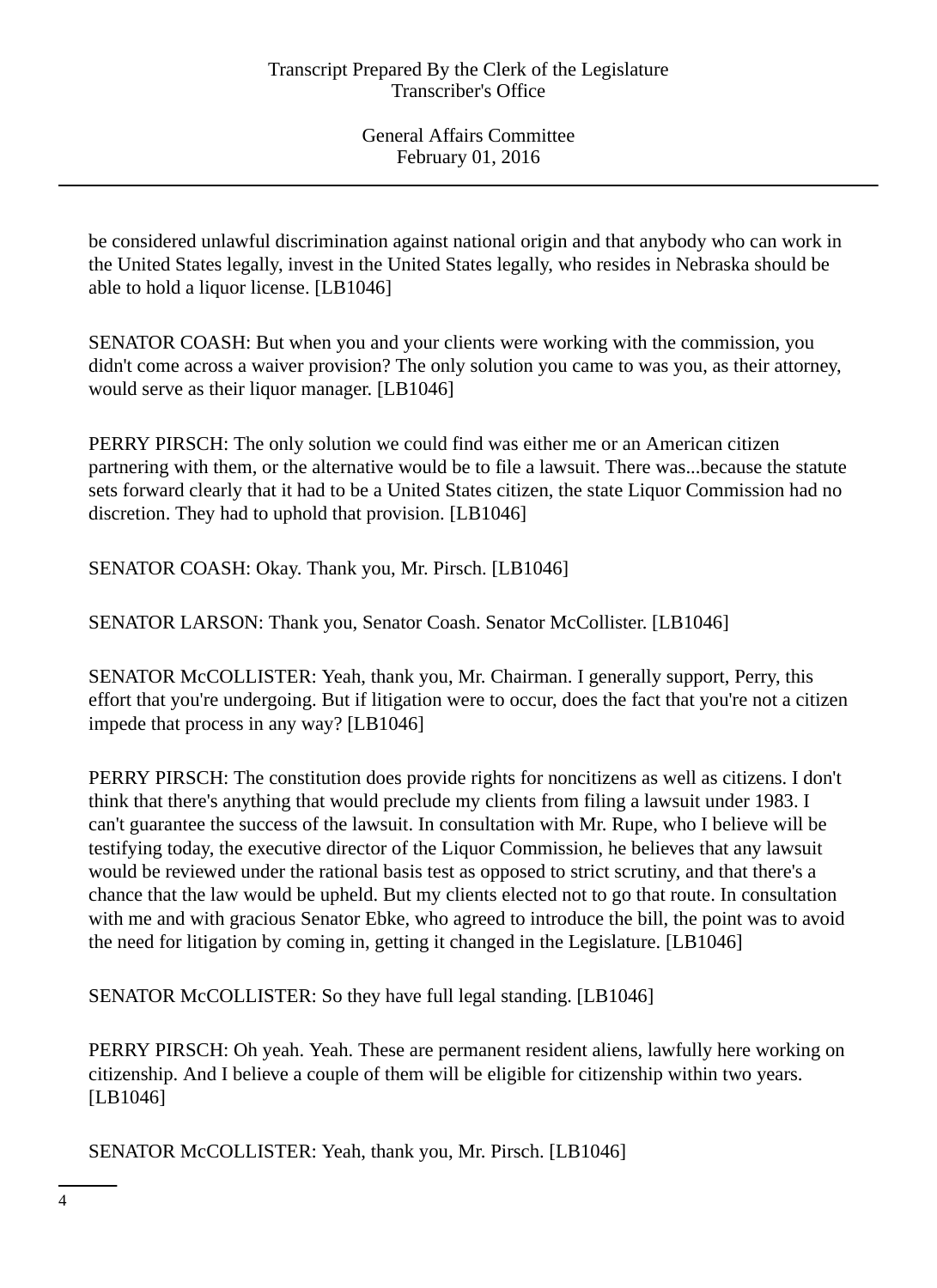be considered unlawful discrimination against national origin and that anybody who can work in the United States legally, invest in the United States legally, who resides in Nebraska should be able to hold a liquor license. [LB1046]

SENATOR COASH: But when you and your clients were working with the commission, you didn't come across a waiver provision? The only solution you came to was you, as their attorney, would serve as their liquor manager. [LB1046]

PERRY PIRSCH: The only solution we could find was either me or an American citizen partnering with them, or the alternative would be to file a lawsuit. There was...because the statute sets forward clearly that it had to be a United States citizen, the state Liquor Commission had no discretion. They had to uphold that provision. [LB1046]

SENATOR COASH: Okay. Thank you, Mr. Pirsch. [LB1046]

SENATOR LARSON: Thank you, Senator Coash. Senator McCollister. [LB1046]

SENATOR McCOLLISTER: Yeah, thank you, Mr. Chairman. I generally support, Perry, this effort that you're undergoing. But if litigation were to occur, does the fact that you're not a citizen impede that process in any way? [LB1046]

PERRY PIRSCH: The constitution does provide rights for noncitizens as well as citizens. I don't think that there's anything that would preclude my clients from filing a lawsuit under 1983. I can't guarantee the success of the lawsuit. In consultation with Mr. Rupe, who I believe will be testifying today, the executive director of the Liquor Commission, he believes that any lawsuit would be reviewed under the rational basis test as opposed to strict scrutiny, and that there's a chance that the law would be upheld. But my clients elected not to go that route. In consultation with me and with gracious Senator Ebke, who agreed to introduce the bill, the point was to avoid the need for litigation by coming in, getting it changed in the Legislature. [LB1046]

SENATOR McCOLLISTER: So they have full legal standing. [LB1046]

PERRY PIRSCH: Oh yeah. Yeah. These are permanent resident aliens, lawfully here working on citizenship. And I believe a couple of them will be eligible for citizenship within two years. [LB1046]

SENATOR McCOLLISTER: Yeah, thank you, Mr. Pirsch. [LB1046]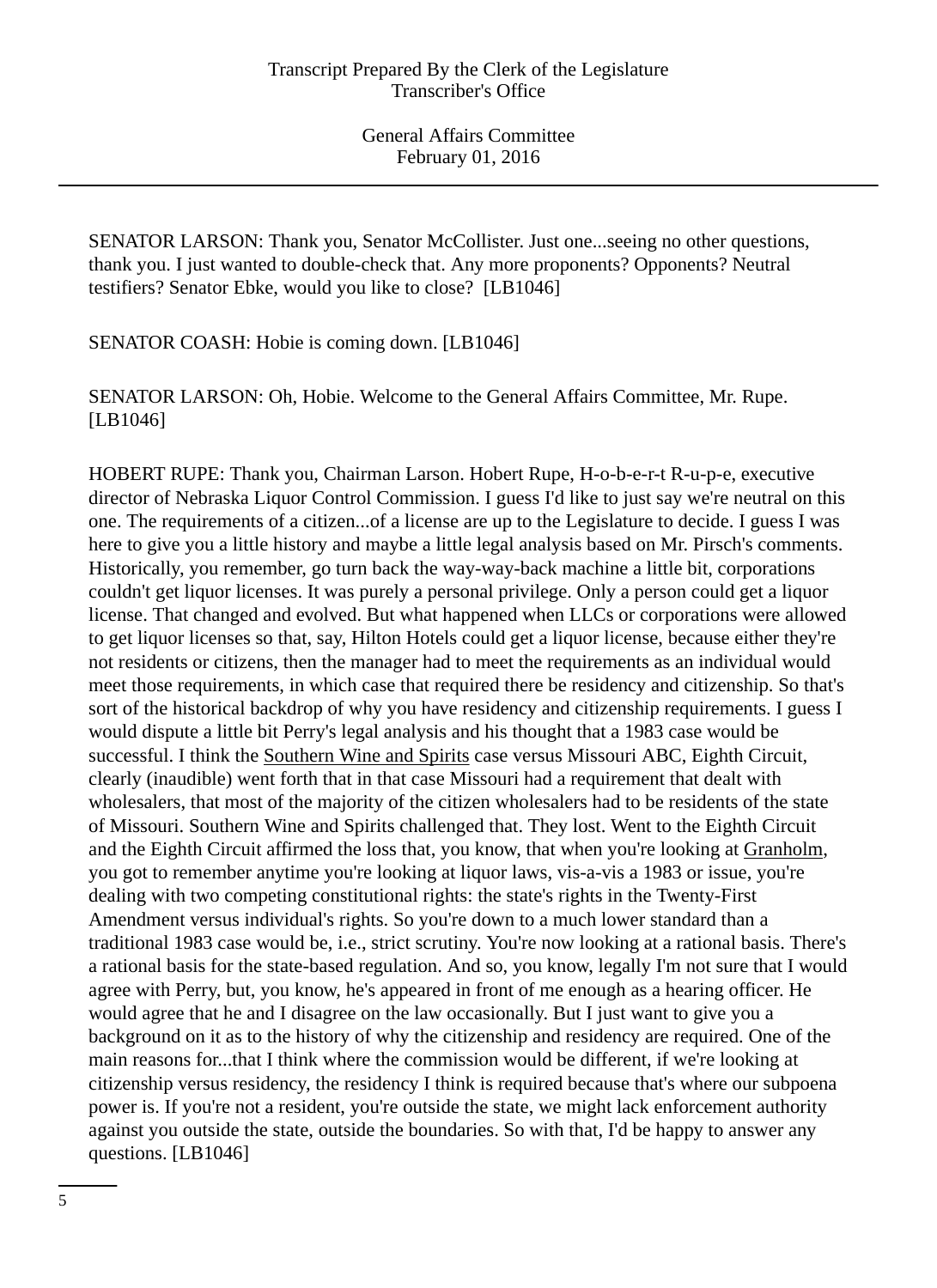SENATOR LARSON: Thank you, Senator McCollister. Just one...seeing no other questions, thank you. I just wanted to double-check that. Any more proponents? Opponents? Neutral testifiers? Senator Ebke, would you like to close? [LB1046]

SENATOR COASH: Hobie is coming down. [LB1046]

SENATOR LARSON: Oh, Hobie. Welcome to the General Affairs Committee, Mr. Rupe. [LB1046]

HOBERT RUPE: Thank you, Chairman Larson. Hobert Rupe, H-o-b-e-r-t R-u-p-e, executive director of Nebraska Liquor Control Commission. I guess I'd like to just say we're neutral on this one. The requirements of a citizen...of a license are up to the Legislature to decide. I guess I was here to give you a little history and maybe a little legal analysis based on Mr. Pirsch's comments. Historically, you remember, go turn back the way-way-back machine a little bit, corporations couldn't get liquor licenses. It was purely a personal privilege. Only a person could get a liquor license. That changed and evolved. But what happened when LLCs or corporations were allowed to get liquor licenses so that, say, Hilton Hotels could get a liquor license, because either they're not residents or citizens, then the manager had to meet the requirements as an individual would meet those requirements, in which case that required there be residency and citizenship. So that's sort of the historical backdrop of why you have residency and citizenship requirements. I guess I would dispute a little bit Perry's legal analysis and his thought that a 1983 case would be successful. I think the Southern Wine and Spirits case versus Missouri ABC, Eighth Circuit, clearly (inaudible) went forth that in that case Missouri had a requirement that dealt with wholesalers, that most of the majority of the citizen wholesalers had to be residents of the state of Missouri. Southern Wine and Spirits challenged that. They lost. Went to the Eighth Circuit and the Eighth Circuit affirmed the loss that, you know, that when you're looking at Granholm, you got to remember anytime you're looking at liquor laws, vis-a-vis a 1983 or issue, you're dealing with two competing constitutional rights: the state's rights in the Twenty-First Amendment versus individual's rights. So you're down to a much lower standard than a traditional 1983 case would be, i.e., strict scrutiny. You're now looking at a rational basis. There's a rational basis for the state-based regulation. And so, you know, legally I'm not sure that I would agree with Perry, but, you know, he's appeared in front of me enough as a hearing officer. He would agree that he and I disagree on the law occasionally. But I just want to give you a background on it as to the history of why the citizenship and residency are required. One of the main reasons for...that I think where the commission would be different, if we're looking at citizenship versus residency, the residency I think is required because that's where our subpoena power is. If you're not a resident, you're outside the state, we might lack enforcement authority against you outside the state, outside the boundaries. So with that, I'd be happy to answer any questions. [LB1046]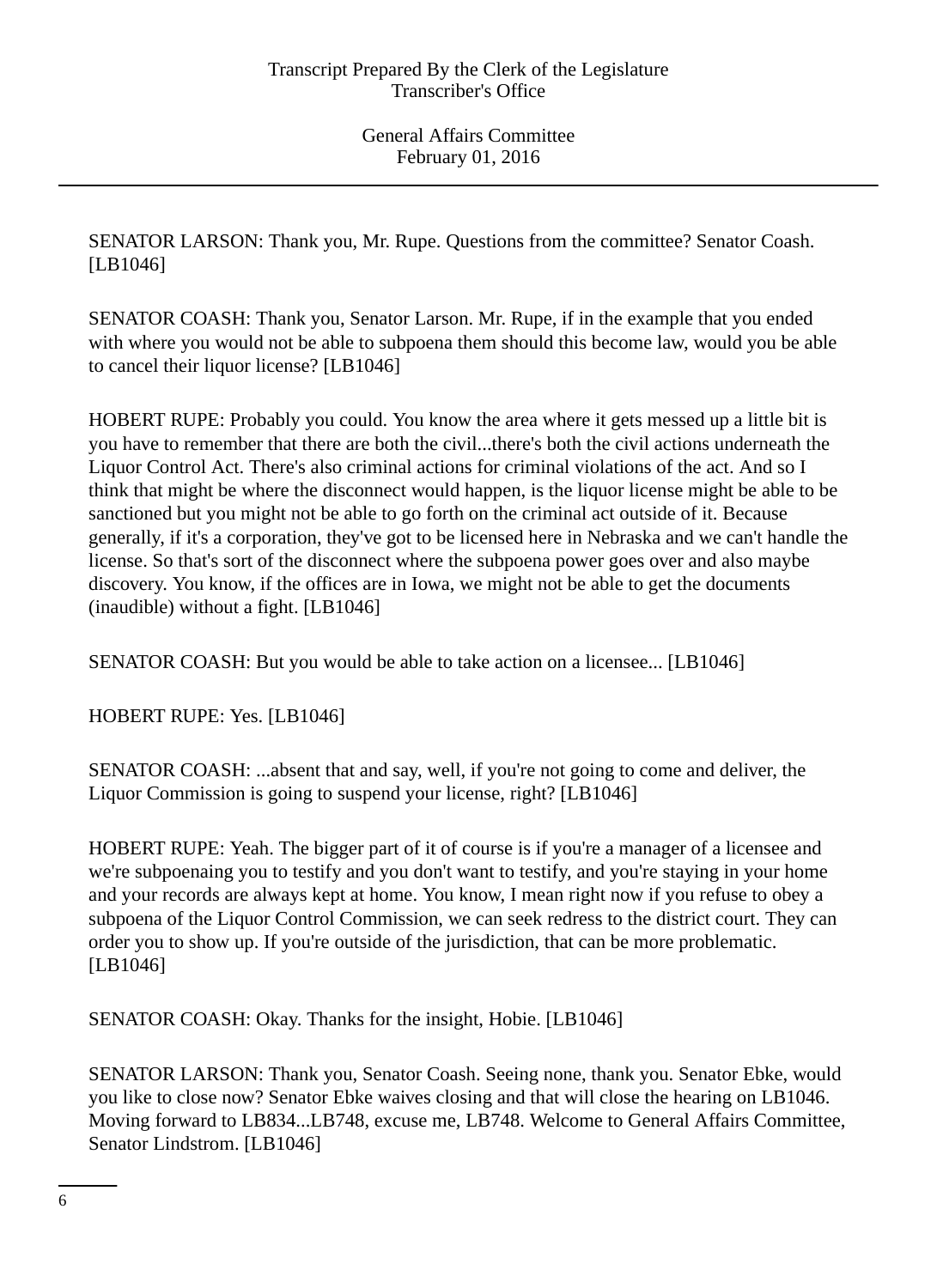SENATOR LARSON: Thank you, Mr. Rupe. Questions from the committee? Senator Coash. [LB1046]

SENATOR COASH: Thank you, Senator Larson. Mr. Rupe, if in the example that you ended with where you would not be able to subpoena them should this become law, would you be able to cancel their liquor license? [LB1046]

HOBERT RUPE: Probably you could. You know the area where it gets messed up a little bit is you have to remember that there are both the civil...there's both the civil actions underneath the Liquor Control Act. There's also criminal actions for criminal violations of the act. And so I think that might be where the disconnect would happen, is the liquor license might be able to be sanctioned but you might not be able to go forth on the criminal act outside of it. Because generally, if it's a corporation, they've got to be licensed here in Nebraska and we can't handle the license. So that's sort of the disconnect where the subpoena power goes over and also maybe discovery. You know, if the offices are in Iowa, we might not be able to get the documents (inaudible) without a fight. [LB1046]

SENATOR COASH: But you would be able to take action on a licensee... [LB1046]

HOBERT RUPE: Yes. [LB1046]

SENATOR COASH: ...absent that and say, well, if you're not going to come and deliver, the Liquor Commission is going to suspend your license, right? [LB1046]

HOBERT RUPE: Yeah. The bigger part of it of course is if you're a manager of a licensee and we're subpoenaing you to testify and you don't want to testify, and you're staying in your home and your records are always kept at home. You know, I mean right now if you refuse to obey a subpoena of the Liquor Control Commission, we can seek redress to the district court. They can order you to show up. If you're outside of the jurisdiction, that can be more problematic. [LB1046]

SENATOR COASH: Okay. Thanks for the insight, Hobie. [LB1046]

SENATOR LARSON: Thank you, Senator Coash. Seeing none, thank you. Senator Ebke, would you like to close now? Senator Ebke waives closing and that will close the hearing on LB1046. Moving forward to LB834...LB748, excuse me, LB748. Welcome to General Affairs Committee, Senator Lindstrom. [LB1046]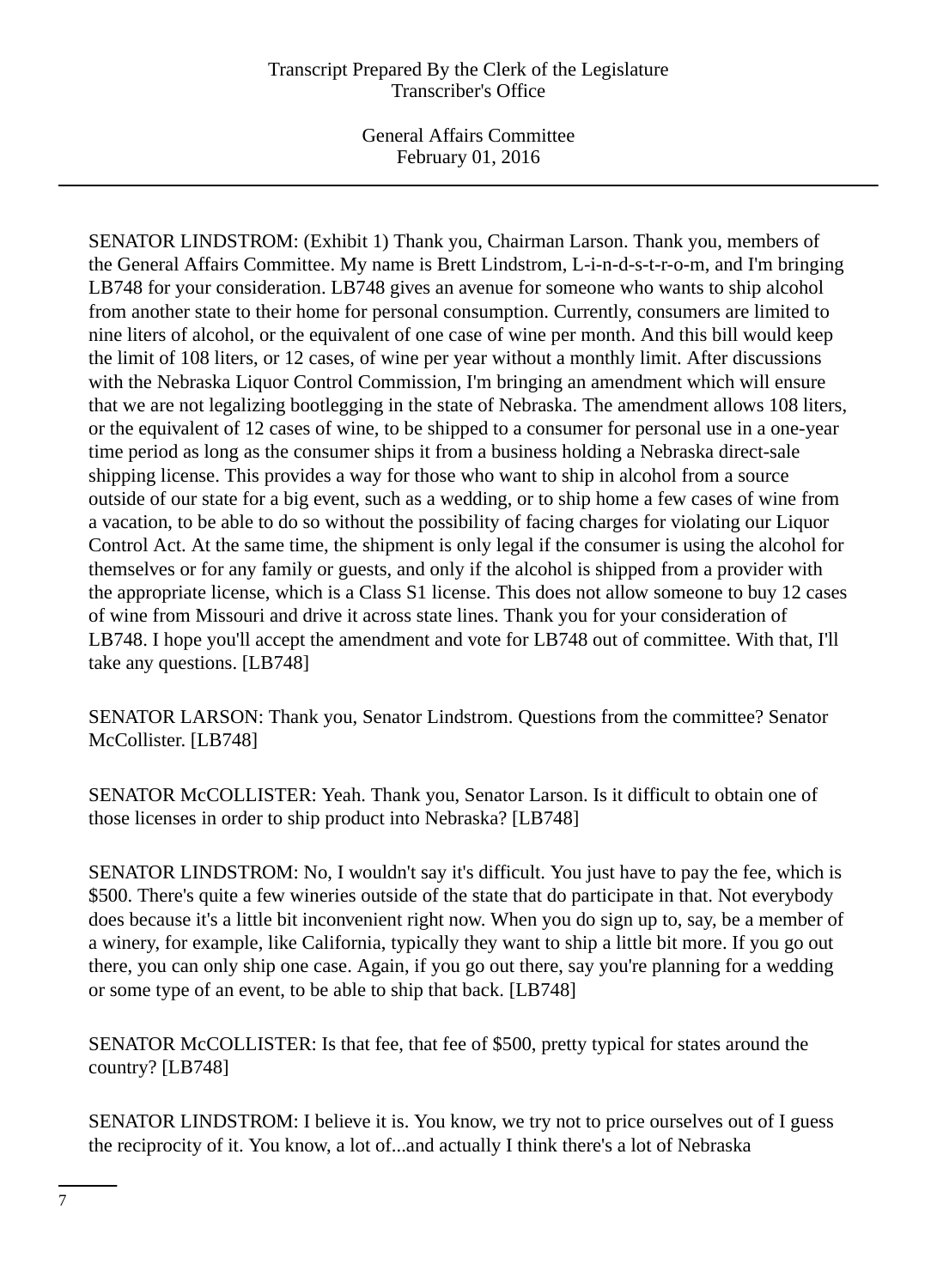General Affairs Committee February 01, 2016

SENATOR LINDSTROM: (Exhibit 1) Thank you, Chairman Larson. Thank you, members of the General Affairs Committee. My name is Brett Lindstrom, L-i-n-d-s-t-r-o-m, and I'm bringing LB748 for your consideration. LB748 gives an avenue for someone who wants to ship alcohol from another state to their home for personal consumption. Currently, consumers are limited to nine liters of alcohol, or the equivalent of one case of wine per month. And this bill would keep the limit of 108 liters, or 12 cases, of wine per year without a monthly limit. After discussions with the Nebraska Liquor Control Commission, I'm bringing an amendment which will ensure that we are not legalizing bootlegging in the state of Nebraska. The amendment allows 108 liters, or the equivalent of 12 cases of wine, to be shipped to a consumer for personal use in a one-year time period as long as the consumer ships it from a business holding a Nebraska direct-sale shipping license. This provides a way for those who want to ship in alcohol from a source outside of our state for a big event, such as a wedding, or to ship home a few cases of wine from a vacation, to be able to do so without the possibility of facing charges for violating our Liquor Control Act. At the same time, the shipment is only legal if the consumer is using the alcohol for themselves or for any family or guests, and only if the alcohol is shipped from a provider with the appropriate license, which is a Class S1 license. This does not allow someone to buy 12 cases of wine from Missouri and drive it across state lines. Thank you for your consideration of LB748. I hope you'll accept the amendment and vote for LB748 out of committee. With that, I'll take any questions. [LB748]

SENATOR LARSON: Thank you, Senator Lindstrom. Questions from the committee? Senator McCollister. [LB748]

SENATOR McCOLLISTER: Yeah. Thank you, Senator Larson. Is it difficult to obtain one of those licenses in order to ship product into Nebraska? [LB748]

SENATOR LINDSTROM: No, I wouldn't say it's difficult. You just have to pay the fee, which is \$500. There's quite a few wineries outside of the state that do participate in that. Not everybody does because it's a little bit inconvenient right now. When you do sign up to, say, be a member of a winery, for example, like California, typically they want to ship a little bit more. If you go out there, you can only ship one case. Again, if you go out there, say you're planning for a wedding or some type of an event, to be able to ship that back. [LB748]

SENATOR McCOLLISTER: Is that fee, that fee of \$500, pretty typical for states around the country? [LB748]

SENATOR LINDSTROM: I believe it is. You know, we try not to price ourselves out of I guess the reciprocity of it. You know, a lot of...and actually I think there's a lot of Nebraska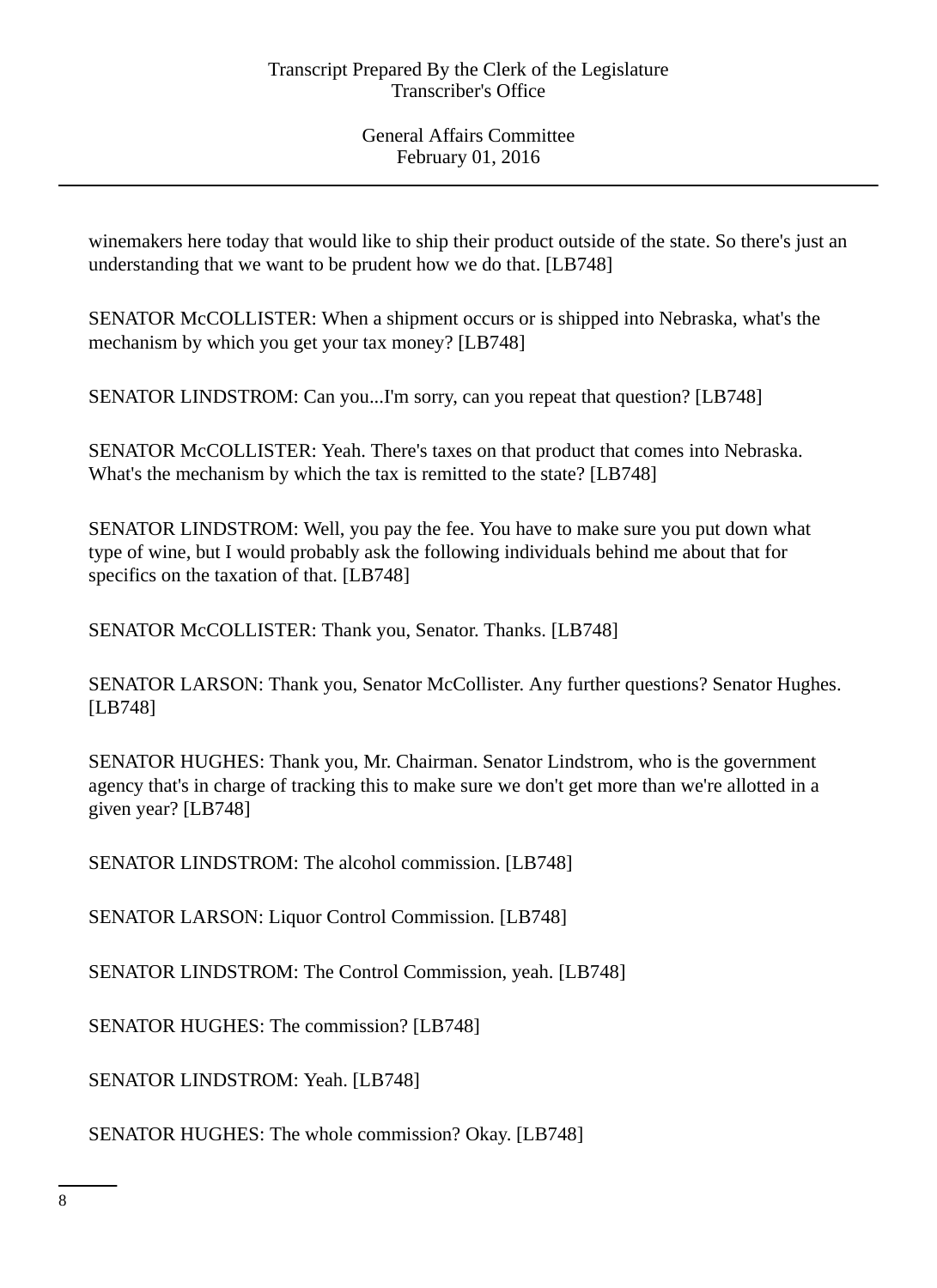winemakers here today that would like to ship their product outside of the state. So there's just an understanding that we want to be prudent how we do that. [LB748]

SENATOR McCOLLISTER: When a shipment occurs or is shipped into Nebraska, what's the mechanism by which you get your tax money? [LB748]

SENATOR LINDSTROM: Can you...I'm sorry, can you repeat that question? [LB748]

SENATOR McCOLLISTER: Yeah. There's taxes on that product that comes into Nebraska. What's the mechanism by which the tax is remitted to the state? [LB748]

SENATOR LINDSTROM: Well, you pay the fee. You have to make sure you put down what type of wine, but I would probably ask the following individuals behind me about that for specifics on the taxation of that. [LB748]

SENATOR McCOLLISTER: Thank you, Senator. Thanks. [LB748]

SENATOR LARSON: Thank you, Senator McCollister. Any further questions? Senator Hughes. [LB748]

SENATOR HUGHES: Thank you, Mr. Chairman. Senator Lindstrom, who is the government agency that's in charge of tracking this to make sure we don't get more than we're allotted in a given year? [LB748]

SENATOR LINDSTROM: The alcohol commission. [LB748]

SENATOR LARSON: Liquor Control Commission. [LB748]

SENATOR LINDSTROM: The Control Commission, yeah. [LB748]

SENATOR HUGHES: The commission? [LB748]

SENATOR LINDSTROM: Yeah. [LB748]

SENATOR HUGHES: The whole commission? Okay. [LB748]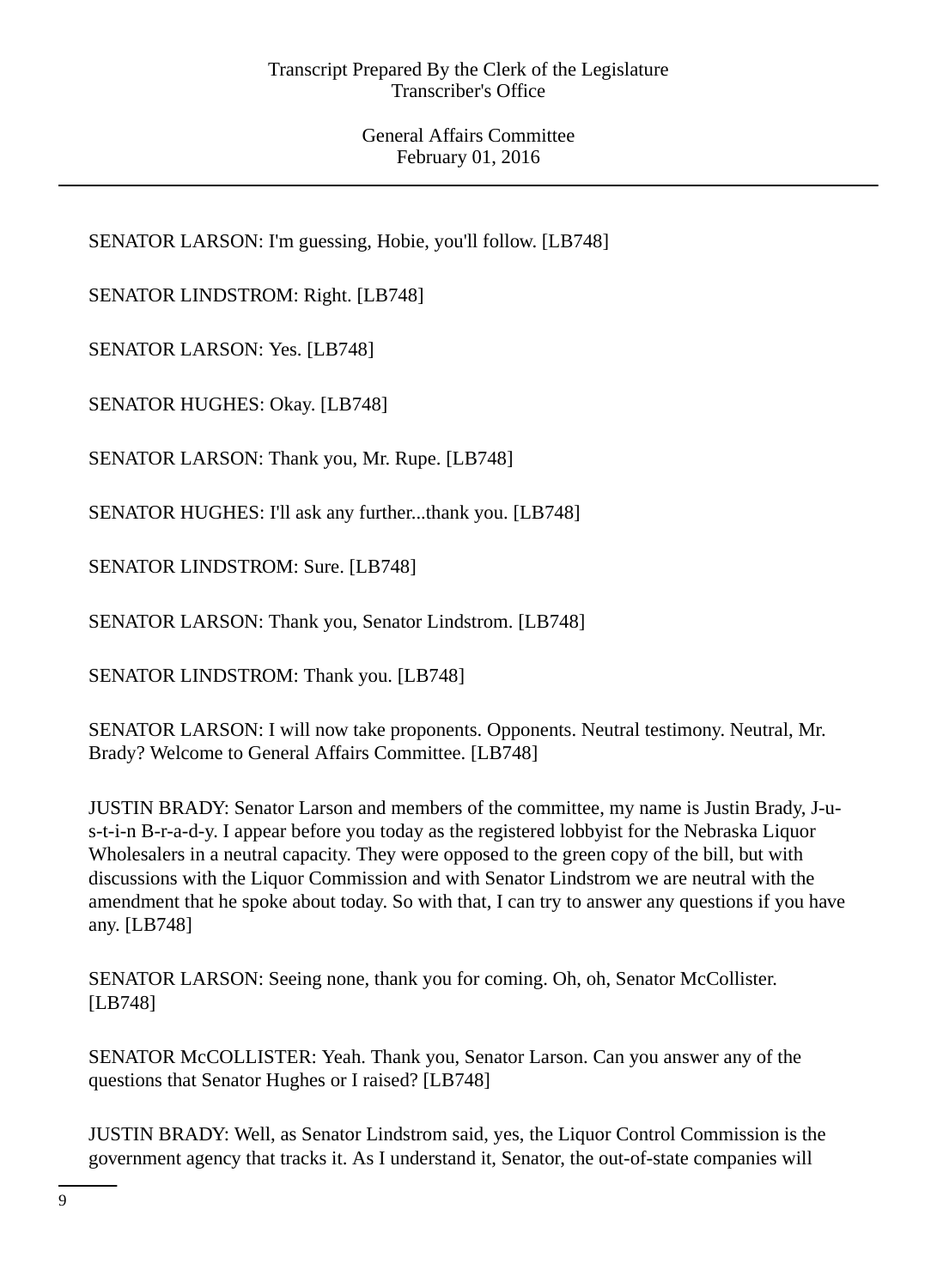SENATOR LARSON: I'm guessing, Hobie, you'll follow. [LB748]

SENATOR LINDSTROM: Right. [LB748]

SENATOR LARSON: Yes. [LB748]

SENATOR HUGHES: Okay. [LB748]

SENATOR LARSON: Thank you, Mr. Rupe. [LB748]

SENATOR HUGHES: I'll ask any further...thank you. [LB748]

SENATOR LINDSTROM: Sure. [LB748]

SENATOR LARSON: Thank you, Senator Lindstrom. [LB748]

SENATOR LINDSTROM: Thank you. [LB748]

SENATOR LARSON: I will now take proponents. Opponents. Neutral testimony. Neutral, Mr. Brady? Welcome to General Affairs Committee. [LB748]

JUSTIN BRADY: Senator Larson and members of the committee, my name is Justin Brady, J-us-t-i-n B-r-a-d-y. I appear before you today as the registered lobbyist for the Nebraska Liquor Wholesalers in a neutral capacity. They were opposed to the green copy of the bill, but with discussions with the Liquor Commission and with Senator Lindstrom we are neutral with the amendment that he spoke about today. So with that, I can try to answer any questions if you have any. [LB748]

SENATOR LARSON: Seeing none, thank you for coming. Oh, oh, Senator McCollister. [LB748]

SENATOR McCOLLISTER: Yeah. Thank you, Senator Larson. Can you answer any of the questions that Senator Hughes or I raised? [LB748]

JUSTIN BRADY: Well, as Senator Lindstrom said, yes, the Liquor Control Commission is the government agency that tracks it. As I understand it, Senator, the out-of-state companies will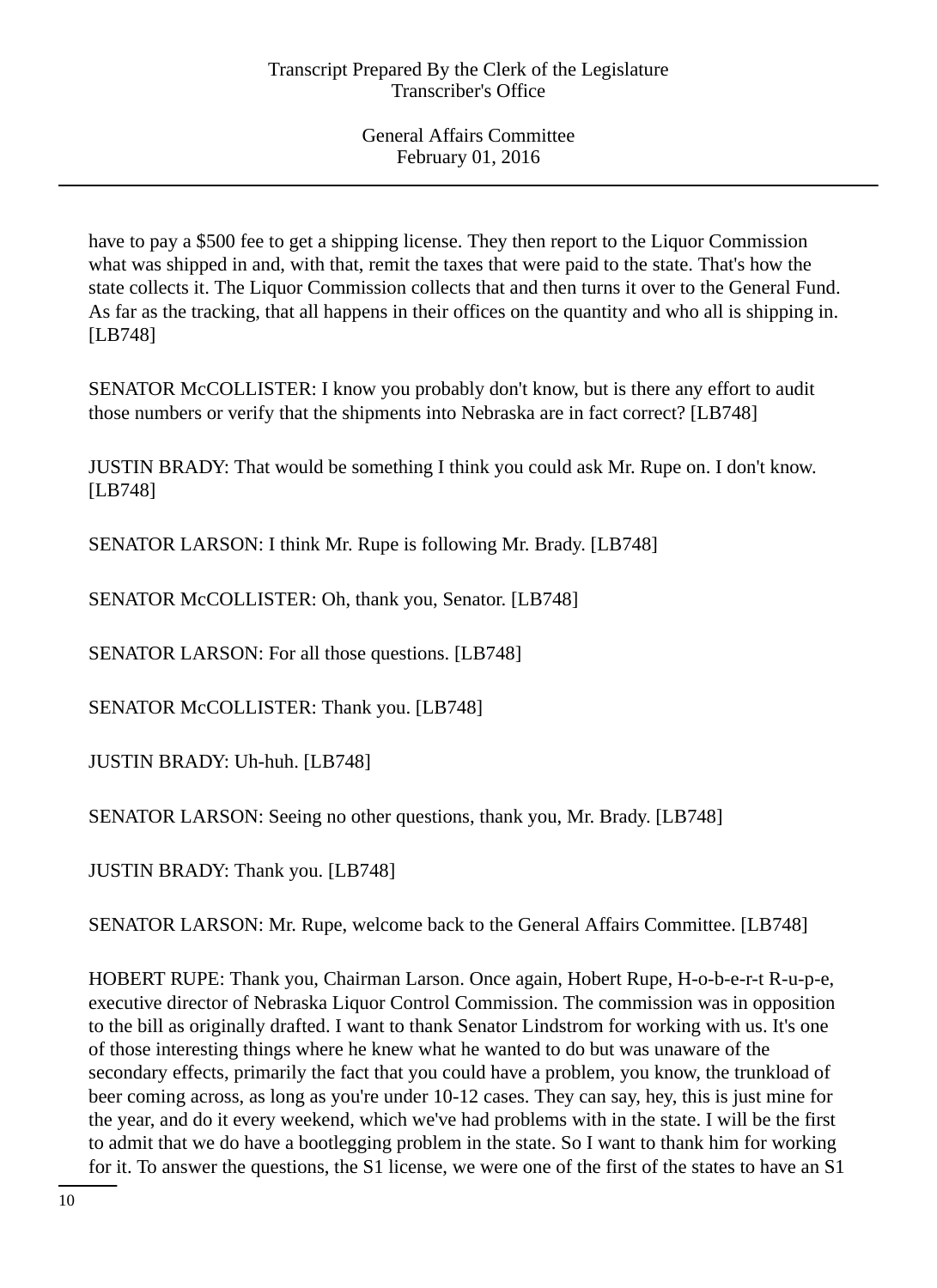have to pay a \$500 fee to get a shipping license. They then report to the Liquor Commission what was shipped in and, with that, remit the taxes that were paid to the state. That's how the state collects it. The Liquor Commission collects that and then turns it over to the General Fund. As far as the tracking, that all happens in their offices on the quantity and who all is shipping in. [LB748]

SENATOR McCOLLISTER: I know you probably don't know, but is there any effort to audit those numbers or verify that the shipments into Nebraska are in fact correct? [LB748]

JUSTIN BRADY: That would be something I think you could ask Mr. Rupe on. I don't know. [LB748]

SENATOR LARSON: I think Mr. Rupe is following Mr. Brady. [LB748]

SENATOR McCOLLISTER: Oh, thank you, Senator. [LB748]

SENATOR LARSON: For all those questions. [LB748]

SENATOR McCOLLISTER: Thank you. [LB748]

JUSTIN BRADY: Uh-huh. [LB748]

SENATOR LARSON: Seeing no other questions, thank you, Mr. Brady. [LB748]

JUSTIN BRADY: Thank you. [LB748]

SENATOR LARSON: Mr. Rupe, welcome back to the General Affairs Committee. [LB748]

HOBERT RUPE: Thank you, Chairman Larson. Once again, Hobert Rupe, H-o-b-e-r-t R-u-p-e, executive director of Nebraska Liquor Control Commission. The commission was in opposition to the bill as originally drafted. I want to thank Senator Lindstrom for working with us. It's one of those interesting things where he knew what he wanted to do but was unaware of the secondary effects, primarily the fact that you could have a problem, you know, the trunkload of beer coming across, as long as you're under 10-12 cases. They can say, hey, this is just mine for the year, and do it every weekend, which we've had problems with in the state. I will be the first to admit that we do have a bootlegging problem in the state. So I want to thank him for working for it. To answer the questions, the S1 license, we were one of the first of the states to have an S1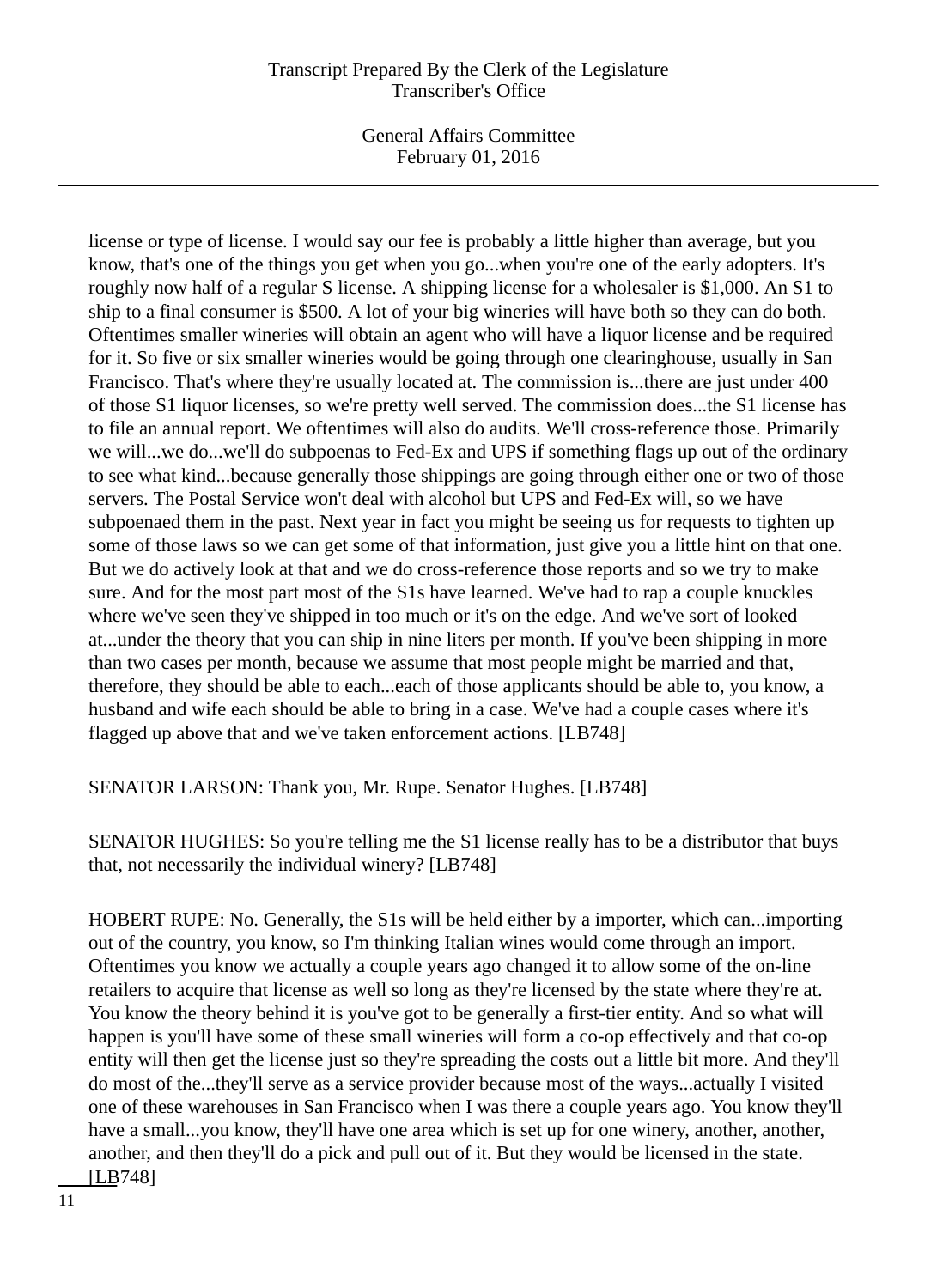General Affairs Committee February 01, 2016

license or type of license. I would say our fee is probably a little higher than average, but you know, that's one of the things you get when you go...when you're one of the early adopters. It's roughly now half of a regular S license. A shipping license for a wholesaler is \$1,000. An S1 to ship to a final consumer is \$500. A lot of your big wineries will have both so they can do both. Oftentimes smaller wineries will obtain an agent who will have a liquor license and be required for it. So five or six smaller wineries would be going through one clearinghouse, usually in San Francisco. That's where they're usually located at. The commission is...there are just under 400 of those S1 liquor licenses, so we're pretty well served. The commission does...the S1 license has to file an annual report. We oftentimes will also do audits. We'll cross-reference those. Primarily we will...we do...we'll do subpoenas to Fed-Ex and UPS if something flags up out of the ordinary to see what kind...because generally those shippings are going through either one or two of those servers. The Postal Service won't deal with alcohol but UPS and Fed-Ex will, so we have subpoenaed them in the past. Next year in fact you might be seeing us for requests to tighten up some of those laws so we can get some of that information, just give you a little hint on that one. But we do actively look at that and we do cross-reference those reports and so we try to make sure. And for the most part most of the S1s have learned. We've had to rap a couple knuckles where we've seen they've shipped in too much or it's on the edge. And we've sort of looked at...under the theory that you can ship in nine liters per month. If you've been shipping in more than two cases per month, because we assume that most people might be married and that, therefore, they should be able to each...each of those applicants should be able to, you know, a husband and wife each should be able to bring in a case. We've had a couple cases where it's flagged up above that and we've taken enforcement actions. [LB748]

SENATOR LARSON: Thank you, Mr. Rupe. Senator Hughes. [LB748]

SENATOR HUGHES: So you're telling me the S1 license really has to be a distributor that buys that, not necessarily the individual winery? [LB748]

HOBERT RUPE: No. Generally, the S1s will be held either by a importer, which can...importing out of the country, you know, so I'm thinking Italian wines would come through an import. Oftentimes you know we actually a couple years ago changed it to allow some of the on-line retailers to acquire that license as well so long as they're licensed by the state where they're at. You know the theory behind it is you've got to be generally a first-tier entity. And so what will happen is you'll have some of these small wineries will form a co-op effectively and that co-op entity will then get the license just so they're spreading the costs out a little bit more. And they'll do most of the...they'll serve as a service provider because most of the ways...actually I visited one of these warehouses in San Francisco when I was there a couple years ago. You know they'll have a small...you know, they'll have one area which is set up for one winery, another, another, another, and then they'll do a pick and pull out of it. But they would be licensed in the state. [LB748]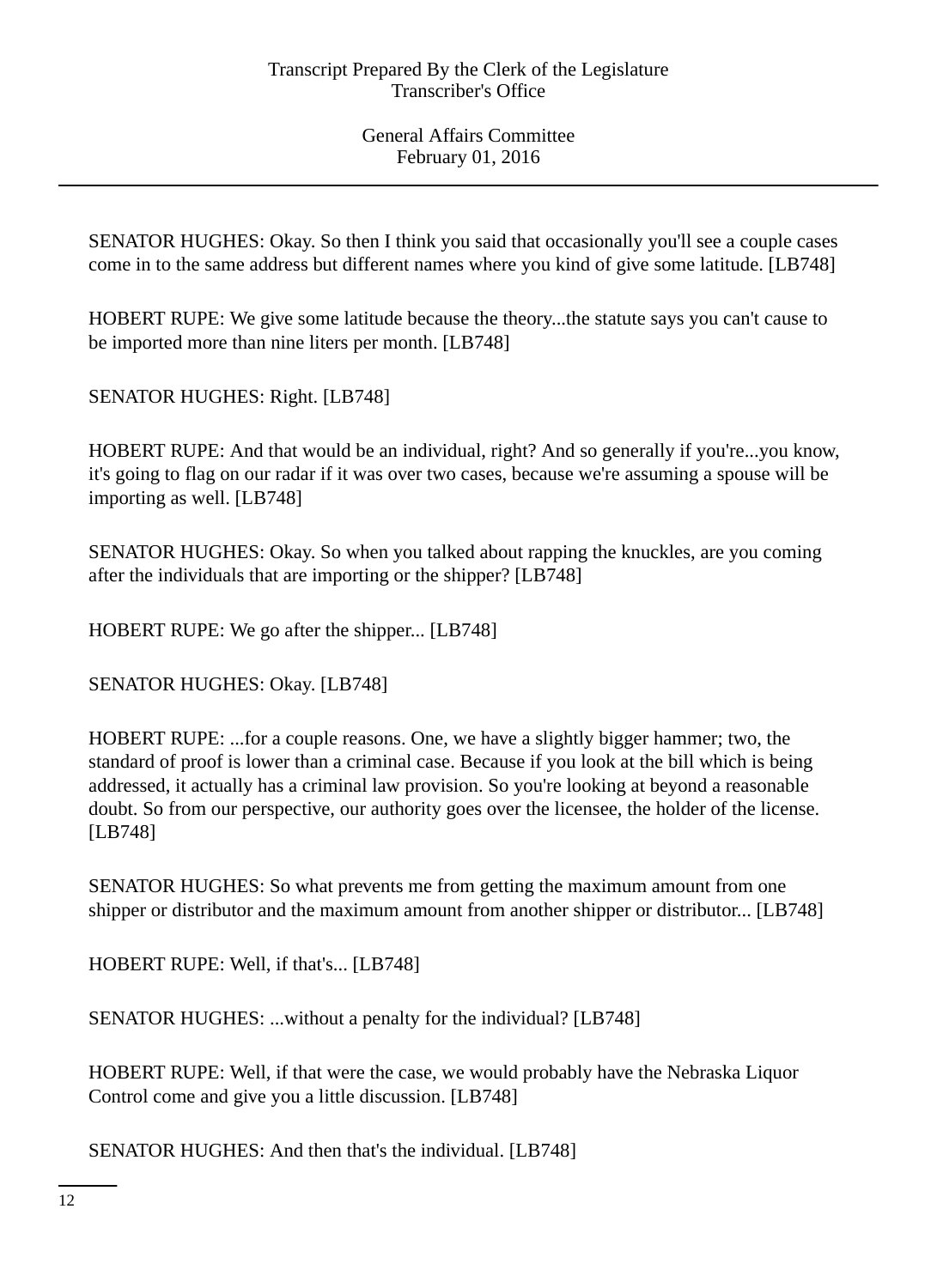SENATOR HUGHES: Okay. So then I think you said that occasionally you'll see a couple cases come in to the same address but different names where you kind of give some latitude. [LB748]

HOBERT RUPE: We give some latitude because the theory...the statute says you can't cause to be imported more than nine liters per month. [LB748]

SENATOR HUGHES: Right. [LB748]

HOBERT RUPE: And that would be an individual, right? And so generally if you're...you know, it's going to flag on our radar if it was over two cases, because we're assuming a spouse will be importing as well. [LB748]

SENATOR HUGHES: Okay. So when you talked about rapping the knuckles, are you coming after the individuals that are importing or the shipper? [LB748]

HOBERT RUPE: We go after the shipper... [LB748]

SENATOR HUGHES: Okay. [LB748]

HOBERT RUPE: ...for a couple reasons. One, we have a slightly bigger hammer; two, the standard of proof is lower than a criminal case. Because if you look at the bill which is being addressed, it actually has a criminal law provision. So you're looking at beyond a reasonable doubt. So from our perspective, our authority goes over the licensee, the holder of the license. [LB748]

SENATOR HUGHES: So what prevents me from getting the maximum amount from one shipper or distributor and the maximum amount from another shipper or distributor... [LB748]

HOBERT RUPE: Well, if that's... [LB748]

SENATOR HUGHES: ...without a penalty for the individual? [LB748]

HOBERT RUPE: Well, if that were the case, we would probably have the Nebraska Liquor Control come and give you a little discussion. [LB748]

SENATOR HUGHES: And then that's the individual. [LB748]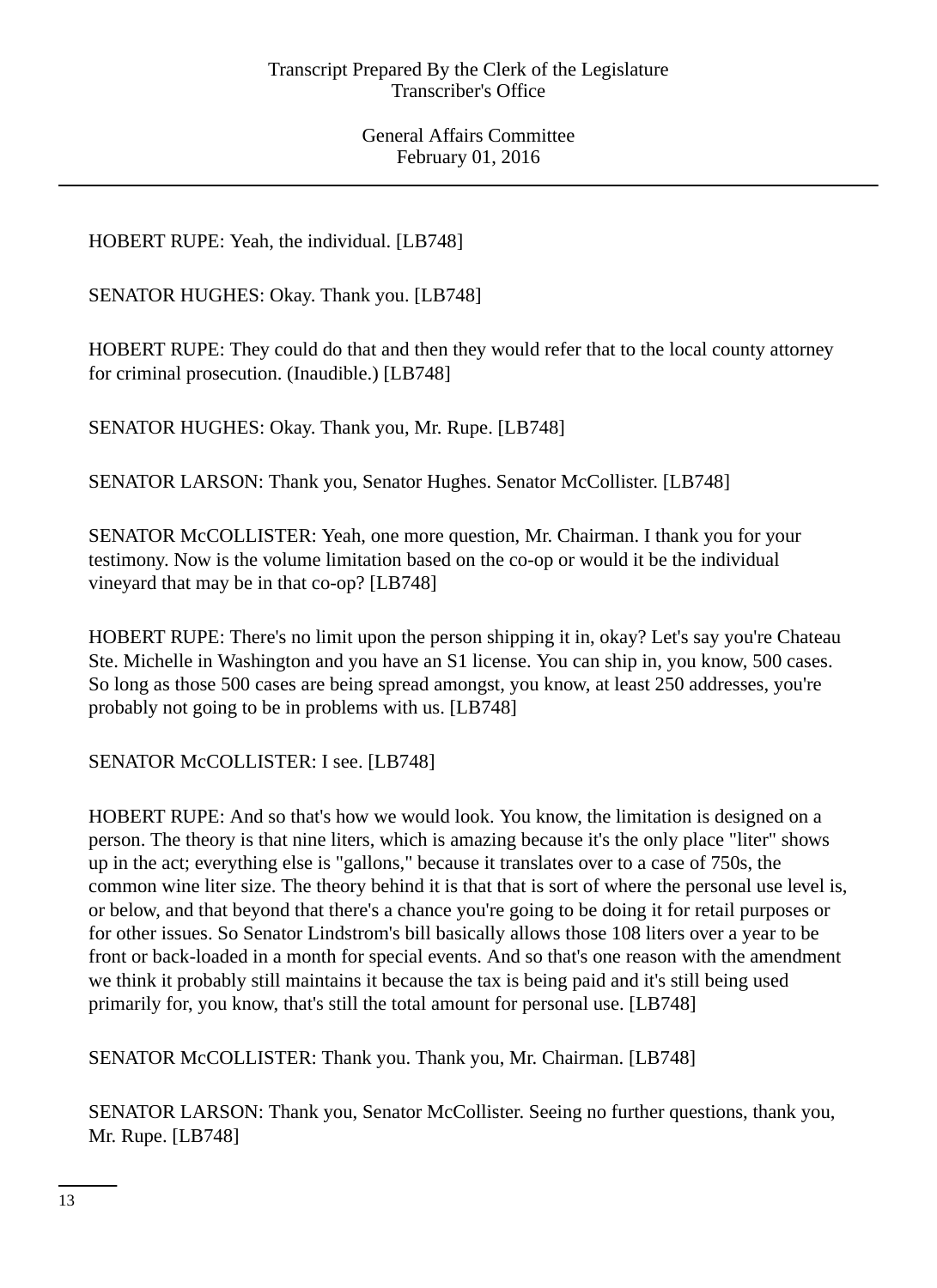HOBERT RUPE: Yeah, the individual. [LB748]

SENATOR HUGHES: Okay. Thank you. [LB748]

HOBERT RUPE: They could do that and then they would refer that to the local county attorney for criminal prosecution. (Inaudible.) [LB748]

SENATOR HUGHES: Okay. Thank you, Mr. Rupe. [LB748]

SENATOR LARSON: Thank you, Senator Hughes. Senator McCollister. [LB748]

SENATOR McCOLLISTER: Yeah, one more question, Mr. Chairman. I thank you for your testimony. Now is the volume limitation based on the co-op or would it be the individual vineyard that may be in that co-op? [LB748]

HOBERT RUPE: There's no limit upon the person shipping it in, okay? Let's say you're Chateau Ste. Michelle in Washington and you have an S1 license. You can ship in, you know, 500 cases. So long as those 500 cases are being spread amongst, you know, at least 250 addresses, you're probably not going to be in problems with us. [LB748]

SENATOR McCOLLISTER: I see. [LB748]

HOBERT RUPE: And so that's how we would look. You know, the limitation is designed on a person. The theory is that nine liters, which is amazing because it's the only place "liter" shows up in the act; everything else is "gallons," because it translates over to a case of 750s, the common wine liter size. The theory behind it is that that is sort of where the personal use level is, or below, and that beyond that there's a chance you're going to be doing it for retail purposes or for other issues. So Senator Lindstrom's bill basically allows those 108 liters over a year to be front or back-loaded in a month for special events. And so that's one reason with the amendment we think it probably still maintains it because the tax is being paid and it's still being used primarily for, you know, that's still the total amount for personal use. [LB748]

SENATOR McCOLLISTER: Thank you. Thank you, Mr. Chairman. [LB748]

SENATOR LARSON: Thank you, Senator McCollister. Seeing no further questions, thank you, Mr. Rupe. [LB748]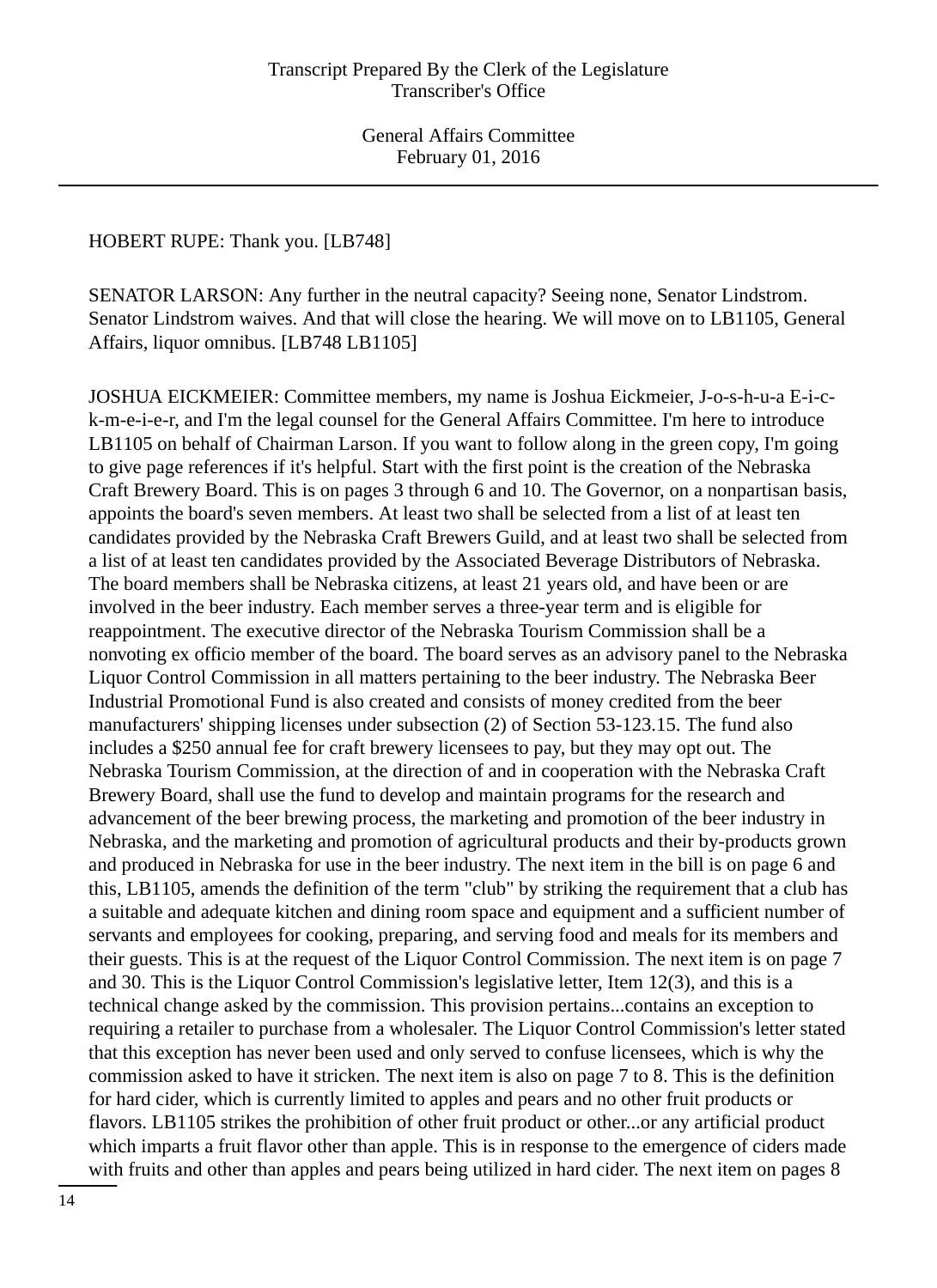### HOBERT RUPE: Thank you. [LB748]

SENATOR LARSON: Any further in the neutral capacity? Seeing none, Senator Lindstrom. Senator Lindstrom waives. And that will close the hearing. We will move on to LB1105, General Affairs, liquor omnibus. [LB748 LB1105]

JOSHUA EICKMEIER: Committee members, my name is Joshua Eickmeier, J-o-s-h-u-a E-i-ck-m-e-i-e-r, and I'm the legal counsel for the General Affairs Committee. I'm here to introduce LB1105 on behalf of Chairman Larson. If you want to follow along in the green copy, I'm going to give page references if it's helpful. Start with the first point is the creation of the Nebraska Craft Brewery Board. This is on pages 3 through 6 and 10. The Governor, on a nonpartisan basis, appoints the board's seven members. At least two shall be selected from a list of at least ten candidates provided by the Nebraska Craft Brewers Guild, and at least two shall be selected from a list of at least ten candidates provided by the Associated Beverage Distributors of Nebraska. The board members shall be Nebraska citizens, at least 21 years old, and have been or are involved in the beer industry. Each member serves a three-year term and is eligible for reappointment. The executive director of the Nebraska Tourism Commission shall be a nonvoting ex officio member of the board. The board serves as an advisory panel to the Nebraska Liquor Control Commission in all matters pertaining to the beer industry. The Nebraska Beer Industrial Promotional Fund is also created and consists of money credited from the beer manufacturers' shipping licenses under subsection (2) of Section 53-123.15. The fund also includes a \$250 annual fee for craft brewery licensees to pay, but they may opt out. The Nebraska Tourism Commission, at the direction of and in cooperation with the Nebraska Craft Brewery Board, shall use the fund to develop and maintain programs for the research and advancement of the beer brewing process, the marketing and promotion of the beer industry in Nebraska, and the marketing and promotion of agricultural products and their by-products grown and produced in Nebraska for use in the beer industry. The next item in the bill is on page 6 and this, LB1105, amends the definition of the term "club" by striking the requirement that a club has a suitable and adequate kitchen and dining room space and equipment and a sufficient number of servants and employees for cooking, preparing, and serving food and meals for its members and their guests. This is at the request of the Liquor Control Commission. The next item is on page 7 and 30. This is the Liquor Control Commission's legislative letter, Item 12(3), and this is a technical change asked by the commission. This provision pertains...contains an exception to requiring a retailer to purchase from a wholesaler. The Liquor Control Commission's letter stated that this exception has never been used and only served to confuse licensees, which is why the commission asked to have it stricken. The next item is also on page 7 to 8. This is the definition for hard cider, which is currently limited to apples and pears and no other fruit products or flavors. LB1105 strikes the prohibition of other fruit product or other...or any artificial product which imparts a fruit flavor other than apple. This is in response to the emergence of ciders made with fruits and other than apples and pears being utilized in hard cider. The next item on pages 8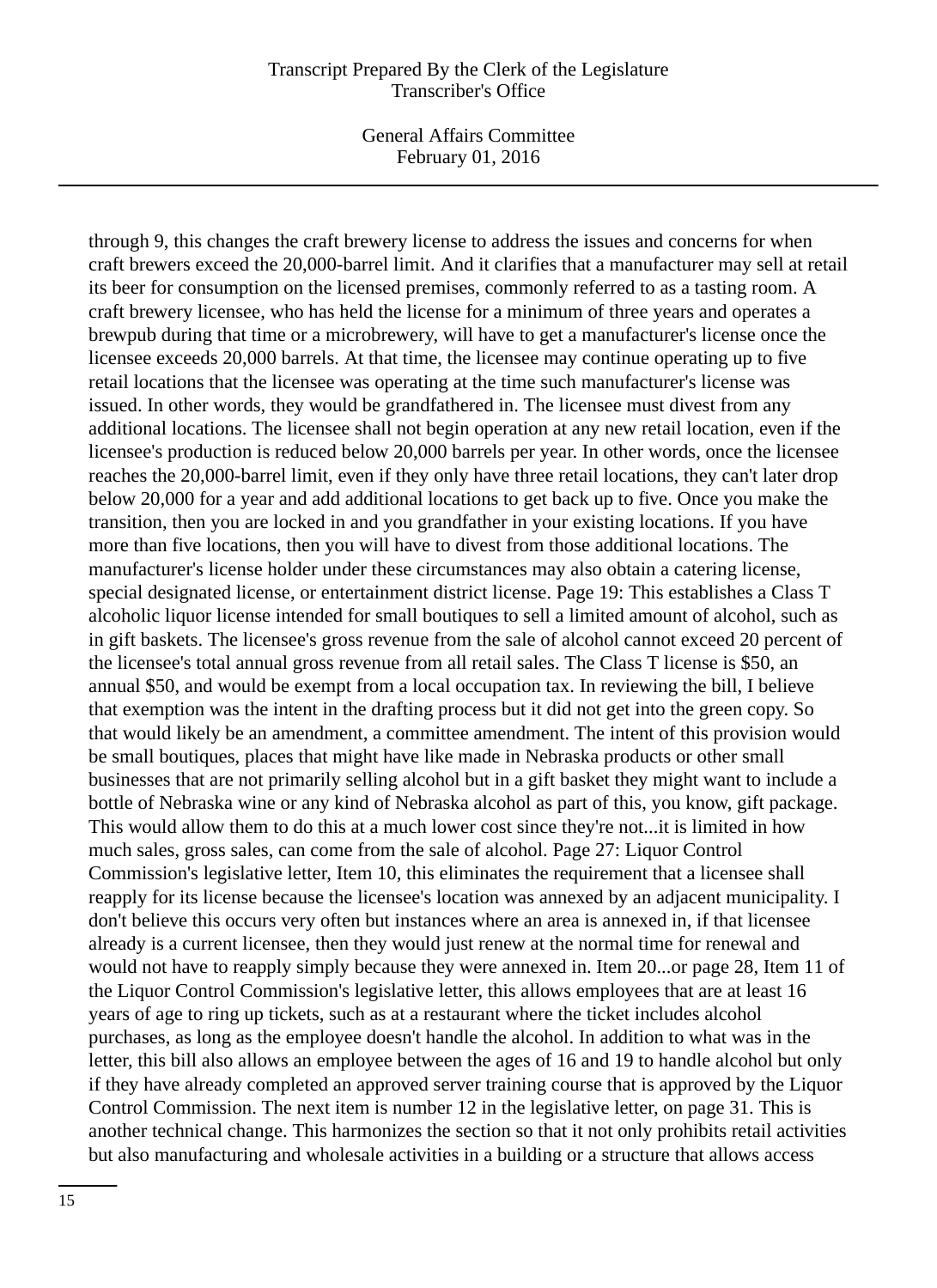General Affairs Committee February 01, 2016

through 9, this changes the craft brewery license to address the issues and concerns for when craft brewers exceed the 20,000-barrel limit. And it clarifies that a manufacturer may sell at retail its beer for consumption on the licensed premises, commonly referred to as a tasting room. A craft brewery licensee, who has held the license for a minimum of three years and operates a brewpub during that time or a microbrewery, will have to get a manufacturer's license once the licensee exceeds 20,000 barrels. At that time, the licensee may continue operating up to five retail locations that the licensee was operating at the time such manufacturer's license was issued. In other words, they would be grandfathered in. The licensee must divest from any additional locations. The licensee shall not begin operation at any new retail location, even if the licensee's production is reduced below 20,000 barrels per year. In other words, once the licensee reaches the 20,000-barrel limit, even if they only have three retail locations, they can't later drop below 20,000 for a year and add additional locations to get back up to five. Once you make the transition, then you are locked in and you grandfather in your existing locations. If you have more than five locations, then you will have to divest from those additional locations. The manufacturer's license holder under these circumstances may also obtain a catering license, special designated license, or entertainment district license. Page 19: This establishes a Class T alcoholic liquor license intended for small boutiques to sell a limited amount of alcohol, such as in gift baskets. The licensee's gross revenue from the sale of alcohol cannot exceed 20 percent of the licensee's total annual gross revenue from all retail sales. The Class T license is \$50, an annual \$50, and would be exempt from a local occupation tax. In reviewing the bill, I believe that exemption was the intent in the drafting process but it did not get into the green copy. So that would likely be an amendment, a committee amendment. The intent of this provision would be small boutiques, places that might have like made in Nebraska products or other small businesses that are not primarily selling alcohol but in a gift basket they might want to include a bottle of Nebraska wine or any kind of Nebraska alcohol as part of this, you know, gift package. This would allow them to do this at a much lower cost since they're not...it is limited in how much sales, gross sales, can come from the sale of alcohol. Page 27: Liquor Control Commission's legislative letter, Item 10, this eliminates the requirement that a licensee shall reapply for its license because the licensee's location was annexed by an adjacent municipality. I don't believe this occurs very often but instances where an area is annexed in, if that licensee already is a current licensee, then they would just renew at the normal time for renewal and would not have to reapply simply because they were annexed in. Item 20...or page 28, Item 11 of the Liquor Control Commission's legislative letter, this allows employees that are at least 16 years of age to ring up tickets, such as at a restaurant where the ticket includes alcohol purchases, as long as the employee doesn't handle the alcohol. In addition to what was in the letter, this bill also allows an employee between the ages of 16 and 19 to handle alcohol but only if they have already completed an approved server training course that is approved by the Liquor Control Commission. The next item is number 12 in the legislative letter, on page 31. This is another technical change. This harmonizes the section so that it not only prohibits retail activities but also manufacturing and wholesale activities in a building or a structure that allows access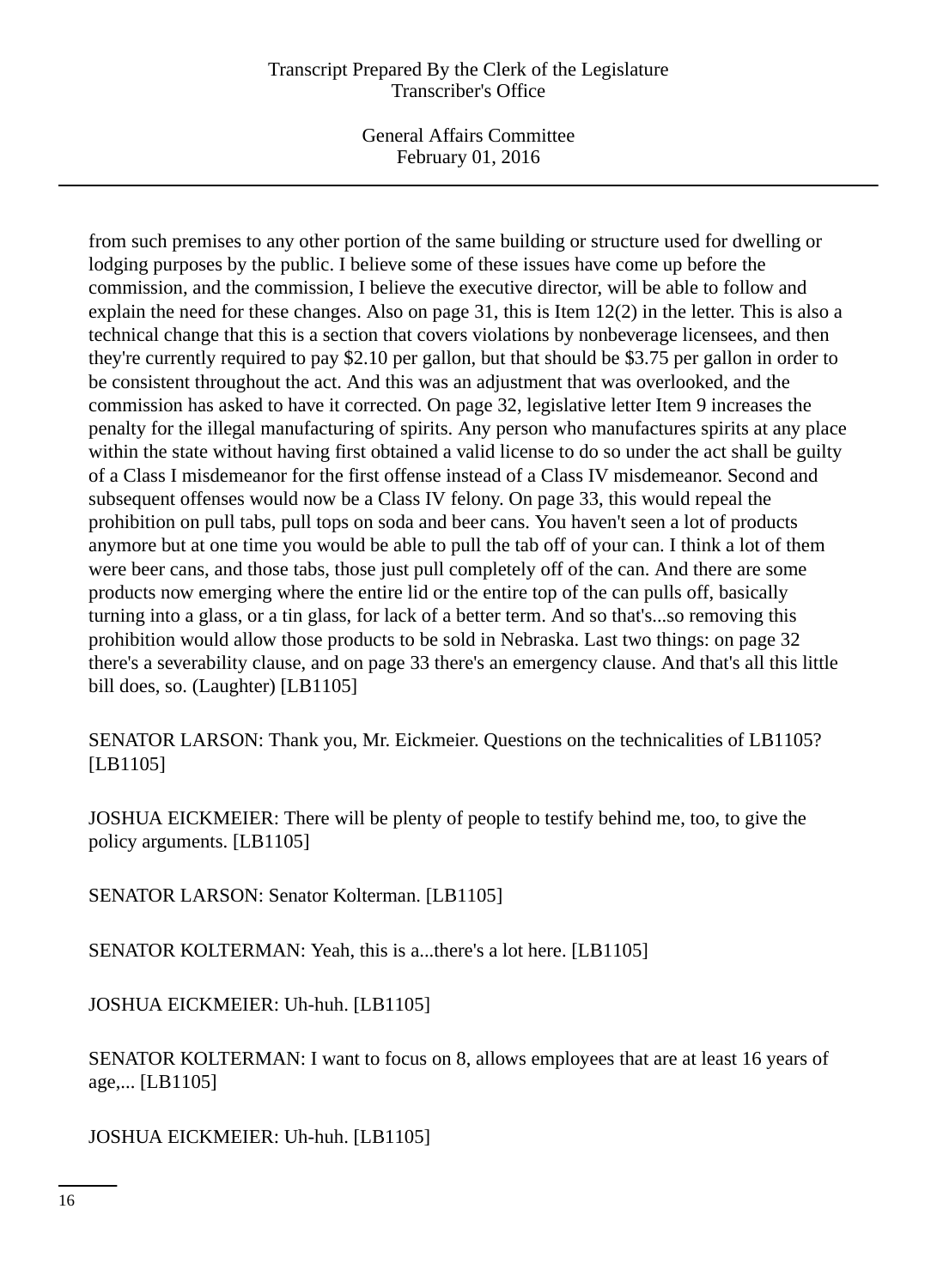General Affairs Committee February 01, 2016

from such premises to any other portion of the same building or structure used for dwelling or lodging purposes by the public. I believe some of these issues have come up before the commission, and the commission, I believe the executive director, will be able to follow and explain the need for these changes. Also on page 31, this is Item 12(2) in the letter. This is also a technical change that this is a section that covers violations by nonbeverage licensees, and then they're currently required to pay \$2.10 per gallon, but that should be \$3.75 per gallon in order to be consistent throughout the act. And this was an adjustment that was overlooked, and the commission has asked to have it corrected. On page 32, legislative letter Item 9 increases the penalty for the illegal manufacturing of spirits. Any person who manufactures spirits at any place within the state without having first obtained a valid license to do so under the act shall be guilty of a Class I misdemeanor for the first offense instead of a Class IV misdemeanor. Second and subsequent offenses would now be a Class IV felony. On page 33, this would repeal the prohibition on pull tabs, pull tops on soda and beer cans. You haven't seen a lot of products anymore but at one time you would be able to pull the tab off of your can. I think a lot of them were beer cans, and those tabs, those just pull completely off of the can. And there are some products now emerging where the entire lid or the entire top of the can pulls off, basically turning into a glass, or a tin glass, for lack of a better term. And so that's...so removing this prohibition would allow those products to be sold in Nebraska. Last two things: on page 32 there's a severability clause, and on page 33 there's an emergency clause. And that's all this little bill does, so. (Laughter) [LB1105]

SENATOR LARSON: Thank you, Mr. Eickmeier. Questions on the technicalities of LB1105? [LB1105]

JOSHUA EICKMEIER: There will be plenty of people to testify behind me, too, to give the policy arguments. [LB1105]

SENATOR LARSON: Senator Kolterman. [LB1105]

SENATOR KOLTERMAN: Yeah, this is a...there's a lot here. [LB1105]

JOSHUA EICKMEIER: Uh-huh. [LB1105]

SENATOR KOLTERMAN: I want to focus on 8, allows employees that are at least 16 years of age,... [LB1105]

JOSHUA EICKMEIER: Uh-huh. [LB1105]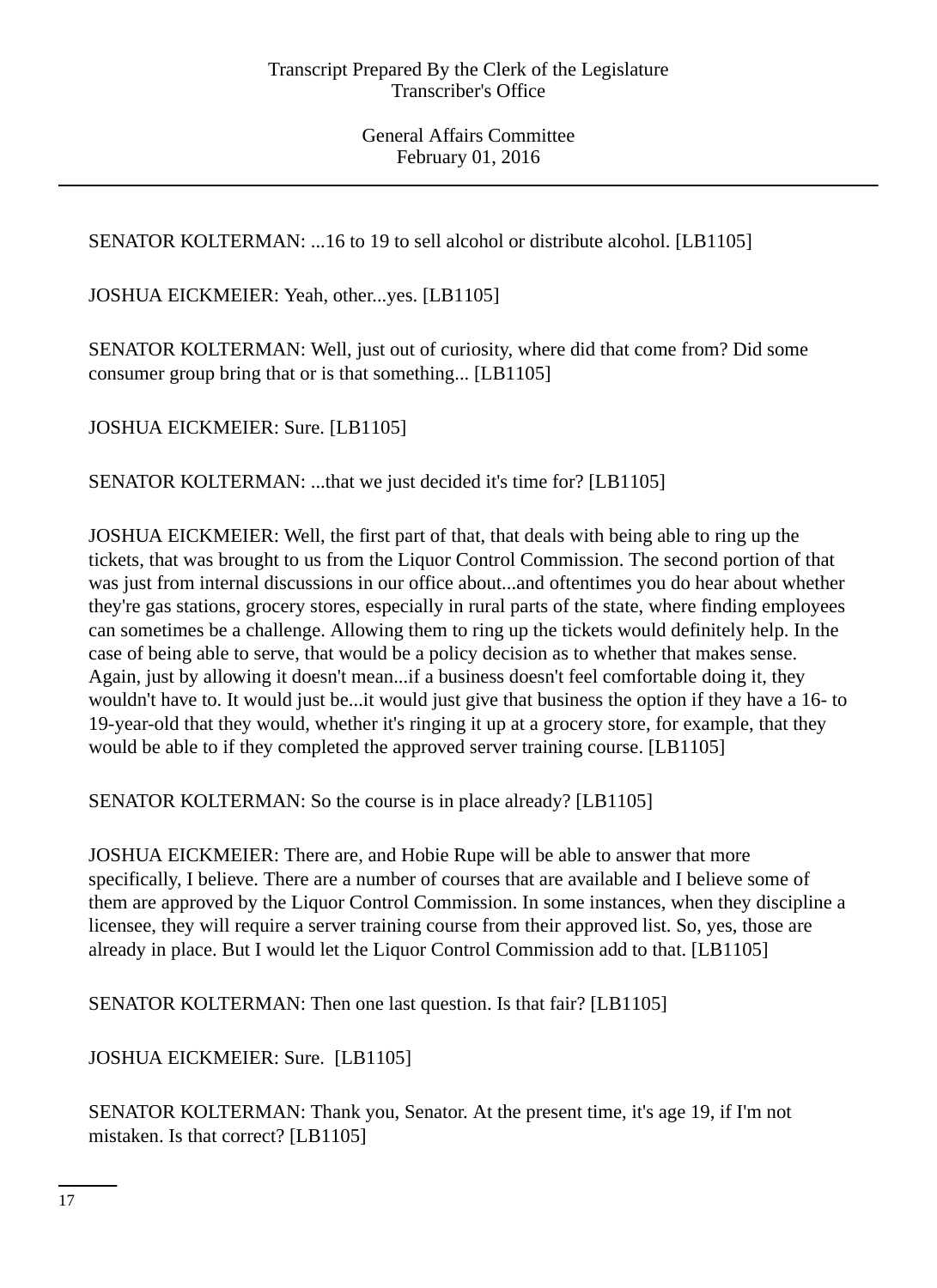SENATOR KOLTERMAN: ...16 to 19 to sell alcohol or distribute alcohol. [LB1105]

JOSHUA EICKMEIER: Yeah, other...yes. [LB1105]

SENATOR KOLTERMAN: Well, just out of curiosity, where did that come from? Did some consumer group bring that or is that something... [LB1105]

JOSHUA EICKMEIER: Sure. [LB1105]

SENATOR KOLTERMAN: ...that we just decided it's time for? [LB1105]

JOSHUA EICKMEIER: Well, the first part of that, that deals with being able to ring up the tickets, that was brought to us from the Liquor Control Commission. The second portion of that was just from internal discussions in our office about...and oftentimes you do hear about whether they're gas stations, grocery stores, especially in rural parts of the state, where finding employees can sometimes be a challenge. Allowing them to ring up the tickets would definitely help. In the case of being able to serve, that would be a policy decision as to whether that makes sense. Again, just by allowing it doesn't mean...if a business doesn't feel comfortable doing it, they wouldn't have to. It would just be...it would just give that business the option if they have a 16- to 19-year-old that they would, whether it's ringing it up at a grocery store, for example, that they would be able to if they completed the approved server training course. [LB1105]

SENATOR KOLTERMAN: So the course is in place already? [LB1105]

JOSHUA EICKMEIER: There are, and Hobie Rupe will be able to answer that more specifically, I believe. There are a number of courses that are available and I believe some of them are approved by the Liquor Control Commission. In some instances, when they discipline a licensee, they will require a server training course from their approved list. So, yes, those are already in place. But I would let the Liquor Control Commission add to that. [LB1105]

SENATOR KOLTERMAN: Then one last question. Is that fair? [LB1105]

JOSHUA EICKMEIER: Sure. [LB1105]

SENATOR KOLTERMAN: Thank you, Senator. At the present time, it's age 19, if I'm not mistaken. Is that correct? [LB1105]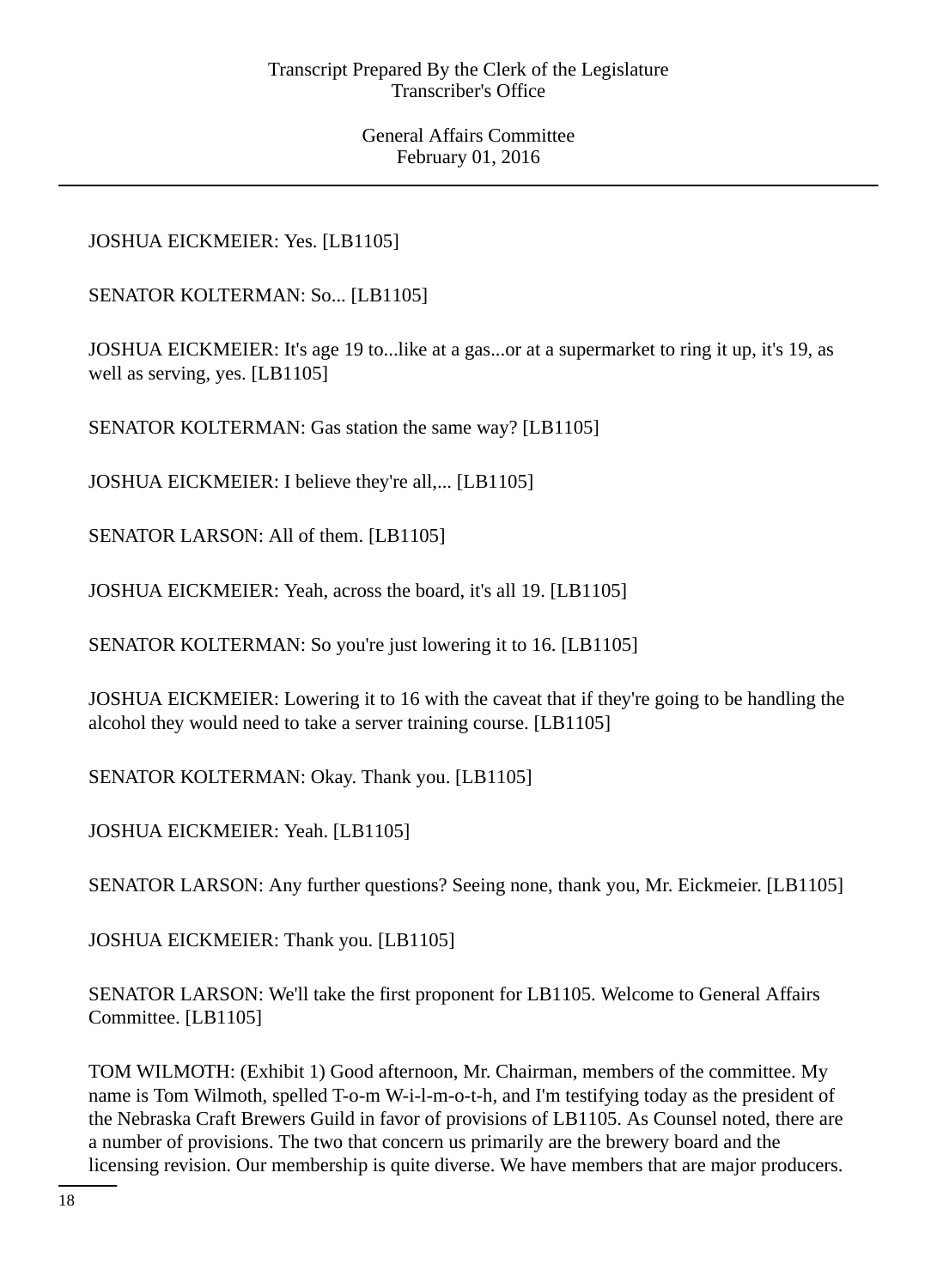# JOSHUA EICKMEIER: Yes. [LB1105]

SENATOR KOLTERMAN: So... [LB1105]

JOSHUA EICKMEIER: It's age 19 to...like at a gas...or at a supermarket to ring it up, it's 19, as well as serving, yes. [LB1105]

SENATOR KOLTERMAN: Gas station the same way? [LB1105]

JOSHUA EICKMEIER: I believe they're all,... [LB1105]

SENATOR LARSON: All of them. [LB1105]

JOSHUA EICKMEIER: Yeah, across the board, it's all 19. [LB1105]

SENATOR KOLTERMAN: So you're just lowering it to 16. [LB1105]

JOSHUA EICKMEIER: Lowering it to 16 with the caveat that if they're going to be handling the alcohol they would need to take a server training course. [LB1105]

SENATOR KOLTERMAN: Okay. Thank you. [LB1105]

JOSHUA EICKMEIER: Yeah. [LB1105]

SENATOR LARSON: Any further questions? Seeing none, thank you, Mr. Eickmeier. [LB1105]

JOSHUA EICKMEIER: Thank you. [LB1105]

SENATOR LARSON: We'll take the first proponent for LB1105. Welcome to General Affairs Committee. [LB1105]

TOM WILMOTH: (Exhibit 1) Good afternoon, Mr. Chairman, members of the committee. My name is Tom Wilmoth, spelled T-o-m W-i-l-m-o-t-h, and I'm testifying today as the president of the Nebraska Craft Brewers Guild in favor of provisions of LB1105. As Counsel noted, there are a number of provisions. The two that concern us primarily are the brewery board and the licensing revision. Our membership is quite diverse. We have members that are major producers.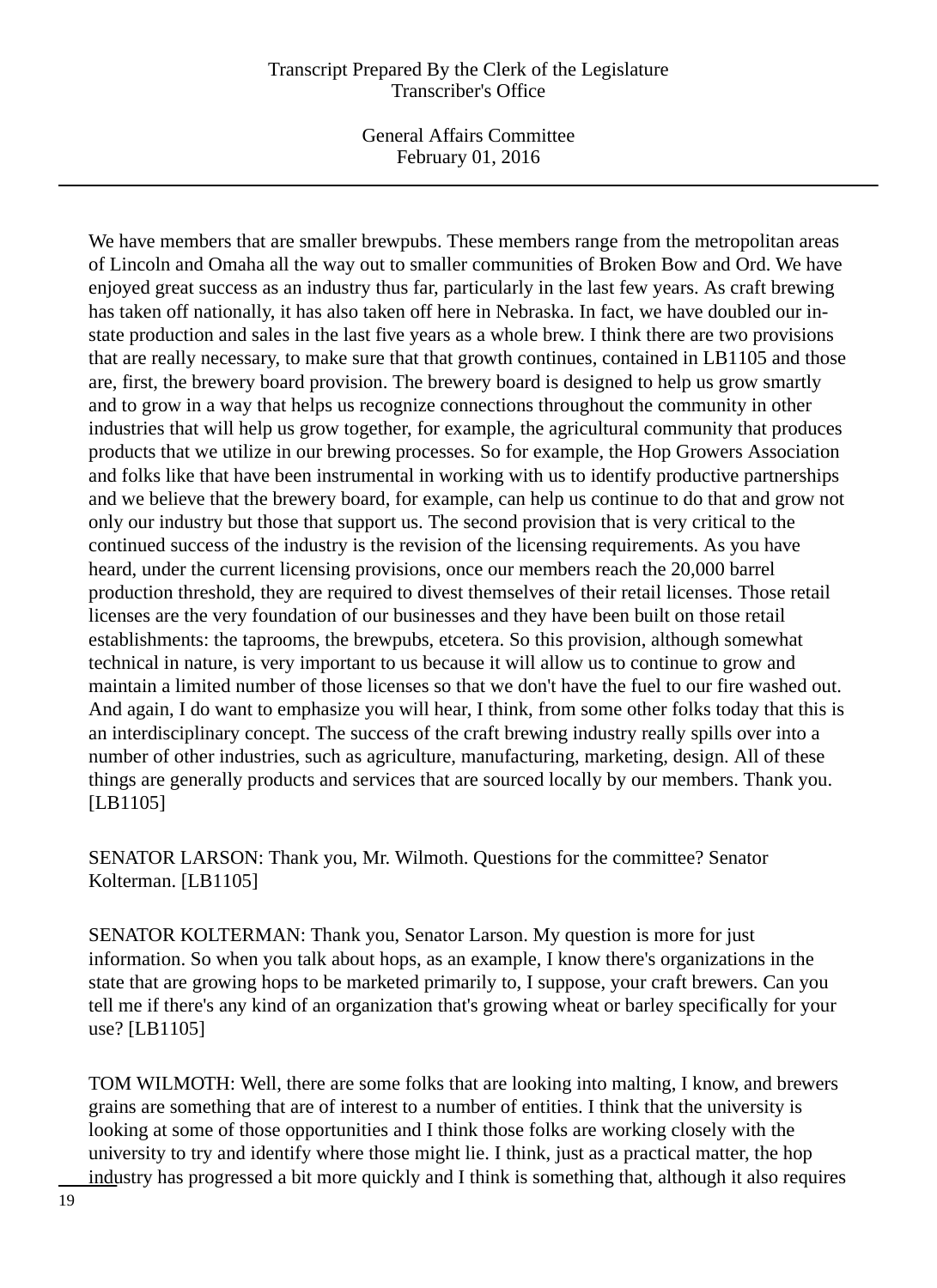General Affairs Committee February 01, 2016

We have members that are smaller brewpubs. These members range from the metropolitan areas of Lincoln and Omaha all the way out to smaller communities of Broken Bow and Ord. We have enjoyed great success as an industry thus far, particularly in the last few years. As craft brewing has taken off nationally, it has also taken off here in Nebraska. In fact, we have doubled our instate production and sales in the last five years as a whole brew. I think there are two provisions that are really necessary, to make sure that that growth continues, contained in LB1105 and those are, first, the brewery board provision. The brewery board is designed to help us grow smartly and to grow in a way that helps us recognize connections throughout the community in other industries that will help us grow together, for example, the agricultural community that produces products that we utilize in our brewing processes. So for example, the Hop Growers Association and folks like that have been instrumental in working with us to identify productive partnerships and we believe that the brewery board, for example, can help us continue to do that and grow not only our industry but those that support us. The second provision that is very critical to the continued success of the industry is the revision of the licensing requirements. As you have heard, under the current licensing provisions, once our members reach the 20,000 barrel production threshold, they are required to divest themselves of their retail licenses. Those retail licenses are the very foundation of our businesses and they have been built on those retail establishments: the taprooms, the brewpubs, etcetera. So this provision, although somewhat technical in nature, is very important to us because it will allow us to continue to grow and maintain a limited number of those licenses so that we don't have the fuel to our fire washed out. And again, I do want to emphasize you will hear, I think, from some other folks today that this is an interdisciplinary concept. The success of the craft brewing industry really spills over into a number of other industries, such as agriculture, manufacturing, marketing, design. All of these things are generally products and services that are sourced locally by our members. Thank you. [LB1105]

SENATOR LARSON: Thank you, Mr. Wilmoth. Questions for the committee? Senator Kolterman. [LB1105]

SENATOR KOLTERMAN: Thank you, Senator Larson. My question is more for just information. So when you talk about hops, as an example, I know there's organizations in the state that are growing hops to be marketed primarily to, I suppose, your craft brewers. Can you tell me if there's any kind of an organization that's growing wheat or barley specifically for your use? [LB1105]

TOM WILMOTH: Well, there are some folks that are looking into malting, I know, and brewers grains are something that are of interest to a number of entities. I think that the university is looking at some of those opportunities and I think those folks are working closely with the university to try and identify where those might lie. I think, just as a practical matter, the hop industry has progressed a bit more quickly and I think is something that, although it also requires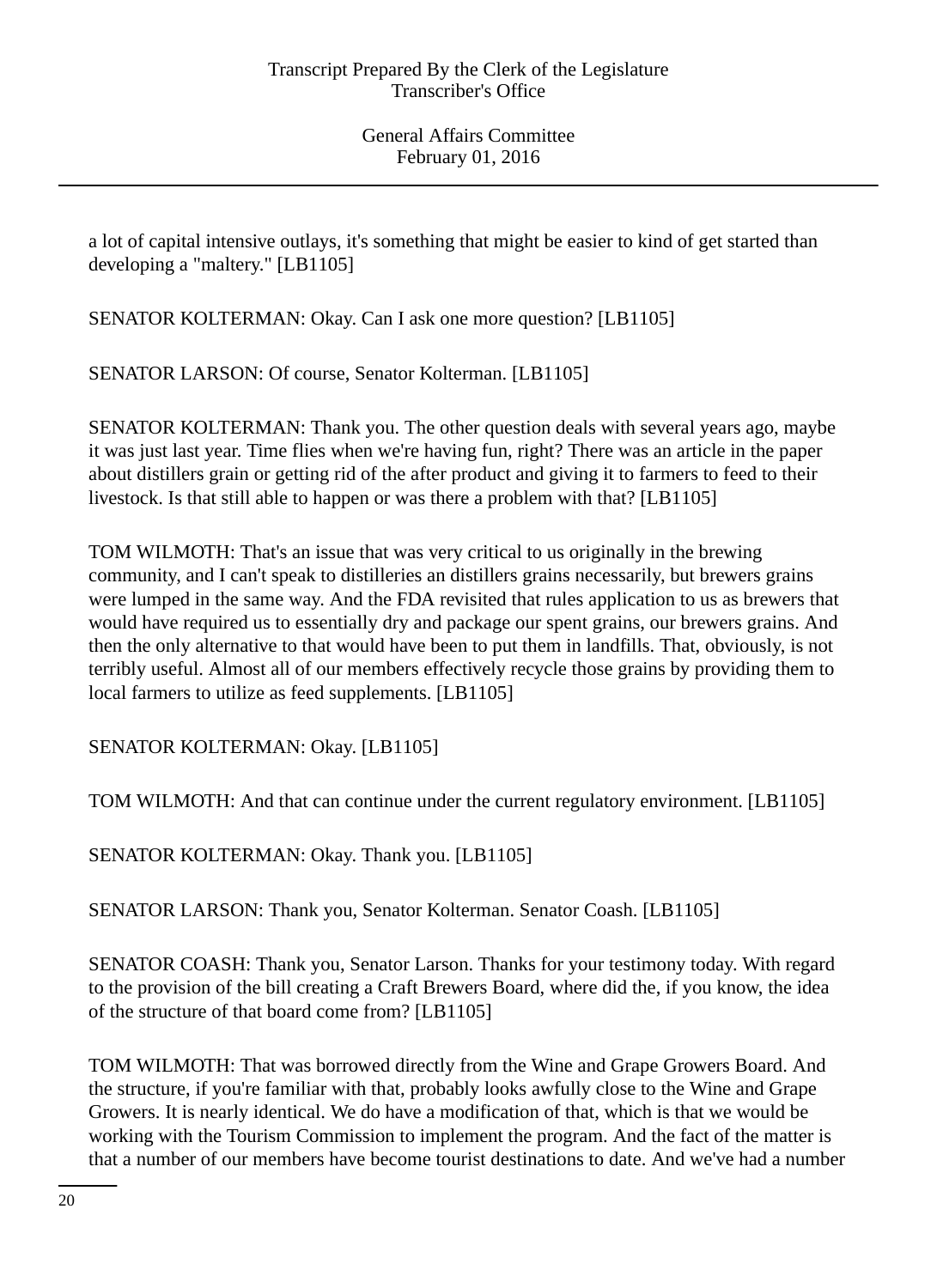a lot of capital intensive outlays, it's something that might be easier to kind of get started than developing a "maltery." [LB1105]

SENATOR KOLTERMAN: Okay. Can I ask one more question? [LB1105]

SENATOR LARSON: Of course, Senator Kolterman. [LB1105]

SENATOR KOLTERMAN: Thank you. The other question deals with several years ago, maybe it was just last year. Time flies when we're having fun, right? There was an article in the paper about distillers grain or getting rid of the after product and giving it to farmers to feed to their livestock. Is that still able to happen or was there a problem with that? [LB1105]

TOM WILMOTH: That's an issue that was very critical to us originally in the brewing community, and I can't speak to distilleries an distillers grains necessarily, but brewers grains were lumped in the same way. And the FDA revisited that rules application to us as brewers that would have required us to essentially dry and package our spent grains, our brewers grains. And then the only alternative to that would have been to put them in landfills. That, obviously, is not terribly useful. Almost all of our members effectively recycle those grains by providing them to local farmers to utilize as feed supplements. [LB1105]

SENATOR KOLTERMAN: Okay. [LB1105]

TOM WILMOTH: And that can continue under the current regulatory environment. [LB1105]

SENATOR KOLTERMAN: Okay. Thank you. [LB1105]

SENATOR LARSON: Thank you, Senator Kolterman. Senator Coash. [LB1105]

SENATOR COASH: Thank you, Senator Larson. Thanks for your testimony today. With regard to the provision of the bill creating a Craft Brewers Board, where did the, if you know, the idea of the structure of that board come from? [LB1105]

TOM WILMOTH: That was borrowed directly from the Wine and Grape Growers Board. And the structure, if you're familiar with that, probably looks awfully close to the Wine and Grape Growers. It is nearly identical. We do have a modification of that, which is that we would be working with the Tourism Commission to implement the program. And the fact of the matter is that a number of our members have become tourist destinations to date. And we've had a number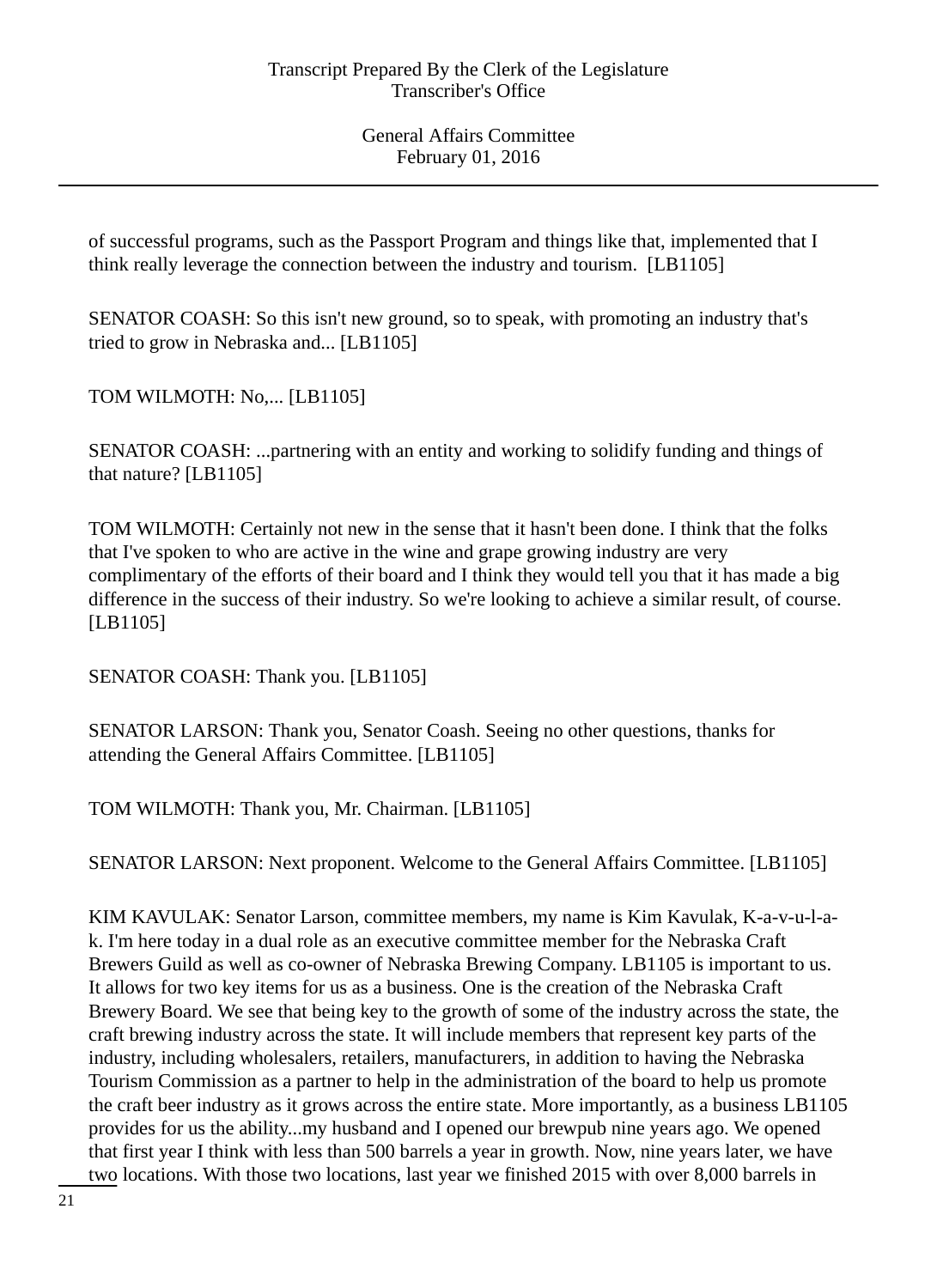of successful programs, such as the Passport Program and things like that, implemented that I think really leverage the connection between the industry and tourism. [LB1105]

SENATOR COASH: So this isn't new ground, so to speak, with promoting an industry that's tried to grow in Nebraska and... [LB1105]

TOM WILMOTH: No,... [LB1105]

SENATOR COASH: ...partnering with an entity and working to solidify funding and things of that nature? [LB1105]

TOM WILMOTH: Certainly not new in the sense that it hasn't been done. I think that the folks that I've spoken to who are active in the wine and grape growing industry are very complimentary of the efforts of their board and I think they would tell you that it has made a big difference in the success of their industry. So we're looking to achieve a similar result, of course. [LB1105]

SENATOR COASH: Thank you. [LB1105]

SENATOR LARSON: Thank you, Senator Coash. Seeing no other questions, thanks for attending the General Affairs Committee. [LB1105]

TOM WILMOTH: Thank you, Mr. Chairman. [LB1105]

SENATOR LARSON: Next proponent. Welcome to the General Affairs Committee. [LB1105]

KIM KAVULAK: Senator Larson, committee members, my name is Kim Kavulak, K-a-v-u-l-ak. I'm here today in a dual role as an executive committee member for the Nebraska Craft Brewers Guild as well as co-owner of Nebraska Brewing Company. LB1105 is important to us. It allows for two key items for us as a business. One is the creation of the Nebraska Craft Brewery Board. We see that being key to the growth of some of the industry across the state, the craft brewing industry across the state. It will include members that represent key parts of the industry, including wholesalers, retailers, manufacturers, in addition to having the Nebraska Tourism Commission as a partner to help in the administration of the board to help us promote the craft beer industry as it grows across the entire state. More importantly, as a business LB1105 provides for us the ability...my husband and I opened our brewpub nine years ago. We opened that first year I think with less than 500 barrels a year in growth. Now, nine years later, we have two locations. With those two locations, last year we finished 2015 with over 8,000 barrels in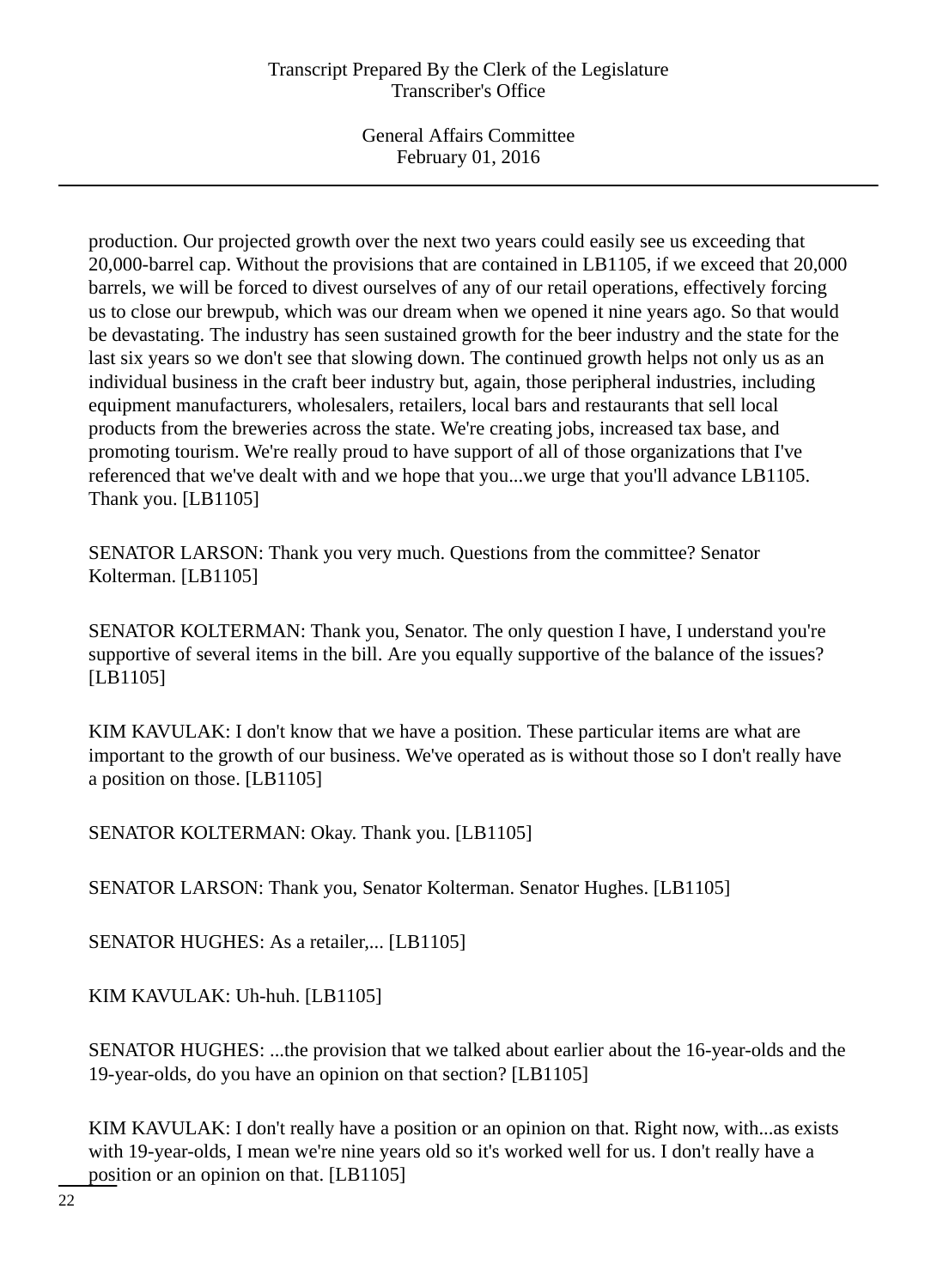General Affairs Committee February 01, 2016

production. Our projected growth over the next two years could easily see us exceeding that 20,000-barrel cap. Without the provisions that are contained in LB1105, if we exceed that 20,000 barrels, we will be forced to divest ourselves of any of our retail operations, effectively forcing us to close our brewpub, which was our dream when we opened it nine years ago. So that would be devastating. The industry has seen sustained growth for the beer industry and the state for the last six years so we don't see that slowing down. The continued growth helps not only us as an individual business in the craft beer industry but, again, those peripheral industries, including equipment manufacturers, wholesalers, retailers, local bars and restaurants that sell local products from the breweries across the state. We're creating jobs, increased tax base, and promoting tourism. We're really proud to have support of all of those organizations that I've referenced that we've dealt with and we hope that you...we urge that you'll advance LB1105. Thank you. [LB1105]

SENATOR LARSON: Thank you very much. Questions from the committee? Senator Kolterman. [LB1105]

SENATOR KOLTERMAN: Thank you, Senator. The only question I have, I understand you're supportive of several items in the bill. Are you equally supportive of the balance of the issues? [LB1105]

KIM KAVULAK: I don't know that we have a position. These particular items are what are important to the growth of our business. We've operated as is without those so I don't really have a position on those. [LB1105]

SENATOR KOLTERMAN: Okay. Thank you. [LB1105]

SENATOR LARSON: Thank you, Senator Kolterman. Senator Hughes. [LB1105]

SENATOR HUGHES: As a retailer,... [LB1105]

KIM KAVULAK: Uh-huh. [LB1105]

SENATOR HUGHES: ...the provision that we talked about earlier about the 16-year-olds and the 19-year-olds, do you have an opinion on that section? [LB1105]

KIM KAVULAK: I don't really have a position or an opinion on that. Right now, with...as exists with 19-year-olds, I mean we're nine years old so it's worked well for us. I don't really have a position or an opinion on that. [LB1105]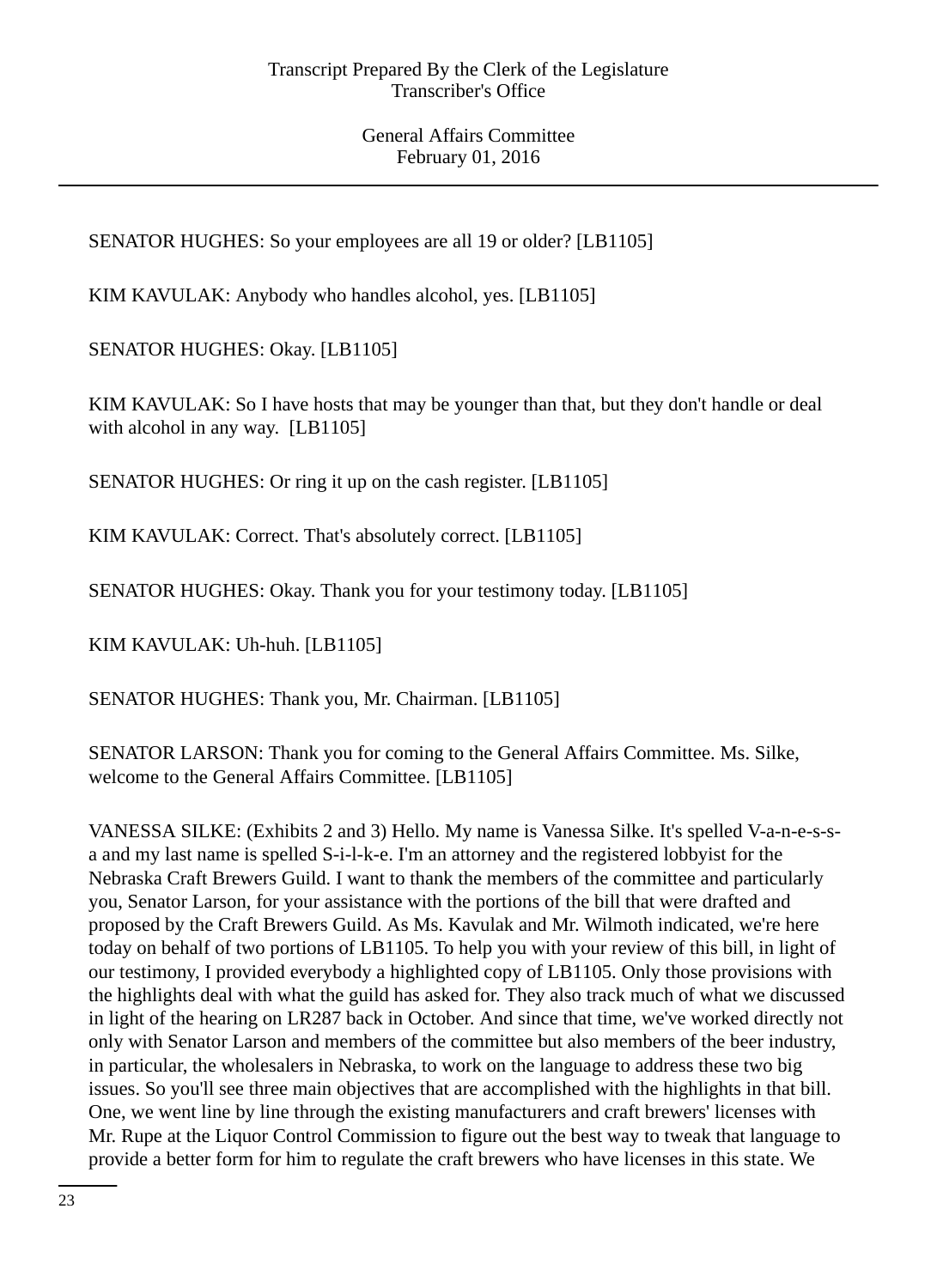SENATOR HUGHES: So your employees are all 19 or older? [LB1105]

KIM KAVULAK: Anybody who handles alcohol, yes. [LB1105]

SENATOR HUGHES: Okay. [LB1105]

KIM KAVULAK: So I have hosts that may be younger than that, but they don't handle or deal with alcohol in any way. [LB1105]

SENATOR HUGHES: Or ring it up on the cash register. [LB1105]

KIM KAVULAK: Correct. That's absolutely correct. [LB1105]

SENATOR HUGHES: Okay. Thank you for your testimony today. [LB1105]

KIM KAVULAK: Uh-huh. [LB1105]

SENATOR HUGHES: Thank you, Mr. Chairman. [LB1105]

SENATOR LARSON: Thank you for coming to the General Affairs Committee. Ms. Silke, welcome to the General Affairs Committee. [LB1105]

VANESSA SILKE: (Exhibits 2 and 3) Hello. My name is Vanessa Silke. It's spelled V-a-n-e-s-sa and my last name is spelled S-i-l-k-e. I'm an attorney and the registered lobbyist for the Nebraska Craft Brewers Guild. I want to thank the members of the committee and particularly you, Senator Larson, for your assistance with the portions of the bill that were drafted and proposed by the Craft Brewers Guild. As Ms. Kavulak and Mr. Wilmoth indicated, we're here today on behalf of two portions of LB1105. To help you with your review of this bill, in light of our testimony, I provided everybody a highlighted copy of LB1105. Only those provisions with the highlights deal with what the guild has asked for. They also track much of what we discussed in light of the hearing on LR287 back in October. And since that time, we've worked directly not only with Senator Larson and members of the committee but also members of the beer industry, in particular, the wholesalers in Nebraska, to work on the language to address these two big issues. So you'll see three main objectives that are accomplished with the highlights in that bill. One, we went line by line through the existing manufacturers and craft brewers' licenses with Mr. Rupe at the Liquor Control Commission to figure out the best way to tweak that language to provide a better form for him to regulate the craft brewers who have licenses in this state. We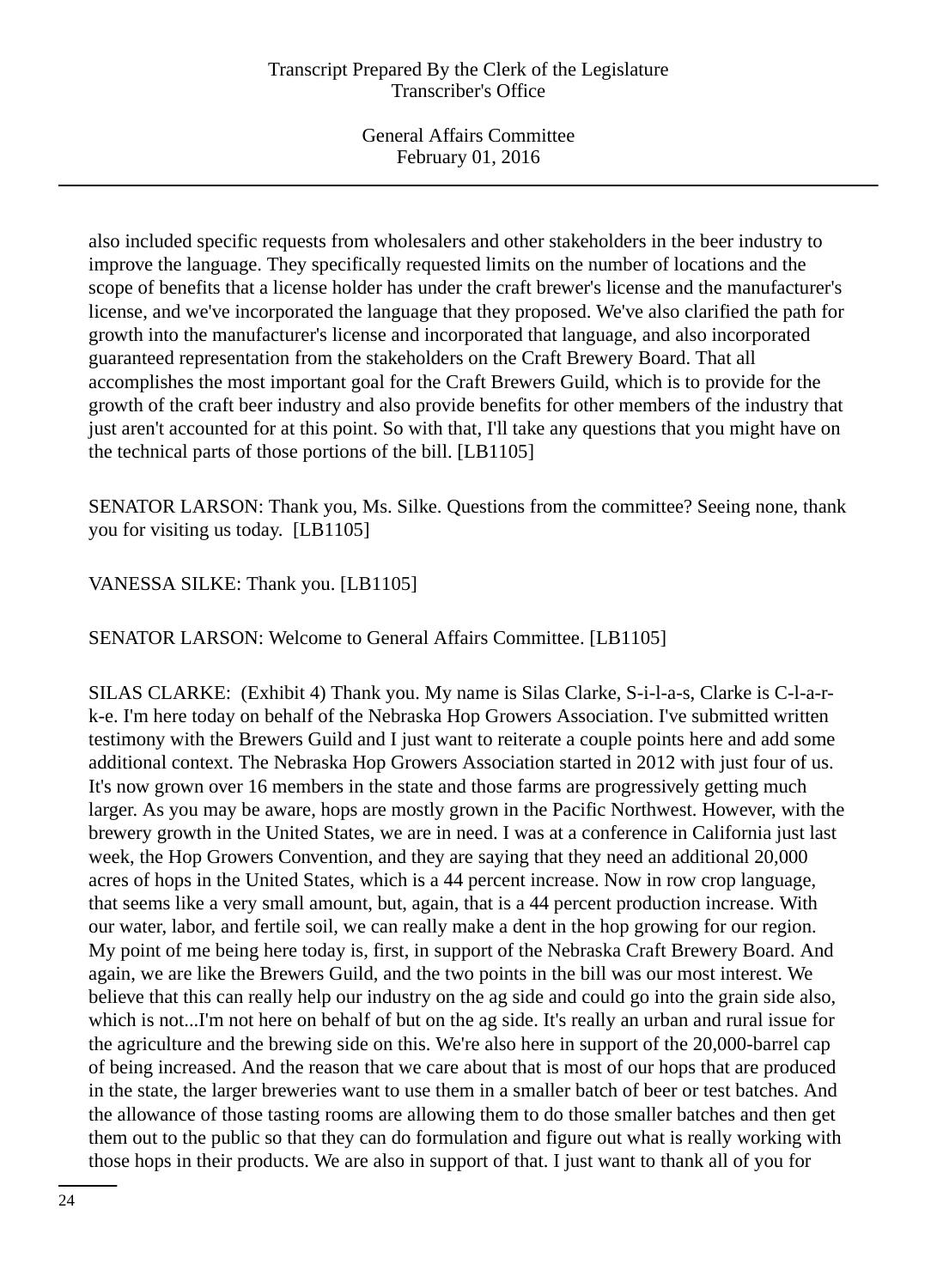also included specific requests from wholesalers and other stakeholders in the beer industry to improve the language. They specifically requested limits on the number of locations and the scope of benefits that a license holder has under the craft brewer's license and the manufacturer's license, and we've incorporated the language that they proposed. We've also clarified the path for growth into the manufacturer's license and incorporated that language, and also incorporated guaranteed representation from the stakeholders on the Craft Brewery Board. That all accomplishes the most important goal for the Craft Brewers Guild, which is to provide for the growth of the craft beer industry and also provide benefits for other members of the industry that just aren't accounted for at this point. So with that, I'll take any questions that you might have on the technical parts of those portions of the bill. [LB1105]

SENATOR LARSON: Thank you, Ms. Silke. Questions from the committee? Seeing none, thank you for visiting us today. [LB1105]

# VANESSA SILKE: Thank you. [LB1105]

SENATOR LARSON: Welcome to General Affairs Committee. [LB1105]

SILAS CLARKE: (Exhibit 4) Thank you. My name is Silas Clarke, S-i-l-a-s, Clarke is C-l-a-rk-e. I'm here today on behalf of the Nebraska Hop Growers Association. I've submitted written testimony with the Brewers Guild and I just want to reiterate a couple points here and add some additional context. The Nebraska Hop Growers Association started in 2012 with just four of us. It's now grown over 16 members in the state and those farms are progressively getting much larger. As you may be aware, hops are mostly grown in the Pacific Northwest. However, with the brewery growth in the United States, we are in need. I was at a conference in California just last week, the Hop Growers Convention, and they are saying that they need an additional 20,000 acres of hops in the United States, which is a 44 percent increase. Now in row crop language, that seems like a very small amount, but, again, that is a 44 percent production increase. With our water, labor, and fertile soil, we can really make a dent in the hop growing for our region. My point of me being here today is, first, in support of the Nebraska Craft Brewery Board. And again, we are like the Brewers Guild, and the two points in the bill was our most interest. We believe that this can really help our industry on the ag side and could go into the grain side also, which is not...I'm not here on behalf of but on the ag side. It's really an urban and rural issue for the agriculture and the brewing side on this. We're also here in support of the 20,000-barrel cap of being increased. And the reason that we care about that is most of our hops that are produced in the state, the larger breweries want to use them in a smaller batch of beer or test batches. And the allowance of those tasting rooms are allowing them to do those smaller batches and then get them out to the public so that they can do formulation and figure out what is really working with those hops in their products. We are also in support of that. I just want to thank all of you for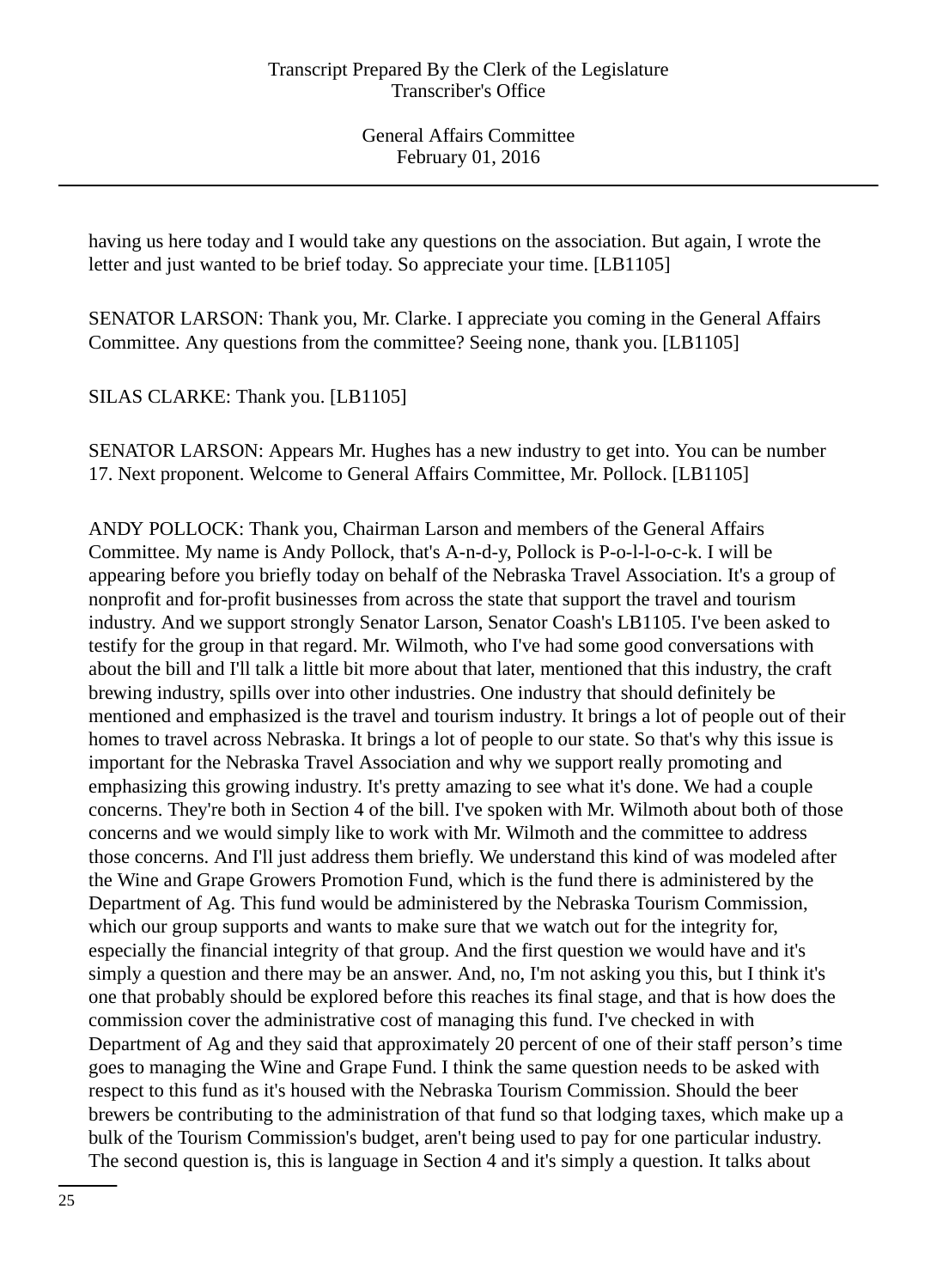having us here today and I would take any questions on the association. But again, I wrote the letter and just wanted to be brief today. So appreciate your time. [LB1105]

SENATOR LARSON: Thank you, Mr. Clarke. I appreciate you coming in the General Affairs Committee. Any questions from the committee? Seeing none, thank you. [LB1105]

SILAS CLARKE: Thank you. [LB1105]

SENATOR LARSON: Appears Mr. Hughes has a new industry to get into. You can be number 17. Next proponent. Welcome to General Affairs Committee, Mr. Pollock. [LB1105]

ANDY POLLOCK: Thank you, Chairman Larson and members of the General Affairs Committee. My name is Andy Pollock, that's A-n-d-y, Pollock is P-o-l-l-o-c-k. I will be appearing before you briefly today on behalf of the Nebraska Travel Association. It's a group of nonprofit and for-profit businesses from across the state that support the travel and tourism industry. And we support strongly Senator Larson, Senator Coash's LB1105. I've been asked to testify for the group in that regard. Mr. Wilmoth, who I've had some good conversations with about the bill and I'll talk a little bit more about that later, mentioned that this industry, the craft brewing industry, spills over into other industries. One industry that should definitely be mentioned and emphasized is the travel and tourism industry. It brings a lot of people out of their homes to travel across Nebraska. It brings a lot of people to our state. So that's why this issue is important for the Nebraska Travel Association and why we support really promoting and emphasizing this growing industry. It's pretty amazing to see what it's done. We had a couple concerns. They're both in Section 4 of the bill. I've spoken with Mr. Wilmoth about both of those concerns and we would simply like to work with Mr. Wilmoth and the committee to address those concerns. And I'll just address them briefly. We understand this kind of was modeled after the Wine and Grape Growers Promotion Fund, which is the fund there is administered by the Department of Ag. This fund would be administered by the Nebraska Tourism Commission, which our group supports and wants to make sure that we watch out for the integrity for, especially the financial integrity of that group. And the first question we would have and it's simply a question and there may be an answer. And, no, I'm not asking you this, but I think it's one that probably should be explored before this reaches its final stage, and that is how does the commission cover the administrative cost of managing this fund. I've checked in with Department of Ag and they said that approximately 20 percent of one of their staff person's time goes to managing the Wine and Grape Fund. I think the same question needs to be asked with respect to this fund as it's housed with the Nebraska Tourism Commission. Should the beer brewers be contributing to the administration of that fund so that lodging taxes, which make up a bulk of the Tourism Commission's budget, aren't being used to pay for one particular industry. The second question is, this is language in Section 4 and it's simply a question. It talks about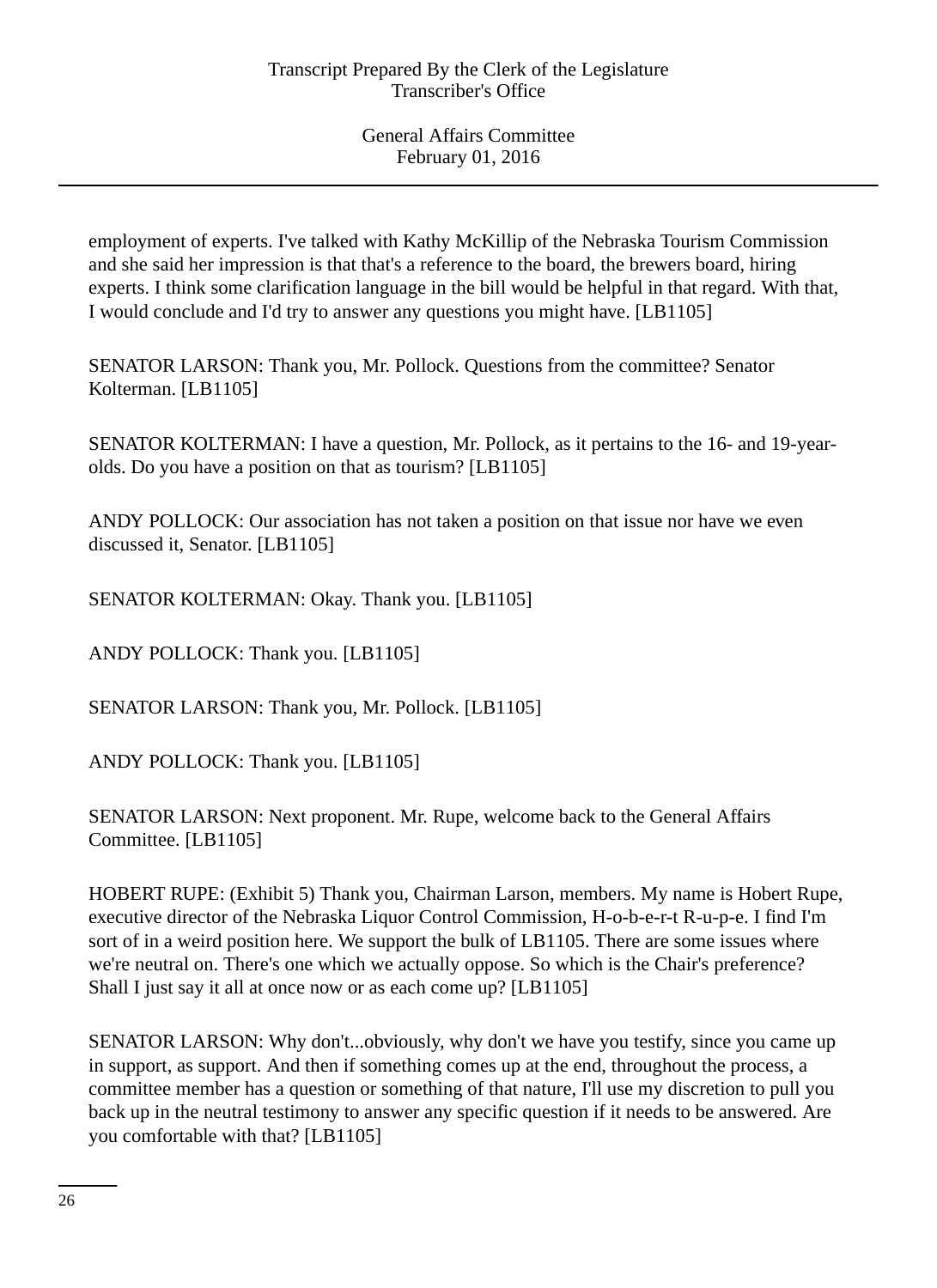employment of experts. I've talked with Kathy McKillip of the Nebraska Tourism Commission and she said her impression is that that's a reference to the board, the brewers board, hiring experts. I think some clarification language in the bill would be helpful in that regard. With that, I would conclude and I'd try to answer any questions you might have. [LB1105]

SENATOR LARSON: Thank you, Mr. Pollock. Questions from the committee? Senator Kolterman. [LB1105]

SENATOR KOLTERMAN: I have a question, Mr. Pollock, as it pertains to the 16- and 19-yearolds. Do you have a position on that as tourism? [LB1105]

ANDY POLLOCK: Our association has not taken a position on that issue nor have we even discussed it, Senator. [LB1105]

SENATOR KOLTERMAN: Okay. Thank you. [LB1105]

ANDY POLLOCK: Thank you. [LB1105]

SENATOR LARSON: Thank you, Mr. Pollock. [LB1105]

ANDY POLLOCK: Thank you. [LB1105]

SENATOR LARSON: Next proponent. Mr. Rupe, welcome back to the General Affairs Committee. [LB1105]

HOBERT RUPE: (Exhibit 5) Thank you, Chairman Larson, members. My name is Hobert Rupe, executive director of the Nebraska Liquor Control Commission, H-o-b-e-r-t R-u-p-e. I find I'm sort of in a weird position here. We support the bulk of LB1105. There are some issues where we're neutral on. There's one which we actually oppose. So which is the Chair's preference? Shall I just say it all at once now or as each come up? [LB1105]

SENATOR LARSON: Why don't...obviously, why don't we have you testify, since you came up in support, as support. And then if something comes up at the end, throughout the process, a committee member has a question or something of that nature, I'll use my discretion to pull you back up in the neutral testimony to answer any specific question if it needs to be answered. Are you comfortable with that? [LB1105]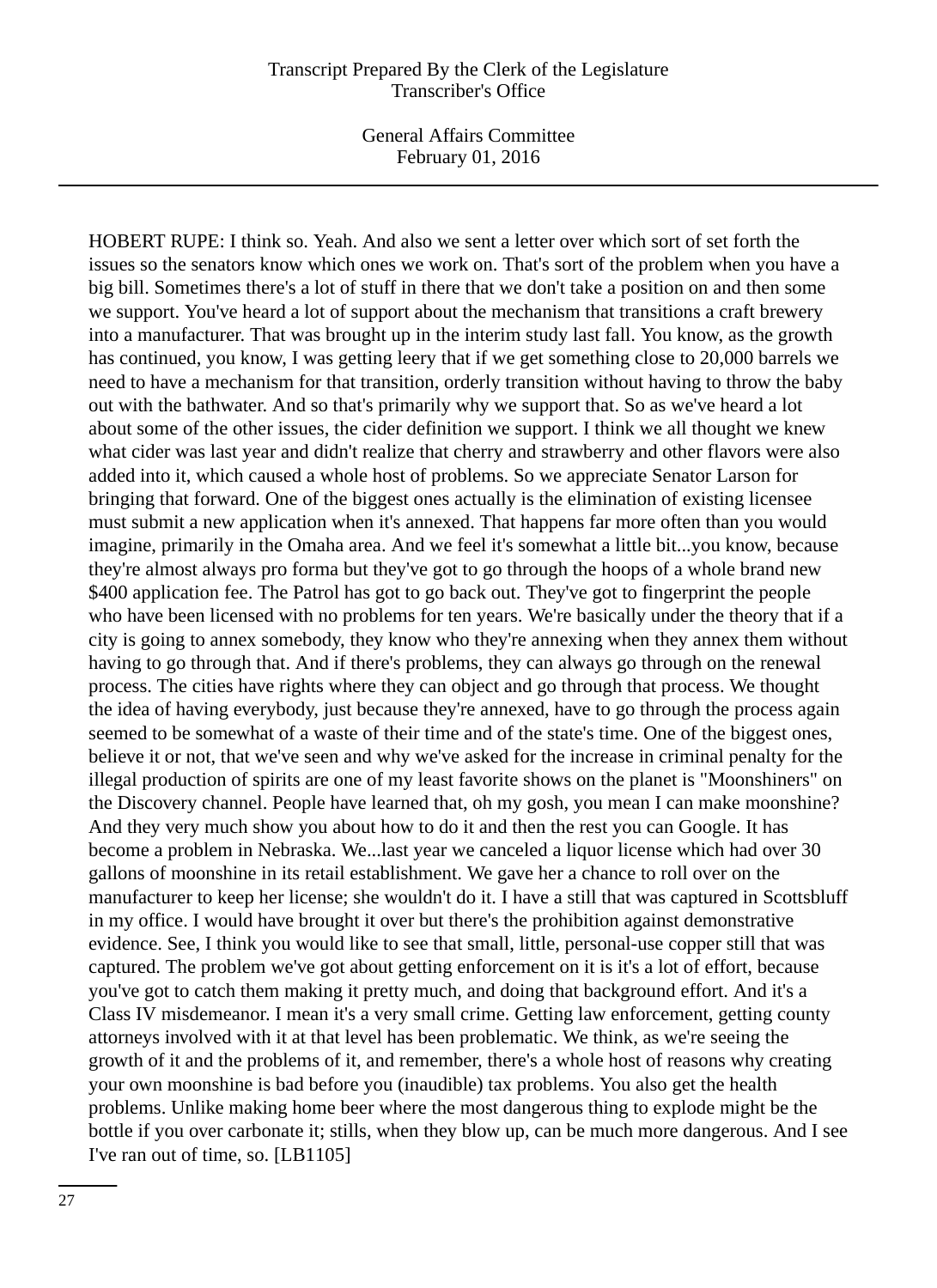General Affairs Committee February 01, 2016

HOBERT RUPE: I think so. Yeah. And also we sent a letter over which sort of set forth the issues so the senators know which ones we work on. That's sort of the problem when you have a big bill. Sometimes there's a lot of stuff in there that we don't take a position on and then some we support. You've heard a lot of support about the mechanism that transitions a craft brewery into a manufacturer. That was brought up in the interim study last fall. You know, as the growth has continued, you know, I was getting leery that if we get something close to 20,000 barrels we need to have a mechanism for that transition, orderly transition without having to throw the baby out with the bathwater. And so that's primarily why we support that. So as we've heard a lot about some of the other issues, the cider definition we support. I think we all thought we knew what cider was last year and didn't realize that cherry and strawberry and other flavors were also added into it, which caused a whole host of problems. So we appreciate Senator Larson for bringing that forward. One of the biggest ones actually is the elimination of existing licensee must submit a new application when it's annexed. That happens far more often than you would imagine, primarily in the Omaha area. And we feel it's somewhat a little bit...you know, because they're almost always pro forma but they've got to go through the hoops of a whole brand new \$400 application fee. The Patrol has got to go back out. They've got to fingerprint the people who have been licensed with no problems for ten years. We're basically under the theory that if a city is going to annex somebody, they know who they're annexing when they annex them without having to go through that. And if there's problems, they can always go through on the renewal process. The cities have rights where they can object and go through that process. We thought the idea of having everybody, just because they're annexed, have to go through the process again seemed to be somewhat of a waste of their time and of the state's time. One of the biggest ones, believe it or not, that we've seen and why we've asked for the increase in criminal penalty for the illegal production of spirits are one of my least favorite shows on the planet is "Moonshiners" on the Discovery channel. People have learned that, oh my gosh, you mean I can make moonshine? And they very much show you about how to do it and then the rest you can Google. It has become a problem in Nebraska. We...last year we canceled a liquor license which had over 30 gallons of moonshine in its retail establishment. We gave her a chance to roll over on the manufacturer to keep her license; she wouldn't do it. I have a still that was captured in Scottsbluff in my office. I would have brought it over but there's the prohibition against demonstrative evidence. See, I think you would like to see that small, little, personal-use copper still that was captured. The problem we've got about getting enforcement on it is it's a lot of effort, because you've got to catch them making it pretty much, and doing that background effort. And it's a Class IV misdemeanor. I mean it's a very small crime. Getting law enforcement, getting county attorneys involved with it at that level has been problematic. We think, as we're seeing the growth of it and the problems of it, and remember, there's a whole host of reasons why creating your own moonshine is bad before you (inaudible) tax problems. You also get the health problems. Unlike making home beer where the most dangerous thing to explode might be the bottle if you over carbonate it; stills, when they blow up, can be much more dangerous. And I see I've ran out of time, so. [LB1105]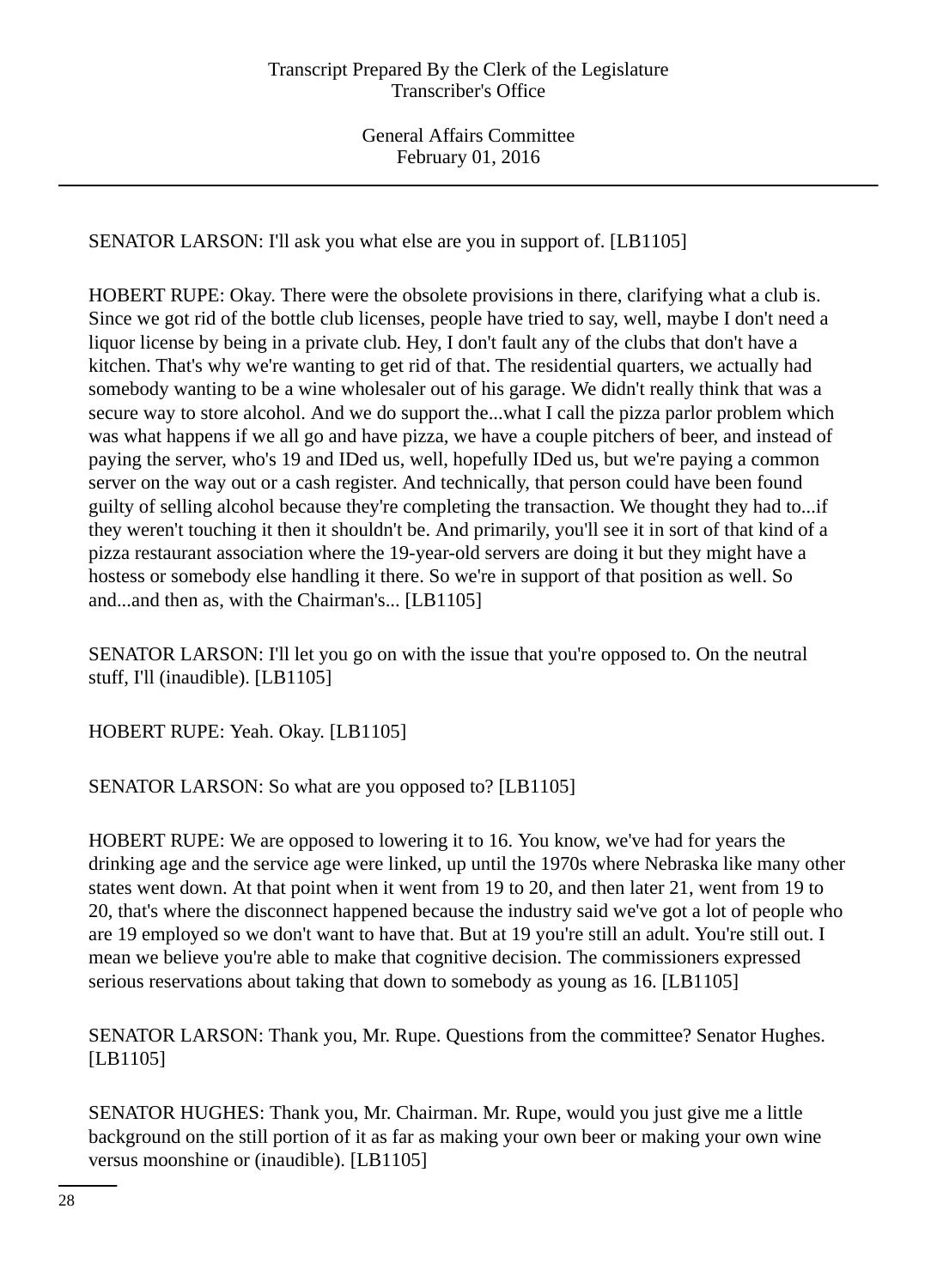SENATOR LARSON: I'll ask you what else are you in support of. [LB1105]

HOBERT RUPE: Okay. There were the obsolete provisions in there, clarifying what a club is. Since we got rid of the bottle club licenses, people have tried to say, well, maybe I don't need a liquor license by being in a private club. Hey, I don't fault any of the clubs that don't have a kitchen. That's why we're wanting to get rid of that. The residential quarters, we actually had somebody wanting to be a wine wholesaler out of his garage. We didn't really think that was a secure way to store alcohol. And we do support the...what I call the pizza parlor problem which was what happens if we all go and have pizza, we have a couple pitchers of beer, and instead of paying the server, who's 19 and IDed us, well, hopefully IDed us, but we're paying a common server on the way out or a cash register. And technically, that person could have been found guilty of selling alcohol because they're completing the transaction. We thought they had to...if they weren't touching it then it shouldn't be. And primarily, you'll see it in sort of that kind of a pizza restaurant association where the 19-year-old servers are doing it but they might have a hostess or somebody else handling it there. So we're in support of that position as well. So and...and then as, with the Chairman's... [LB1105]

SENATOR LARSON: I'll let you go on with the issue that you're opposed to. On the neutral stuff, I'll (inaudible). [LB1105]

HOBERT RUPE: Yeah. Okay. [LB1105]

SENATOR LARSON: So what are you opposed to? [LB1105]

HOBERT RUPE: We are opposed to lowering it to 16. You know, we've had for years the drinking age and the service age were linked, up until the 1970s where Nebraska like many other states went down. At that point when it went from 19 to 20, and then later 21, went from 19 to 20, that's where the disconnect happened because the industry said we've got a lot of people who are 19 employed so we don't want to have that. But at 19 you're still an adult. You're still out. I mean we believe you're able to make that cognitive decision. The commissioners expressed serious reservations about taking that down to somebody as young as 16. [LB1105]

SENATOR LARSON: Thank you, Mr. Rupe. Questions from the committee? Senator Hughes. [LB1105]

SENATOR HUGHES: Thank you, Mr. Chairman. Mr. Rupe, would you just give me a little background on the still portion of it as far as making your own beer or making your own wine versus moonshine or (inaudible). [LB1105]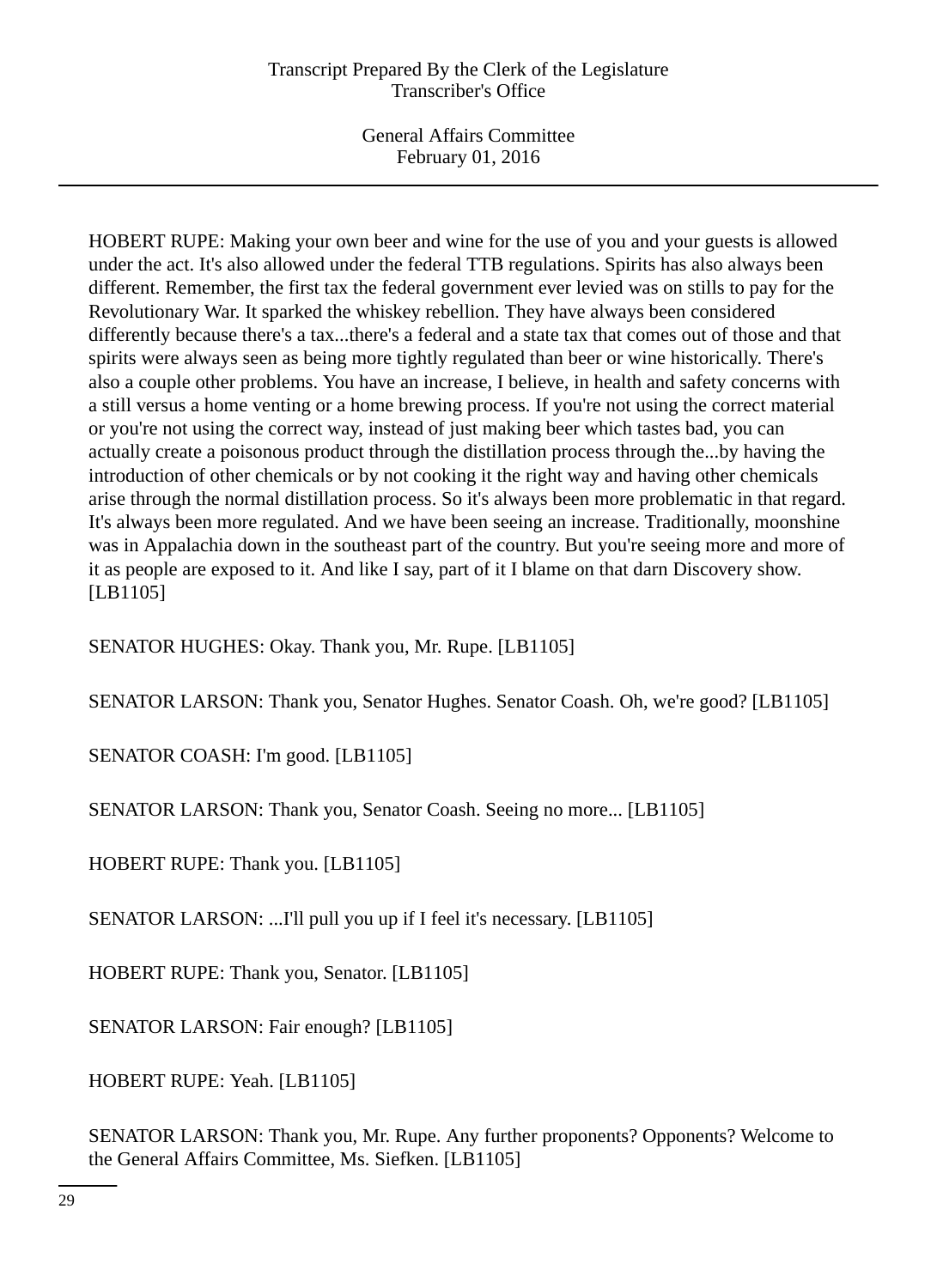General Affairs Committee February 01, 2016

HOBERT RUPE: Making your own beer and wine for the use of you and your guests is allowed under the act. It's also allowed under the federal TTB regulations. Spirits has also always been different. Remember, the first tax the federal government ever levied was on stills to pay for the Revolutionary War. It sparked the whiskey rebellion. They have always been considered differently because there's a tax...there's a federal and a state tax that comes out of those and that spirits were always seen as being more tightly regulated than beer or wine historically. There's also a couple other problems. You have an increase, I believe, in health and safety concerns with a still versus a home venting or a home brewing process. If you're not using the correct material or you're not using the correct way, instead of just making beer which tastes bad, you can actually create a poisonous product through the distillation process through the...by having the introduction of other chemicals or by not cooking it the right way and having other chemicals arise through the normal distillation process. So it's always been more problematic in that regard. It's always been more regulated. And we have been seeing an increase. Traditionally, moonshine was in Appalachia down in the southeast part of the country. But you're seeing more and more of it as people are exposed to it. And like I say, part of it I blame on that darn Discovery show. [LB1105]

SENATOR HUGHES: Okay. Thank you, Mr. Rupe. [LB1105]

SENATOR LARSON: Thank you, Senator Hughes. Senator Coash. Oh, we're good? [LB1105]

SENATOR COASH: I'm good. [LB1105]

SENATOR LARSON: Thank you, Senator Coash. Seeing no more... [LB1105]

HOBERT RUPE: Thank you. [LB1105]

SENATOR LARSON: ...I'll pull you up if I feel it's necessary. [LB1105]

HOBERT RUPE: Thank you, Senator. [LB1105]

SENATOR LARSON: Fair enough? [LB1105]

HOBERT RUPE: Yeah. [LB1105]

SENATOR LARSON: Thank you, Mr. Rupe. Any further proponents? Opponents? Welcome to the General Affairs Committee, Ms. Siefken. [LB1105]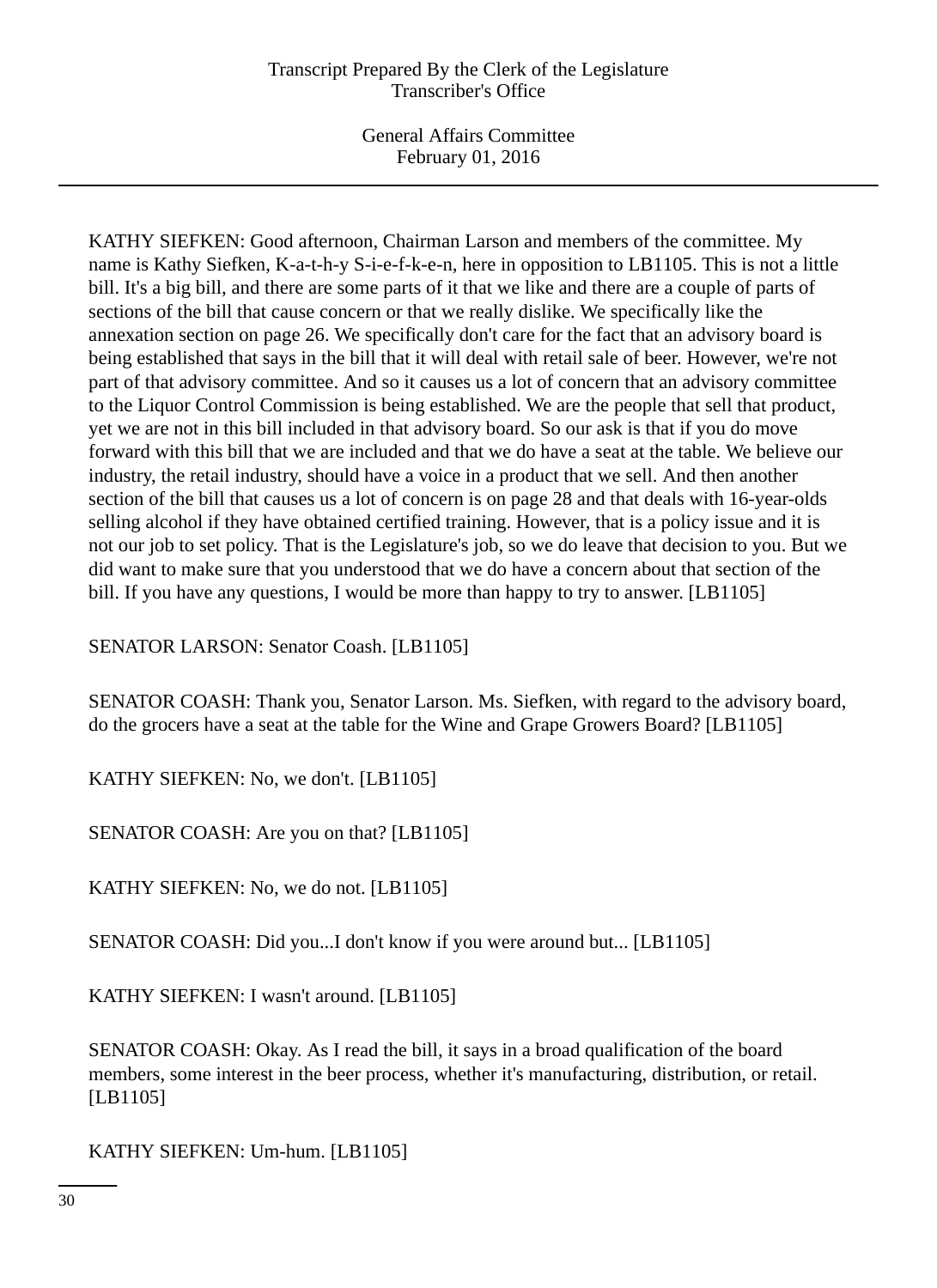General Affairs Committee February 01, 2016

KATHY SIEFKEN: Good afternoon, Chairman Larson and members of the committee. My name is Kathy Siefken, K-a-t-h-y S-i-e-f-k-e-n, here in opposition to LB1105. This is not a little bill. It's a big bill, and there are some parts of it that we like and there are a couple of parts of sections of the bill that cause concern or that we really dislike. We specifically like the annexation section on page 26. We specifically don't care for the fact that an advisory board is being established that says in the bill that it will deal with retail sale of beer. However, we're not part of that advisory committee. And so it causes us a lot of concern that an advisory committee to the Liquor Control Commission is being established. We are the people that sell that product, yet we are not in this bill included in that advisory board. So our ask is that if you do move forward with this bill that we are included and that we do have a seat at the table. We believe our industry, the retail industry, should have a voice in a product that we sell. And then another section of the bill that causes us a lot of concern is on page 28 and that deals with 16-year-olds selling alcohol if they have obtained certified training. However, that is a policy issue and it is not our job to set policy. That is the Legislature's job, so we do leave that decision to you. But we did want to make sure that you understood that we do have a concern about that section of the bill. If you have any questions, I would be more than happy to try to answer. [LB1105]

SENATOR LARSON: Senator Coash. [LB1105]

SENATOR COASH: Thank you, Senator Larson. Ms. Siefken, with regard to the advisory board, do the grocers have a seat at the table for the Wine and Grape Growers Board? [LB1105]

KATHY SIEFKEN: No, we don't. [LB1105]

SENATOR COASH: Are you on that? [LB1105]

KATHY SIEFKEN: No, we do not. [LB1105]

SENATOR COASH: Did you...I don't know if you were around but... [LB1105]

KATHY SIEFKEN: I wasn't around. [LB1105]

SENATOR COASH: Okay. As I read the bill, it says in a broad qualification of the board members, some interest in the beer process, whether it's manufacturing, distribution, or retail. [LB1105]

KATHY SIEFKEN: Um-hum. [LB1105]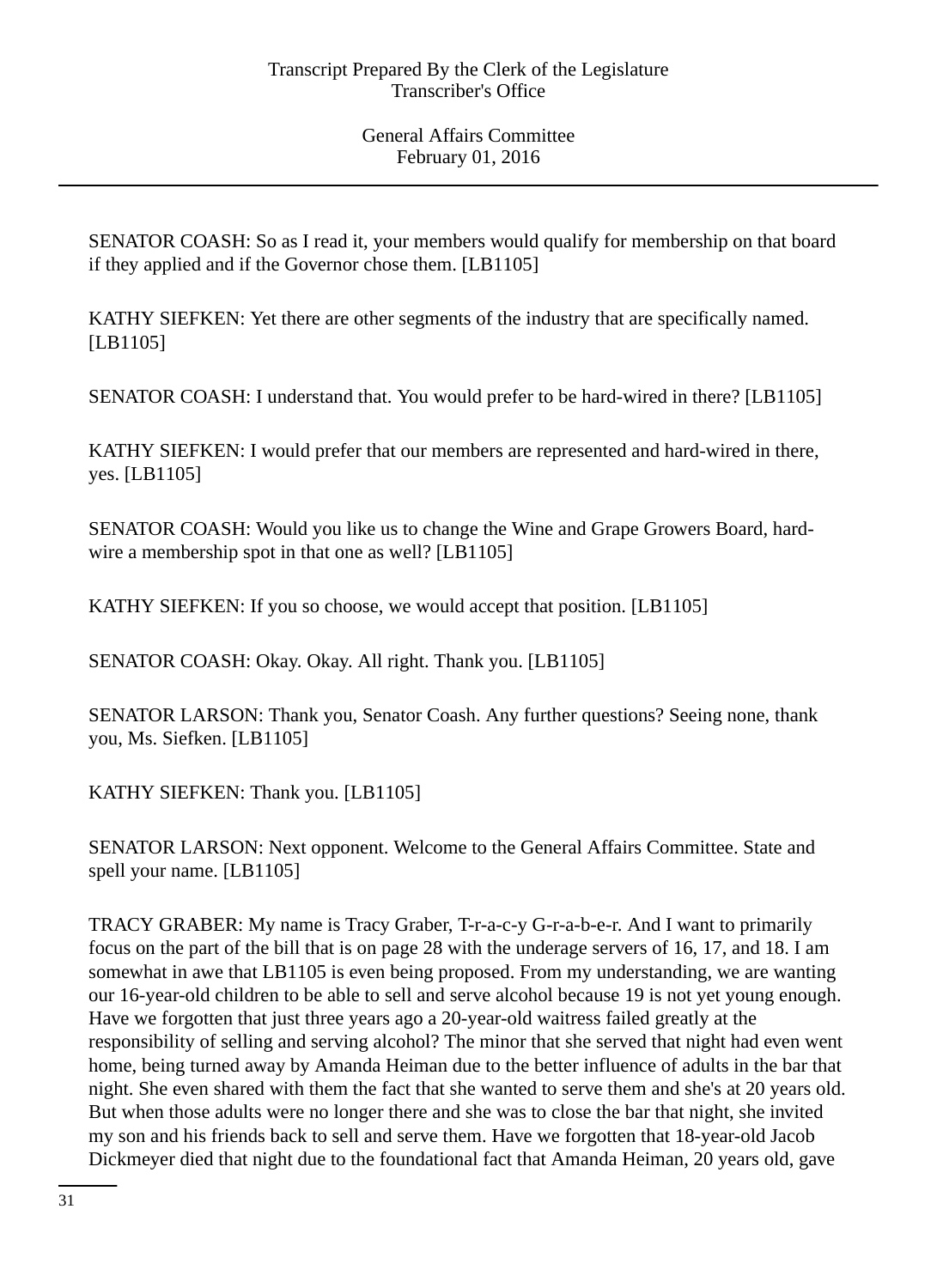SENATOR COASH: So as I read it, your members would qualify for membership on that board if they applied and if the Governor chose them. [LB1105]

KATHY SIEFKEN: Yet there are other segments of the industry that are specifically named. [LB1105]

SENATOR COASH: I understand that. You would prefer to be hard-wired in there? [LB1105]

KATHY SIEFKEN: I would prefer that our members are represented and hard-wired in there, yes. [LB1105]

SENATOR COASH: Would you like us to change the Wine and Grape Growers Board, hardwire a membership spot in that one as well? [LB1105]

KATHY SIEFKEN: If you so choose, we would accept that position. [LB1105]

SENATOR COASH: Okay. Okay. All right. Thank you. [LB1105]

SENATOR LARSON: Thank you, Senator Coash. Any further questions? Seeing none, thank you, Ms. Siefken. [LB1105]

KATHY SIEFKEN: Thank you. [LB1105]

SENATOR LARSON: Next opponent. Welcome to the General Affairs Committee. State and spell your name. [LB1105]

TRACY GRABER: My name is Tracy Graber, T-r-a-c-y G-r-a-b-e-r. And I want to primarily focus on the part of the bill that is on page 28 with the underage servers of 16, 17, and 18. I am somewhat in awe that LB1105 is even being proposed. From my understanding, we are wanting our 16-year-old children to be able to sell and serve alcohol because 19 is not yet young enough. Have we forgotten that just three years ago a 20-year-old waitress failed greatly at the responsibility of selling and serving alcohol? The minor that she served that night had even went home, being turned away by Amanda Heiman due to the better influence of adults in the bar that night. She even shared with them the fact that she wanted to serve them and she's at 20 years old. But when those adults were no longer there and she was to close the bar that night, she invited my son and his friends back to sell and serve them. Have we forgotten that 18-year-old Jacob Dickmeyer died that night due to the foundational fact that Amanda Heiman, 20 years old, gave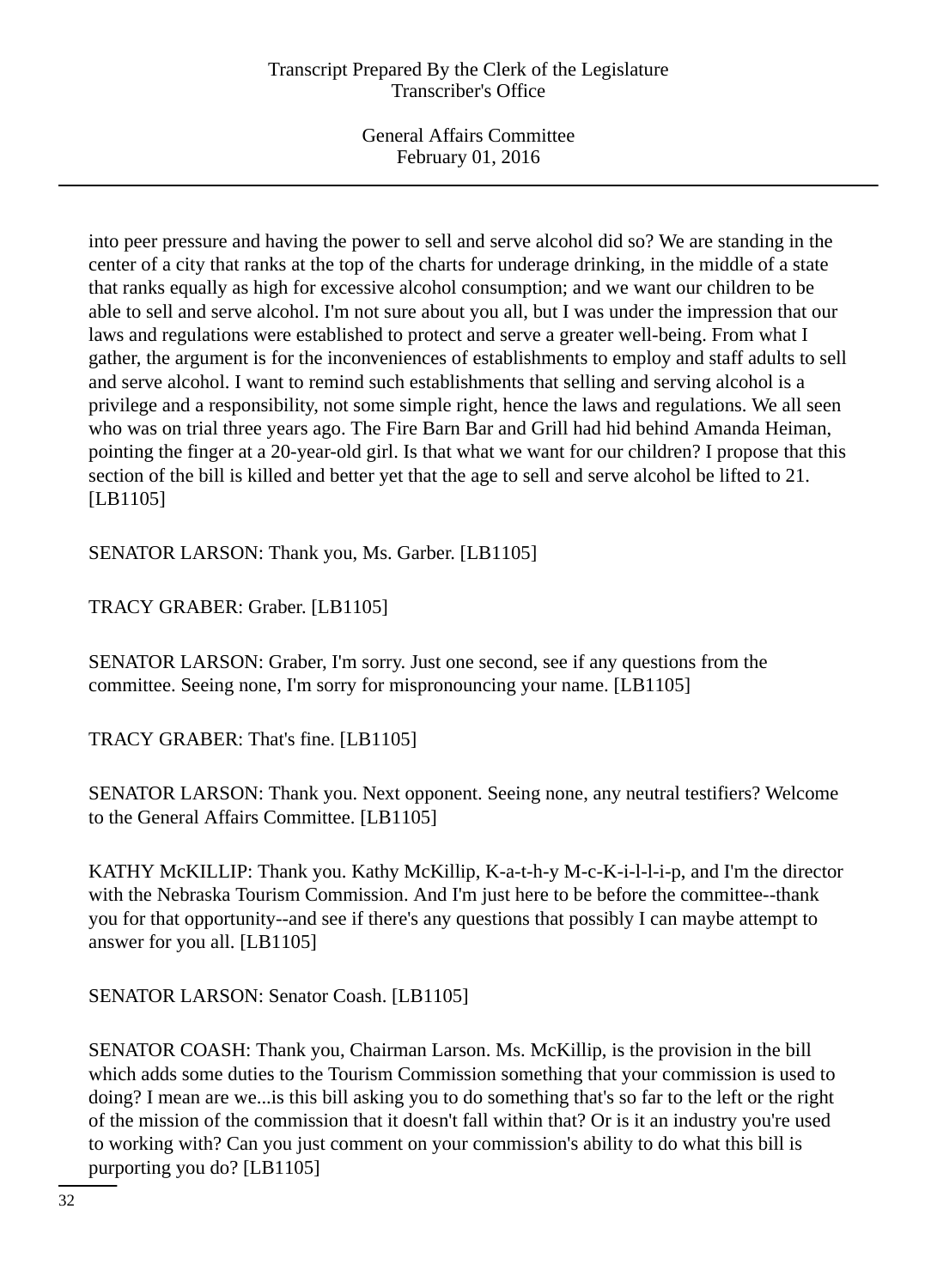into peer pressure and having the power to sell and serve alcohol did so? We are standing in the center of a city that ranks at the top of the charts for underage drinking, in the middle of a state that ranks equally as high for excessive alcohol consumption; and we want our children to be able to sell and serve alcohol. I'm not sure about you all, but I was under the impression that our laws and regulations were established to protect and serve a greater well-being. From what I gather, the argument is for the inconveniences of establishments to employ and staff adults to sell and serve alcohol. I want to remind such establishments that selling and serving alcohol is a privilege and a responsibility, not some simple right, hence the laws and regulations. We all seen who was on trial three years ago. The Fire Barn Bar and Grill had hid behind Amanda Heiman, pointing the finger at a 20-year-old girl. Is that what we want for our children? I propose that this section of the bill is killed and better yet that the age to sell and serve alcohol be lifted to 21. [LB1105]

SENATOR LARSON: Thank you, Ms. Garber. [LB1105]

TRACY GRABER: Graber. [LB1105]

SENATOR LARSON: Graber, I'm sorry. Just one second, see if any questions from the committee. Seeing none, I'm sorry for mispronouncing your name. [LB1105]

TRACY GRABER: That's fine. [LB1105]

SENATOR LARSON: Thank you. Next opponent. Seeing none, any neutral testifiers? Welcome to the General Affairs Committee. [LB1105]

KATHY McKILLIP: Thank you. Kathy McKillip, K-a-t-h-y M-c-K-i-l-l-i-p, and I'm the director with the Nebraska Tourism Commission. And I'm just here to be before the committee--thank you for that opportunity--and see if there's any questions that possibly I can maybe attempt to answer for you all. [LB1105]

SENATOR LARSON: Senator Coash. [LB1105]

SENATOR COASH: Thank you, Chairman Larson. Ms. McKillip, is the provision in the bill which adds some duties to the Tourism Commission something that your commission is used to doing? I mean are we...is this bill asking you to do something that's so far to the left or the right of the mission of the commission that it doesn't fall within that? Or is it an industry you're used to working with? Can you just comment on your commission's ability to do what this bill is purporting you do? [LB1105]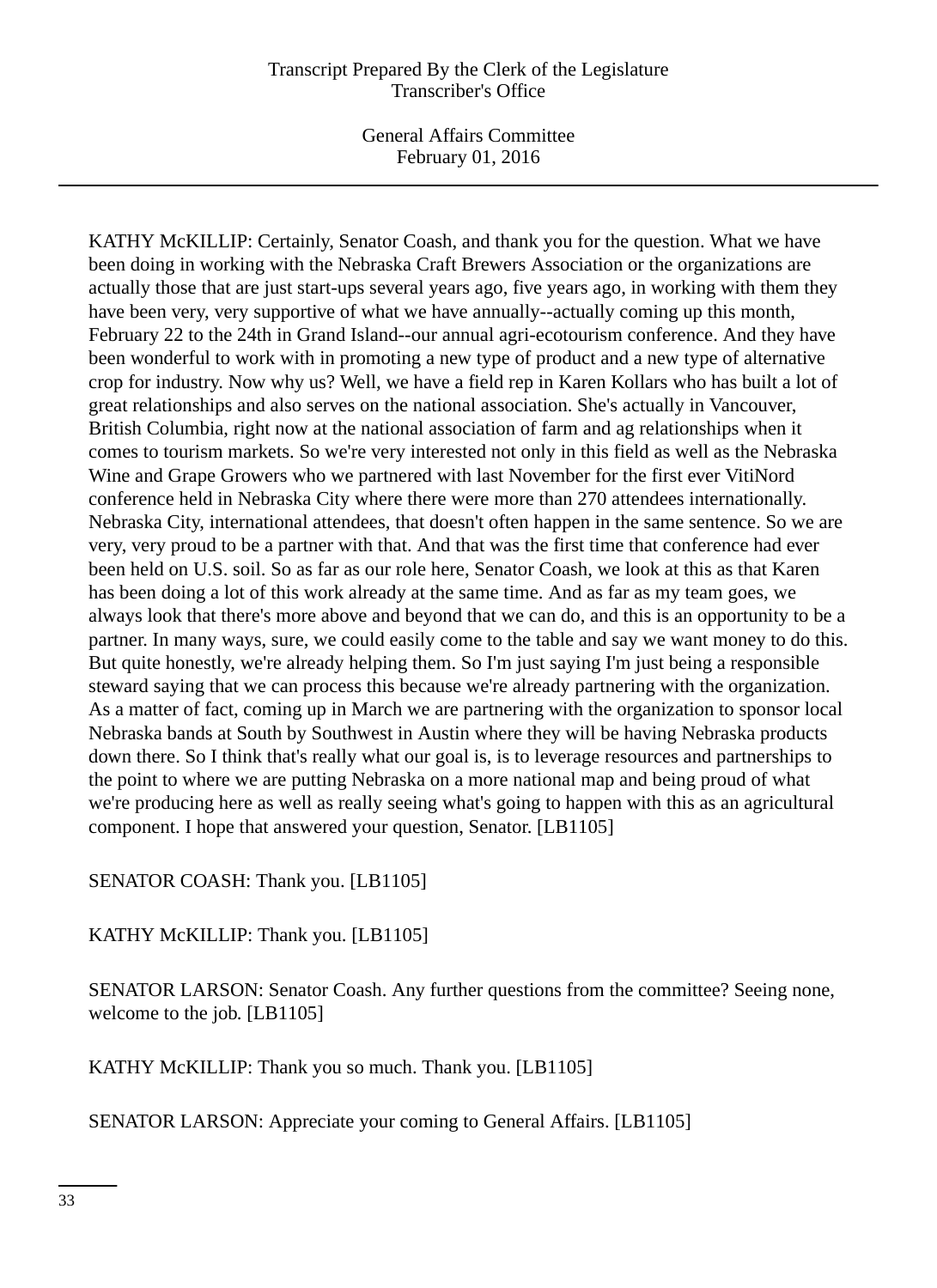General Affairs Committee February 01, 2016

KATHY McKILLIP: Certainly, Senator Coash, and thank you for the question. What we have been doing in working with the Nebraska Craft Brewers Association or the organizations are actually those that are just start-ups several years ago, five years ago, in working with them they have been very, very supportive of what we have annually--actually coming up this month, February 22 to the 24th in Grand Island--our annual agri-ecotourism conference. And they have been wonderful to work with in promoting a new type of product and a new type of alternative crop for industry. Now why us? Well, we have a field rep in Karen Kollars who has built a lot of great relationships and also serves on the national association. She's actually in Vancouver, British Columbia, right now at the national association of farm and ag relationships when it comes to tourism markets. So we're very interested not only in this field as well as the Nebraska Wine and Grape Growers who we partnered with last November for the first ever VitiNord conference held in Nebraska City where there were more than 270 attendees internationally. Nebraska City, international attendees, that doesn't often happen in the same sentence. So we are very, very proud to be a partner with that. And that was the first time that conference had ever been held on U.S. soil. So as far as our role here, Senator Coash, we look at this as that Karen has been doing a lot of this work already at the same time. And as far as my team goes, we always look that there's more above and beyond that we can do, and this is an opportunity to be a partner. In many ways, sure, we could easily come to the table and say we want money to do this. But quite honestly, we're already helping them. So I'm just saying I'm just being a responsible steward saying that we can process this because we're already partnering with the organization. As a matter of fact, coming up in March we are partnering with the organization to sponsor local Nebraska bands at South by Southwest in Austin where they will be having Nebraska products down there. So I think that's really what our goal is, is to leverage resources and partnerships to the point to where we are putting Nebraska on a more national map and being proud of what we're producing here as well as really seeing what's going to happen with this as an agricultural component. I hope that answered your question, Senator. [LB1105]

SENATOR COASH: Thank you. [LB1105]

KATHY McKILLIP: Thank you. [LB1105]

SENATOR LARSON: Senator Coash. Any further questions from the committee? Seeing none, welcome to the job. [LB1105]

KATHY McKILLIP: Thank you so much. Thank you. [LB1105]

SENATOR LARSON: Appreciate your coming to General Affairs. [LB1105]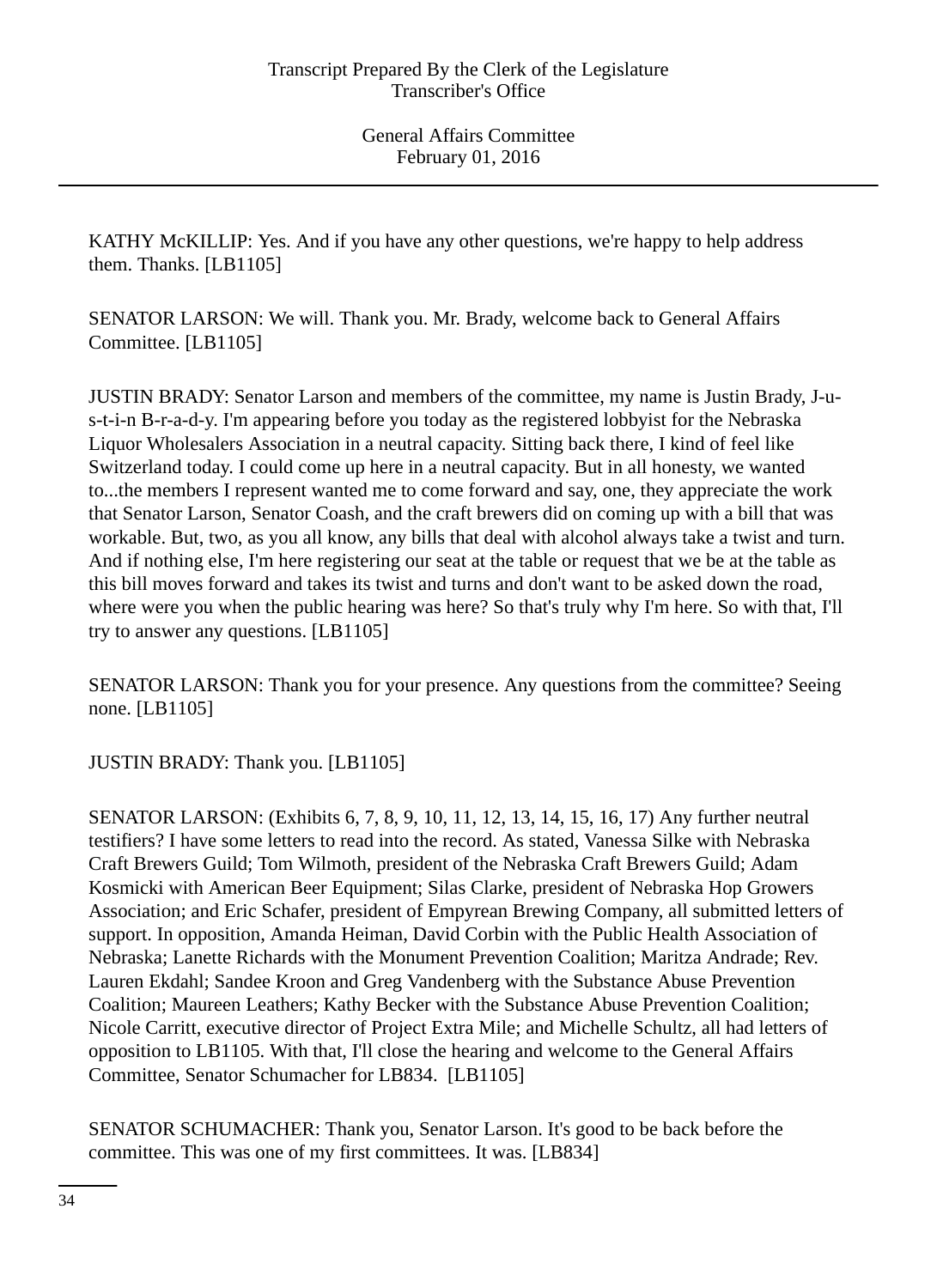KATHY McKILLIP: Yes. And if you have any other questions, we're happy to help address them. Thanks. [LB1105]

SENATOR LARSON: We will. Thank you. Mr. Brady, welcome back to General Affairs Committee. [LB1105]

JUSTIN BRADY: Senator Larson and members of the committee, my name is Justin Brady, J-us-t-i-n B-r-a-d-y. I'm appearing before you today as the registered lobbyist for the Nebraska Liquor Wholesalers Association in a neutral capacity. Sitting back there, I kind of feel like Switzerland today. I could come up here in a neutral capacity. But in all honesty, we wanted to...the members I represent wanted me to come forward and say, one, they appreciate the work that Senator Larson, Senator Coash, and the craft brewers did on coming up with a bill that was workable. But, two, as you all know, any bills that deal with alcohol always take a twist and turn. And if nothing else, I'm here registering our seat at the table or request that we be at the table as this bill moves forward and takes its twist and turns and don't want to be asked down the road, where were you when the public hearing was here? So that's truly why I'm here. So with that, I'll try to answer any questions. [LB1105]

SENATOR LARSON: Thank you for your presence. Any questions from the committee? Seeing none. [LB1105]

JUSTIN BRADY: Thank you. [LB1105]

SENATOR LARSON: (Exhibits 6, 7, 8, 9, 10, 11, 12, 13, 14, 15, 16, 17) Any further neutral testifiers? I have some letters to read into the record. As stated, Vanessa Silke with Nebraska Craft Brewers Guild; Tom Wilmoth, president of the Nebraska Craft Brewers Guild; Adam Kosmicki with American Beer Equipment; Silas Clarke, president of Nebraska Hop Growers Association; and Eric Schafer, president of Empyrean Brewing Company, all submitted letters of support. In opposition, Amanda Heiman, David Corbin with the Public Health Association of Nebraska; Lanette Richards with the Monument Prevention Coalition; Maritza Andrade; Rev. Lauren Ekdahl; Sandee Kroon and Greg Vandenberg with the Substance Abuse Prevention Coalition; Maureen Leathers; Kathy Becker with the Substance Abuse Prevention Coalition; Nicole Carritt, executive director of Project Extra Mile; and Michelle Schultz, all had letters of opposition to LB1105. With that, I'll close the hearing and welcome to the General Affairs Committee, Senator Schumacher for LB834. [LB1105]

SENATOR SCHUMACHER: Thank you, Senator Larson. It's good to be back before the committee. This was one of my first committees. It was. [LB834]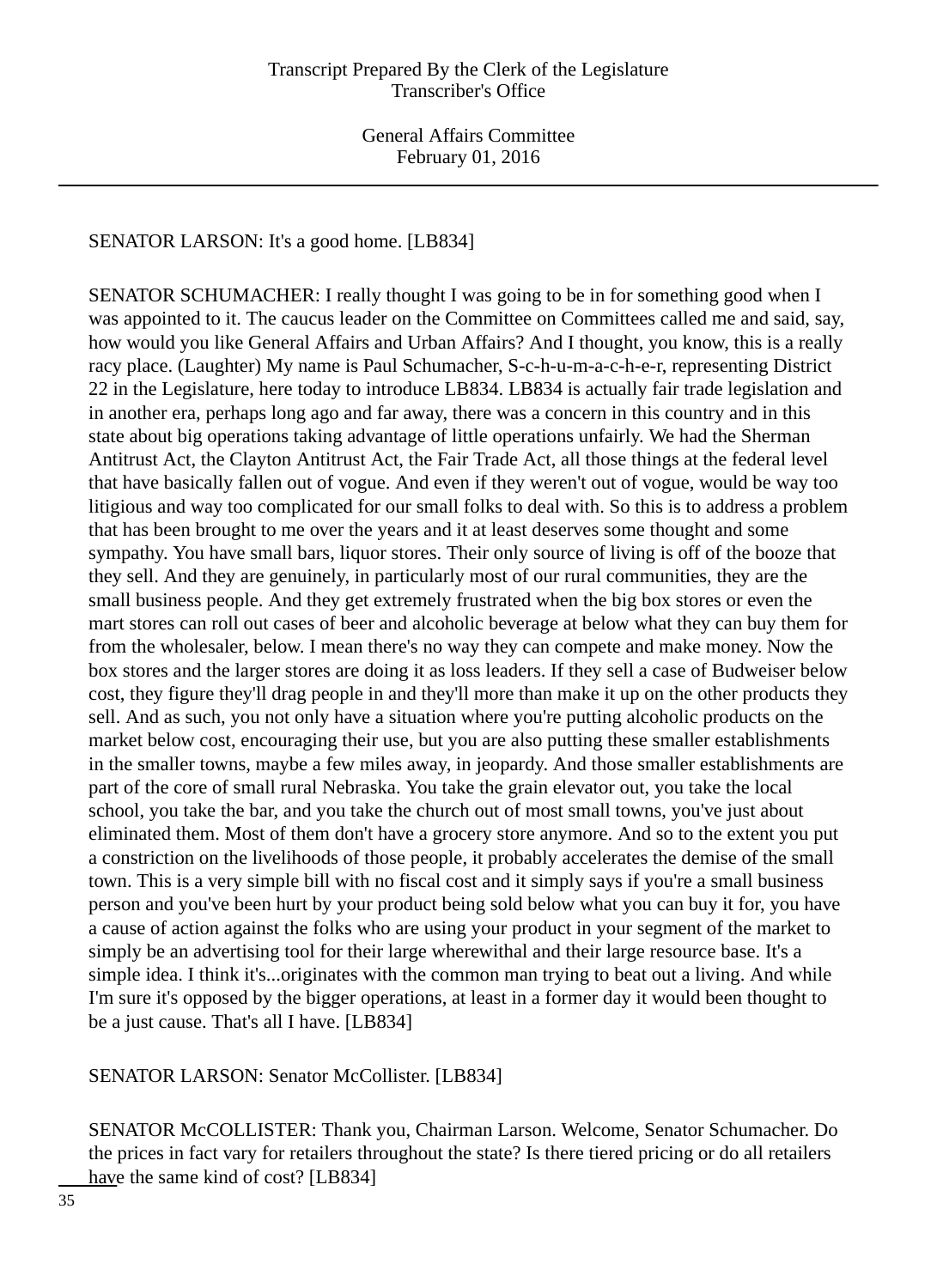SENATOR LARSON: It's a good home. [LB834]

SENATOR SCHUMACHER: I really thought I was going to be in for something good when I was appointed to it. The caucus leader on the Committee on Committees called me and said, say, how would you like General Affairs and Urban Affairs? And I thought, you know, this is a really racy place. (Laughter) My name is Paul Schumacher, S-c-h-u-m-a-c-h-e-r, representing District 22 in the Legislature, here today to introduce LB834. LB834 is actually fair trade legislation and in another era, perhaps long ago and far away, there was a concern in this country and in this state about big operations taking advantage of little operations unfairly. We had the Sherman Antitrust Act, the Clayton Antitrust Act, the Fair Trade Act, all those things at the federal level that have basically fallen out of vogue. And even if they weren't out of vogue, would be way too litigious and way too complicated for our small folks to deal with. So this is to address a problem that has been brought to me over the years and it at least deserves some thought and some sympathy. You have small bars, liquor stores. Their only source of living is off of the booze that they sell. And they are genuinely, in particularly most of our rural communities, they are the small business people. And they get extremely frustrated when the big box stores or even the mart stores can roll out cases of beer and alcoholic beverage at below what they can buy them for from the wholesaler, below. I mean there's no way they can compete and make money. Now the box stores and the larger stores are doing it as loss leaders. If they sell a case of Budweiser below cost, they figure they'll drag people in and they'll more than make it up on the other products they sell. And as such, you not only have a situation where you're putting alcoholic products on the market below cost, encouraging their use, but you are also putting these smaller establishments in the smaller towns, maybe a few miles away, in jeopardy. And those smaller establishments are part of the core of small rural Nebraska. You take the grain elevator out, you take the local school, you take the bar, and you take the church out of most small towns, you've just about eliminated them. Most of them don't have a grocery store anymore. And so to the extent you put a constriction on the livelihoods of those people, it probably accelerates the demise of the small town. This is a very simple bill with no fiscal cost and it simply says if you're a small business person and you've been hurt by your product being sold below what you can buy it for, you have a cause of action against the folks who are using your product in your segment of the market to simply be an advertising tool for their large wherewithal and their large resource base. It's a simple idea. I think it's...originates with the common man trying to beat out a living. And while I'm sure it's opposed by the bigger operations, at least in a former day it would been thought to be a just cause. That's all I have. [LB834]

SENATOR LARSON: Senator McCollister. [LB834]

SENATOR McCOLLISTER: Thank you, Chairman Larson. Welcome, Senator Schumacher. Do the prices in fact vary for retailers throughout the state? Is there tiered pricing or do all retailers have the same kind of cost? [LB834]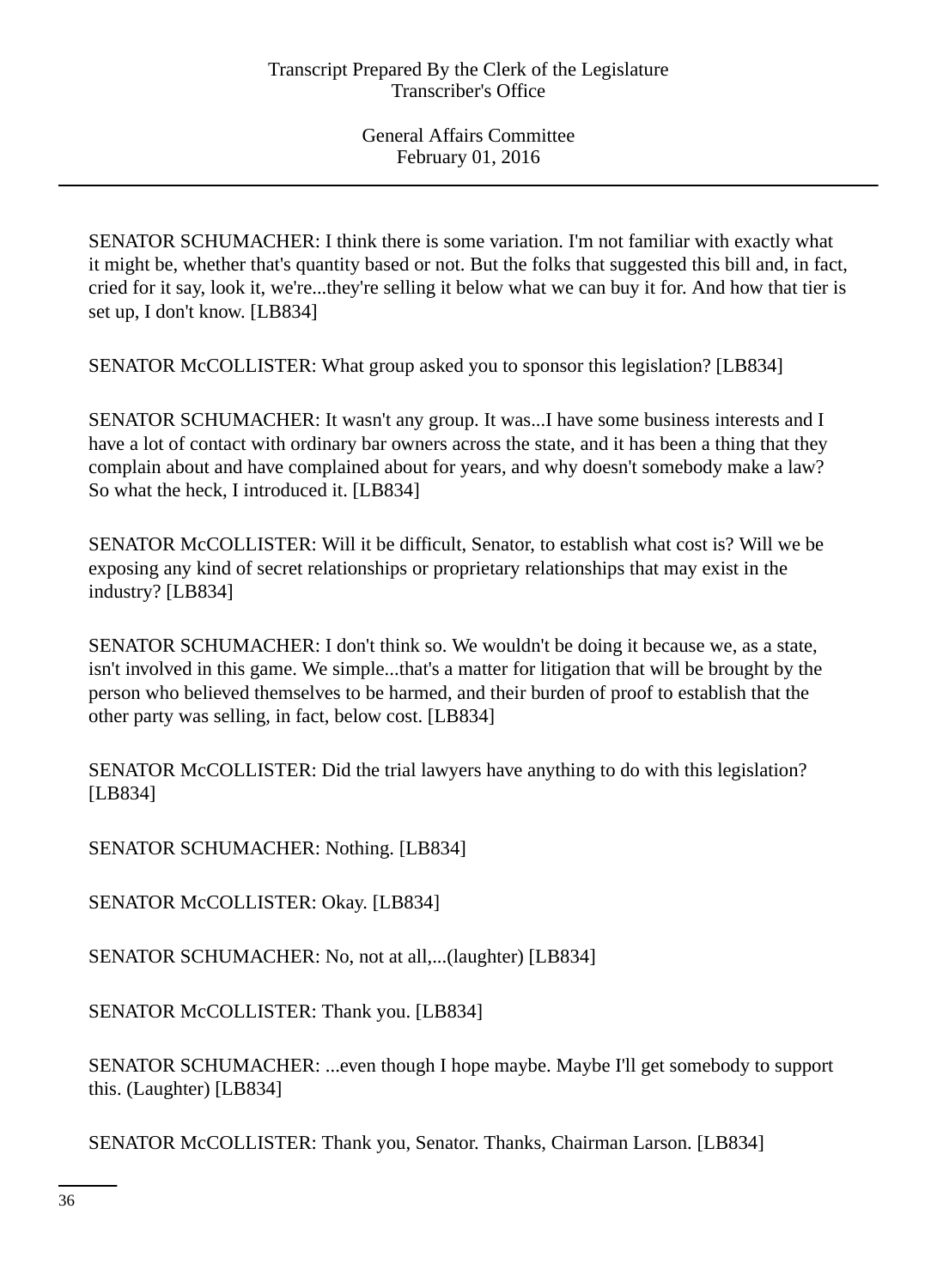SENATOR SCHUMACHER: I think there is some variation. I'm not familiar with exactly what it might be, whether that's quantity based or not. But the folks that suggested this bill and, in fact, cried for it say, look it, we're...they're selling it below what we can buy it for. And how that tier is set up, I don't know. [LB834]

SENATOR McCOLLISTER: What group asked you to sponsor this legislation? [LB834]

SENATOR SCHUMACHER: It wasn't any group. It was...I have some business interests and I have a lot of contact with ordinary bar owners across the state, and it has been a thing that they complain about and have complained about for years, and why doesn't somebody make a law? So what the heck, I introduced it. [LB834]

SENATOR McCOLLISTER: Will it be difficult, Senator, to establish what cost is? Will we be exposing any kind of secret relationships or proprietary relationships that may exist in the industry? [LB834]

SENATOR SCHUMACHER: I don't think so. We wouldn't be doing it because we, as a state, isn't involved in this game. We simple...that's a matter for litigation that will be brought by the person who believed themselves to be harmed, and their burden of proof to establish that the other party was selling, in fact, below cost. [LB834]

SENATOR McCOLLISTER: Did the trial lawyers have anything to do with this legislation? [LB834]

SENATOR SCHUMACHER: Nothing. [LB834]

SENATOR McCOLLISTER: Okay. [LB834]

SENATOR SCHUMACHER: No, not at all,...(laughter) [LB834]

SENATOR McCOLLISTER: Thank you. [LB834]

SENATOR SCHUMACHER: ...even though I hope maybe. Maybe I'll get somebody to support this. (Laughter) [LB834]

SENATOR McCOLLISTER: Thank you, Senator. Thanks, Chairman Larson. [LB834]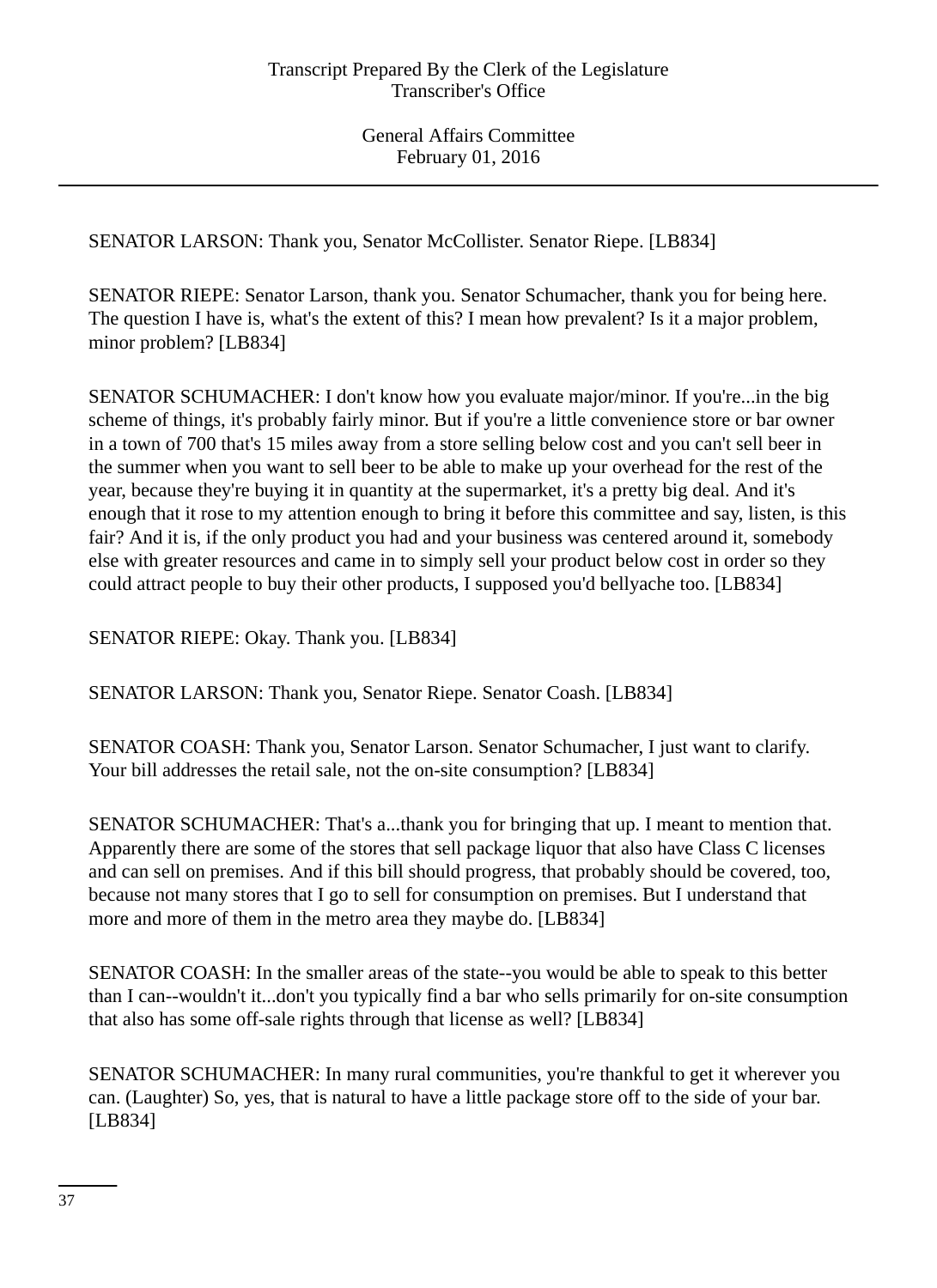SENATOR LARSON: Thank you, Senator McCollister. Senator Riepe. [LB834]

SENATOR RIEPE: Senator Larson, thank you. Senator Schumacher, thank you for being here. The question I have is, what's the extent of this? I mean how prevalent? Is it a major problem, minor problem? [LB834]

SENATOR SCHUMACHER: I don't know how you evaluate major/minor. If you're...in the big scheme of things, it's probably fairly minor. But if you're a little convenience store or bar owner in a town of 700 that's 15 miles away from a store selling below cost and you can't sell beer in the summer when you want to sell beer to be able to make up your overhead for the rest of the year, because they're buying it in quantity at the supermarket, it's a pretty big deal. And it's enough that it rose to my attention enough to bring it before this committee and say, listen, is this fair? And it is, if the only product you had and your business was centered around it, somebody else with greater resources and came in to simply sell your product below cost in order so they could attract people to buy their other products, I supposed you'd bellyache too. [LB834]

SENATOR RIEPE: Okay. Thank you. [LB834]

SENATOR LARSON: Thank you, Senator Riepe. Senator Coash. [LB834]

SENATOR COASH: Thank you, Senator Larson. Senator Schumacher, I just want to clarify. Your bill addresses the retail sale, not the on-site consumption? [LB834]

SENATOR SCHUMACHER: That's a...thank you for bringing that up. I meant to mention that. Apparently there are some of the stores that sell package liquor that also have Class C licenses and can sell on premises. And if this bill should progress, that probably should be covered, too, because not many stores that I go to sell for consumption on premises. But I understand that more and more of them in the metro area they maybe do. [LB834]

SENATOR COASH: In the smaller areas of the state--you would be able to speak to this better than I can--wouldn't it...don't you typically find a bar who sells primarily for on-site consumption that also has some off-sale rights through that license as well? [LB834]

SENATOR SCHUMACHER: In many rural communities, you're thankful to get it wherever you can. (Laughter) So, yes, that is natural to have a little package store off to the side of your bar. [LB834]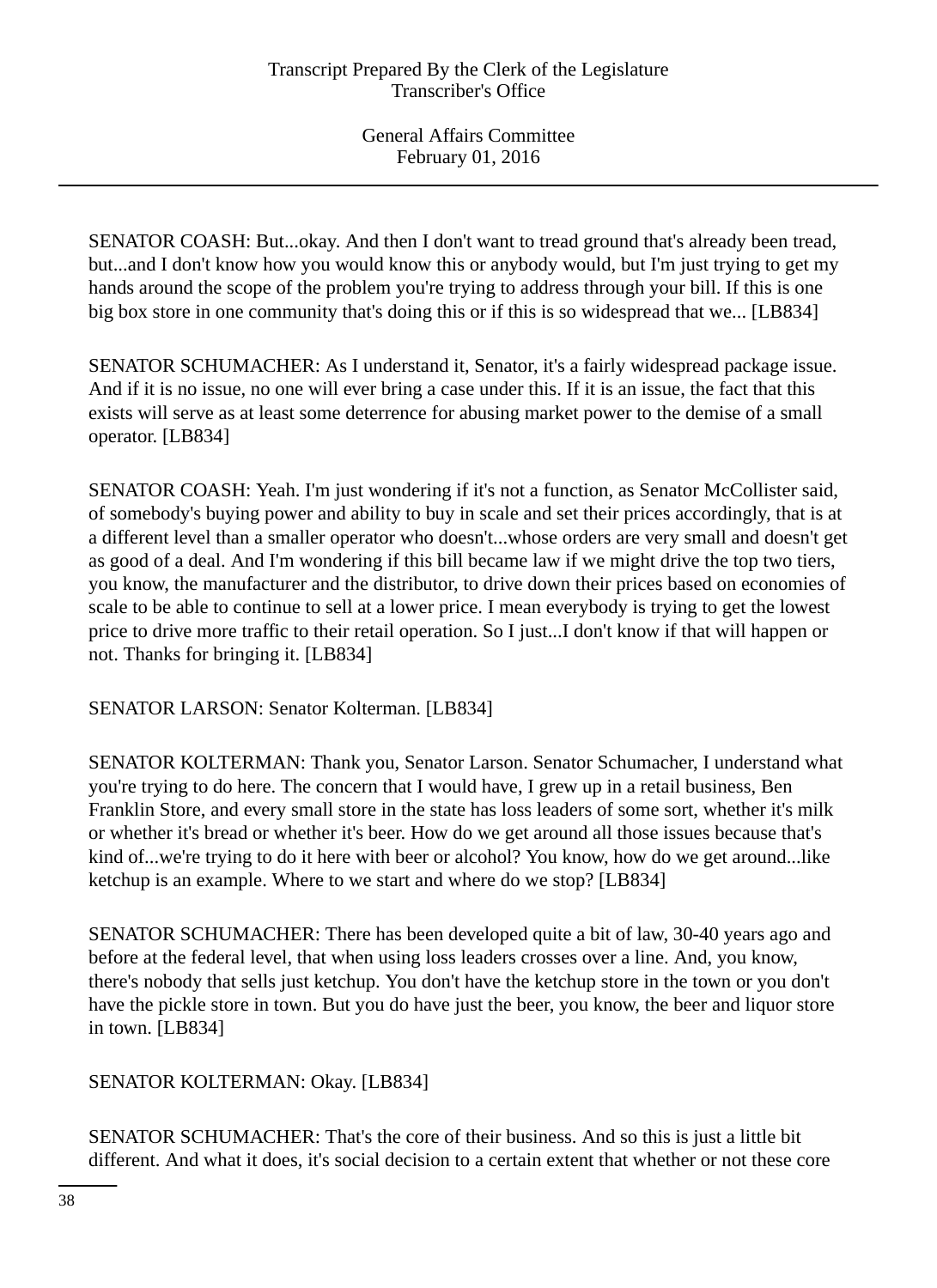SENATOR COASH: But...okay. And then I don't want to tread ground that's already been tread, but...and I don't know how you would know this or anybody would, but I'm just trying to get my hands around the scope of the problem you're trying to address through your bill. If this is one big box store in one community that's doing this or if this is so widespread that we... [LB834]

SENATOR SCHUMACHER: As I understand it, Senator, it's a fairly widespread package issue. And if it is no issue, no one will ever bring a case under this. If it is an issue, the fact that this exists will serve as at least some deterrence for abusing market power to the demise of a small operator. [LB834]

SENATOR COASH: Yeah. I'm just wondering if it's not a function, as Senator McCollister said, of somebody's buying power and ability to buy in scale and set their prices accordingly, that is at a different level than a smaller operator who doesn't...whose orders are very small and doesn't get as good of a deal. And I'm wondering if this bill became law if we might drive the top two tiers, you know, the manufacturer and the distributor, to drive down their prices based on economies of scale to be able to continue to sell at a lower price. I mean everybody is trying to get the lowest price to drive more traffic to their retail operation. So I just...I don't know if that will happen or not. Thanks for bringing it. [LB834]

SENATOR LARSON: Senator Kolterman. [LB834]

SENATOR KOLTERMAN: Thank you, Senator Larson. Senator Schumacher, I understand what you're trying to do here. The concern that I would have, I grew up in a retail business, Ben Franklin Store, and every small store in the state has loss leaders of some sort, whether it's milk or whether it's bread or whether it's beer. How do we get around all those issues because that's kind of...we're trying to do it here with beer or alcohol? You know, how do we get around...like ketchup is an example. Where to we start and where do we stop? [LB834]

SENATOR SCHUMACHER: There has been developed quite a bit of law, 30-40 years ago and before at the federal level, that when using loss leaders crosses over a line. And, you know, there's nobody that sells just ketchup. You don't have the ketchup store in the town or you don't have the pickle store in town. But you do have just the beer, you know, the beer and liquor store in town. [LB834]

SENATOR KOLTERMAN: Okay. [LB834]

SENATOR SCHUMACHER: That's the core of their business. And so this is just a little bit different. And what it does, it's social decision to a certain extent that whether or not these core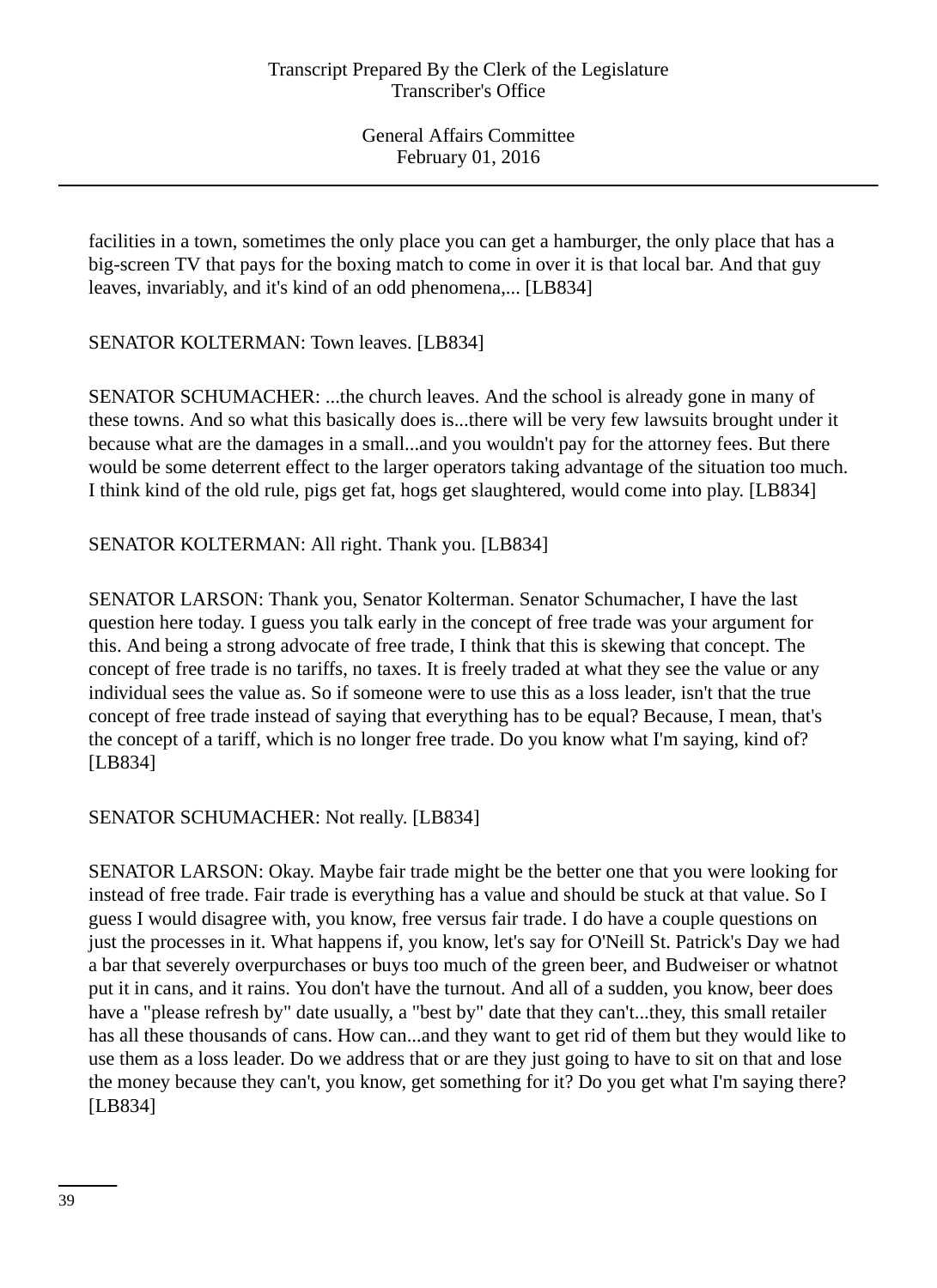facilities in a town, sometimes the only place you can get a hamburger, the only place that has a big-screen TV that pays for the boxing match to come in over it is that local bar. And that guy leaves, invariably, and it's kind of an odd phenomena,... [LB834]

SENATOR KOLTERMAN: Town leaves. [LB834]

SENATOR SCHUMACHER: ...the church leaves. And the school is already gone in many of these towns. And so what this basically does is...there will be very few lawsuits brought under it because what are the damages in a small...and you wouldn't pay for the attorney fees. But there would be some deterrent effect to the larger operators taking advantage of the situation too much. I think kind of the old rule, pigs get fat, hogs get slaughtered, would come into play. [LB834]

SENATOR KOLTERMAN: All right. Thank you. [LB834]

SENATOR LARSON: Thank you, Senator Kolterman. Senator Schumacher, I have the last question here today. I guess you talk early in the concept of free trade was your argument for this. And being a strong advocate of free trade, I think that this is skewing that concept. The concept of free trade is no tariffs, no taxes. It is freely traded at what they see the value or any individual sees the value as. So if someone were to use this as a loss leader, isn't that the true concept of free trade instead of saying that everything has to be equal? Because, I mean, that's the concept of a tariff, which is no longer free trade. Do you know what I'm saying, kind of? [LB834]

SENATOR SCHUMACHER: Not really. [LB834]

SENATOR LARSON: Okay. Maybe fair trade might be the better one that you were looking for instead of free trade. Fair trade is everything has a value and should be stuck at that value. So I guess I would disagree with, you know, free versus fair trade. I do have a couple questions on just the processes in it. What happens if, you know, let's say for O'Neill St. Patrick's Day we had a bar that severely overpurchases or buys too much of the green beer, and Budweiser or whatnot put it in cans, and it rains. You don't have the turnout. And all of a sudden, you know, beer does have a "please refresh by" date usually, a "best by" date that they can't...they, this small retailer has all these thousands of cans. How can...and they want to get rid of them but they would like to use them as a loss leader. Do we address that or are they just going to have to sit on that and lose the money because they can't, you know, get something for it? Do you get what I'm saying there? [LB834]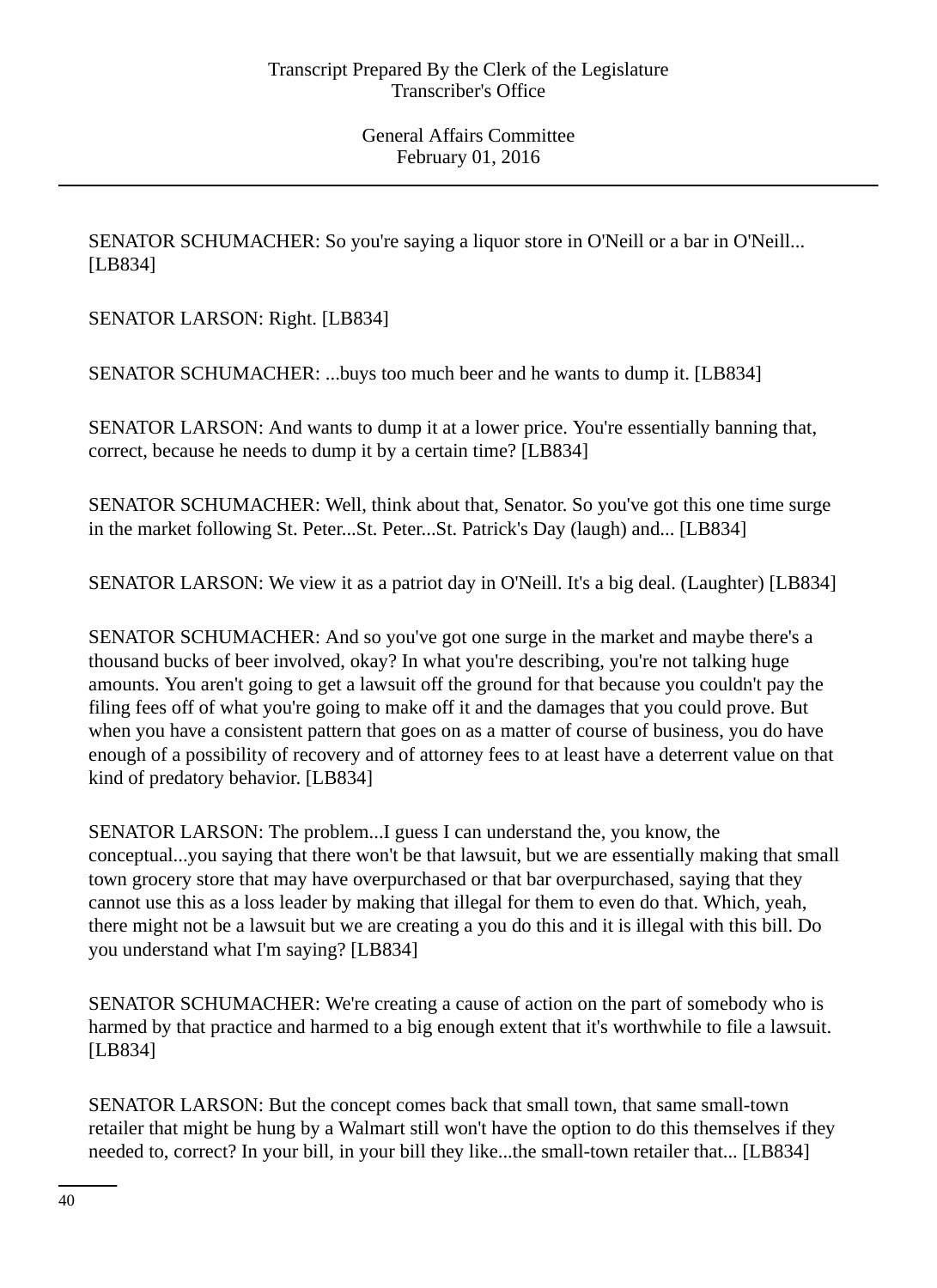SENATOR SCHUMACHER: So you're saying a liquor store in O'Neill or a bar in O'Neill... [LB834]

SENATOR LARSON: Right. [LB834]

SENATOR SCHUMACHER: ...buys too much beer and he wants to dump it. [LB834]

SENATOR LARSON: And wants to dump it at a lower price. You're essentially banning that, correct, because he needs to dump it by a certain time? [LB834]

SENATOR SCHUMACHER: Well, think about that, Senator. So you've got this one time surge in the market following St. Peter...St. Peter...St. Patrick's Day (laugh) and... [LB834]

SENATOR LARSON: We view it as a patriot day in O'Neill. It's a big deal. (Laughter) [LB834]

SENATOR SCHUMACHER: And so you've got one surge in the market and maybe there's a thousand bucks of beer involved, okay? In what you're describing, you're not talking huge amounts. You aren't going to get a lawsuit off the ground for that because you couldn't pay the filing fees off of what you're going to make off it and the damages that you could prove. But when you have a consistent pattern that goes on as a matter of course of business, you do have enough of a possibility of recovery and of attorney fees to at least have a deterrent value on that kind of predatory behavior. [LB834]

SENATOR LARSON: The problem...I guess I can understand the, you know, the conceptual...you saying that there won't be that lawsuit, but we are essentially making that small town grocery store that may have overpurchased or that bar overpurchased, saying that they cannot use this as a loss leader by making that illegal for them to even do that. Which, yeah, there might not be a lawsuit but we are creating a you do this and it is illegal with this bill. Do you understand what I'm saying? [LB834]

SENATOR SCHUMACHER: We're creating a cause of action on the part of somebody who is harmed by that practice and harmed to a big enough extent that it's worthwhile to file a lawsuit. [LB834]

SENATOR LARSON: But the concept comes back that small town, that same small-town retailer that might be hung by a Walmart still won't have the option to do this themselves if they needed to, correct? In your bill, in your bill they like...the small-town retailer that... [LB834]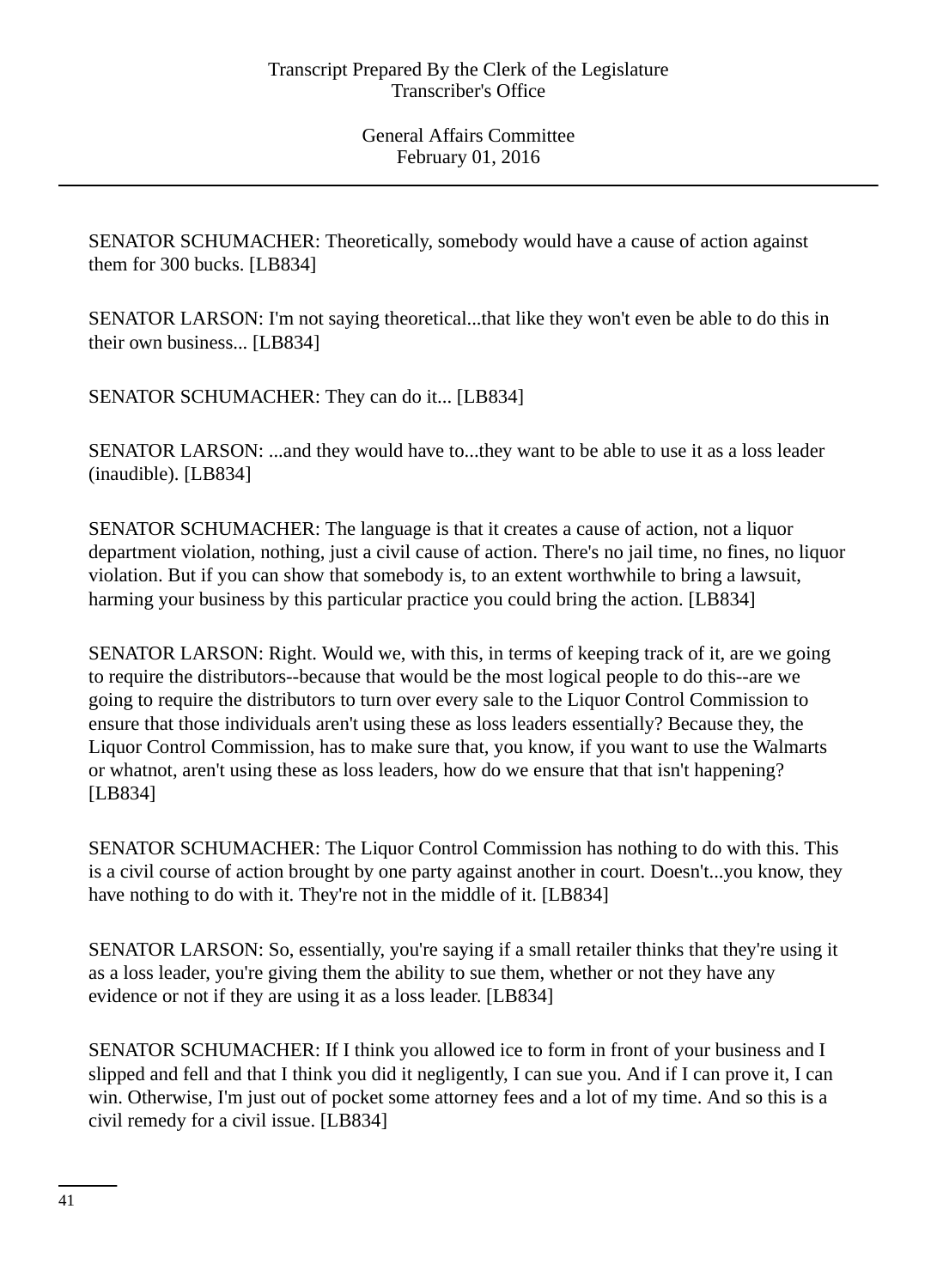SENATOR SCHUMACHER: Theoretically, somebody would have a cause of action against them for 300 bucks. [LB834]

SENATOR LARSON: I'm not saying theoretical...that like they won't even be able to do this in their own business... [LB834]

SENATOR SCHUMACHER: They can do it... [LB834]

SENATOR LARSON: ...and they would have to...they want to be able to use it as a loss leader (inaudible). [LB834]

SENATOR SCHUMACHER: The language is that it creates a cause of action, not a liquor department violation, nothing, just a civil cause of action. There's no jail time, no fines, no liquor violation. But if you can show that somebody is, to an extent worthwhile to bring a lawsuit, harming your business by this particular practice you could bring the action. [LB834]

SENATOR LARSON: Right. Would we, with this, in terms of keeping track of it, are we going to require the distributors--because that would be the most logical people to do this--are we going to require the distributors to turn over every sale to the Liquor Control Commission to ensure that those individuals aren't using these as loss leaders essentially? Because they, the Liquor Control Commission, has to make sure that, you know, if you want to use the Walmarts or whatnot, aren't using these as loss leaders, how do we ensure that that isn't happening? [LB834]

SENATOR SCHUMACHER: The Liquor Control Commission has nothing to do with this. This is a civil course of action brought by one party against another in court. Doesn't...you know, they have nothing to do with it. They're not in the middle of it. [LB834]

SENATOR LARSON: So, essentially, you're saying if a small retailer thinks that they're using it as a loss leader, you're giving them the ability to sue them, whether or not they have any evidence or not if they are using it as a loss leader. [LB834]

SENATOR SCHUMACHER: If I think you allowed ice to form in front of your business and I slipped and fell and that I think you did it negligently, I can sue you. And if I can prove it, I can win. Otherwise, I'm just out of pocket some attorney fees and a lot of my time. And so this is a civil remedy for a civil issue. [LB834]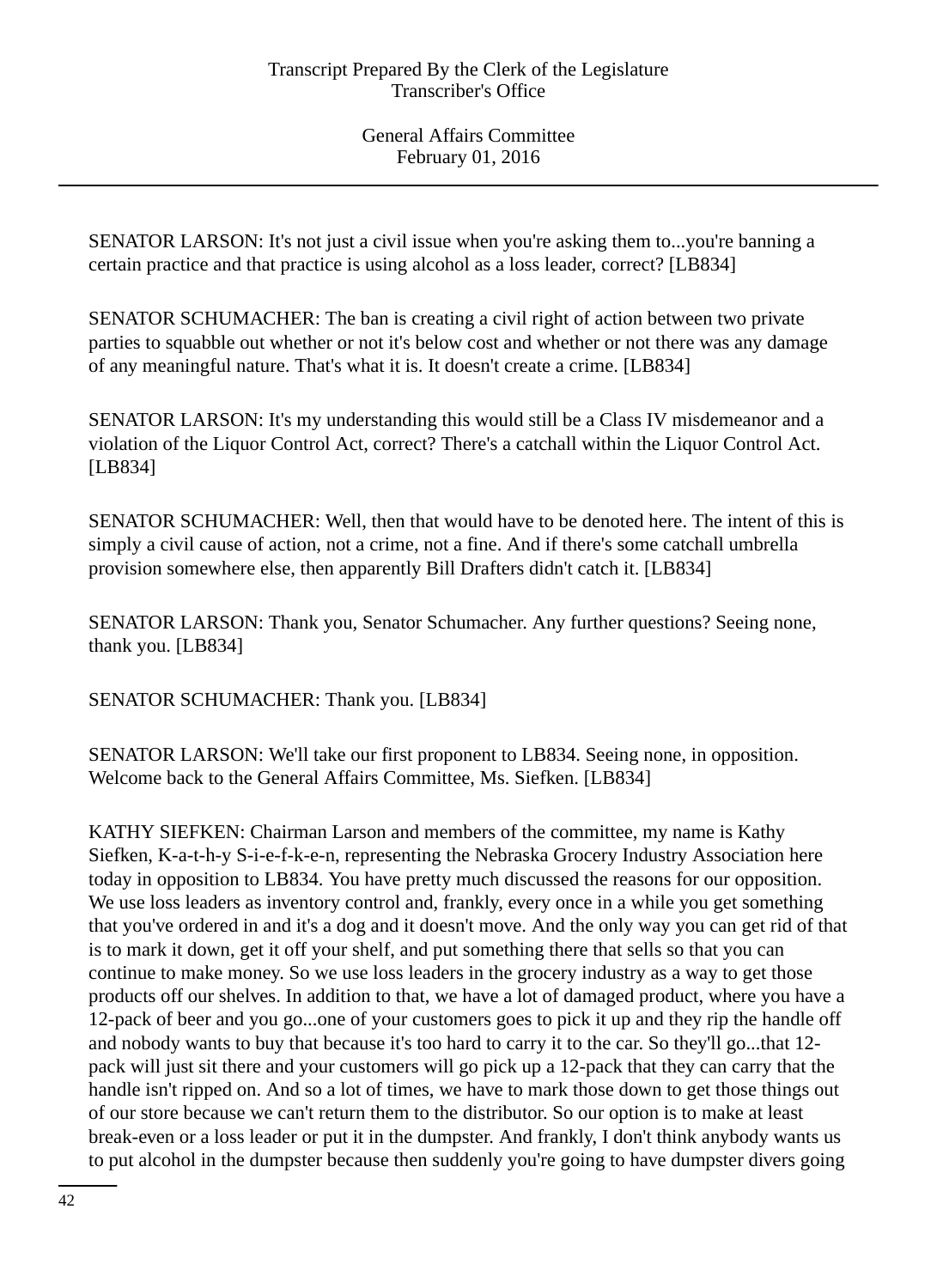SENATOR LARSON: It's not just a civil issue when you're asking them to...you're banning a certain practice and that practice is using alcohol as a loss leader, correct? [LB834]

SENATOR SCHUMACHER: The ban is creating a civil right of action between two private parties to squabble out whether or not it's below cost and whether or not there was any damage of any meaningful nature. That's what it is. It doesn't create a crime. [LB834]

SENATOR LARSON: It's my understanding this would still be a Class IV misdemeanor and a violation of the Liquor Control Act, correct? There's a catchall within the Liquor Control Act. [LB834]

SENATOR SCHUMACHER: Well, then that would have to be denoted here. The intent of this is simply a civil cause of action, not a crime, not a fine. And if there's some catchall umbrella provision somewhere else, then apparently Bill Drafters didn't catch it. [LB834]

SENATOR LARSON: Thank you, Senator Schumacher. Any further questions? Seeing none, thank you. [LB834]

SENATOR SCHUMACHER: Thank you. [LB834]

SENATOR LARSON: We'll take our first proponent to LB834. Seeing none, in opposition. Welcome back to the General Affairs Committee, Ms. Siefken. [LB834]

KATHY SIEFKEN: Chairman Larson and members of the committee, my name is Kathy Siefken, K-a-t-h-y S-i-e-f-k-e-n, representing the Nebraska Grocery Industry Association here today in opposition to LB834. You have pretty much discussed the reasons for our opposition. We use loss leaders as inventory control and, frankly, every once in a while you get something that you've ordered in and it's a dog and it doesn't move. And the only way you can get rid of that is to mark it down, get it off your shelf, and put something there that sells so that you can continue to make money. So we use loss leaders in the grocery industry as a way to get those products off our shelves. In addition to that, we have a lot of damaged product, where you have a 12-pack of beer and you go...one of your customers goes to pick it up and they rip the handle off and nobody wants to buy that because it's too hard to carry it to the car. So they'll go...that 12 pack will just sit there and your customers will go pick up a 12-pack that they can carry that the handle isn't ripped on. And so a lot of times, we have to mark those down to get those things out of our store because we can't return them to the distributor. So our option is to make at least break-even or a loss leader or put it in the dumpster. And frankly, I don't think anybody wants us to put alcohol in the dumpster because then suddenly you're going to have dumpster divers going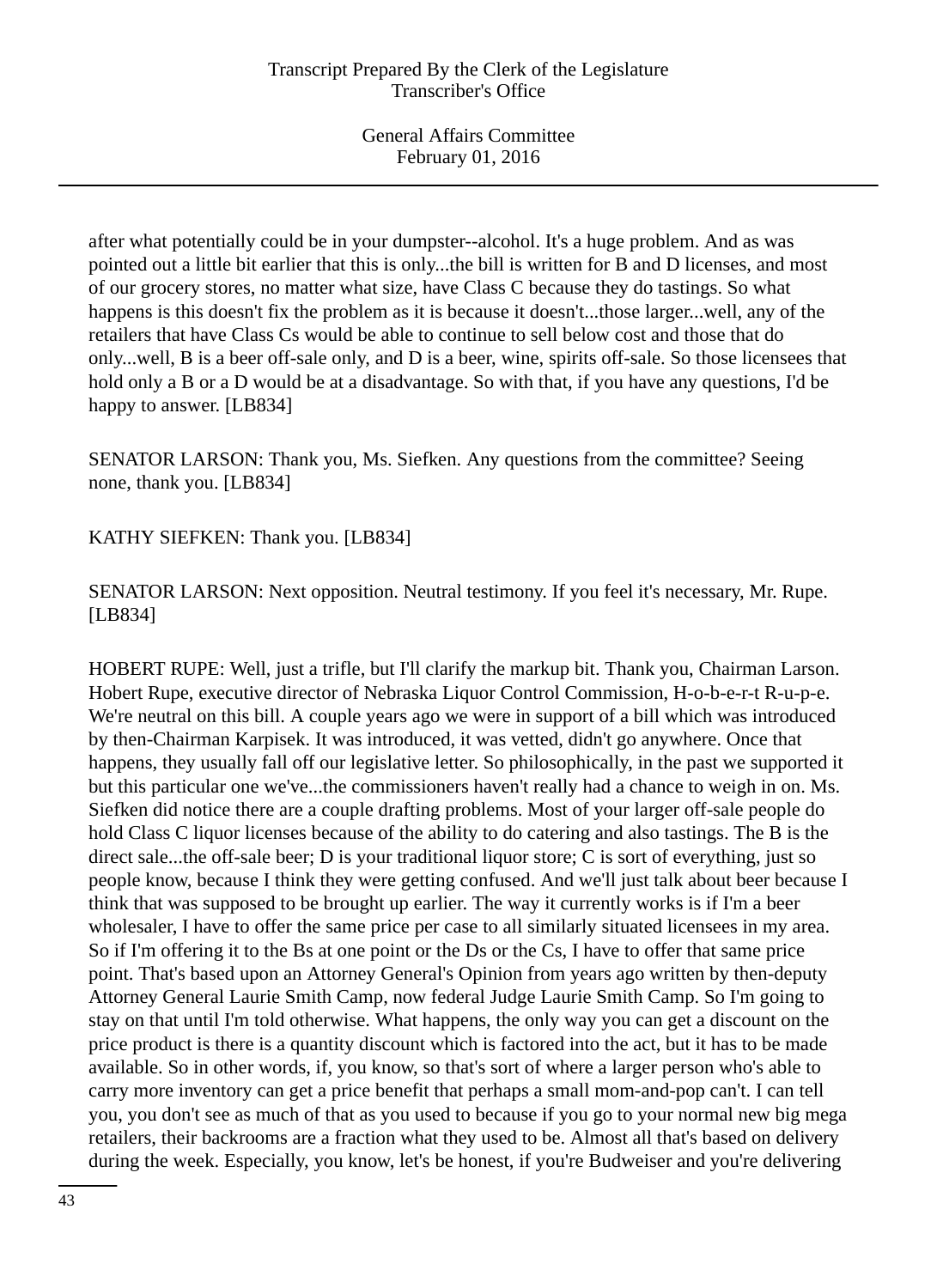after what potentially could be in your dumpster--alcohol. It's a huge problem. And as was pointed out a little bit earlier that this is only...the bill is written for B and D licenses, and most of our grocery stores, no matter what size, have Class C because they do tastings. So what happens is this doesn't fix the problem as it is because it doesn't...those larger...well, any of the retailers that have Class Cs would be able to continue to sell below cost and those that do only...well, B is a beer off-sale only, and D is a beer, wine, spirits off-sale. So those licensees that hold only a B or a D would be at a disadvantage. So with that, if you have any questions, I'd be happy to answer. [LB834]

SENATOR LARSON: Thank you, Ms. Siefken. Any questions from the committee? Seeing none, thank you. [LB834]

KATHY SIEFKEN: Thank you. [LB834]

SENATOR LARSON: Next opposition. Neutral testimony. If you feel it's necessary, Mr. Rupe. [LB834]

HOBERT RUPE: Well, just a trifle, but I'll clarify the markup bit. Thank you, Chairman Larson. Hobert Rupe, executive director of Nebraska Liquor Control Commission, H-o-b-e-r-t R-u-p-e. We're neutral on this bill. A couple years ago we were in support of a bill which was introduced by then-Chairman Karpisek. It was introduced, it was vetted, didn't go anywhere. Once that happens, they usually fall off our legislative letter. So philosophically, in the past we supported it but this particular one we've...the commissioners haven't really had a chance to weigh in on. Ms. Siefken did notice there are a couple drafting problems. Most of your larger off-sale people do hold Class C liquor licenses because of the ability to do catering and also tastings. The B is the direct sale...the off-sale beer; D is your traditional liquor store; C is sort of everything, just so people know, because I think they were getting confused. And we'll just talk about beer because I think that was supposed to be brought up earlier. The way it currently works is if I'm a beer wholesaler, I have to offer the same price per case to all similarly situated licensees in my area. So if I'm offering it to the Bs at one point or the Ds or the Cs, I have to offer that same price point. That's based upon an Attorney General's Opinion from years ago written by then-deputy Attorney General Laurie Smith Camp, now federal Judge Laurie Smith Camp. So I'm going to stay on that until I'm told otherwise. What happens, the only way you can get a discount on the price product is there is a quantity discount which is factored into the act, but it has to be made available. So in other words, if, you know, so that's sort of where a larger person who's able to carry more inventory can get a price benefit that perhaps a small mom-and-pop can't. I can tell you, you don't see as much of that as you used to because if you go to your normal new big mega retailers, their backrooms are a fraction what they used to be. Almost all that's based on delivery during the week. Especially, you know, let's be honest, if you're Budweiser and you're delivering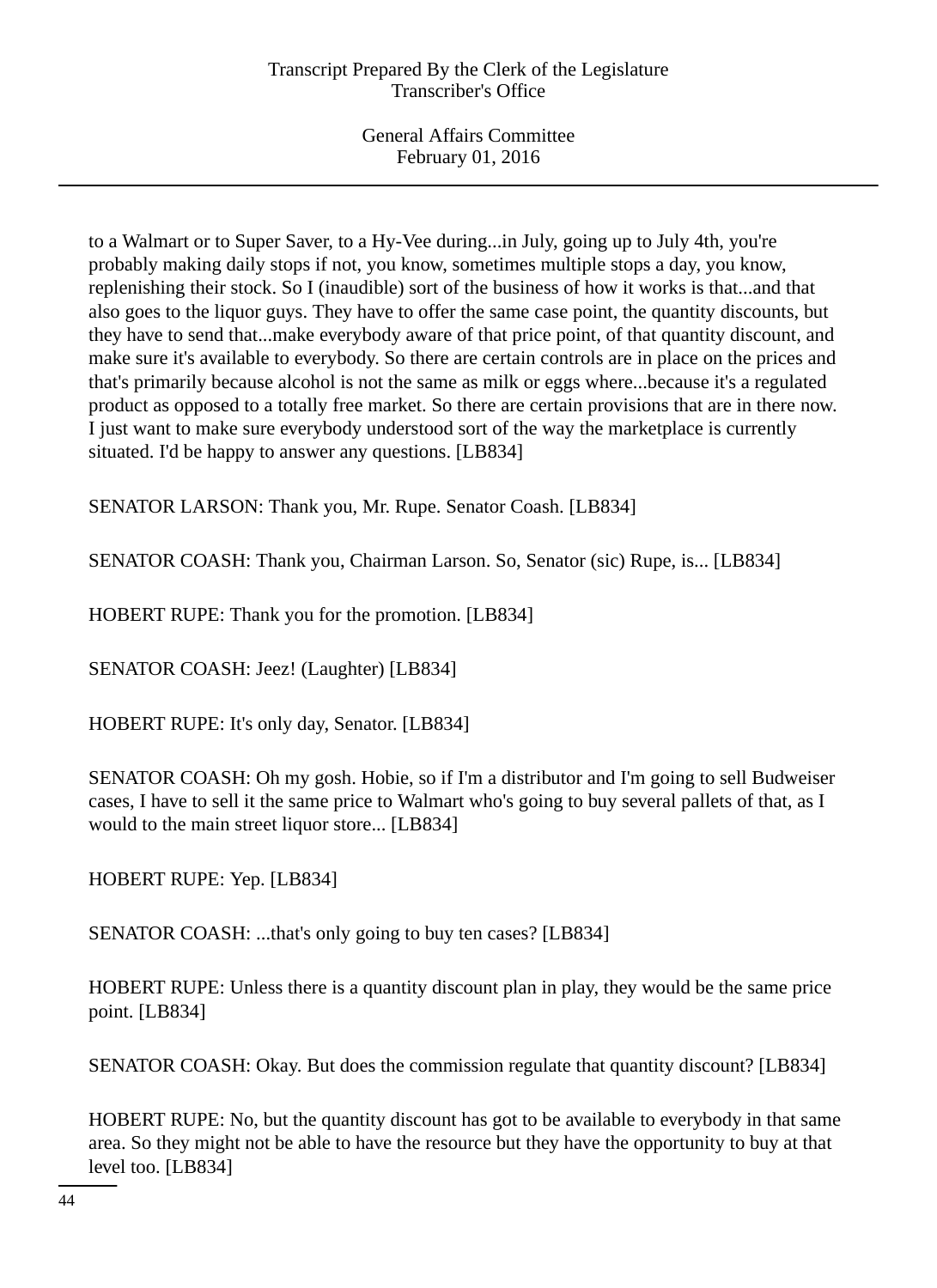to a Walmart or to Super Saver, to a Hy-Vee during...in July, going up to July 4th, you're probably making daily stops if not, you know, sometimes multiple stops a day, you know, replenishing their stock. So I (inaudible) sort of the business of how it works is that...and that also goes to the liquor guys. They have to offer the same case point, the quantity discounts, but they have to send that...make everybody aware of that price point, of that quantity discount, and make sure it's available to everybody. So there are certain controls are in place on the prices and that's primarily because alcohol is not the same as milk or eggs where...because it's a regulated product as opposed to a totally free market. So there are certain provisions that are in there now. I just want to make sure everybody understood sort of the way the marketplace is currently situated. I'd be happy to answer any questions. [LB834]

SENATOR LARSON: Thank you, Mr. Rupe. Senator Coash. [LB834]

SENATOR COASH: Thank you, Chairman Larson. So, Senator (sic) Rupe, is... [LB834]

HOBERT RUPE: Thank you for the promotion. [LB834]

SENATOR COASH: Jeez! (Laughter) [LB834]

HOBERT RUPE: It's only day, Senator. [LB834]

SENATOR COASH: Oh my gosh. Hobie, so if I'm a distributor and I'm going to sell Budweiser cases, I have to sell it the same price to Walmart who's going to buy several pallets of that, as I would to the main street liquor store... [LB834]

HOBERT RUPE: Yep. [LB834]

SENATOR COASH: ...that's only going to buy ten cases? [LB834]

HOBERT RUPE: Unless there is a quantity discount plan in play, they would be the same price point. [LB834]

SENATOR COASH: Okay. But does the commission regulate that quantity discount? [LB834]

HOBERT RUPE: No, but the quantity discount has got to be available to everybody in that same area. So they might not be able to have the resource but they have the opportunity to buy at that level too. [LB834]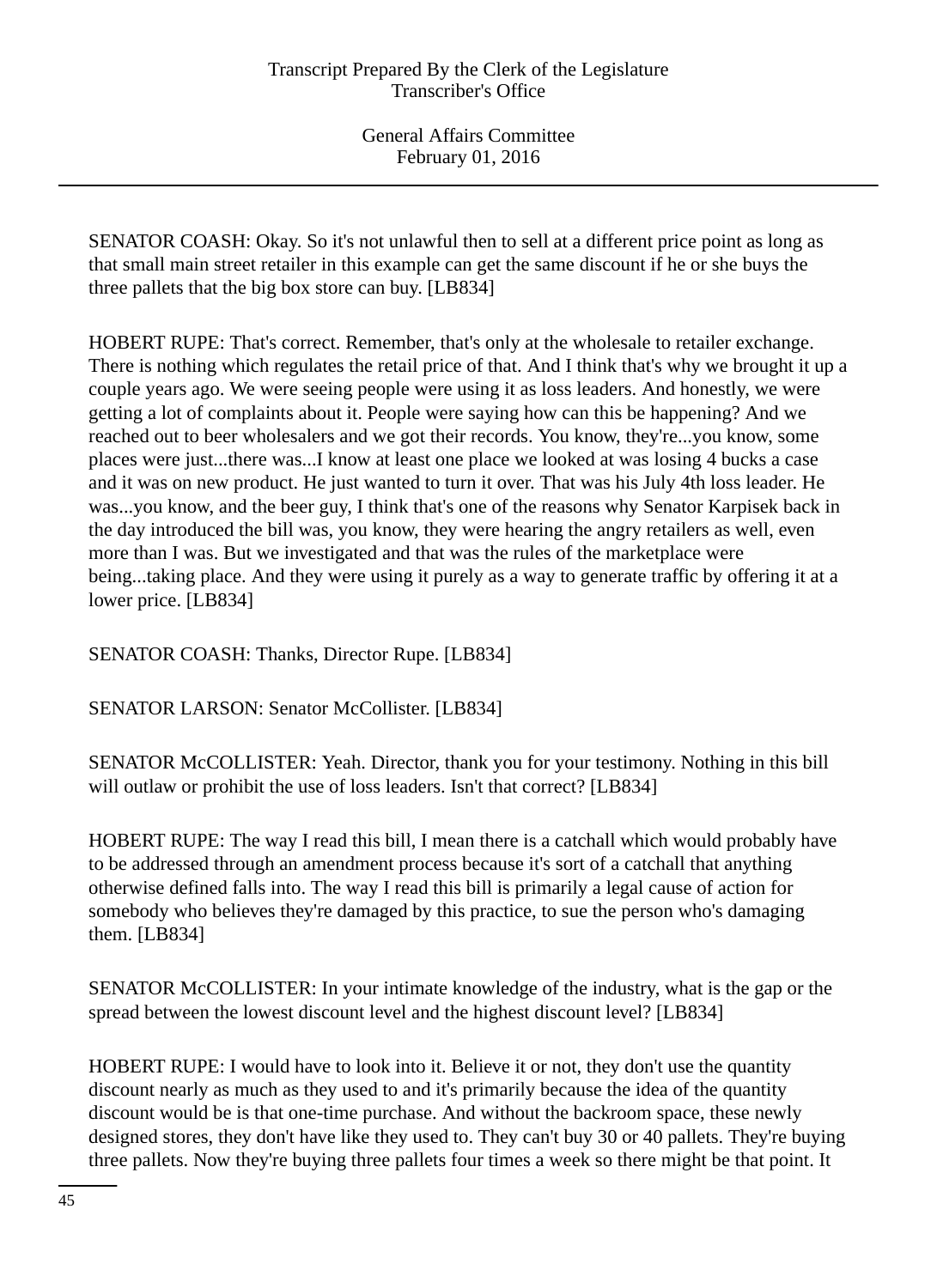SENATOR COASH: Okay. So it's not unlawful then to sell at a different price point as long as that small main street retailer in this example can get the same discount if he or she buys the three pallets that the big box store can buy. [LB834]

HOBERT RUPE: That's correct. Remember, that's only at the wholesale to retailer exchange. There is nothing which regulates the retail price of that. And I think that's why we brought it up a couple years ago. We were seeing people were using it as loss leaders. And honestly, we were getting a lot of complaints about it. People were saying how can this be happening? And we reached out to beer wholesalers and we got their records. You know, they're...you know, some places were just...there was...I know at least one place we looked at was losing 4 bucks a case and it was on new product. He just wanted to turn it over. That was his July 4th loss leader. He was...you know, and the beer guy, I think that's one of the reasons why Senator Karpisek back in the day introduced the bill was, you know, they were hearing the angry retailers as well, even more than I was. But we investigated and that was the rules of the marketplace were being...taking place. And they were using it purely as a way to generate traffic by offering it at a lower price. [LB834]

SENATOR COASH: Thanks, Director Rupe. [LB834]

SENATOR LARSON: Senator McCollister. [LB834]

SENATOR McCOLLISTER: Yeah. Director, thank you for your testimony. Nothing in this bill will outlaw or prohibit the use of loss leaders. Isn't that correct? [LB834]

HOBERT RUPE: The way I read this bill, I mean there is a catchall which would probably have to be addressed through an amendment process because it's sort of a catchall that anything otherwise defined falls into. The way I read this bill is primarily a legal cause of action for somebody who believes they're damaged by this practice, to sue the person who's damaging them. [LB834]

SENATOR McCOLLISTER: In your intimate knowledge of the industry, what is the gap or the spread between the lowest discount level and the highest discount level? [LB834]

HOBERT RUPE: I would have to look into it. Believe it or not, they don't use the quantity discount nearly as much as they used to and it's primarily because the idea of the quantity discount would be is that one-time purchase. And without the backroom space, these newly designed stores, they don't have like they used to. They can't buy 30 or 40 pallets. They're buying three pallets. Now they're buying three pallets four times a week so there might be that point. It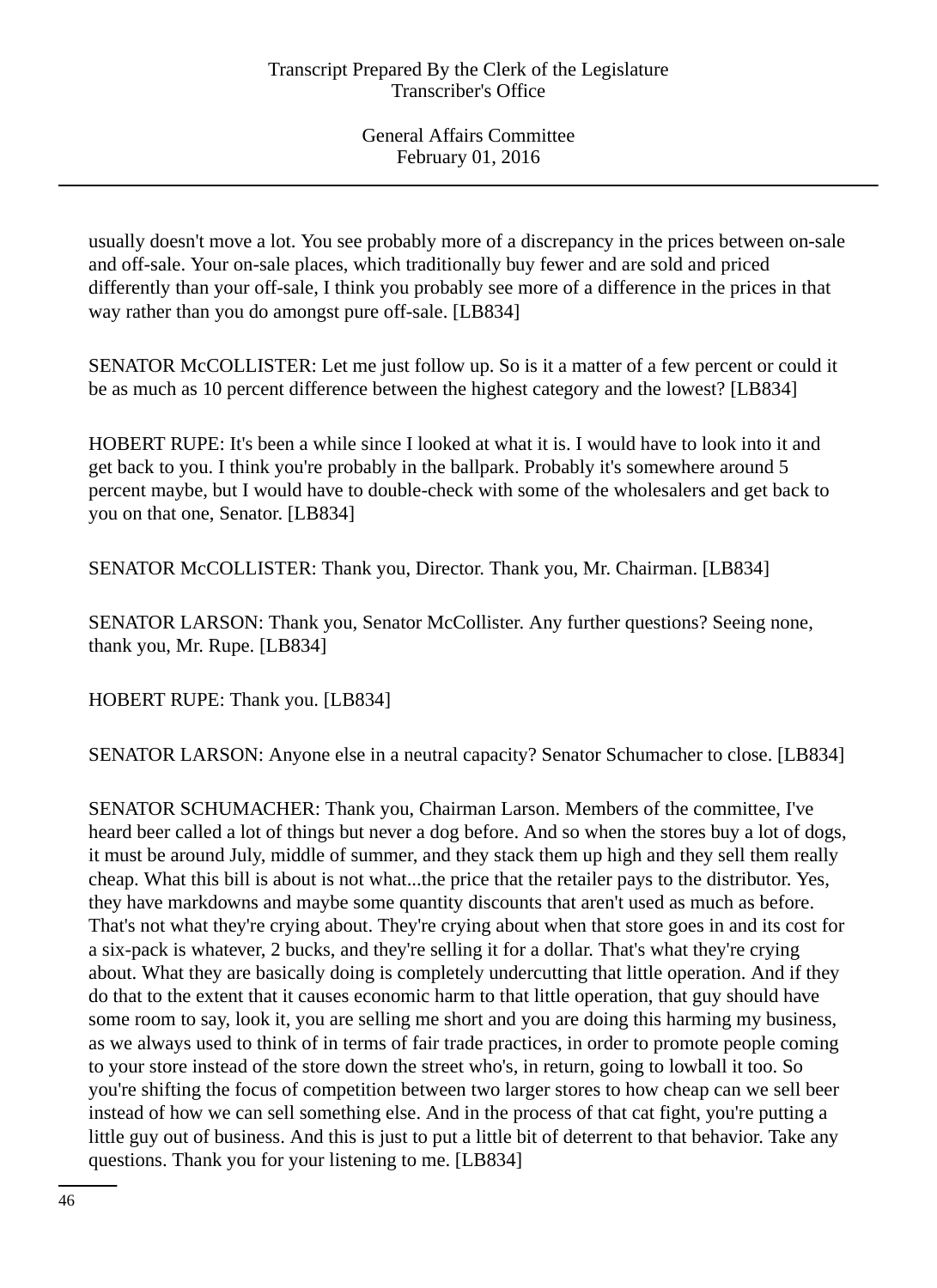usually doesn't move a lot. You see probably more of a discrepancy in the prices between on-sale and off-sale. Your on-sale places, which traditionally buy fewer and are sold and priced differently than your off-sale, I think you probably see more of a difference in the prices in that way rather than you do amongst pure off-sale. [LB834]

SENATOR McCOLLISTER: Let me just follow up. So is it a matter of a few percent or could it be as much as 10 percent difference between the highest category and the lowest? [LB834]

HOBERT RUPE: It's been a while since I looked at what it is. I would have to look into it and get back to you. I think you're probably in the ballpark. Probably it's somewhere around 5 percent maybe, but I would have to double-check with some of the wholesalers and get back to you on that one, Senator. [LB834]

SENATOR McCOLLISTER: Thank you, Director. Thank you, Mr. Chairman. [LB834]

SENATOR LARSON: Thank you, Senator McCollister. Any further questions? Seeing none, thank you, Mr. Rupe. [LB834]

HOBERT RUPE: Thank you. [LB834]

SENATOR LARSON: Anyone else in a neutral capacity? Senator Schumacher to close. [LB834]

SENATOR SCHUMACHER: Thank you, Chairman Larson. Members of the committee, I've heard beer called a lot of things but never a dog before. And so when the stores buy a lot of dogs, it must be around July, middle of summer, and they stack them up high and they sell them really cheap. What this bill is about is not what...the price that the retailer pays to the distributor. Yes, they have markdowns and maybe some quantity discounts that aren't used as much as before. That's not what they're crying about. They're crying about when that store goes in and its cost for a six-pack is whatever, 2 bucks, and they're selling it for a dollar. That's what they're crying about. What they are basically doing is completely undercutting that little operation. And if they do that to the extent that it causes economic harm to that little operation, that guy should have some room to say, look it, you are selling me short and you are doing this harming my business, as we always used to think of in terms of fair trade practices, in order to promote people coming to your store instead of the store down the street who's, in return, going to lowball it too. So you're shifting the focus of competition between two larger stores to how cheap can we sell beer instead of how we can sell something else. And in the process of that cat fight, you're putting a little guy out of business. And this is just to put a little bit of deterrent to that behavior. Take any questions. Thank you for your listening to me. [LB834]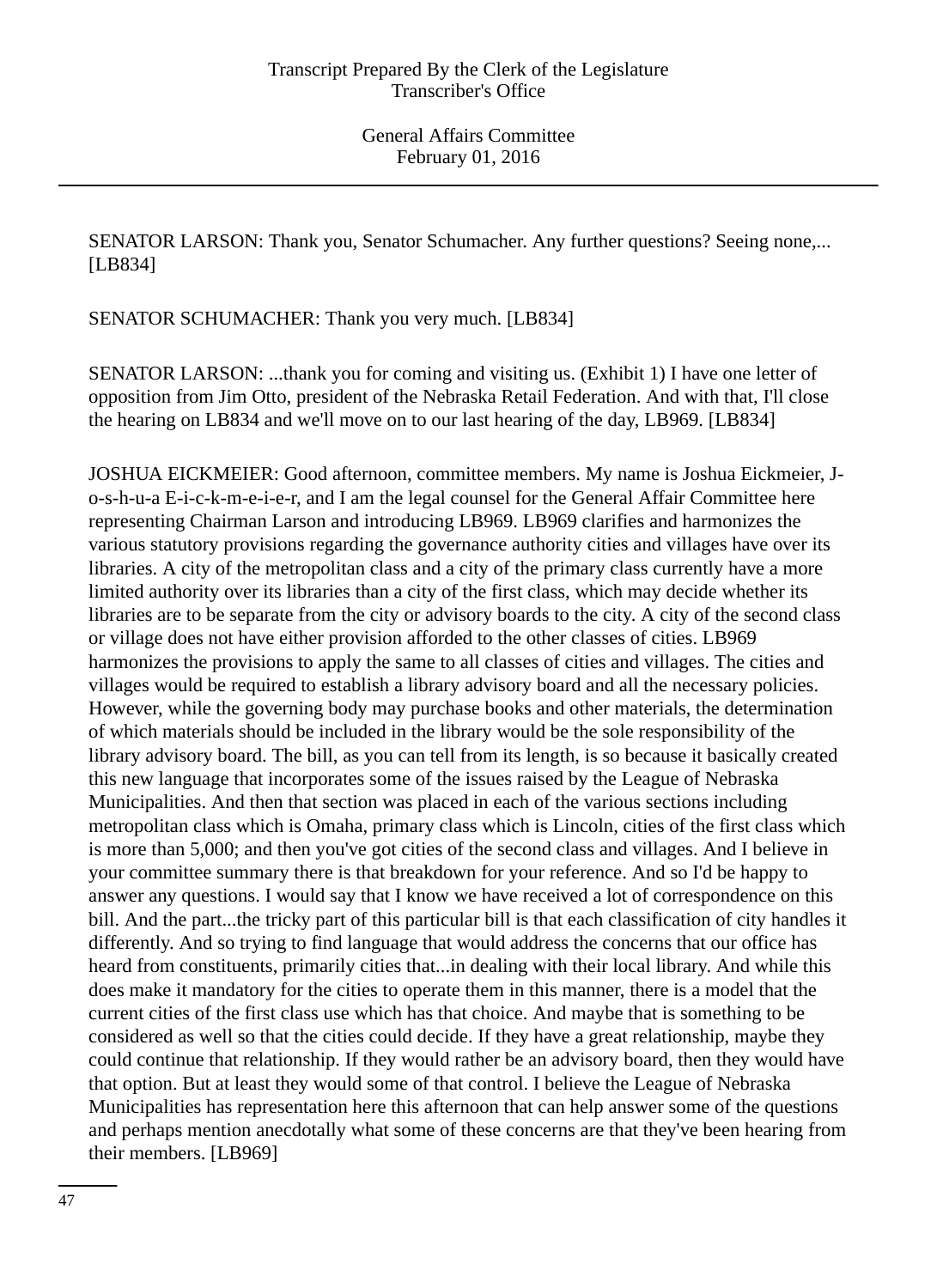SENATOR LARSON: Thank you, Senator Schumacher. Any further questions? Seeing none,... [LB834]

SENATOR SCHUMACHER: Thank you very much. [LB834]

SENATOR LARSON: ...thank you for coming and visiting us. (Exhibit 1) I have one letter of opposition from Jim Otto, president of the Nebraska Retail Federation. And with that, I'll close the hearing on LB834 and we'll move on to our last hearing of the day, LB969. [LB834]

JOSHUA EICKMEIER: Good afternoon, committee members. My name is Joshua Eickmeier, Jo-s-h-u-a E-i-c-k-m-e-i-e-r, and I am the legal counsel for the General Affair Committee here representing Chairman Larson and introducing LB969. LB969 clarifies and harmonizes the various statutory provisions regarding the governance authority cities and villages have over its libraries. A city of the metropolitan class and a city of the primary class currently have a more limited authority over its libraries than a city of the first class, which may decide whether its libraries are to be separate from the city or advisory boards to the city. A city of the second class or village does not have either provision afforded to the other classes of cities. LB969 harmonizes the provisions to apply the same to all classes of cities and villages. The cities and villages would be required to establish a library advisory board and all the necessary policies. However, while the governing body may purchase books and other materials, the determination of which materials should be included in the library would be the sole responsibility of the library advisory board. The bill, as you can tell from its length, is so because it basically created this new language that incorporates some of the issues raised by the League of Nebraska Municipalities. And then that section was placed in each of the various sections including metropolitan class which is Omaha, primary class which is Lincoln, cities of the first class which is more than 5,000; and then you've got cities of the second class and villages. And I believe in your committee summary there is that breakdown for your reference. And so I'd be happy to answer any questions. I would say that I know we have received a lot of correspondence on this bill. And the part...the tricky part of this particular bill is that each classification of city handles it differently. And so trying to find language that would address the concerns that our office has heard from constituents, primarily cities that...in dealing with their local library. And while this does make it mandatory for the cities to operate them in this manner, there is a model that the current cities of the first class use which has that choice. And maybe that is something to be considered as well so that the cities could decide. If they have a great relationship, maybe they could continue that relationship. If they would rather be an advisory board, then they would have that option. But at least they would some of that control. I believe the League of Nebraska Municipalities has representation here this afternoon that can help answer some of the questions and perhaps mention anecdotally what some of these concerns are that they've been hearing from their members. [LB969]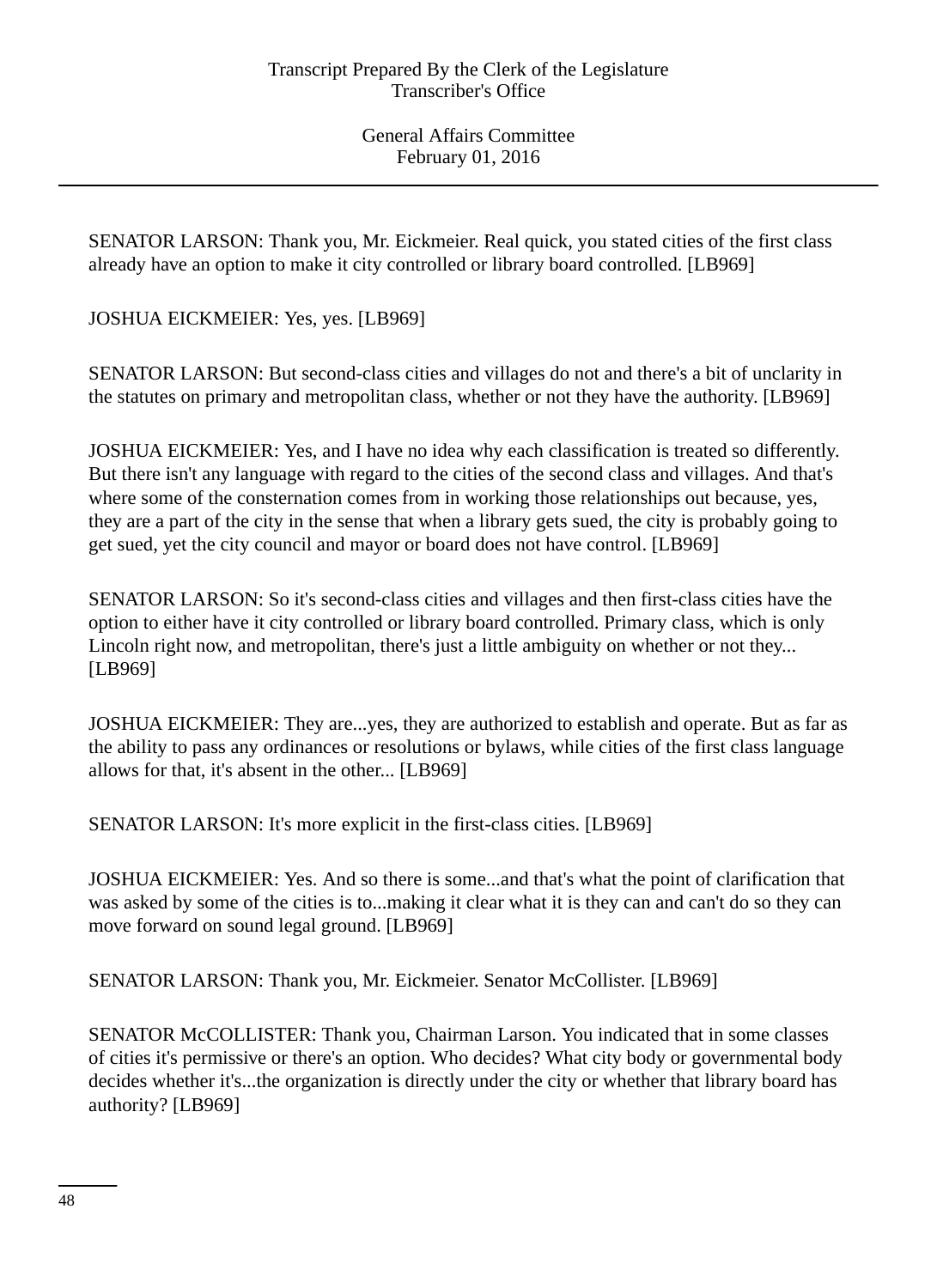SENATOR LARSON: Thank you, Mr. Eickmeier. Real quick, you stated cities of the first class already have an option to make it city controlled or library board controlled. [LB969]

JOSHUA EICKMEIER: Yes, yes. [LB969]

SENATOR LARSON: But second-class cities and villages do not and there's a bit of unclarity in the statutes on primary and metropolitan class, whether or not they have the authority. [LB969]

JOSHUA EICKMEIER: Yes, and I have no idea why each classification is treated so differently. But there isn't any language with regard to the cities of the second class and villages. And that's where some of the consternation comes from in working those relationships out because, yes, they are a part of the city in the sense that when a library gets sued, the city is probably going to get sued, yet the city council and mayor or board does not have control. [LB969]

SENATOR LARSON: So it's second-class cities and villages and then first-class cities have the option to either have it city controlled or library board controlled. Primary class, which is only Lincoln right now, and metropolitan, there's just a little ambiguity on whether or not they... [LB969]

JOSHUA EICKMEIER: They are...yes, they are authorized to establish and operate. But as far as the ability to pass any ordinances or resolutions or bylaws, while cities of the first class language allows for that, it's absent in the other... [LB969]

SENATOR LARSON: It's more explicit in the first-class cities. [LB969]

JOSHUA EICKMEIER: Yes. And so there is some...and that's what the point of clarification that was asked by some of the cities is to...making it clear what it is they can and can't do so they can move forward on sound legal ground. [LB969]

SENATOR LARSON: Thank you, Mr. Eickmeier. Senator McCollister. [LB969]

SENATOR McCOLLISTER: Thank you, Chairman Larson. You indicated that in some classes of cities it's permissive or there's an option. Who decides? What city body or governmental body decides whether it's...the organization is directly under the city or whether that library board has authority? [LB969]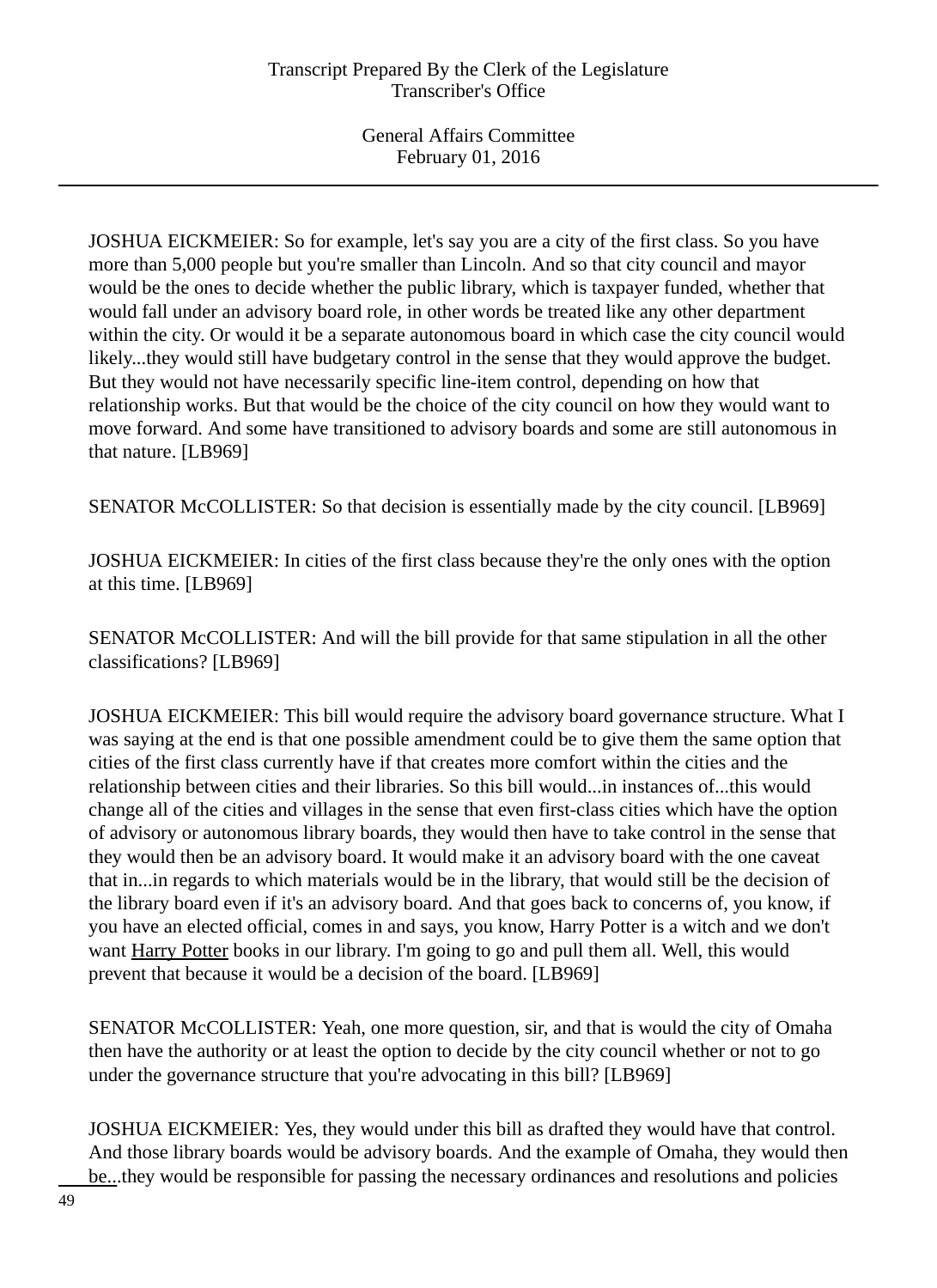JOSHUA EICKMEIER: So for example, let's say you are a city of the first class. So you have more than 5,000 people but you're smaller than Lincoln. And so that city council and mayor would be the ones to decide whether the public library, which is taxpayer funded, whether that would fall under an advisory board role, in other words be treated like any other department within the city. Or would it be a separate autonomous board in which case the city council would likely...they would still have budgetary control in the sense that they would approve the budget. But they would not have necessarily specific line-item control, depending on how that relationship works. But that would be the choice of the city council on how they would want to move forward. And some have transitioned to advisory boards and some are still autonomous in that nature. [LB969]

SENATOR McCOLLISTER: So that decision is essentially made by the city council. [LB969]

JOSHUA EICKMEIER: In cities of the first class because they're the only ones with the option at this time. [LB969]

SENATOR McCOLLISTER: And will the bill provide for that same stipulation in all the other classifications? [LB969]

JOSHUA EICKMEIER: This bill would require the advisory board governance structure. What I was saying at the end is that one possible amendment could be to give them the same option that cities of the first class currently have if that creates more comfort within the cities and the relationship between cities and their libraries. So this bill would...in instances of...this would change all of the cities and villages in the sense that even first-class cities which have the option of advisory or autonomous library boards, they would then have to take control in the sense that they would then be an advisory board. It would make it an advisory board with the one caveat that in...in regards to which materials would be in the library, that would still be the decision of the library board even if it's an advisory board. And that goes back to concerns of, you know, if you have an elected official, comes in and says, you know, Harry Potter is a witch and we don't want Harry Potter books in our library. I'm going to go and pull them all. Well, this would prevent that because it would be a decision of the board. [LB969]

SENATOR McCOLLISTER: Yeah, one more question, sir, and that is would the city of Omaha then have the authority or at least the option to decide by the city council whether or not to go under the governance structure that you're advocating in this bill? [LB969]

JOSHUA EICKMEIER: Yes, they would under this bill as drafted they would have that control. And those library boards would be advisory boards. And the example of Omaha, they would then be...they would be responsible for passing the necessary ordinances and resolutions and policies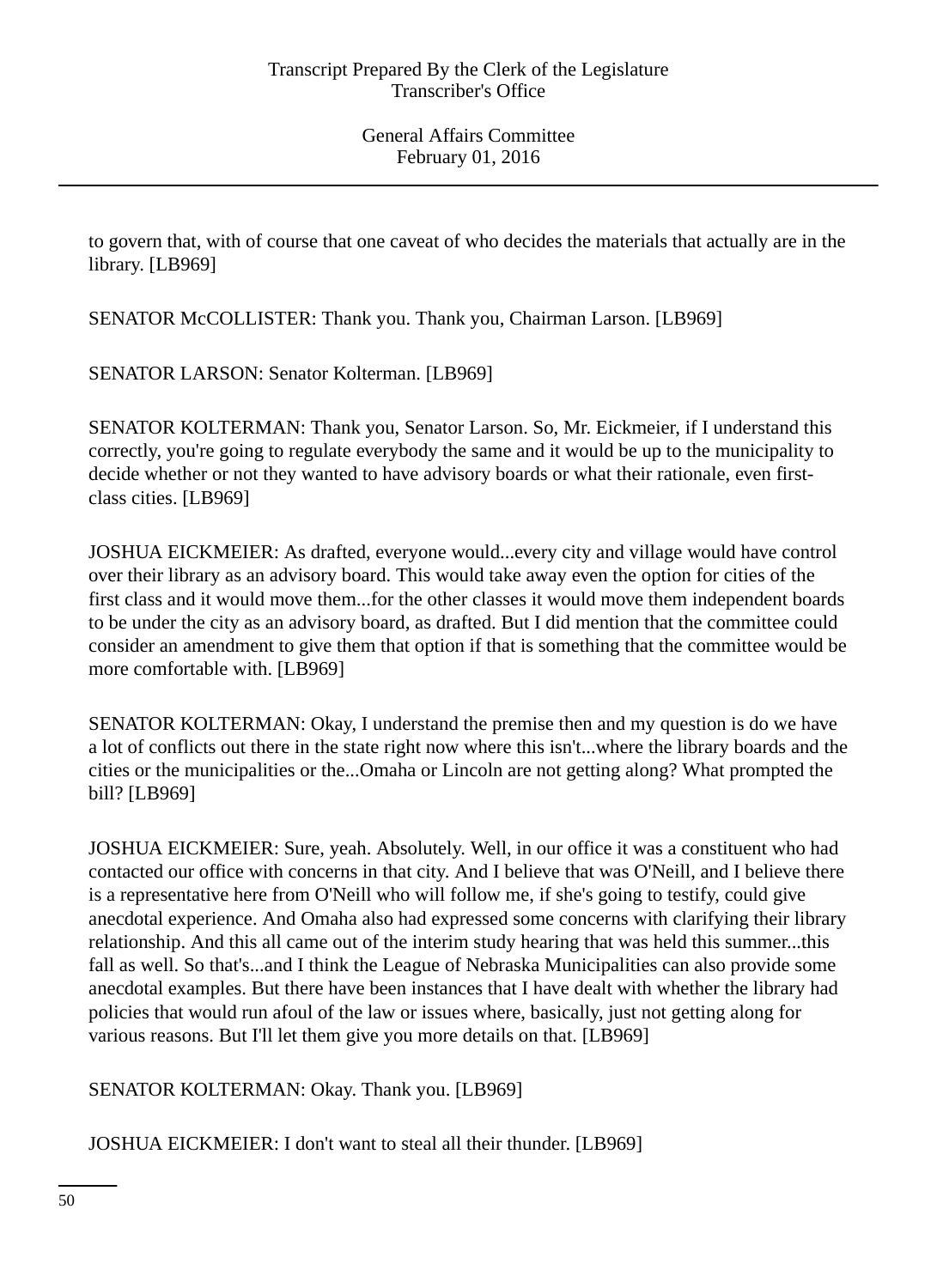to govern that, with of course that one caveat of who decides the materials that actually are in the library. [LB969]

SENATOR McCOLLISTER: Thank you. Thank you, Chairman Larson. [LB969]

SENATOR LARSON: Senator Kolterman. [LB969]

SENATOR KOLTERMAN: Thank you, Senator Larson. So, Mr. Eickmeier, if I understand this correctly, you're going to regulate everybody the same and it would be up to the municipality to decide whether or not they wanted to have advisory boards or what their rationale, even firstclass cities. [LB969]

JOSHUA EICKMEIER: As drafted, everyone would...every city and village would have control over their library as an advisory board. This would take away even the option for cities of the first class and it would move them...for the other classes it would move them independent boards to be under the city as an advisory board, as drafted. But I did mention that the committee could consider an amendment to give them that option if that is something that the committee would be more comfortable with. [LB969]

SENATOR KOLTERMAN: Okay, I understand the premise then and my question is do we have a lot of conflicts out there in the state right now where this isn't...where the library boards and the cities or the municipalities or the...Omaha or Lincoln are not getting along? What prompted the bill? [LB969]

JOSHUA EICKMEIER: Sure, yeah. Absolutely. Well, in our office it was a constituent who had contacted our office with concerns in that city. And I believe that was O'Neill, and I believe there is a representative here from O'Neill who will follow me, if she's going to testify, could give anecdotal experience. And Omaha also had expressed some concerns with clarifying their library relationship. And this all came out of the interim study hearing that was held this summer...this fall as well. So that's...and I think the League of Nebraska Municipalities can also provide some anecdotal examples. But there have been instances that I have dealt with whether the library had policies that would run afoul of the law or issues where, basically, just not getting along for various reasons. But I'll let them give you more details on that. [LB969]

SENATOR KOLTERMAN: Okay. Thank you. [LB969]

JOSHUA EICKMEIER: I don't want to steal all their thunder. [LB969]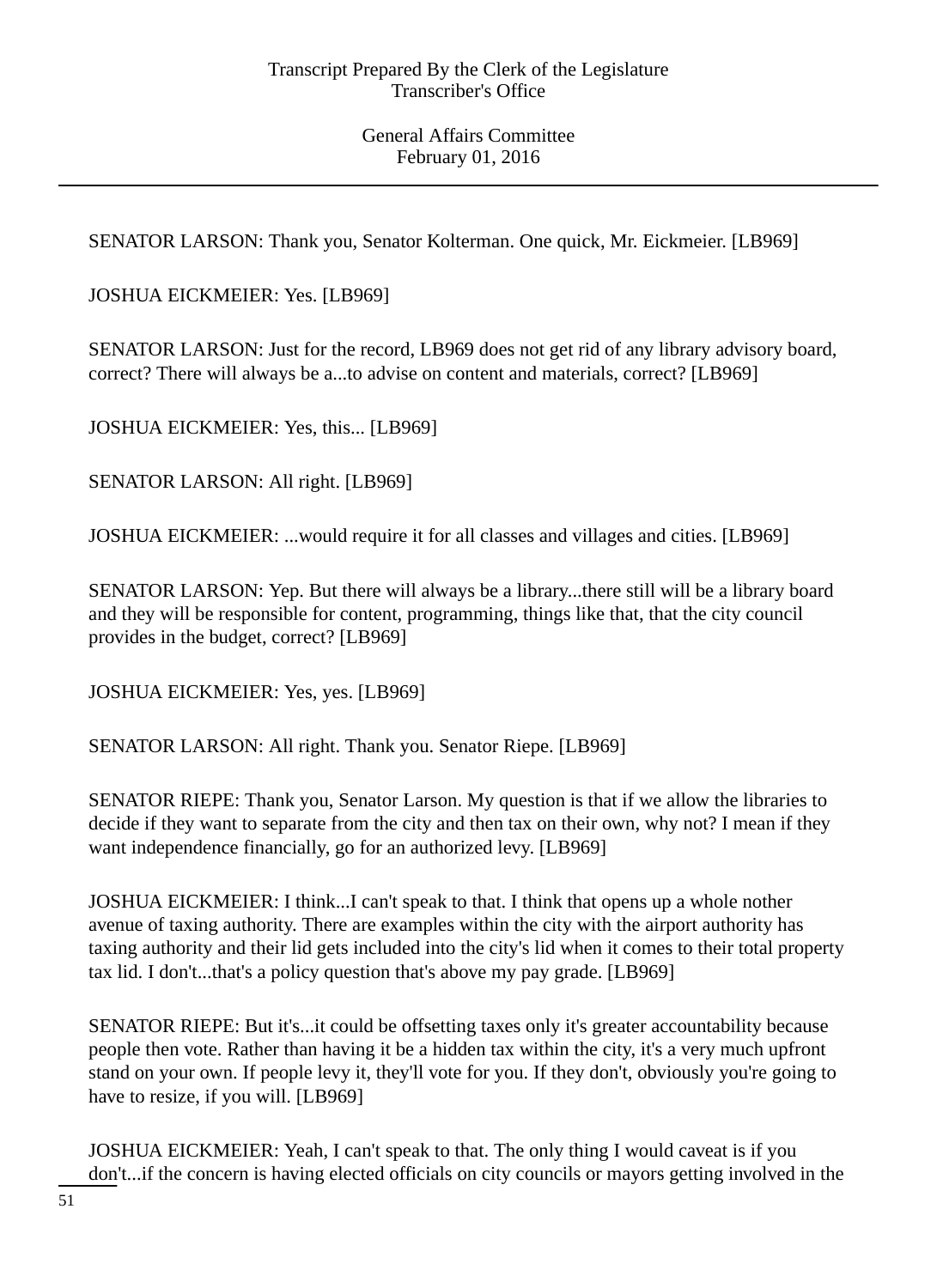SENATOR LARSON: Thank you, Senator Kolterman. One quick, Mr. Eickmeier. [LB969]

JOSHUA EICKMEIER: Yes. [LB969]

SENATOR LARSON: Just for the record, LB969 does not get rid of any library advisory board, correct? There will always be a...to advise on content and materials, correct? [LB969]

JOSHUA EICKMEIER: Yes, this... [LB969]

SENATOR LARSON: All right. [LB969]

JOSHUA EICKMEIER: ...would require it for all classes and villages and cities. [LB969]

SENATOR LARSON: Yep. But there will always be a library...there still will be a library board and they will be responsible for content, programming, things like that, that the city council provides in the budget, correct? [LB969]

JOSHUA EICKMEIER: Yes, yes. [LB969]

SENATOR LARSON: All right. Thank you. Senator Riepe. [LB969]

SENATOR RIEPE: Thank you, Senator Larson. My question is that if we allow the libraries to decide if they want to separate from the city and then tax on their own, why not? I mean if they want independence financially, go for an authorized levy. [LB969]

JOSHUA EICKMEIER: I think...I can't speak to that. I think that opens up a whole nother avenue of taxing authority. There are examples within the city with the airport authority has taxing authority and their lid gets included into the city's lid when it comes to their total property tax lid. I don't...that's a policy question that's above my pay grade. [LB969]

SENATOR RIEPE: But it's...it could be offsetting taxes only it's greater accountability because people then vote. Rather than having it be a hidden tax within the city, it's a very much upfront stand on your own. If people levy it, they'll vote for you. If they don't, obviously you're going to have to resize, if you will. [LB969]

JOSHUA EICKMEIER: Yeah, I can't speak to that. The only thing I would caveat is if you don't...if the concern is having elected officials on city councils or mayors getting involved in the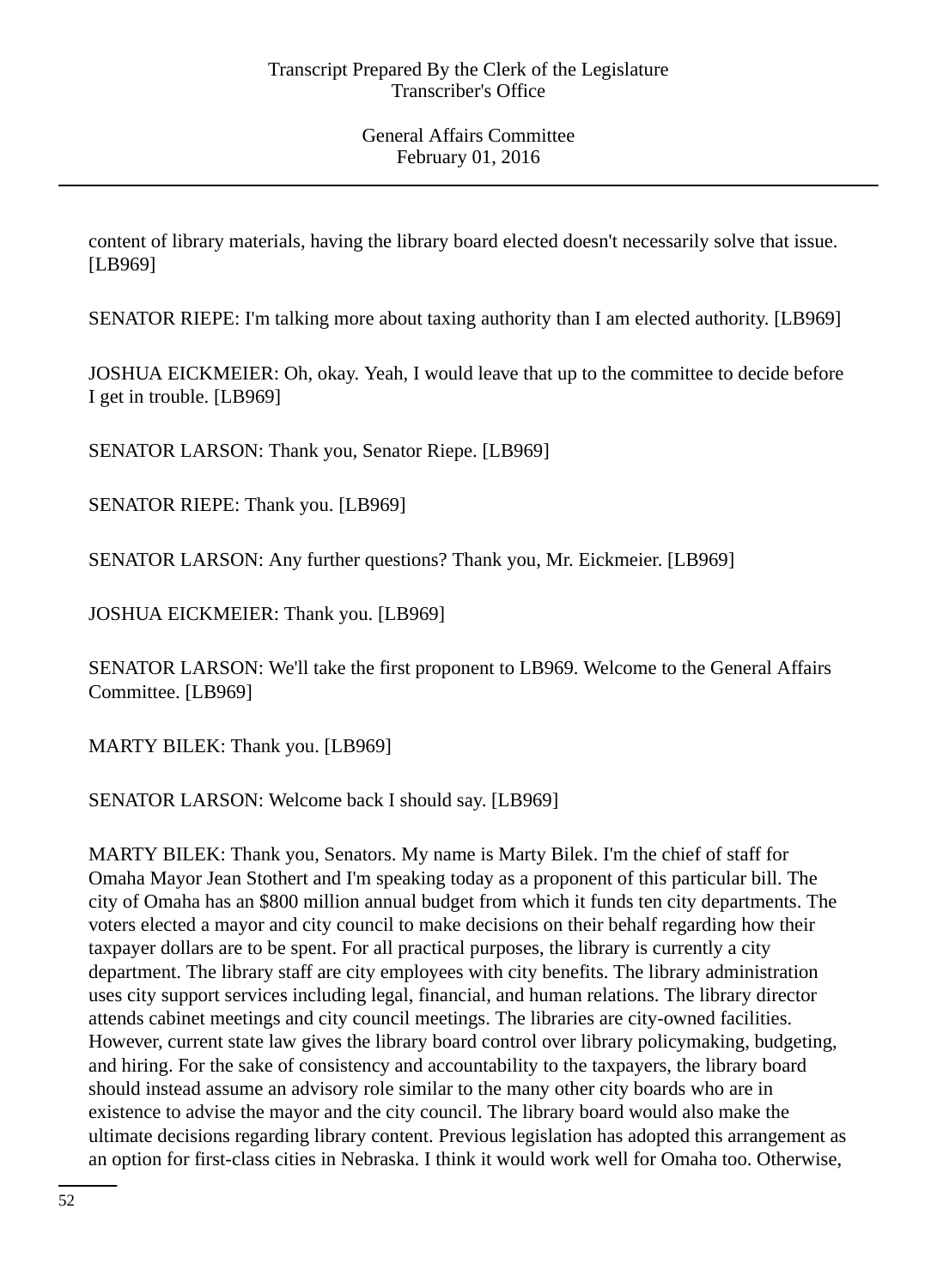content of library materials, having the library board elected doesn't necessarily solve that issue. [LB969]

SENATOR RIEPE: I'm talking more about taxing authority than I am elected authority. [LB969]

JOSHUA EICKMEIER: Oh, okay. Yeah, I would leave that up to the committee to decide before I get in trouble. [LB969]

SENATOR LARSON: Thank you, Senator Riepe. [LB969]

SENATOR RIEPE: Thank you. [LB969]

SENATOR LARSON: Any further questions? Thank you, Mr. Eickmeier. [LB969]

JOSHUA EICKMEIER: Thank you. [LB969]

SENATOR LARSON: We'll take the first proponent to LB969. Welcome to the General Affairs Committee. [LB969]

MARTY BILEK: Thank you. [LB969]

SENATOR LARSON: Welcome back I should say. [LB969]

MARTY BILEK: Thank you, Senators. My name is Marty Bilek. I'm the chief of staff for Omaha Mayor Jean Stothert and I'm speaking today as a proponent of this particular bill. The city of Omaha has an \$800 million annual budget from which it funds ten city departments. The voters elected a mayor and city council to make decisions on their behalf regarding how their taxpayer dollars are to be spent. For all practical purposes, the library is currently a city department. The library staff are city employees with city benefits. The library administration uses city support services including legal, financial, and human relations. The library director attends cabinet meetings and city council meetings. The libraries are city-owned facilities. However, current state law gives the library board control over library policymaking, budgeting, and hiring. For the sake of consistency and accountability to the taxpayers, the library board should instead assume an advisory role similar to the many other city boards who are in existence to advise the mayor and the city council. The library board would also make the ultimate decisions regarding library content. Previous legislation has adopted this arrangement as an option for first-class cities in Nebraska. I think it would work well for Omaha too. Otherwise,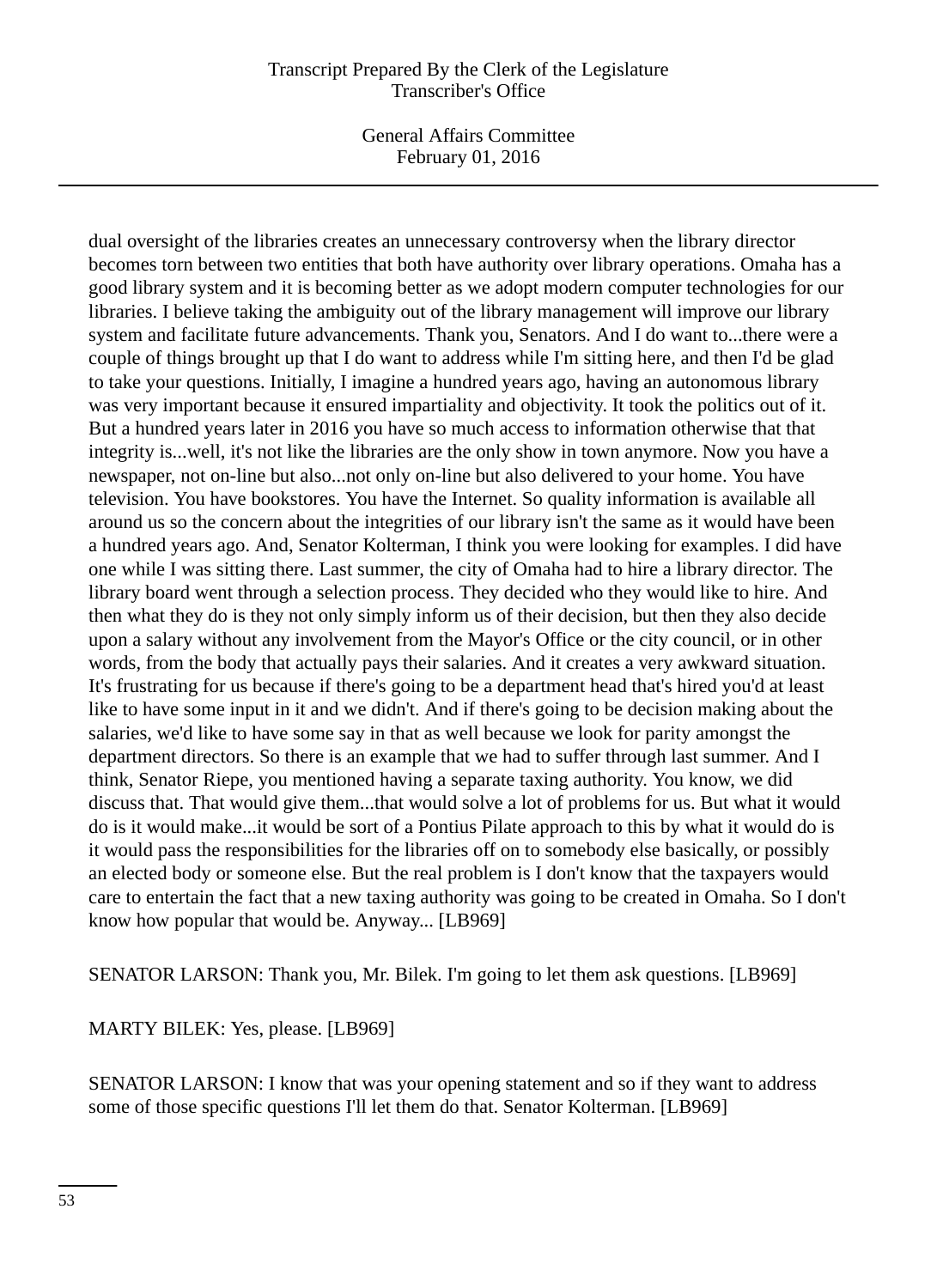#### Transcript Prepared By the Clerk of the Legislature Transcriber's Office

General Affairs Committee February 01, 2016

dual oversight of the libraries creates an unnecessary controversy when the library director becomes torn between two entities that both have authority over library operations. Omaha has a good library system and it is becoming better as we adopt modern computer technologies for our libraries. I believe taking the ambiguity out of the library management will improve our library system and facilitate future advancements. Thank you, Senators. And I do want to...there were a couple of things brought up that I do want to address while I'm sitting here, and then I'd be glad to take your questions. Initially, I imagine a hundred years ago, having an autonomous library was very important because it ensured impartiality and objectivity. It took the politics out of it. But a hundred years later in 2016 you have so much access to information otherwise that that integrity is...well, it's not like the libraries are the only show in town anymore. Now you have a newspaper, not on-line but also...not only on-line but also delivered to your home. You have television. You have bookstores. You have the Internet. So quality information is available all around us so the concern about the integrities of our library isn't the same as it would have been a hundred years ago. And, Senator Kolterman, I think you were looking for examples. I did have one while I was sitting there. Last summer, the city of Omaha had to hire a library director. The library board went through a selection process. They decided who they would like to hire. And then what they do is they not only simply inform us of their decision, but then they also decide upon a salary without any involvement from the Mayor's Office or the city council, or in other words, from the body that actually pays their salaries. And it creates a very awkward situation. It's frustrating for us because if there's going to be a department head that's hired you'd at least like to have some input in it and we didn't. And if there's going to be decision making about the salaries, we'd like to have some say in that as well because we look for parity amongst the department directors. So there is an example that we had to suffer through last summer. And I think, Senator Riepe, you mentioned having a separate taxing authority. You know, we did discuss that. That would give them...that would solve a lot of problems for us. But what it would do is it would make...it would be sort of a Pontius Pilate approach to this by what it would do is it would pass the responsibilities for the libraries off on to somebody else basically, or possibly an elected body or someone else. But the real problem is I don't know that the taxpayers would care to entertain the fact that a new taxing authority was going to be created in Omaha. So I don't know how popular that would be. Anyway... [LB969]

SENATOR LARSON: Thank you, Mr. Bilek. I'm going to let them ask questions. [LB969]

MARTY BILEK: Yes, please. [LB969]

SENATOR LARSON: I know that was your opening statement and so if they want to address some of those specific questions I'll let them do that. Senator Kolterman. [LB969]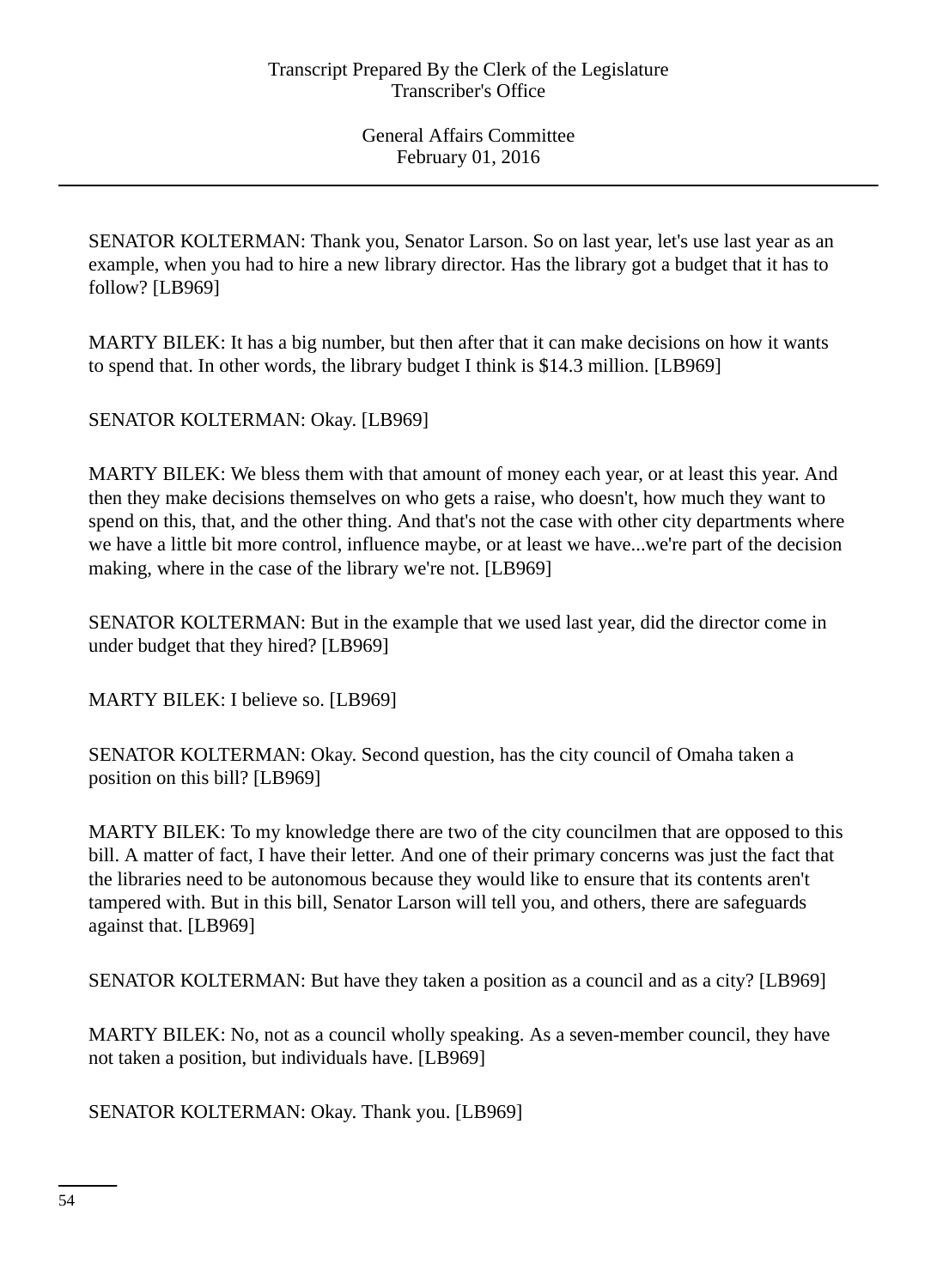SENATOR KOLTERMAN: Thank you, Senator Larson. So on last year, let's use last year as an example, when you had to hire a new library director. Has the library got a budget that it has to follow? [LB969]

MARTY BILEK: It has a big number, but then after that it can make decisions on how it wants to spend that. In other words, the library budget I think is \$14.3 million. [LB969]

SENATOR KOLTERMAN: Okay. [LB969]

MARTY BILEK: We bless them with that amount of money each year, or at least this year. And then they make decisions themselves on who gets a raise, who doesn't, how much they want to spend on this, that, and the other thing. And that's not the case with other city departments where we have a little bit more control, influence maybe, or at least we have...we're part of the decision making, where in the case of the library we're not. [LB969]

SENATOR KOLTERMAN: But in the example that we used last year, did the director come in under budget that they hired? [LB969]

MARTY BILEK: I believe so. [LB969]

SENATOR KOLTERMAN: Okay. Second question, has the city council of Omaha taken a position on this bill? [LB969]

MARTY BILEK: To my knowledge there are two of the city councilmen that are opposed to this bill. A matter of fact, I have their letter. And one of their primary concerns was just the fact that the libraries need to be autonomous because they would like to ensure that its contents aren't tampered with. But in this bill, Senator Larson will tell you, and others, there are safeguards against that. [LB969]

SENATOR KOLTERMAN: But have they taken a position as a council and as a city? [LB969]

MARTY BILEK: No, not as a council wholly speaking. As a seven-member council, they have not taken a position, but individuals have. [LB969]

SENATOR KOLTERMAN: Okay. Thank you. [LB969]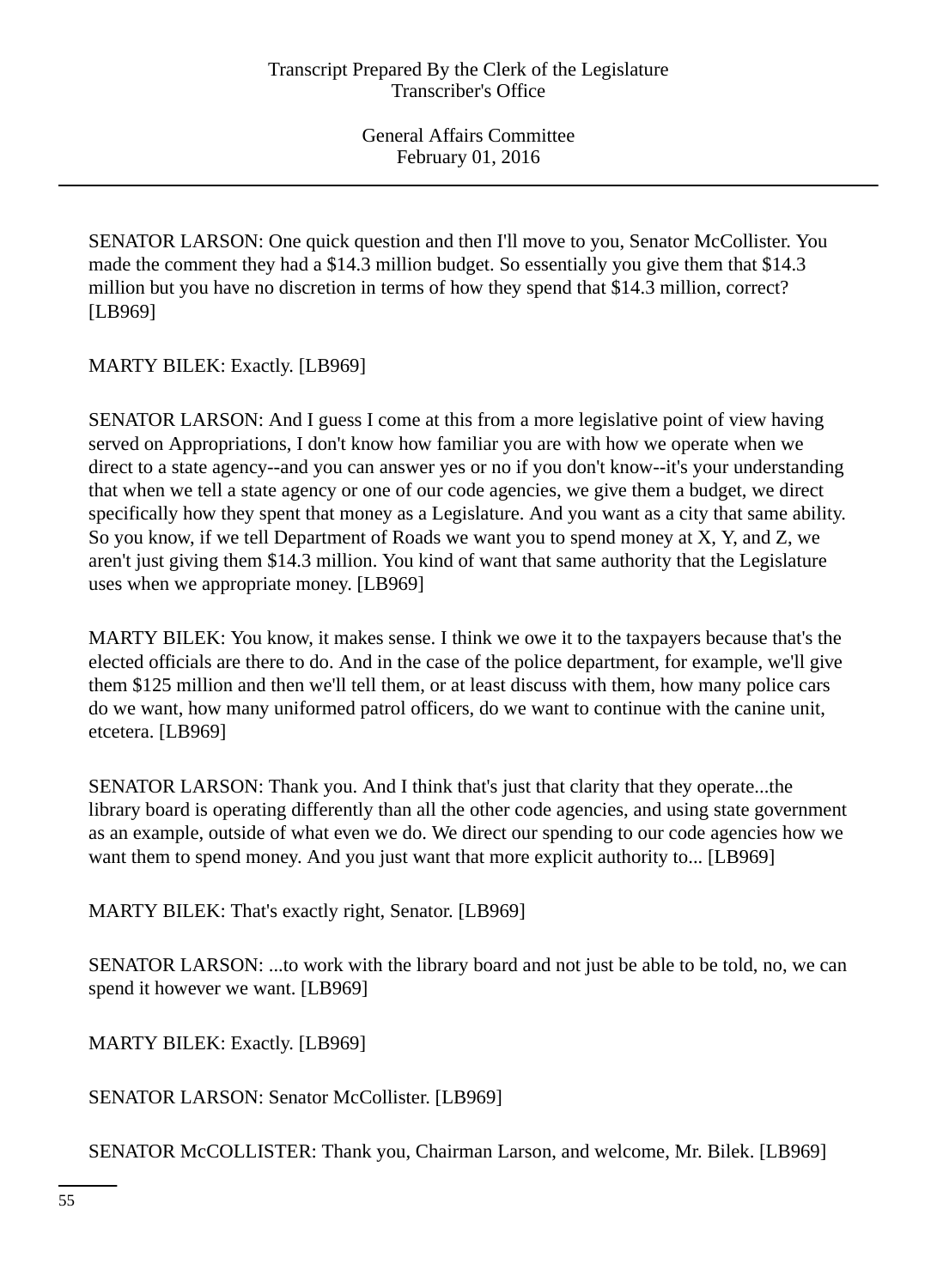SENATOR LARSON: One quick question and then I'll move to you, Senator McCollister. You made the comment they had a \$14.3 million budget. So essentially you give them that \$14.3 million but you have no discretion in terms of how they spend that \$14.3 million, correct? [LB969]

MARTY BILEK: Exactly. [LB969]

SENATOR LARSON: And I guess I come at this from a more legislative point of view having served on Appropriations, I don't know how familiar you are with how we operate when we direct to a state agency--and you can answer yes or no if you don't know--it's your understanding that when we tell a state agency or one of our code agencies, we give them a budget, we direct specifically how they spent that money as a Legislature. And you want as a city that same ability. So you know, if we tell Department of Roads we want you to spend money at X, Y, and Z, we aren't just giving them \$14.3 million. You kind of want that same authority that the Legislature uses when we appropriate money. [LB969]

MARTY BILEK: You know, it makes sense. I think we owe it to the taxpayers because that's the elected officials are there to do. And in the case of the police department, for example, we'll give them \$125 million and then we'll tell them, or at least discuss with them, how many police cars do we want, how many uniformed patrol officers, do we want to continue with the canine unit, etcetera. [LB969]

SENATOR LARSON: Thank you. And I think that's just that clarity that they operate...the library board is operating differently than all the other code agencies, and using state government as an example, outside of what even we do. We direct our spending to our code agencies how we want them to spend money. And you just want that more explicit authority to... [LB969]

MARTY BILEK: That's exactly right, Senator. [LB969]

SENATOR LARSON: ...to work with the library board and not just be able to be told, no, we can spend it however we want. [LB969]

MARTY BILEK: Exactly. [LB969]

SENATOR LARSON: Senator McCollister. [LB969]

SENATOR McCOLLISTER: Thank you, Chairman Larson, and welcome, Mr. Bilek. [LB969]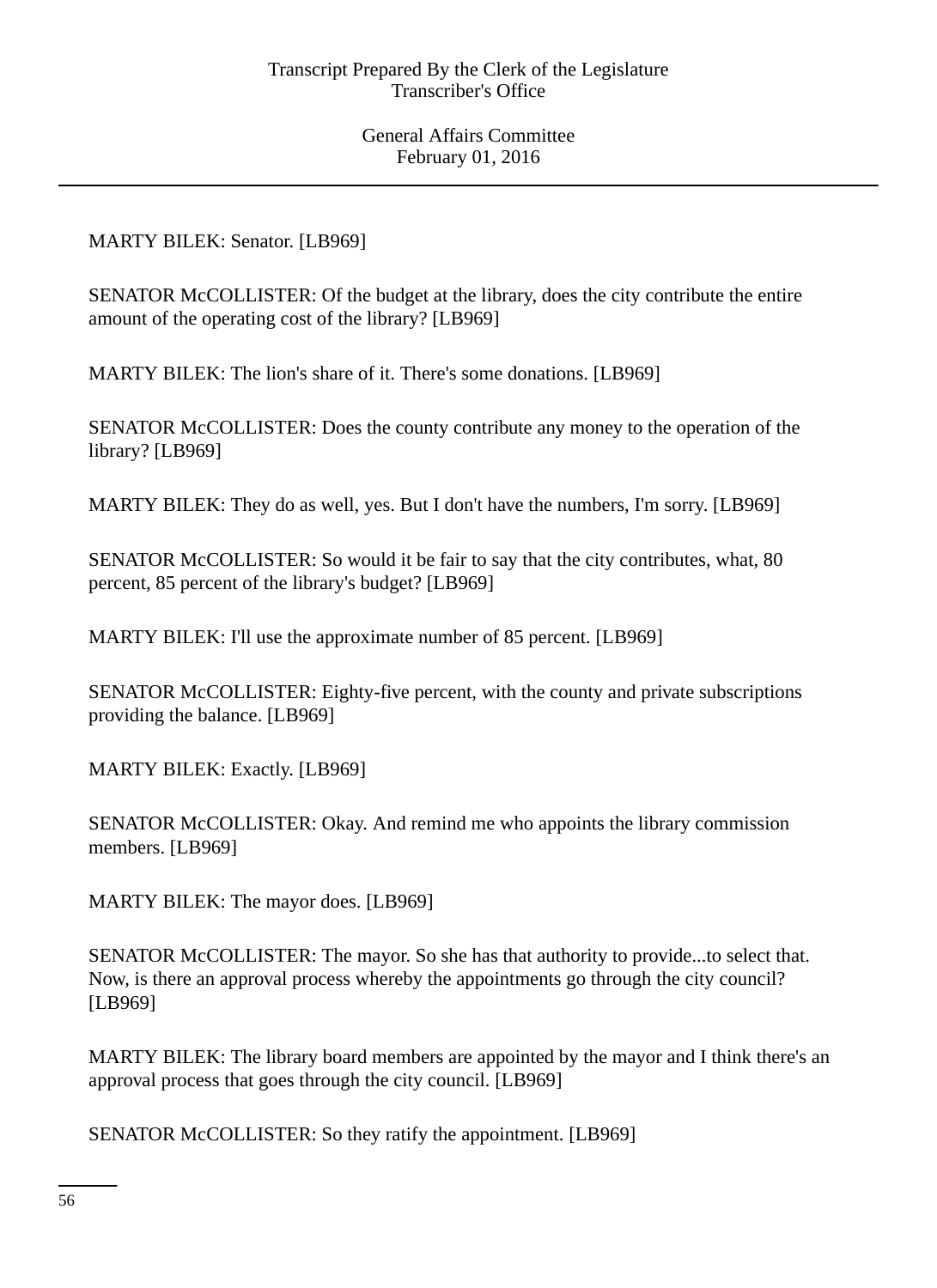MARTY BILEK: Senator. [LB969]

SENATOR McCOLLISTER: Of the budget at the library, does the city contribute the entire amount of the operating cost of the library? [LB969]

MARTY BILEK: The lion's share of it. There's some donations. [LB969]

SENATOR McCOLLISTER: Does the county contribute any money to the operation of the library? [LB969]

MARTY BILEK: They do as well, yes. But I don't have the numbers, I'm sorry. [LB969]

SENATOR McCOLLISTER: So would it be fair to say that the city contributes, what, 80 percent, 85 percent of the library's budget? [LB969]

MARTY BILEK: I'll use the approximate number of 85 percent. [LB969]

SENATOR McCOLLISTER: Eighty-five percent, with the county and private subscriptions providing the balance. [LB969]

MARTY BILEK: Exactly. [LB969]

SENATOR McCOLLISTER: Okay. And remind me who appoints the library commission members. [LB969]

MARTY BILEK: The mayor does. [LB969]

SENATOR McCOLLISTER: The mayor. So she has that authority to provide...to select that. Now, is there an approval process whereby the appointments go through the city council? [LB969]

MARTY BILEK: The library board members are appointed by the mayor and I think there's an approval process that goes through the city council. [LB969]

SENATOR McCOLLISTER: So they ratify the appointment. [LB969]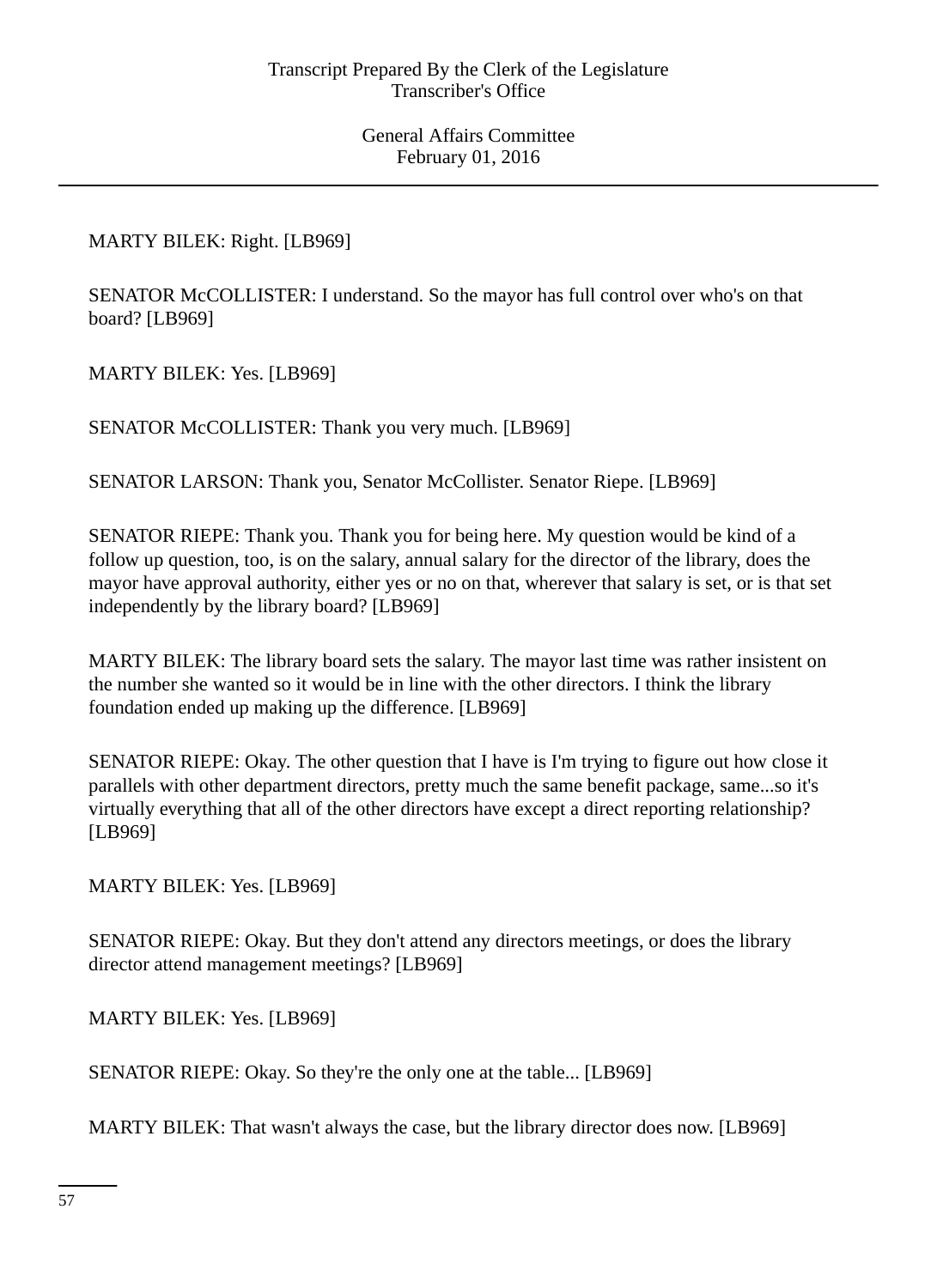MARTY BILEK: Right. [LB969]

SENATOR McCOLLISTER: I understand. So the mayor has full control over who's on that board? [LB969]

MARTY BILEK: Yes. [LB969]

SENATOR McCOLLISTER: Thank you very much. [LB969]

SENATOR LARSON: Thank you, Senator McCollister. Senator Riepe. [LB969]

SENATOR RIEPE: Thank you. Thank you for being here. My question would be kind of a follow up question, too, is on the salary, annual salary for the director of the library, does the mayor have approval authority, either yes or no on that, wherever that salary is set, or is that set independently by the library board? [LB969]

MARTY BILEK: The library board sets the salary. The mayor last time was rather insistent on the number she wanted so it would be in line with the other directors. I think the library foundation ended up making up the difference. [LB969]

SENATOR RIEPE: Okay. The other question that I have is I'm trying to figure out how close it parallels with other department directors, pretty much the same benefit package, same...so it's virtually everything that all of the other directors have except a direct reporting relationship? [LB969]

MARTY BILEK: Yes. [LB969]

SENATOR RIEPE: Okay. But they don't attend any directors meetings, or does the library director attend management meetings? [LB969]

MARTY BILEK: Yes. [LB969]

SENATOR RIEPE: Okay. So they're the only one at the table... [LB969]

MARTY BILEK: That wasn't always the case, but the library director does now. [LB969]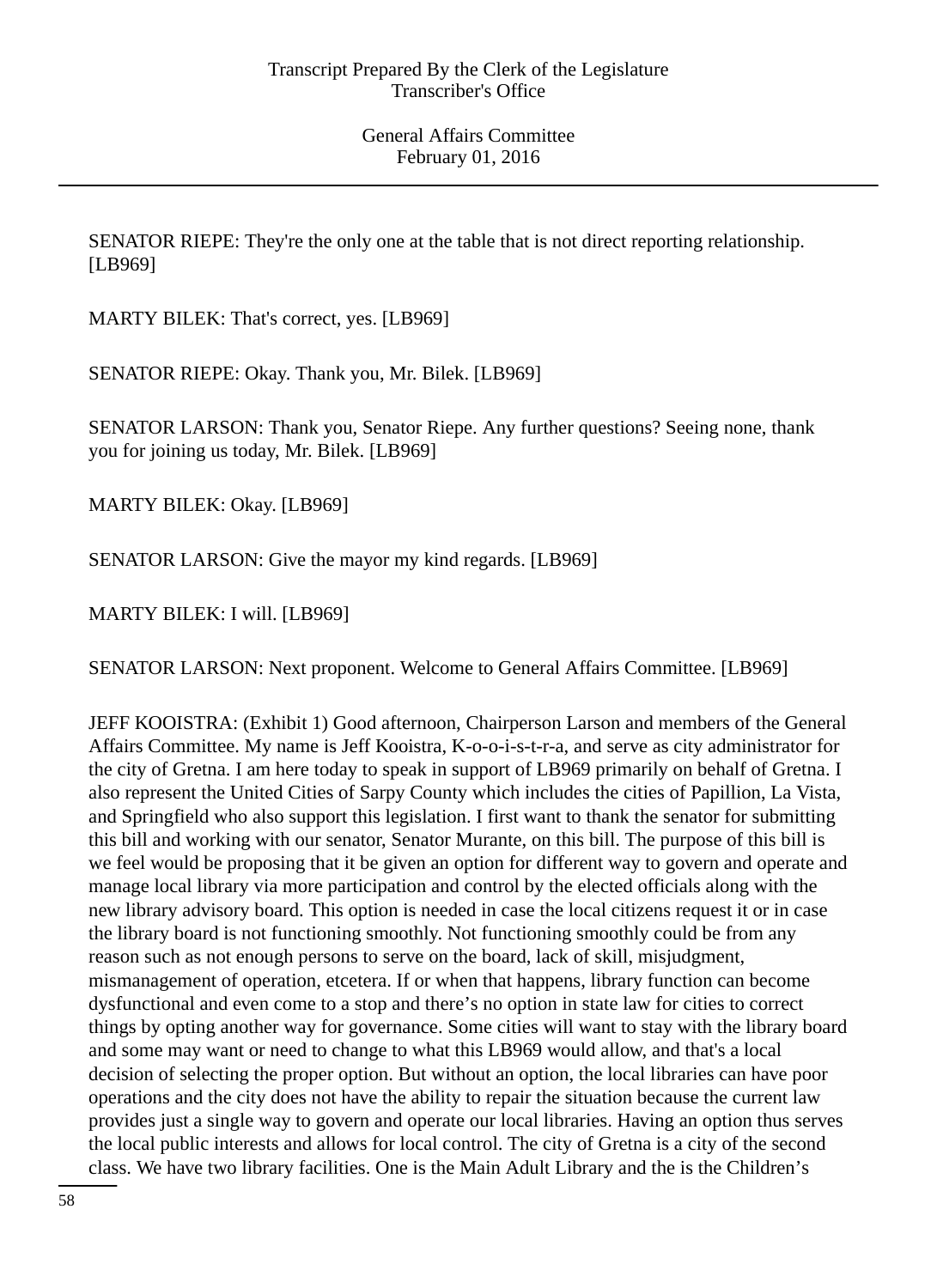SENATOR RIEPE: They're the only one at the table that is not direct reporting relationship. [LB969]

MARTY BILEK: That's correct, yes. [LB969]

SENATOR RIEPE: Okay. Thank you, Mr. Bilek. [LB969]

SENATOR LARSON: Thank you, Senator Riepe. Any further questions? Seeing none, thank you for joining us today, Mr. Bilek. [LB969]

MARTY BILEK: Okay. [LB969]

SENATOR LARSON: Give the mayor my kind regards. [LB969]

MARTY BILEK: I will. [LB969]

SENATOR LARSON: Next proponent. Welcome to General Affairs Committee. [LB969]

JEFF KOOISTRA: (Exhibit 1) Good afternoon, Chairperson Larson and members of the General Affairs Committee. My name is Jeff Kooistra, K-o-o-i-s-t-r-a, and serve as city administrator for the city of Gretna. I am here today to speak in support of LB969 primarily on behalf of Gretna. I also represent the United Cities of Sarpy County which includes the cities of Papillion, La Vista, and Springfield who also support this legislation. I first want to thank the senator for submitting this bill and working with our senator, Senator Murante, on this bill. The purpose of this bill is we feel would be proposing that it be given an option for different way to govern and operate and manage local library via more participation and control by the elected officials along with the new library advisory board. This option is needed in case the local citizens request it or in case the library board is not functioning smoothly. Not functioning smoothly could be from any reason such as not enough persons to serve on the board, lack of skill, misjudgment, mismanagement of operation, etcetera. If or when that happens, library function can become dysfunctional and even come to a stop and there's no option in state law for cities to correct things by opting another way for governance. Some cities will want to stay with the library board and some may want or need to change to what this LB969 would allow, and that's a local decision of selecting the proper option. But without an option, the local libraries can have poor operations and the city does not have the ability to repair the situation because the current law provides just a single way to govern and operate our local libraries. Having an option thus serves the local public interests and allows for local control. The city of Gretna is a city of the second class. We have two library facilities. One is the Main Adult Library and the is the Children's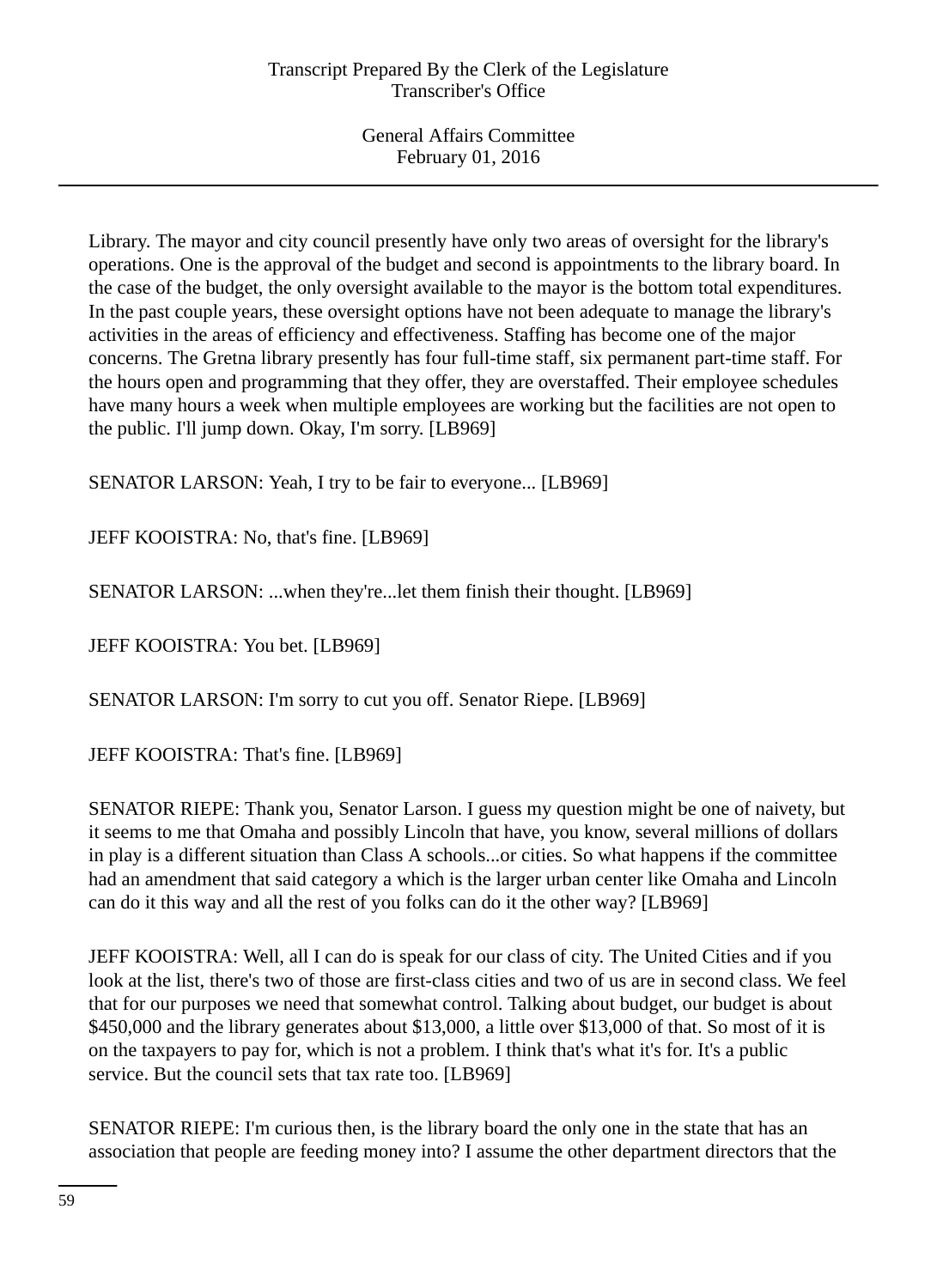Library. The mayor and city council presently have only two areas of oversight for the library's operations. One is the approval of the budget and second is appointments to the library board. In the case of the budget, the only oversight available to the mayor is the bottom total expenditures. In the past couple years, these oversight options have not been adequate to manage the library's activities in the areas of efficiency and effectiveness. Staffing has become one of the major concerns. The Gretna library presently has four full-time staff, six permanent part-time staff. For the hours open and programming that they offer, they are overstaffed. Their employee schedules have many hours a week when multiple employees are working but the facilities are not open to the public. I'll jump down. Okay, I'm sorry. [LB969]

SENATOR LARSON: Yeah, I try to be fair to everyone... [LB969]

JEFF KOOISTRA: No, that's fine. [LB969]

SENATOR LARSON: ...when they're...let them finish their thought. [LB969]

JEFF KOOISTRA: You bet. [LB969]

SENATOR LARSON: I'm sorry to cut you off. Senator Riepe. [LB969]

JEFF KOOISTRA: That's fine. [LB969]

SENATOR RIEPE: Thank you, Senator Larson. I guess my question might be one of naivety, but it seems to me that Omaha and possibly Lincoln that have, you know, several millions of dollars in play is a different situation than Class A schools...or cities. So what happens if the committee had an amendment that said category a which is the larger urban center like Omaha and Lincoln can do it this way and all the rest of you folks can do it the other way? [LB969]

JEFF KOOISTRA: Well, all I can do is speak for our class of city. The United Cities and if you look at the list, there's two of those are first-class cities and two of us are in second class. We feel that for our purposes we need that somewhat control. Talking about budget, our budget is about \$450,000 and the library generates about \$13,000, a little over \$13,000 of that. So most of it is on the taxpayers to pay for, which is not a problem. I think that's what it's for. It's a public service. But the council sets that tax rate too. [LB969]

SENATOR RIEPE: I'm curious then, is the library board the only one in the state that has an association that people are feeding money into? I assume the other department directors that the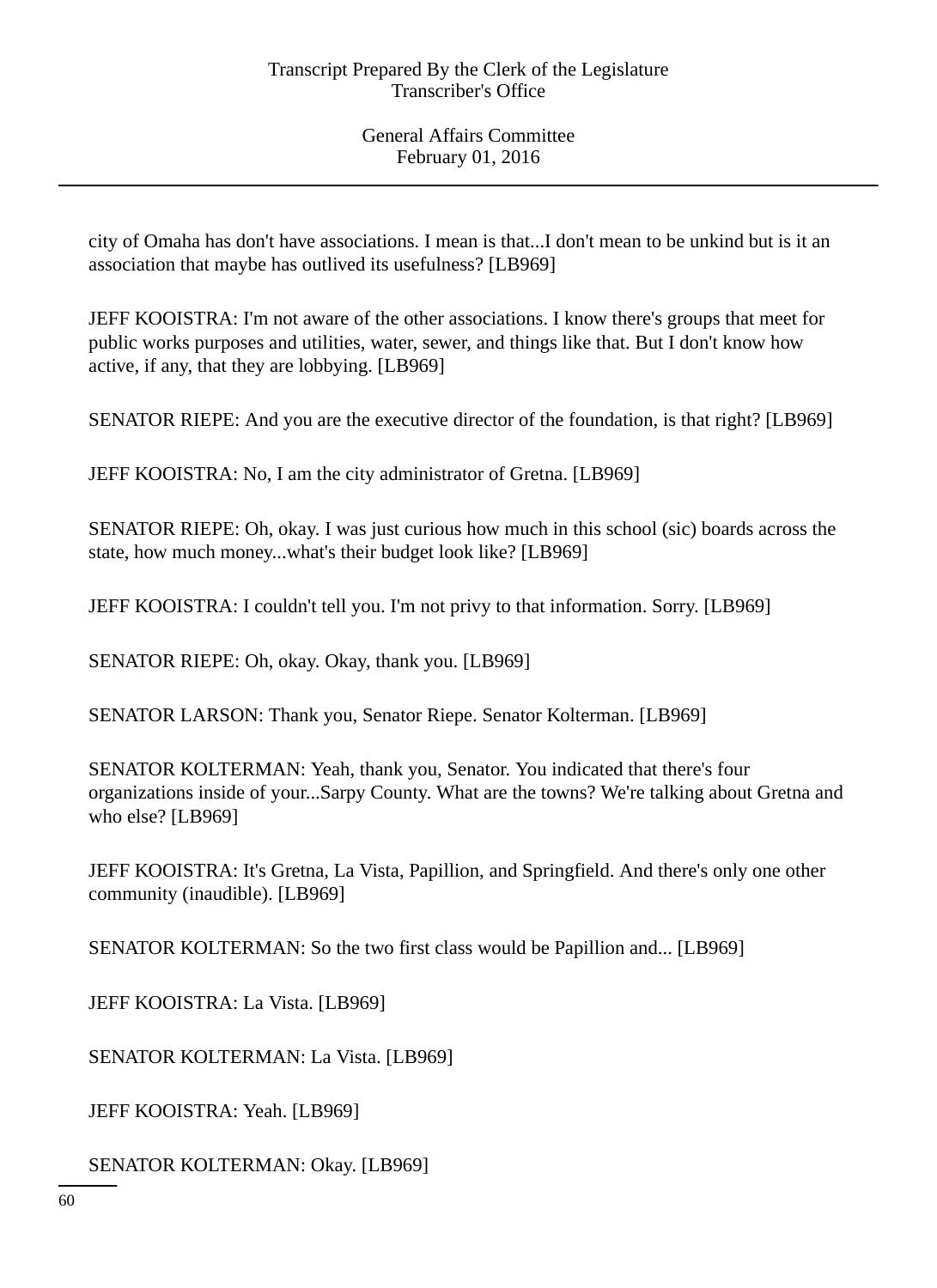city of Omaha has don't have associations. I mean is that...I don't mean to be unkind but is it an association that maybe has outlived its usefulness? [LB969]

JEFF KOOISTRA: I'm not aware of the other associations. I know there's groups that meet for public works purposes and utilities, water, sewer, and things like that. But I don't know how active, if any, that they are lobbying. [LB969]

SENATOR RIEPE: And you are the executive director of the foundation, is that right? [LB969]

JEFF KOOISTRA: No, I am the city administrator of Gretna. [LB969]

SENATOR RIEPE: Oh, okay. I was just curious how much in this school (sic) boards across the state, how much money...what's their budget look like? [LB969]

JEFF KOOISTRA: I couldn't tell you. I'm not privy to that information. Sorry. [LB969]

SENATOR RIEPE: Oh, okay. Okay, thank you. [LB969]

SENATOR LARSON: Thank you, Senator Riepe. Senator Kolterman. [LB969]

SENATOR KOLTERMAN: Yeah, thank you, Senator. You indicated that there's four organizations inside of your...Sarpy County. What are the towns? We're talking about Gretna and who else? [LB969]

JEFF KOOISTRA: It's Gretna, La Vista, Papillion, and Springfield. And there's only one other community (inaudible). [LB969]

SENATOR KOLTERMAN: So the two first class would be Papillion and... [LB969]

JEFF KOOISTRA: La Vista. [LB969]

SENATOR KOLTERMAN: La Vista. [LB969]

JEFF KOOISTRA: Yeah. [LB969]

SENATOR KOLTERMAN: Okay. [LB969]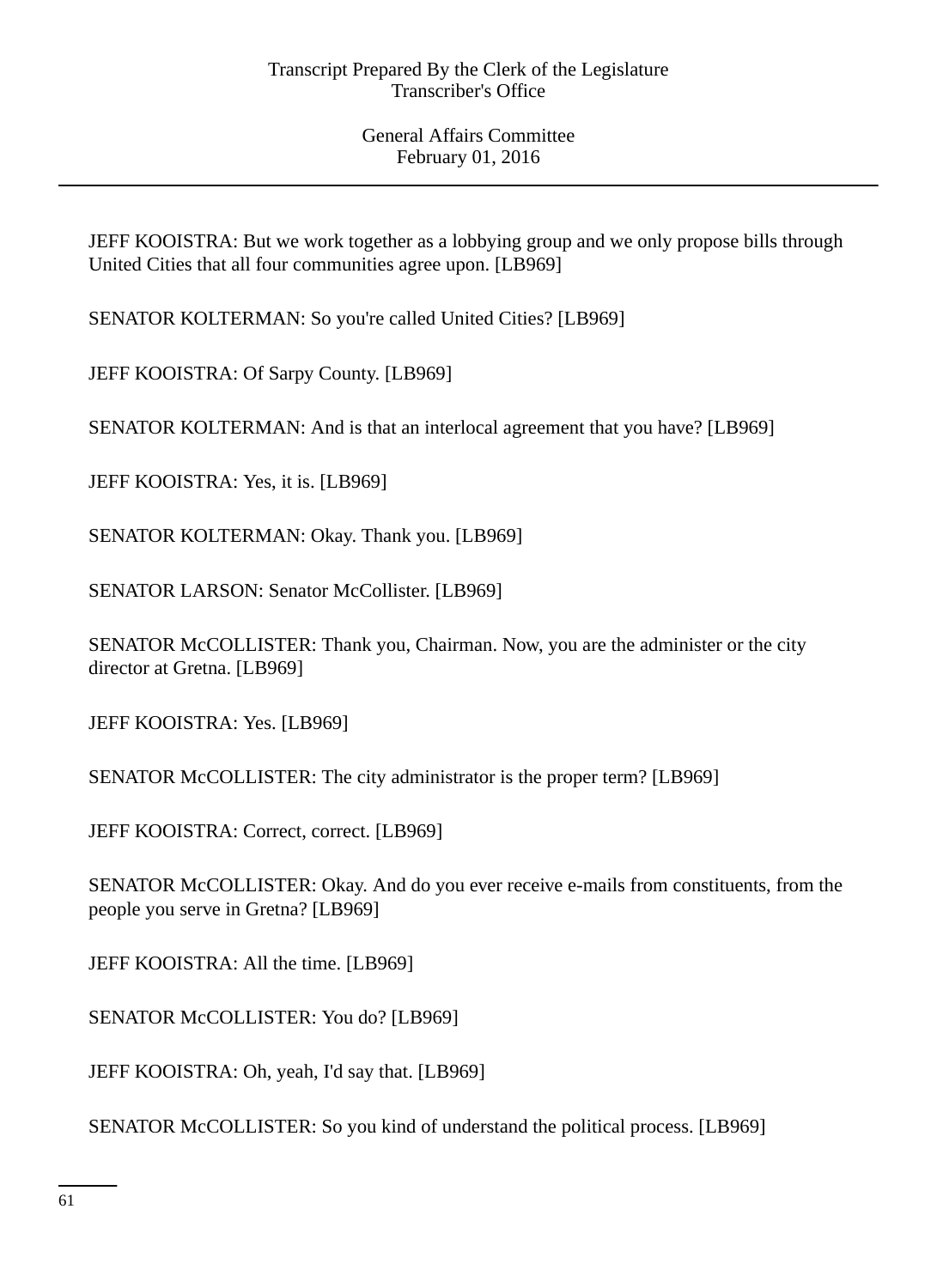JEFF KOOISTRA: But we work together as a lobbying group and we only propose bills through United Cities that all four communities agree upon. [LB969]

SENATOR KOLTERMAN: So you're called United Cities? [LB969]

JEFF KOOISTRA: Of Sarpy County. [LB969]

SENATOR KOLTERMAN: And is that an interlocal agreement that you have? [LB969]

JEFF KOOISTRA: Yes, it is. [LB969]

SENATOR KOLTERMAN: Okay. Thank you. [LB969]

SENATOR LARSON: Senator McCollister. [LB969]

SENATOR McCOLLISTER: Thank you, Chairman. Now, you are the administer or the city director at Gretna. [LB969]

JEFF KOOISTRA: Yes. [LB969]

SENATOR McCOLLISTER: The city administrator is the proper term? [LB969]

JEFF KOOISTRA: Correct, correct. [LB969]

SENATOR McCOLLISTER: Okay. And do you ever receive e-mails from constituents, from the people you serve in Gretna? [LB969]

JEFF KOOISTRA: All the time. [LB969]

SENATOR McCOLLISTER: You do? [LB969]

JEFF KOOISTRA: Oh, yeah, I'd say that. [LB969]

SENATOR McCOLLISTER: So you kind of understand the political process. [LB969]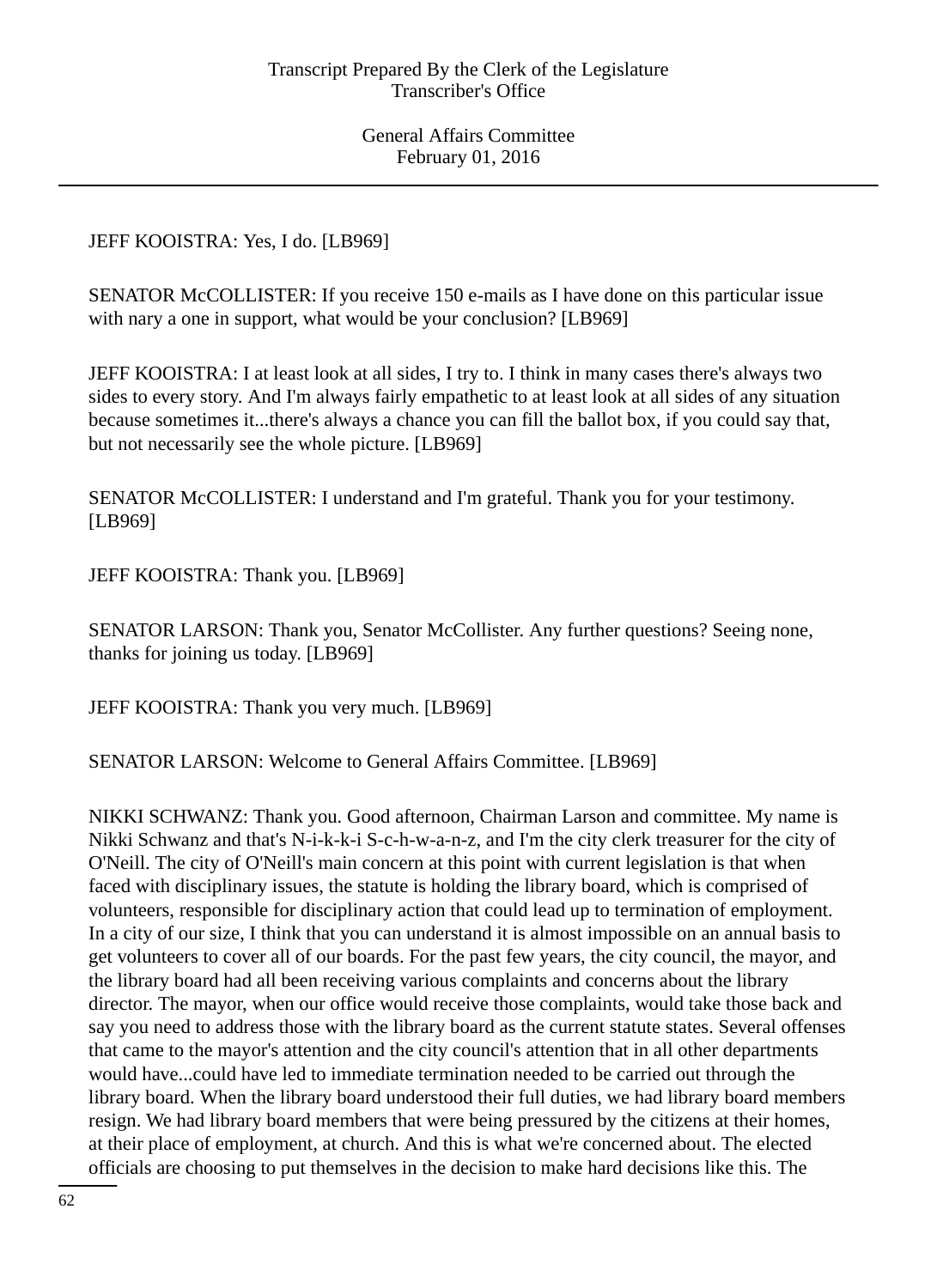JEFF KOOISTRA: Yes, I do. [LB969]

SENATOR McCOLLISTER: If you receive 150 e-mails as I have done on this particular issue with nary a one in support, what would be your conclusion? [LB969]

JEFF KOOISTRA: I at least look at all sides, I try to. I think in many cases there's always two sides to every story. And I'm always fairly empathetic to at least look at all sides of any situation because sometimes it...there's always a chance you can fill the ballot box, if you could say that, but not necessarily see the whole picture. [LB969]

SENATOR McCOLLISTER: I understand and I'm grateful. Thank you for your testimony. [LB969]

JEFF KOOISTRA: Thank you. [LB969]

SENATOR LARSON: Thank you, Senator McCollister. Any further questions? Seeing none, thanks for joining us today. [LB969]

JEFF KOOISTRA: Thank you very much. [LB969]

SENATOR LARSON: Welcome to General Affairs Committee. [LB969]

NIKKI SCHWANZ: Thank you. Good afternoon, Chairman Larson and committee. My name is Nikki Schwanz and that's N-i-k-k-i S-c-h-w-a-n-z, and I'm the city clerk treasurer for the city of O'Neill. The city of O'Neill's main concern at this point with current legislation is that when faced with disciplinary issues, the statute is holding the library board, which is comprised of volunteers, responsible for disciplinary action that could lead up to termination of employment. In a city of our size, I think that you can understand it is almost impossible on an annual basis to get volunteers to cover all of our boards. For the past few years, the city council, the mayor, and the library board had all been receiving various complaints and concerns about the library director. The mayor, when our office would receive those complaints, would take those back and say you need to address those with the library board as the current statute states. Several offenses that came to the mayor's attention and the city council's attention that in all other departments would have...could have led to immediate termination needed to be carried out through the library board. When the library board understood their full duties, we had library board members resign. We had library board members that were being pressured by the citizens at their homes, at their place of employment, at church. And this is what we're concerned about. The elected officials are choosing to put themselves in the decision to make hard decisions like this. The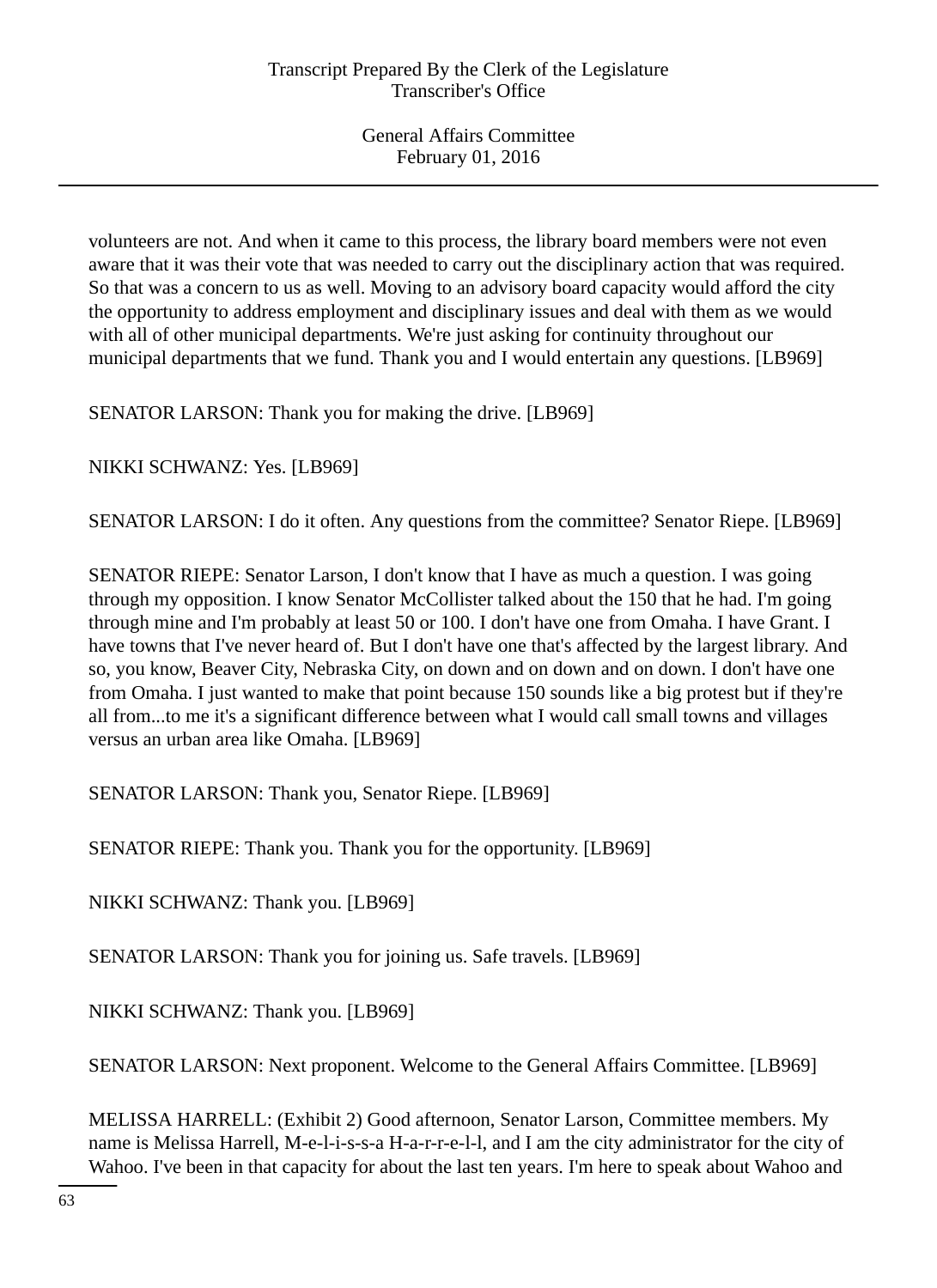volunteers are not. And when it came to this process, the library board members were not even aware that it was their vote that was needed to carry out the disciplinary action that was required. So that was a concern to us as well. Moving to an advisory board capacity would afford the city the opportunity to address employment and disciplinary issues and deal with them as we would with all of other municipal departments. We're just asking for continuity throughout our municipal departments that we fund. Thank you and I would entertain any questions. [LB969]

SENATOR LARSON: Thank you for making the drive. [LB969]

NIKKI SCHWANZ: Yes. [LB969]

SENATOR LARSON: I do it often. Any questions from the committee? Senator Riepe. [LB969]

SENATOR RIEPE: Senator Larson, I don't know that I have as much a question. I was going through my opposition. I know Senator McCollister talked about the 150 that he had. I'm going through mine and I'm probably at least 50 or 100. I don't have one from Omaha. I have Grant. I have towns that I've never heard of. But I don't have one that's affected by the largest library. And so, you know, Beaver City, Nebraska City, on down and on down and on down. I don't have one from Omaha. I just wanted to make that point because 150 sounds like a big protest but if they're all from...to me it's a significant difference between what I would call small towns and villages versus an urban area like Omaha. [LB969]

SENATOR LARSON: Thank you, Senator Riepe. [LB969]

SENATOR RIEPE: Thank you. Thank you for the opportunity. [LB969]

NIKKI SCHWANZ: Thank you. [LB969]

SENATOR LARSON: Thank you for joining us. Safe travels. [LB969]

NIKKI SCHWANZ: Thank you. [LB969]

SENATOR LARSON: Next proponent. Welcome to the General Affairs Committee. [LB969]

MELISSA HARRELL: (Exhibit 2) Good afternoon, Senator Larson, Committee members. My name is Melissa Harrell, M-e-l-i-s-s-a H-a-r-r-e-l-l, and I am the city administrator for the city of Wahoo. I've been in that capacity for about the last ten years. I'm here to speak about Wahoo and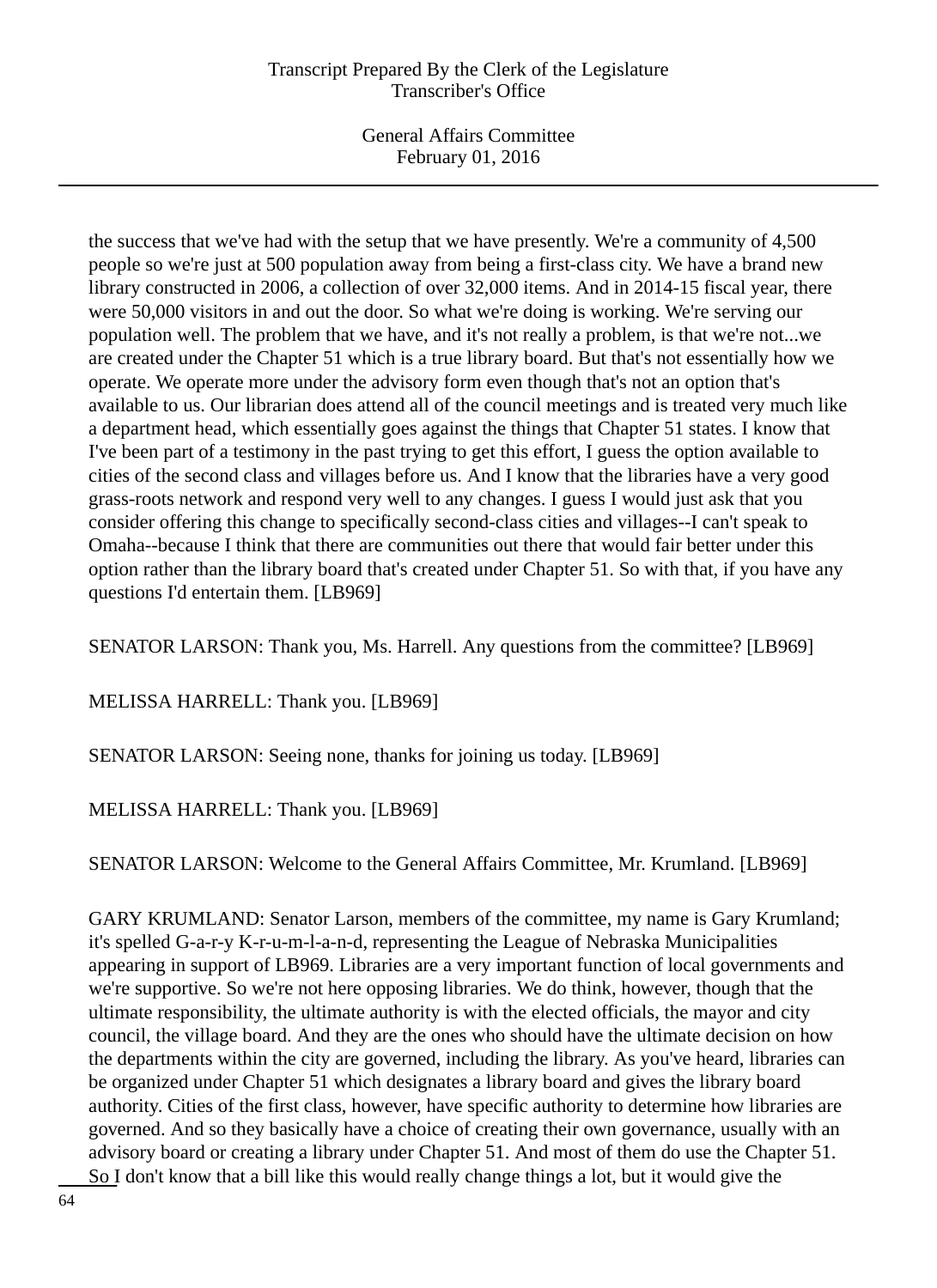# Transcript Prepared By the Clerk of the Legislature Transcriber's Office

General Affairs Committee February 01, 2016

the success that we've had with the setup that we have presently. We're a community of 4,500 people so we're just at 500 population away from being a first-class city. We have a brand new library constructed in 2006, a collection of over 32,000 items. And in 2014-15 fiscal year, there were 50,000 visitors in and out the door. So what we're doing is working. We're serving our population well. The problem that we have, and it's not really a problem, is that we're not...we are created under the Chapter 51 which is a true library board. But that's not essentially how we operate. We operate more under the advisory form even though that's not an option that's available to us. Our librarian does attend all of the council meetings and is treated very much like a department head, which essentially goes against the things that Chapter 51 states. I know that I've been part of a testimony in the past trying to get this effort, I guess the option available to cities of the second class and villages before us. And I know that the libraries have a very good grass-roots network and respond very well to any changes. I guess I would just ask that you consider offering this change to specifically second-class cities and villages--I can't speak to Omaha--because I think that there are communities out there that would fair better under this option rather than the library board that's created under Chapter 51. So with that, if you have any questions I'd entertain them. [LB969]

SENATOR LARSON: Thank you, Ms. Harrell. Any questions from the committee? [LB969]

MELISSA HARRELL: Thank you. [LB969]

SENATOR LARSON: Seeing none, thanks for joining us today. [LB969]

MELISSA HARRELL: Thank you. [LB969]

SENATOR LARSON: Welcome to the General Affairs Committee, Mr. Krumland. [LB969]

GARY KRUMLAND: Senator Larson, members of the committee, my name is Gary Krumland; it's spelled G-a-r-y K-r-u-m-l-a-n-d, representing the League of Nebraska Municipalities appearing in support of LB969. Libraries are a very important function of local governments and we're supportive. So we're not here opposing libraries. We do think, however, though that the ultimate responsibility, the ultimate authority is with the elected officials, the mayor and city council, the village board. And they are the ones who should have the ultimate decision on how the departments within the city are governed, including the library. As you've heard, libraries can be organized under Chapter 51 which designates a library board and gives the library board authority. Cities of the first class, however, have specific authority to determine how libraries are governed. And so they basically have a choice of creating their own governance, usually with an advisory board or creating a library under Chapter 51. And most of them do use the Chapter 51. So I don't know that a bill like this would really change things a lot, but it would give the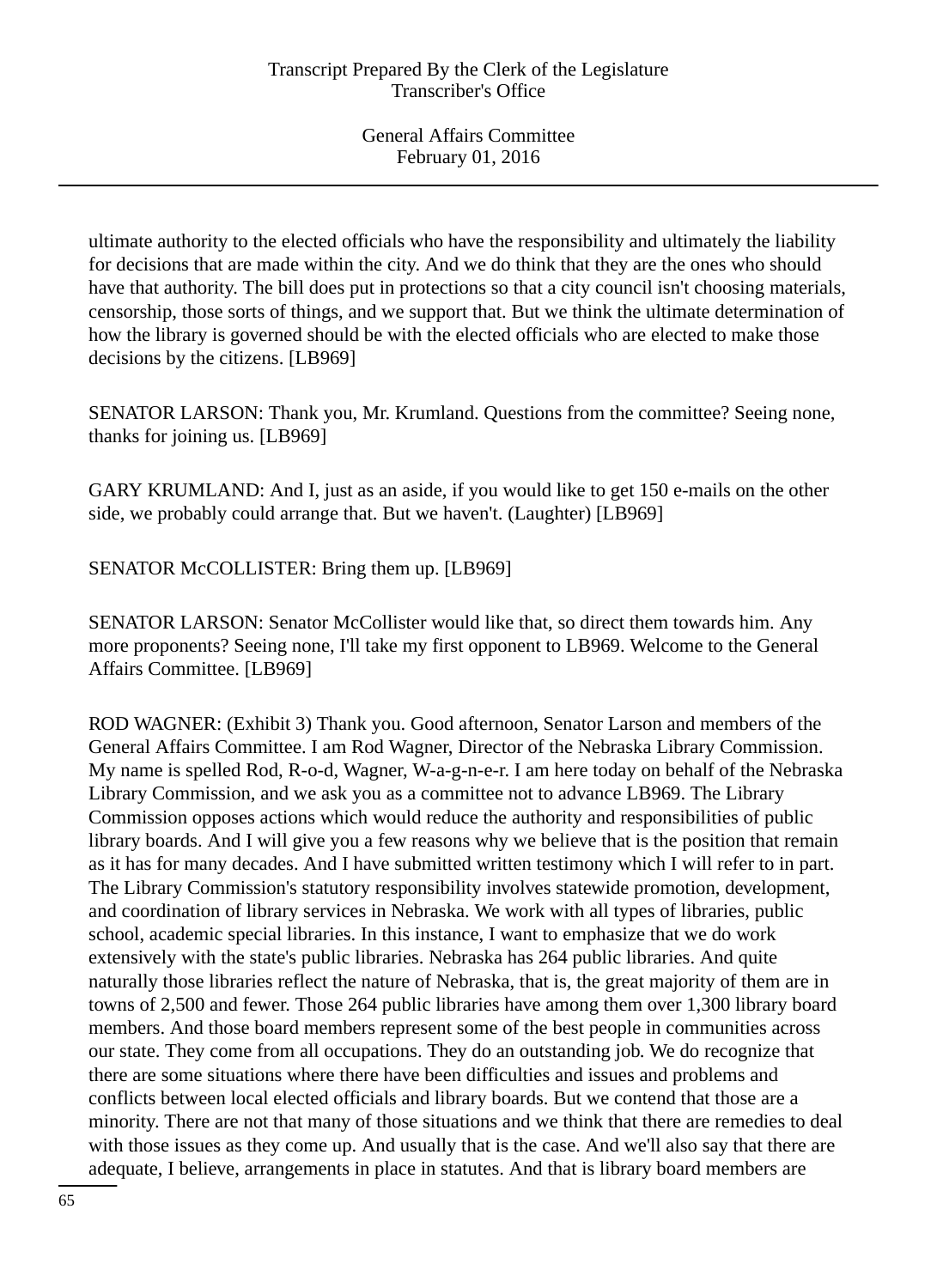ultimate authority to the elected officials who have the responsibility and ultimately the liability for decisions that are made within the city. And we do think that they are the ones who should have that authority. The bill does put in protections so that a city council isn't choosing materials, censorship, those sorts of things, and we support that. But we think the ultimate determination of how the library is governed should be with the elected officials who are elected to make those decisions by the citizens. [LB969]

SENATOR LARSON: Thank you, Mr. Krumland. Questions from the committee? Seeing none, thanks for joining us. [LB969]

GARY KRUMLAND: And I, just as an aside, if you would like to get 150 e-mails on the other side, we probably could arrange that. But we haven't. (Laughter) [LB969]

SENATOR McCOLLISTER: Bring them up. [LB969]

SENATOR LARSON: Senator McCollister would like that, so direct them towards him. Any more proponents? Seeing none, I'll take my first opponent to LB969. Welcome to the General Affairs Committee. [LB969]

ROD WAGNER: (Exhibit 3) Thank you. Good afternoon, Senator Larson and members of the General Affairs Committee. I am Rod Wagner, Director of the Nebraska Library Commission. My name is spelled Rod, R-o-d, Wagner, W-a-g-n-e-r. I am here today on behalf of the Nebraska Library Commission, and we ask you as a committee not to advance LB969. The Library Commission opposes actions which would reduce the authority and responsibilities of public library boards. And I will give you a few reasons why we believe that is the position that remain as it has for many decades. And I have submitted written testimony which I will refer to in part. The Library Commission's statutory responsibility involves statewide promotion, development, and coordination of library services in Nebraska. We work with all types of libraries, public school, academic special libraries. In this instance, I want to emphasize that we do work extensively with the state's public libraries. Nebraska has 264 public libraries. And quite naturally those libraries reflect the nature of Nebraska, that is, the great majority of them are in towns of 2,500 and fewer. Those 264 public libraries have among them over 1,300 library board members. And those board members represent some of the best people in communities across our state. They come from all occupations. They do an outstanding job. We do recognize that there are some situations where there have been difficulties and issues and problems and conflicts between local elected officials and library boards. But we contend that those are a minority. There are not that many of those situations and we think that there are remedies to deal with those issues as they come up. And usually that is the case. And we'll also say that there are adequate, I believe, arrangements in place in statutes. And that is library board members are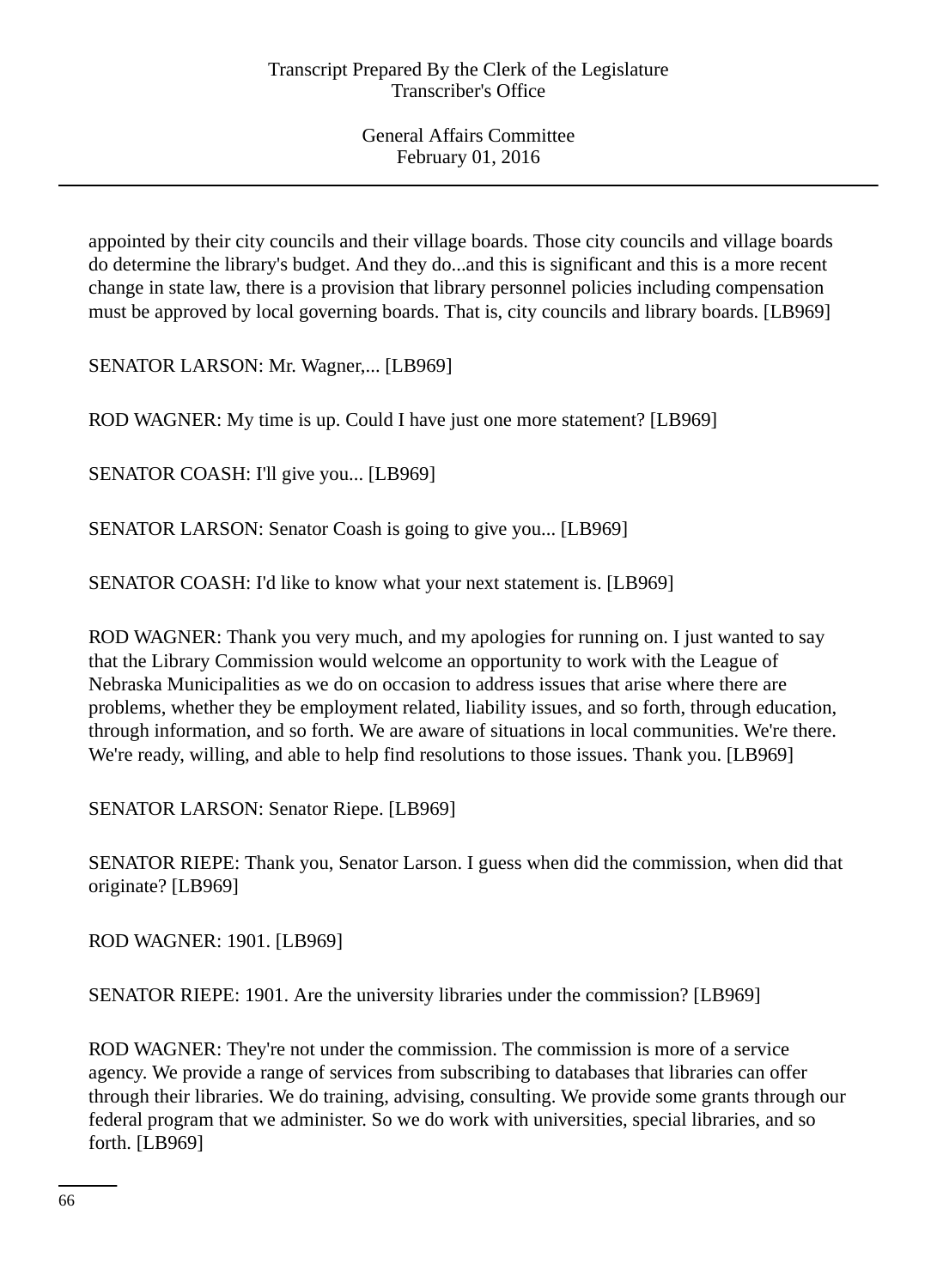appointed by their city councils and their village boards. Those city councils and village boards do determine the library's budget. And they do...and this is significant and this is a more recent change in state law, there is a provision that library personnel policies including compensation must be approved by local governing boards. That is, city councils and library boards. [LB969]

SENATOR LARSON: Mr. Wagner,... [LB969]

ROD WAGNER: My time is up. Could I have just one more statement? [LB969]

SENATOR COASH: I'll give you... [LB969]

SENATOR LARSON: Senator Coash is going to give you... [LB969]

SENATOR COASH: I'd like to know what your next statement is. [LB969]

ROD WAGNER: Thank you very much, and my apologies for running on. I just wanted to say that the Library Commission would welcome an opportunity to work with the League of Nebraska Municipalities as we do on occasion to address issues that arise where there are problems, whether they be employment related, liability issues, and so forth, through education, through information, and so forth. We are aware of situations in local communities. We're there. We're ready, willing, and able to help find resolutions to those issues. Thank you. [LB969]

SENATOR LARSON: Senator Riepe. [LB969]

SENATOR RIEPE: Thank you, Senator Larson. I guess when did the commission, when did that originate? [LB969]

ROD WAGNER: 1901. [LB969]

SENATOR RIEPE: 1901. Are the university libraries under the commission? [LB969]

ROD WAGNER: They're not under the commission. The commission is more of a service agency. We provide a range of services from subscribing to databases that libraries can offer through their libraries. We do training, advising, consulting. We provide some grants through our federal program that we administer. So we do work with universities, special libraries, and so forth. [LB969]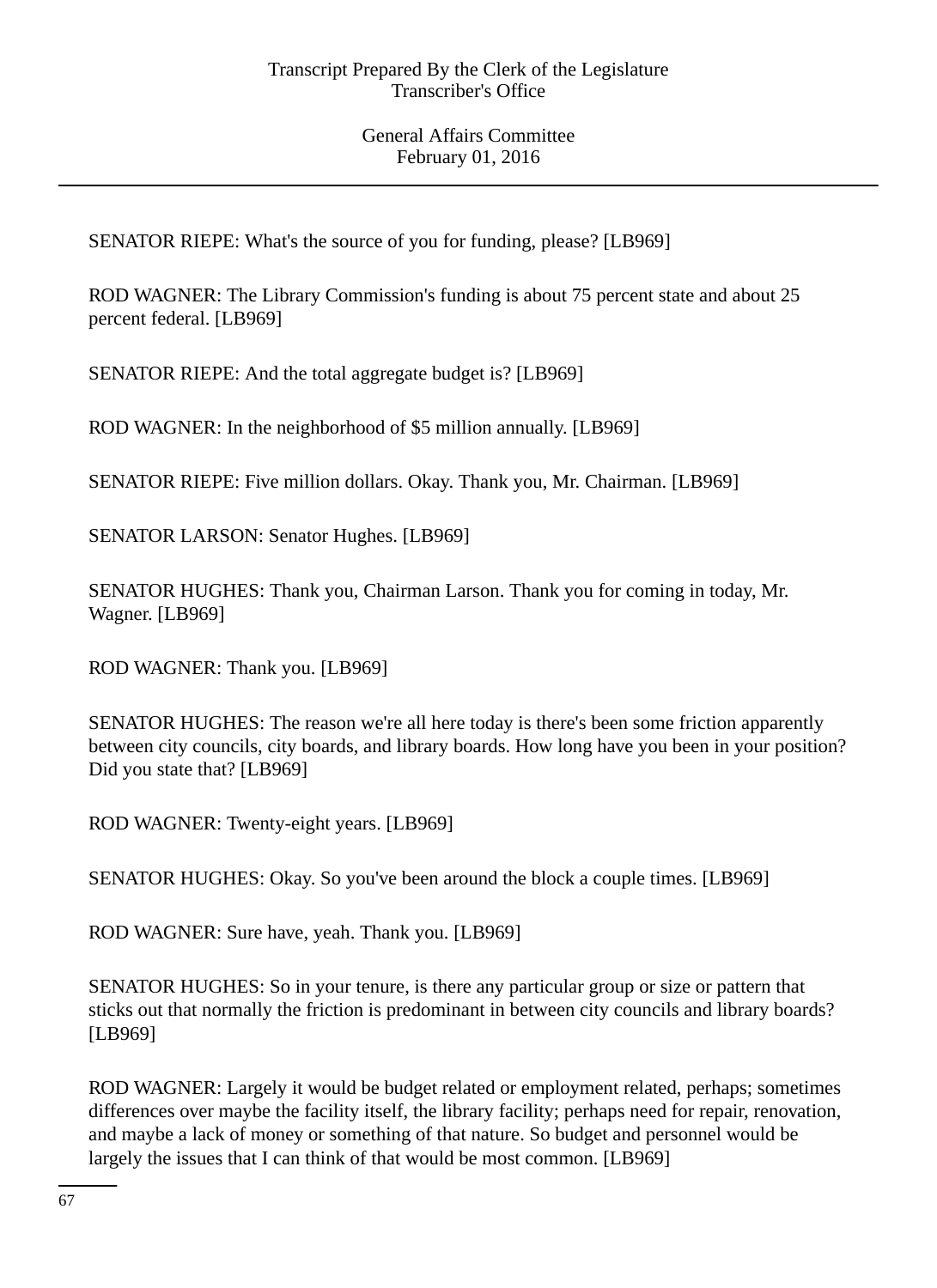SENATOR RIEPE: What's the source of you for funding, please? [LB969]

ROD WAGNER: The Library Commission's funding is about 75 percent state and about 25 percent federal. [LB969]

SENATOR RIEPE: And the total aggregate budget is? [LB969]

ROD WAGNER: In the neighborhood of \$5 million annually. [LB969]

SENATOR RIEPE: Five million dollars. Okay. Thank you, Mr. Chairman. [LB969]

SENATOR LARSON: Senator Hughes. [LB969]

SENATOR HUGHES: Thank you, Chairman Larson. Thank you for coming in today, Mr. Wagner. [LB969]

ROD WAGNER: Thank you. [LB969]

SENATOR HUGHES: The reason we're all here today is there's been some friction apparently between city councils, city boards, and library boards. How long have you been in your position? Did you state that? [LB969]

ROD WAGNER: Twenty-eight years. [LB969]

SENATOR HUGHES: Okay. So you've been around the block a couple times. [LB969]

ROD WAGNER: Sure have, yeah. Thank you. [LB969]

SENATOR HUGHES: So in your tenure, is there any particular group or size or pattern that sticks out that normally the friction is predominant in between city councils and library boards? [LB969]

ROD WAGNER: Largely it would be budget related or employment related, perhaps; sometimes differences over maybe the facility itself, the library facility; perhaps need for repair, renovation, and maybe a lack of money or something of that nature. So budget and personnel would be largely the issues that I can think of that would be most common. [LB969]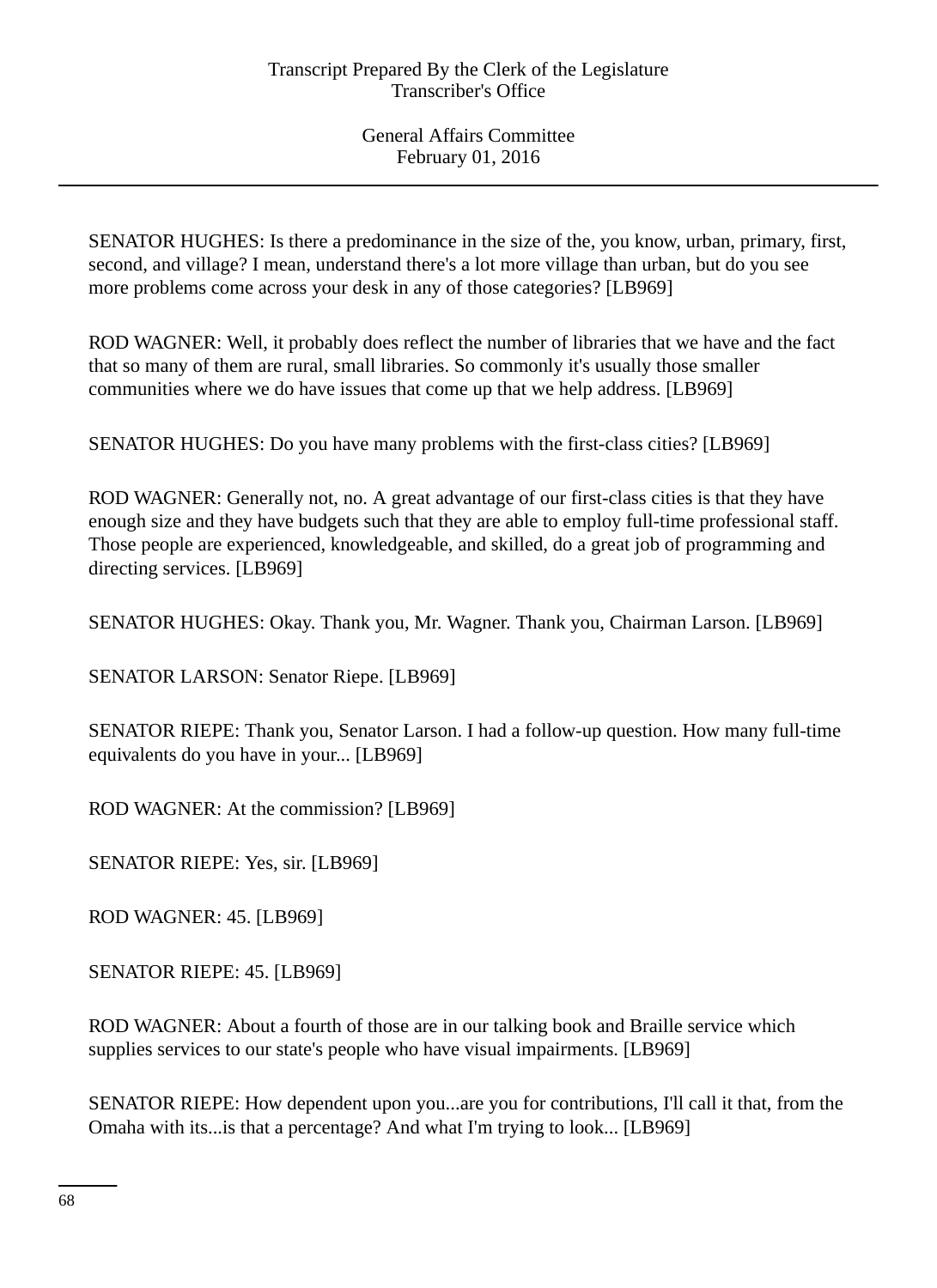SENATOR HUGHES: Is there a predominance in the size of the, you know, urban, primary, first, second, and village? I mean, understand there's a lot more village than urban, but do you see more problems come across your desk in any of those categories? [LB969]

ROD WAGNER: Well, it probably does reflect the number of libraries that we have and the fact that so many of them are rural, small libraries. So commonly it's usually those smaller communities where we do have issues that come up that we help address. [LB969]

SENATOR HUGHES: Do you have many problems with the first-class cities? [LB969]

ROD WAGNER: Generally not, no. A great advantage of our first-class cities is that they have enough size and they have budgets such that they are able to employ full-time professional staff. Those people are experienced, knowledgeable, and skilled, do a great job of programming and directing services. [LB969]

SENATOR HUGHES: Okay. Thank you, Mr. Wagner. Thank you, Chairman Larson. [LB969]

SENATOR LARSON: Senator Riepe. [LB969]

SENATOR RIEPE: Thank you, Senator Larson. I had a follow-up question. How many full-time equivalents do you have in your... [LB969]

ROD WAGNER: At the commission? [LB969]

SENATOR RIEPE: Yes, sir. [LB969]

ROD WAGNER: 45. [LB969]

SENATOR RIEPE: 45. [LB969]

ROD WAGNER: About a fourth of those are in our talking book and Braille service which supplies services to our state's people who have visual impairments. [LB969]

SENATOR RIEPE: How dependent upon you...are you for contributions, I'll call it that, from the Omaha with its...is that a percentage? And what I'm trying to look... [LB969]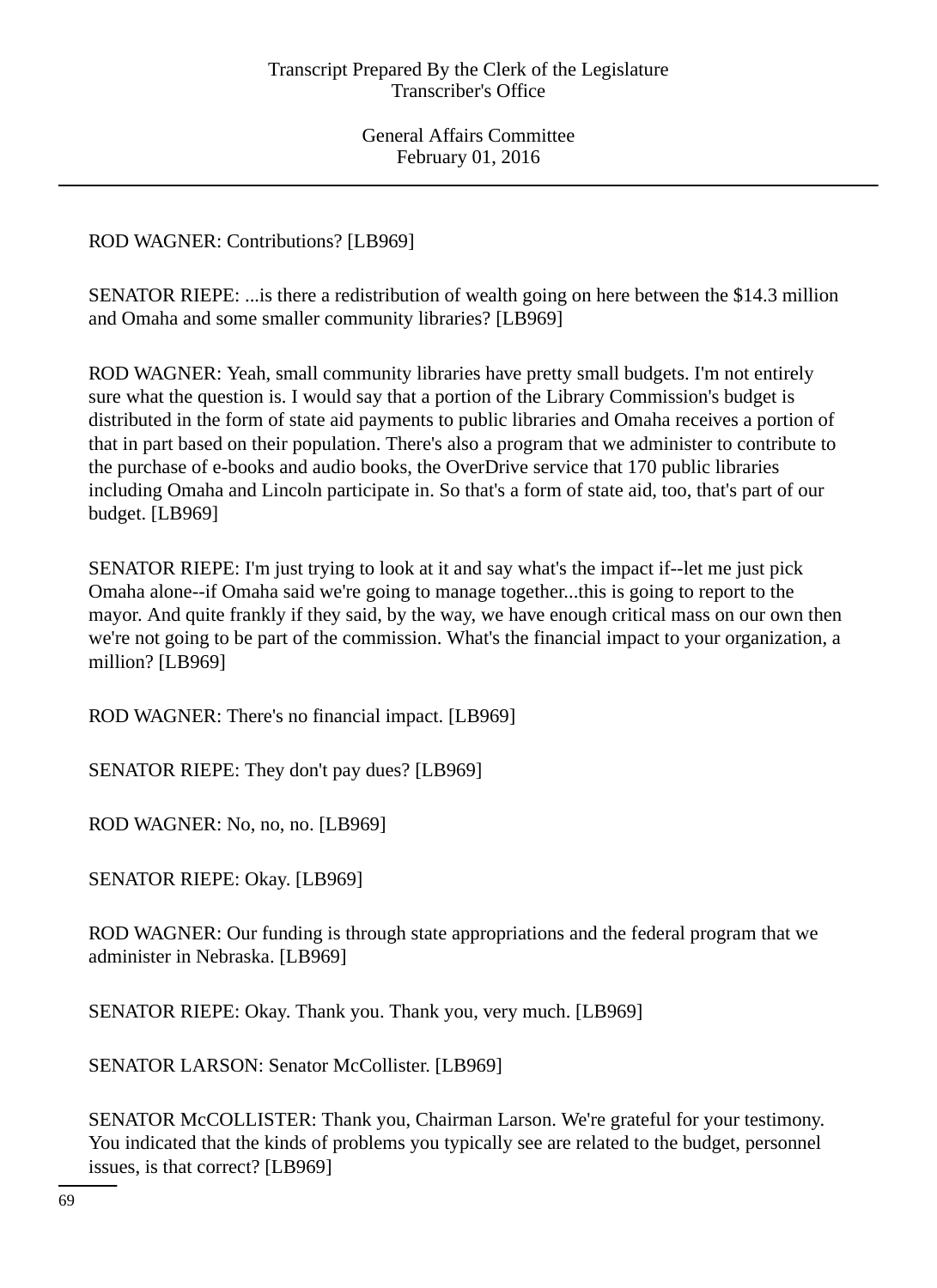ROD WAGNER: Contributions? [LB969]

SENATOR RIEPE: ...is there a redistribution of wealth going on here between the \$14.3 million and Omaha and some smaller community libraries? [LB969]

ROD WAGNER: Yeah, small community libraries have pretty small budgets. I'm not entirely sure what the question is. I would say that a portion of the Library Commission's budget is distributed in the form of state aid payments to public libraries and Omaha receives a portion of that in part based on their population. There's also a program that we administer to contribute to the purchase of e-books and audio books, the OverDrive service that 170 public libraries including Omaha and Lincoln participate in. So that's a form of state aid, too, that's part of our budget. [LB969]

SENATOR RIEPE: I'm just trying to look at it and say what's the impact if--let me just pick Omaha alone--if Omaha said we're going to manage together...this is going to report to the mayor. And quite frankly if they said, by the way, we have enough critical mass on our own then we're not going to be part of the commission. What's the financial impact to your organization, a million? [LB969]

ROD WAGNER: There's no financial impact. [LB969]

SENATOR RIEPE: They don't pay dues? [LB969]

ROD WAGNER: No, no, no. [LB969]

SENATOR RIEPE: Okay. [LB969]

ROD WAGNER: Our funding is through state appropriations and the federal program that we administer in Nebraska. [LB969]

SENATOR RIEPE: Okay. Thank you. Thank you, very much. [LB969]

SENATOR LARSON: Senator McCollister. [LB969]

SENATOR McCOLLISTER: Thank you, Chairman Larson. We're grateful for your testimony. You indicated that the kinds of problems you typically see are related to the budget, personnel issues, is that correct? [LB969]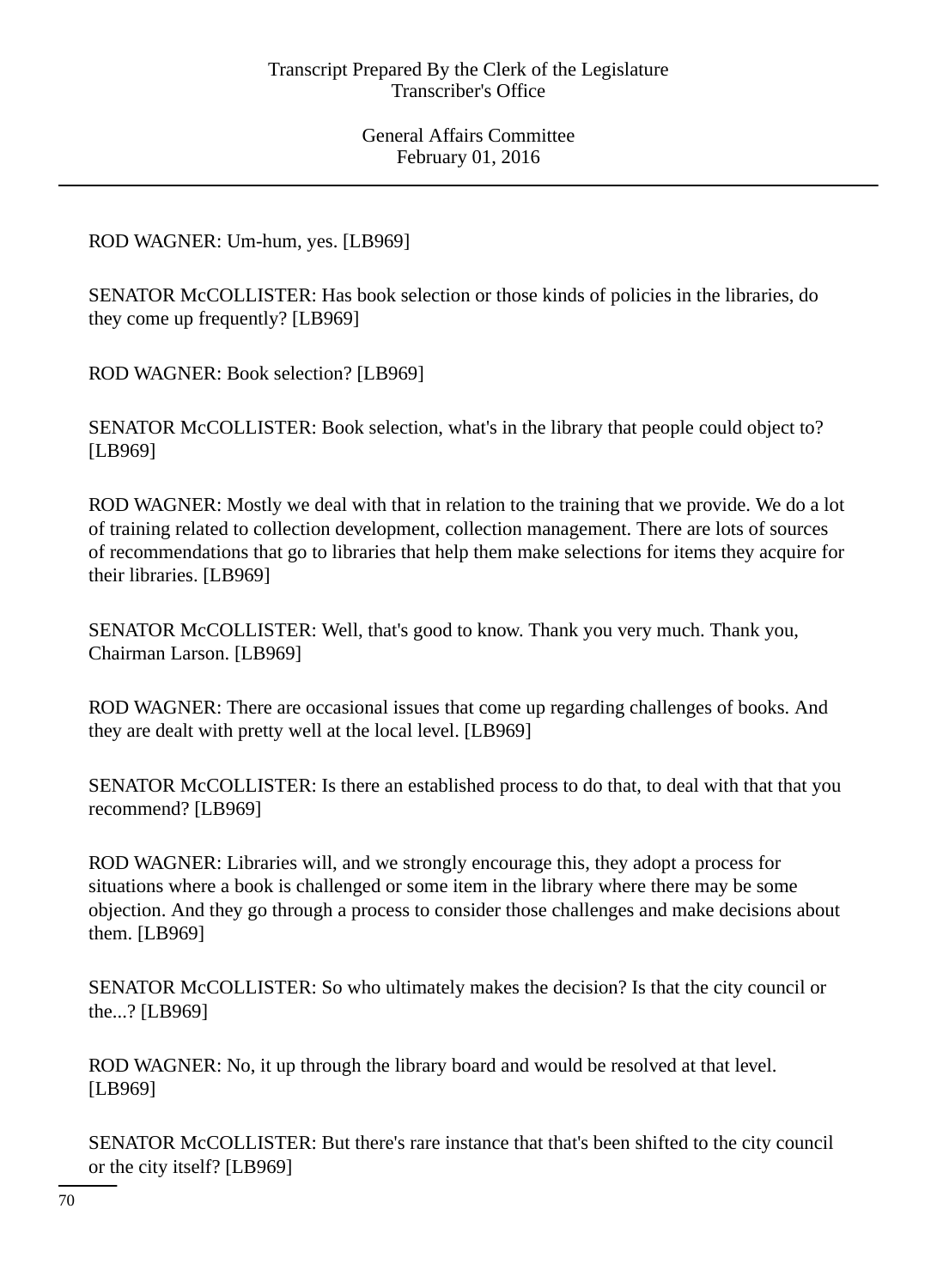ROD WAGNER: Um-hum, yes. [LB969]

SENATOR McCOLLISTER: Has book selection or those kinds of policies in the libraries, do they come up frequently? [LB969]

ROD WAGNER: Book selection? [LB969]

SENATOR McCOLLISTER: Book selection, what's in the library that people could object to? [LB969]

ROD WAGNER: Mostly we deal with that in relation to the training that we provide. We do a lot of training related to collection development, collection management. There are lots of sources of recommendations that go to libraries that help them make selections for items they acquire for their libraries. [LB969]

SENATOR McCOLLISTER: Well, that's good to know. Thank you very much. Thank you, Chairman Larson. [LB969]

ROD WAGNER: There are occasional issues that come up regarding challenges of books. And they are dealt with pretty well at the local level. [LB969]

SENATOR McCOLLISTER: Is there an established process to do that, to deal with that that you recommend? [LB969]

ROD WAGNER: Libraries will, and we strongly encourage this, they adopt a process for situations where a book is challenged or some item in the library where there may be some objection. And they go through a process to consider those challenges and make decisions about them. [LB969]

SENATOR McCOLLISTER: So who ultimately makes the decision? Is that the city council or the...? [LB969]

ROD WAGNER: No, it up through the library board and would be resolved at that level. [LB969]

SENATOR McCOLLISTER: But there's rare instance that that's been shifted to the city council or the city itself? [LB969]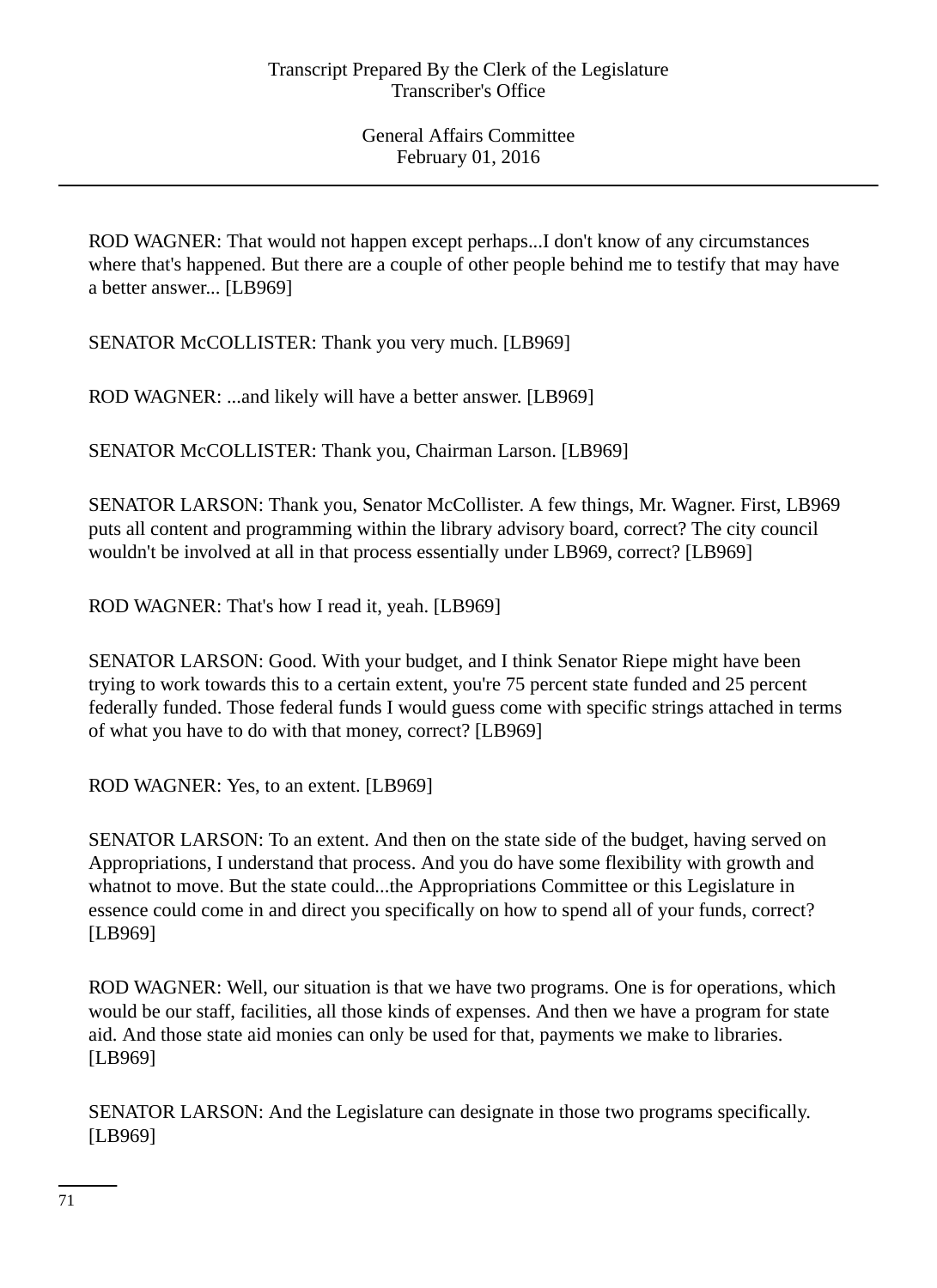ROD WAGNER: That would not happen except perhaps...I don't know of any circumstances where that's happened. But there are a couple of other people behind me to testify that may have a better answer... [LB969]

SENATOR McCOLLISTER: Thank you very much. [LB969]

ROD WAGNER: ...and likely will have a better answer. [LB969]

SENATOR McCOLLISTER: Thank you, Chairman Larson. [LB969]

SENATOR LARSON: Thank you, Senator McCollister. A few things, Mr. Wagner. First, LB969 puts all content and programming within the library advisory board, correct? The city council wouldn't be involved at all in that process essentially under LB969, correct? [LB969]

ROD WAGNER: That's how I read it, yeah. [LB969]

SENATOR LARSON: Good. With your budget, and I think Senator Riepe might have been trying to work towards this to a certain extent, you're 75 percent state funded and 25 percent federally funded. Those federal funds I would guess come with specific strings attached in terms of what you have to do with that money, correct? [LB969]

ROD WAGNER: Yes, to an extent. [LB969]

SENATOR LARSON: To an extent. And then on the state side of the budget, having served on Appropriations, I understand that process. And you do have some flexibility with growth and whatnot to move. But the state could...the Appropriations Committee or this Legislature in essence could come in and direct you specifically on how to spend all of your funds, correct? [LB969]

ROD WAGNER: Well, our situation is that we have two programs. One is for operations, which would be our staff, facilities, all those kinds of expenses. And then we have a program for state aid. And those state aid monies can only be used for that, payments we make to libraries. [LB969]

SENATOR LARSON: And the Legislature can designate in those two programs specifically. [LB969]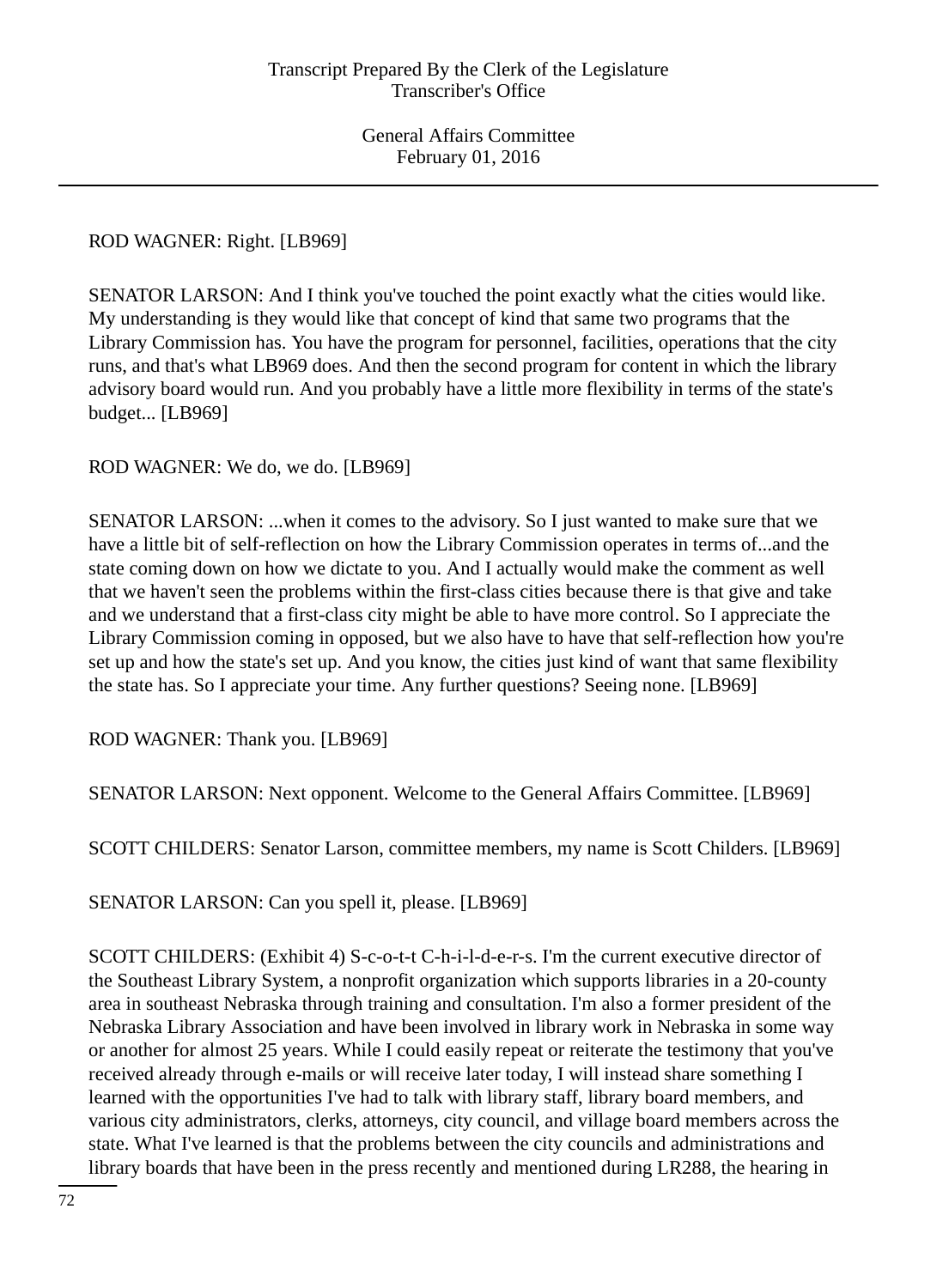# ROD WAGNER: Right. [LB969]

SENATOR LARSON: And I think you've touched the point exactly what the cities would like. My understanding is they would like that concept of kind that same two programs that the Library Commission has. You have the program for personnel, facilities, operations that the city runs, and that's what LB969 does. And then the second program for content in which the library advisory board would run. And you probably have a little more flexibility in terms of the state's budget... [LB969]

ROD WAGNER: We do, we do. [LB969]

SENATOR LARSON: ...when it comes to the advisory. So I just wanted to make sure that we have a little bit of self-reflection on how the Library Commission operates in terms of...and the state coming down on how we dictate to you. And I actually would make the comment as well that we haven't seen the problems within the first-class cities because there is that give and take and we understand that a first-class city might be able to have more control. So I appreciate the Library Commission coming in opposed, but we also have to have that self-reflection how you're set up and how the state's set up. And you know, the cities just kind of want that same flexibility the state has. So I appreciate your time. Any further questions? Seeing none. [LB969]

ROD WAGNER: Thank you. [LB969]

SENATOR LARSON: Next opponent. Welcome to the General Affairs Committee. [LB969]

SCOTT CHILDERS: Senator Larson, committee members, my name is Scott Childers. [LB969]

SENATOR LARSON: Can you spell it, please. [LB969]

SCOTT CHILDERS: (Exhibit 4) S-c-o-t-t C-h-i-l-d-e-r-s. I'm the current executive director of the Southeast Library System, a nonprofit organization which supports libraries in a 20-county area in southeast Nebraska through training and consultation. I'm also a former president of the Nebraska Library Association and have been involved in library work in Nebraska in some way or another for almost 25 years. While I could easily repeat or reiterate the testimony that you've received already through e-mails or will receive later today, I will instead share something I learned with the opportunities I've had to talk with library staff, library board members, and various city administrators, clerks, attorneys, city council, and village board members across the state. What I've learned is that the problems between the city councils and administrations and library boards that have been in the press recently and mentioned during LR288, the hearing in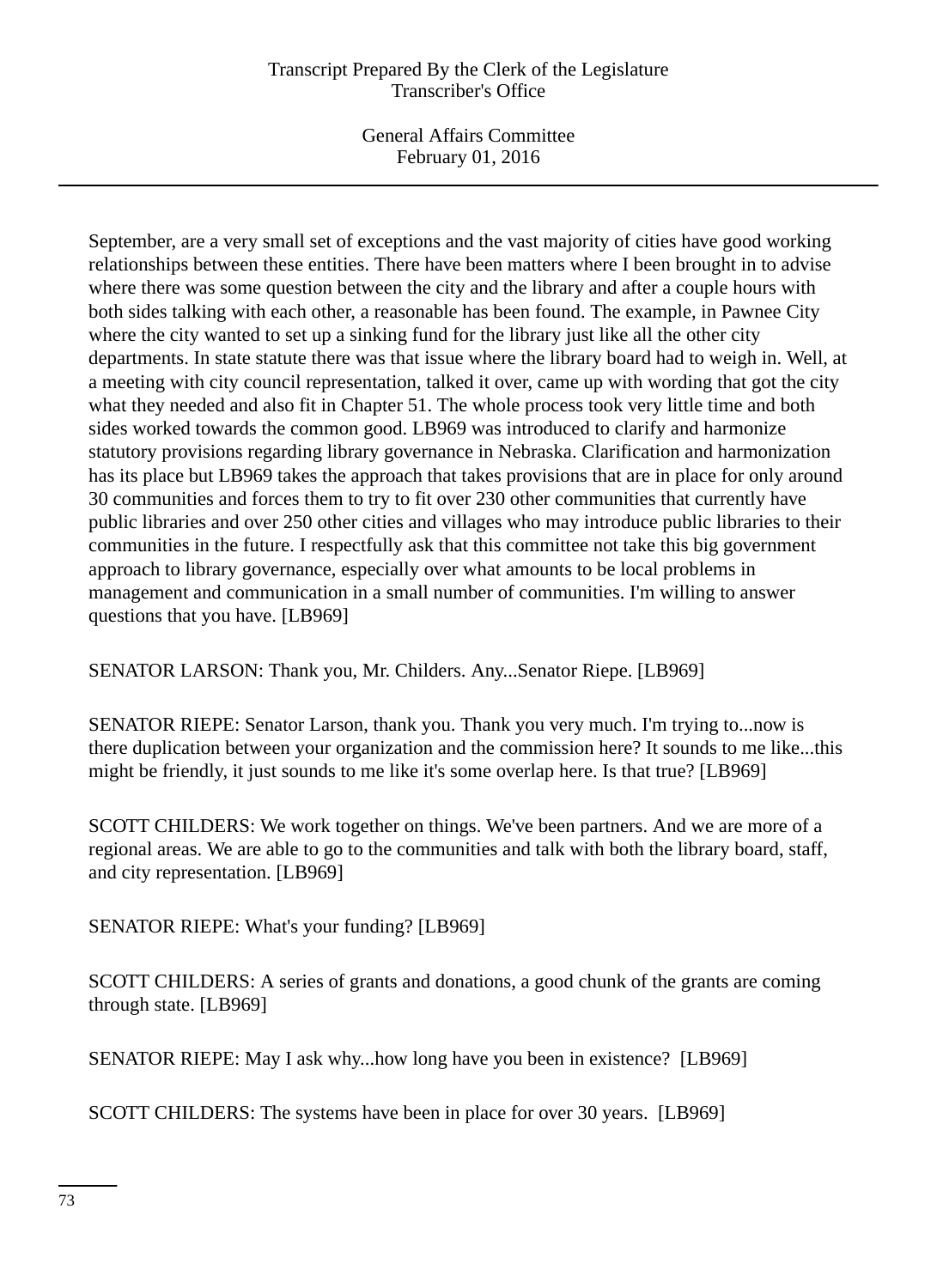General Affairs Committee February 01, 2016

September, are a very small set of exceptions and the vast majority of cities have good working relationships between these entities. There have been matters where I been brought in to advise where there was some question between the city and the library and after a couple hours with both sides talking with each other, a reasonable has been found. The example, in Pawnee City where the city wanted to set up a sinking fund for the library just like all the other city departments. In state statute there was that issue where the library board had to weigh in. Well, at a meeting with city council representation, talked it over, came up with wording that got the city what they needed and also fit in Chapter 51. The whole process took very little time and both sides worked towards the common good. LB969 was introduced to clarify and harmonize statutory provisions regarding library governance in Nebraska. Clarification and harmonization has its place but LB969 takes the approach that takes provisions that are in place for only around 30 communities and forces them to try to fit over 230 other communities that currently have public libraries and over 250 other cities and villages who may introduce public libraries to their communities in the future. I respectfully ask that this committee not take this big government approach to library governance, especially over what amounts to be local problems in management and communication in a small number of communities. I'm willing to answer questions that you have. [LB969]

SENATOR LARSON: Thank you, Mr. Childers. Any...Senator Riepe. [LB969]

SENATOR RIEPE: Senator Larson, thank you. Thank you very much. I'm trying to...now is there duplication between your organization and the commission here? It sounds to me like...this might be friendly, it just sounds to me like it's some overlap here. Is that true? [LB969]

SCOTT CHILDERS: We work together on things. We've been partners. And we are more of a regional areas. We are able to go to the communities and talk with both the library board, staff, and city representation. [LB969]

SENATOR RIEPE: What's your funding? [LB969]

SCOTT CHILDERS: A series of grants and donations, a good chunk of the grants are coming through state. [LB969]

SENATOR RIEPE: May I ask why...how long have you been in existence? [LB969]

SCOTT CHILDERS: The systems have been in place for over 30 years. [LB969]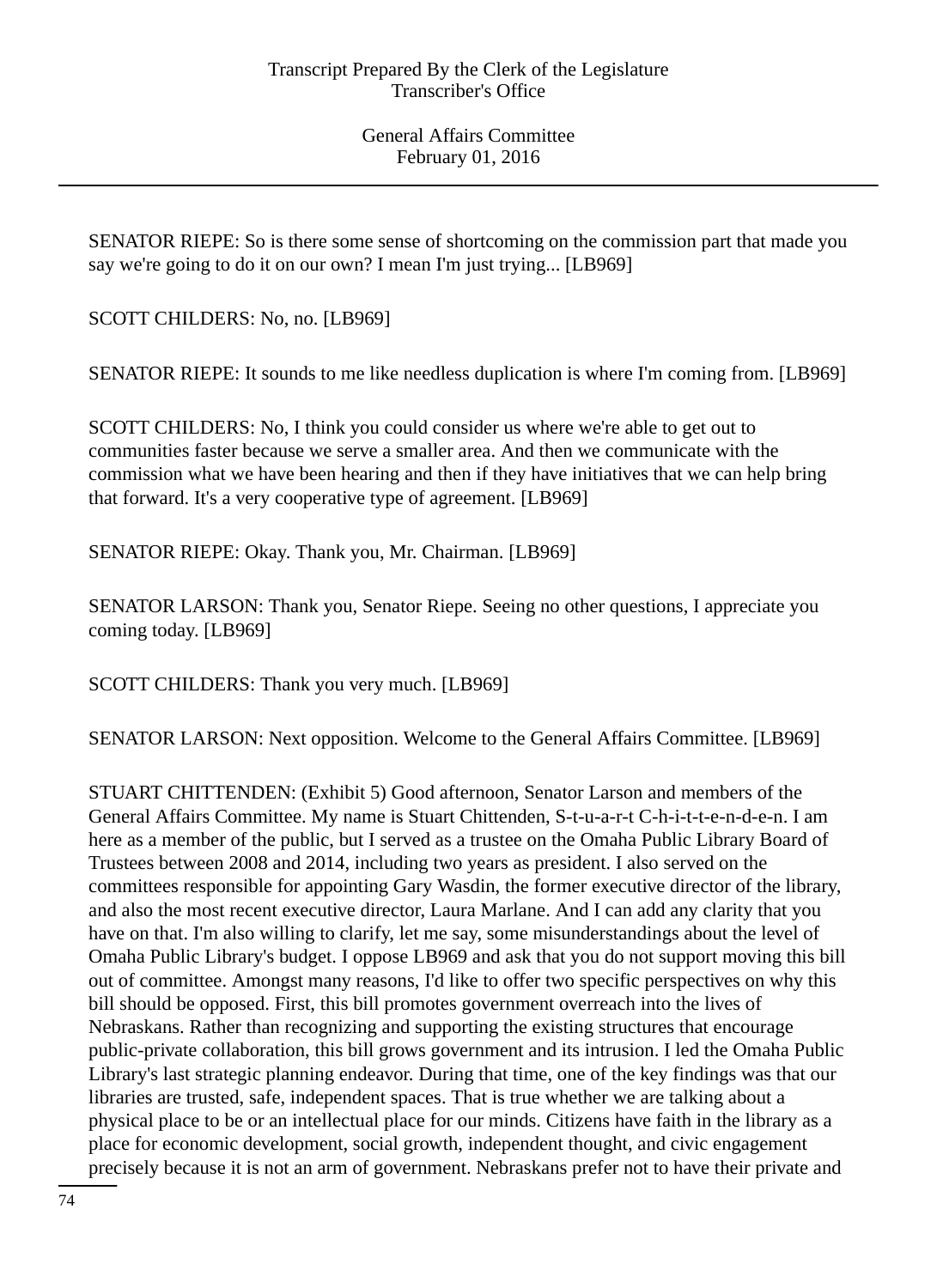SENATOR RIEPE: So is there some sense of shortcoming on the commission part that made you say we're going to do it on our own? I mean I'm just trying... [LB969]

SCOTT CHILDERS: No, no. [LB969]

SENATOR RIEPE: It sounds to me like needless duplication is where I'm coming from. [LB969]

SCOTT CHILDERS: No, I think you could consider us where we're able to get out to communities faster because we serve a smaller area. And then we communicate with the commission what we have been hearing and then if they have initiatives that we can help bring that forward. It's a very cooperative type of agreement. [LB969]

SENATOR RIEPE: Okay. Thank you, Mr. Chairman. [LB969]

SENATOR LARSON: Thank you, Senator Riepe. Seeing no other questions, I appreciate you coming today. [LB969]

SCOTT CHILDERS: Thank you very much. [LB969]

SENATOR LARSON: Next opposition. Welcome to the General Affairs Committee. [LB969]

STUART CHITTENDEN: (Exhibit 5) Good afternoon, Senator Larson and members of the General Affairs Committee. My name is Stuart Chittenden, S-t-u-a-r-t C-h-i-t-t-e-n-d-e-n. I am here as a member of the public, but I served as a trustee on the Omaha Public Library Board of Trustees between 2008 and 2014, including two years as president. I also served on the committees responsible for appointing Gary Wasdin, the former executive director of the library, and also the most recent executive director, Laura Marlane. And I can add any clarity that you have on that. I'm also willing to clarify, let me say, some misunderstandings about the level of Omaha Public Library's budget. I oppose LB969 and ask that you do not support moving this bill out of committee. Amongst many reasons, I'd like to offer two specific perspectives on why this bill should be opposed. First, this bill promotes government overreach into the lives of Nebraskans. Rather than recognizing and supporting the existing structures that encourage public-private collaboration, this bill grows government and its intrusion. I led the Omaha Public Library's last strategic planning endeavor. During that time, one of the key findings was that our libraries are trusted, safe, independent spaces. That is true whether we are talking about a physical place to be or an intellectual place for our minds. Citizens have faith in the library as a place for economic development, social growth, independent thought, and civic engagement precisely because it is not an arm of government. Nebraskans prefer not to have their private and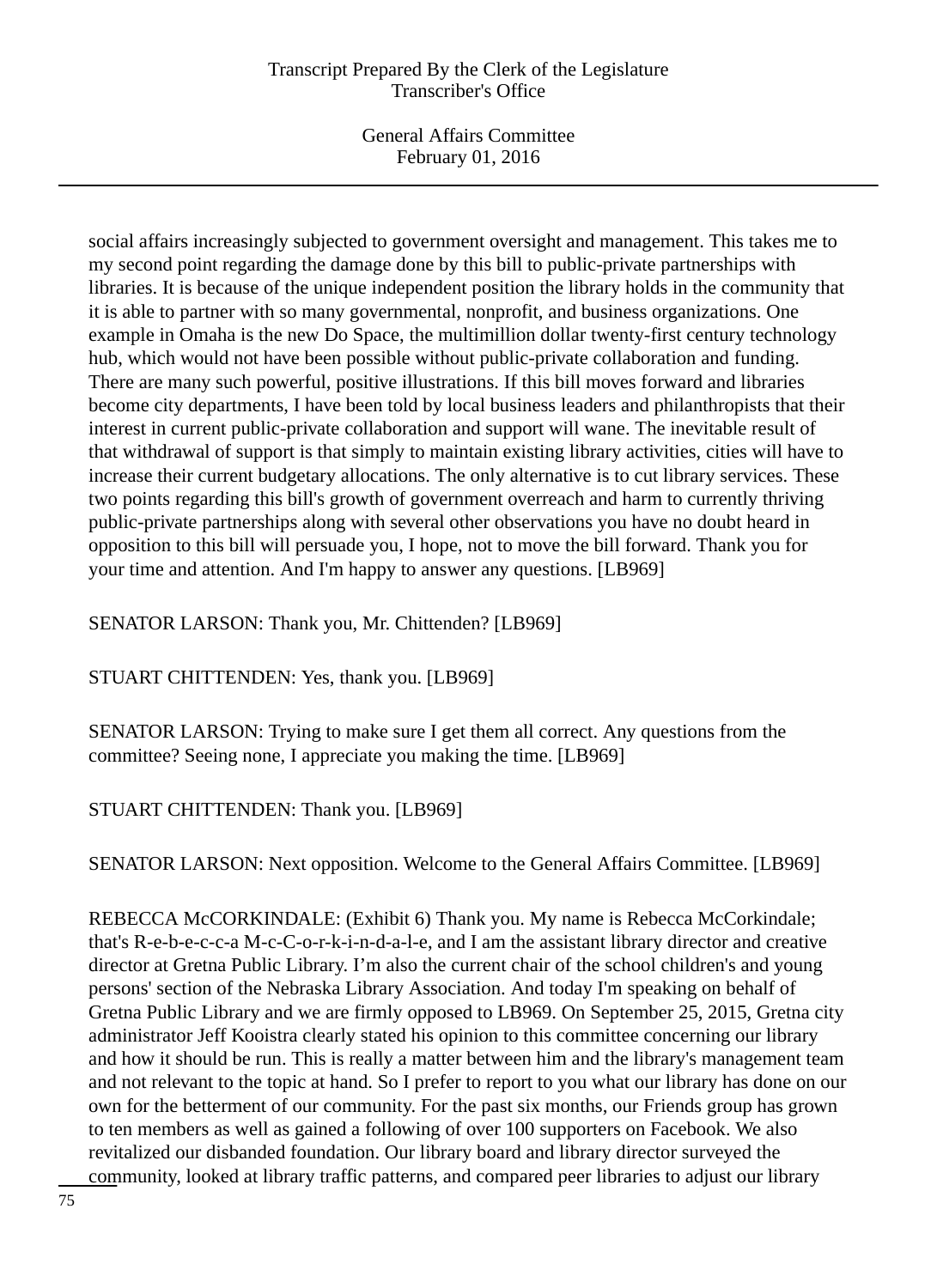General Affairs Committee February 01, 2016

social affairs increasingly subjected to government oversight and management. This takes me to my second point regarding the damage done by this bill to public-private partnerships with libraries. It is because of the unique independent position the library holds in the community that it is able to partner with so many governmental, nonprofit, and business organizations. One example in Omaha is the new Do Space, the multimillion dollar twenty-first century technology hub, which would not have been possible without public-private collaboration and funding. There are many such powerful, positive illustrations. If this bill moves forward and libraries become city departments, I have been told by local business leaders and philanthropists that their interest in current public-private collaboration and support will wane. The inevitable result of that withdrawal of support is that simply to maintain existing library activities, cities will have to increase their current budgetary allocations. The only alternative is to cut library services. These two points regarding this bill's growth of government overreach and harm to currently thriving public-private partnerships along with several other observations you have no doubt heard in opposition to this bill will persuade you, I hope, not to move the bill forward. Thank you for your time and attention. And I'm happy to answer any questions. [LB969]

SENATOR LARSON: Thank you, Mr. Chittenden? [LB969]

STUART CHITTENDEN: Yes, thank you. [LB969]

SENATOR LARSON: Trying to make sure I get them all correct. Any questions from the committee? Seeing none, I appreciate you making the time. [LB969]

STUART CHITTENDEN: Thank you. [LB969]

SENATOR LARSON: Next opposition. Welcome to the General Affairs Committee. [LB969]

REBECCA McCORKINDALE: (Exhibit 6) Thank you. My name is Rebecca McCorkindale; that's R-e-b-e-c-c-a M-c-C-o-r-k-i-n-d-a-l-e, and I am the assistant library director and creative director at Gretna Public Library. I'm also the current chair of the school children's and young persons' section of the Nebraska Library Association. And today I'm speaking on behalf of Gretna Public Library and we are firmly opposed to LB969. On September 25, 2015, Gretna city administrator Jeff Kooistra clearly stated his opinion to this committee concerning our library and how it should be run. This is really a matter between him and the library's management team and not relevant to the topic at hand. So I prefer to report to you what our library has done on our own for the betterment of our community. For the past six months, our Friends group has grown to ten members as well as gained a following of over 100 supporters on Facebook. We also revitalized our disbanded foundation. Our library board and library director surveyed the community, looked at library traffic patterns, and compared peer libraries to adjust our library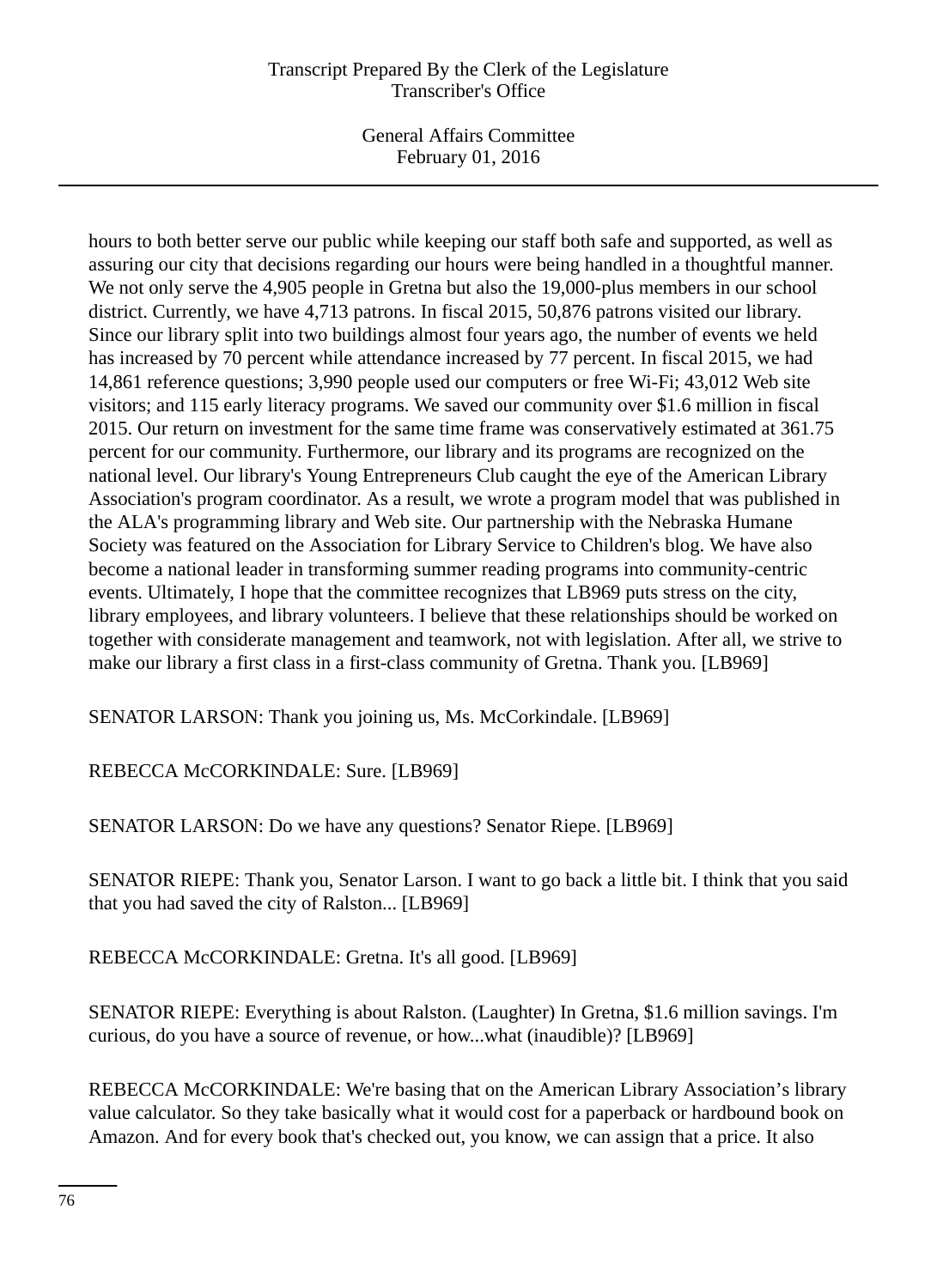General Affairs Committee February 01, 2016

hours to both better serve our public while keeping our staff both safe and supported, as well as assuring our city that decisions regarding our hours were being handled in a thoughtful manner. We not only serve the 4,905 people in Gretna but also the 19,000-plus members in our school district. Currently, we have 4,713 patrons. In fiscal 2015, 50,876 patrons visited our library. Since our library split into two buildings almost four years ago, the number of events we held has increased by 70 percent while attendance increased by 77 percent. In fiscal 2015, we had 14,861 reference questions; 3,990 people used our computers or free Wi-Fi; 43,012 Web site visitors; and 115 early literacy programs. We saved our community over \$1.6 million in fiscal 2015. Our return on investment for the same time frame was conservatively estimated at 361.75 percent for our community. Furthermore, our library and its programs are recognized on the national level. Our library's Young Entrepreneurs Club caught the eye of the American Library Association's program coordinator. As a result, we wrote a program model that was published in the ALA's programming library and Web site. Our partnership with the Nebraska Humane Society was featured on the Association for Library Service to Children's blog. We have also become a national leader in transforming summer reading programs into community-centric events. Ultimately, I hope that the committee recognizes that LB969 puts stress on the city, library employees, and library volunteers. I believe that these relationships should be worked on together with considerate management and teamwork, not with legislation. After all, we strive to make our library a first class in a first-class community of Gretna. Thank you. [LB969]

SENATOR LARSON: Thank you joining us, Ms. McCorkindale. [LB969]

REBECCA McCORKINDALE: Sure. [LB969]

SENATOR LARSON: Do we have any questions? Senator Riepe. [LB969]

SENATOR RIEPE: Thank you, Senator Larson. I want to go back a little bit. I think that you said that you had saved the city of Ralston... [LB969]

REBECCA McCORKINDALE: Gretna. It's all good. [LB969]

SENATOR RIEPE: Everything is about Ralston. (Laughter) In Gretna, \$1.6 million savings. I'm curious, do you have a source of revenue, or how...what (inaudible)? [LB969]

REBECCA McCORKINDALE: We're basing that on the American Library Association's library value calculator. So they take basically what it would cost for a paperback or hardbound book on Amazon. And for every book that's checked out, you know, we can assign that a price. It also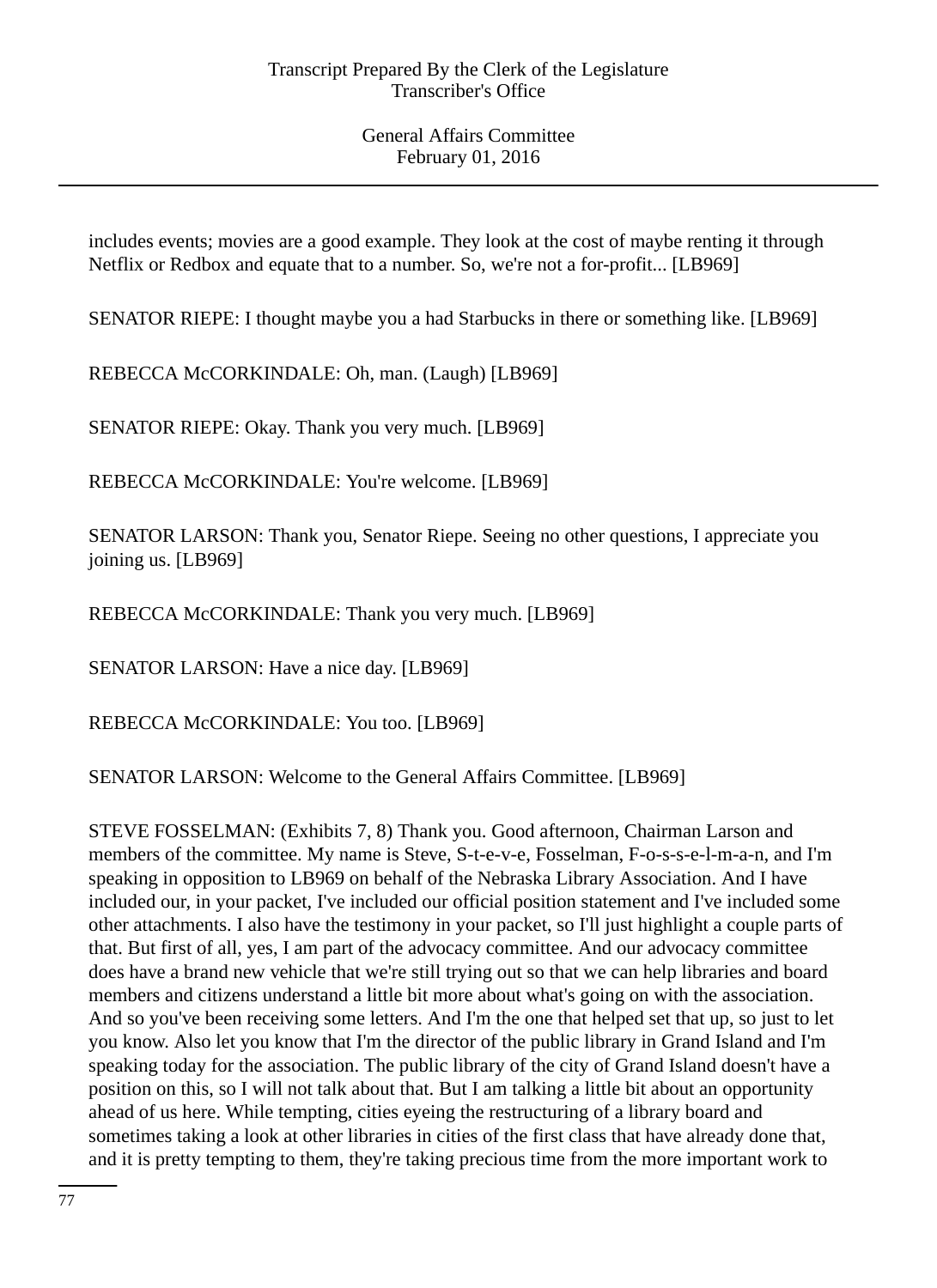includes events; movies are a good example. They look at the cost of maybe renting it through Netflix or Redbox and equate that to a number. So, we're not a for-profit... [LB969]

SENATOR RIEPE: I thought maybe you a had Starbucks in there or something like. [LB969]

REBECCA McCORKINDALE: Oh, man. (Laugh) [LB969]

SENATOR RIEPE: Okay. Thank you very much. [LB969]

REBECCA McCORKINDALE: You're welcome. [LB969]

SENATOR LARSON: Thank you, Senator Riepe. Seeing no other questions, I appreciate you joining us. [LB969]

REBECCA McCORKINDALE: Thank you very much. [LB969]

SENATOR LARSON: Have a nice day. [LB969]

REBECCA McCORKINDALE: You too. [LB969]

SENATOR LARSON: Welcome to the General Affairs Committee. [LB969]

STEVE FOSSELMAN: (Exhibits 7, 8) Thank you. Good afternoon, Chairman Larson and members of the committee. My name is Steve, S-t-e-v-e, Fosselman, F-o-s-s-e-l-m-a-n, and I'm speaking in opposition to LB969 on behalf of the Nebraska Library Association. And I have included our, in your packet, I've included our official position statement and I've included some other attachments. I also have the testimony in your packet, so I'll just highlight a couple parts of that. But first of all, yes, I am part of the advocacy committee. And our advocacy committee does have a brand new vehicle that we're still trying out so that we can help libraries and board members and citizens understand a little bit more about what's going on with the association. And so you've been receiving some letters. And I'm the one that helped set that up, so just to let you know. Also let you know that I'm the director of the public library in Grand Island and I'm speaking today for the association. The public library of the city of Grand Island doesn't have a position on this, so I will not talk about that. But I am talking a little bit about an opportunity ahead of us here. While tempting, cities eyeing the restructuring of a library board and sometimes taking a look at other libraries in cities of the first class that have already done that, and it is pretty tempting to them, they're taking precious time from the more important work to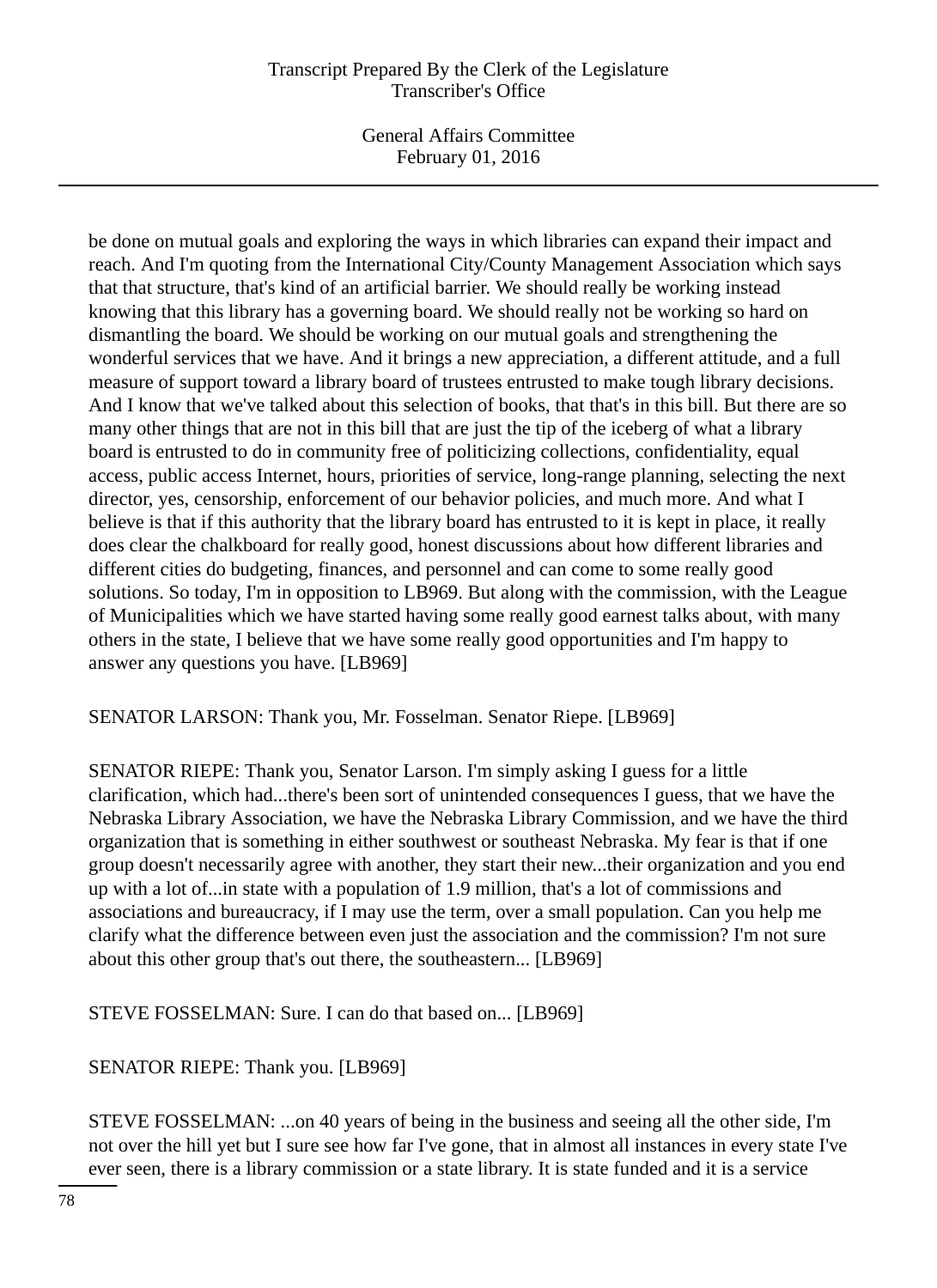General Affairs Committee February 01, 2016

be done on mutual goals and exploring the ways in which libraries can expand their impact and reach. And I'm quoting from the International City/County Management Association which says that that structure, that's kind of an artificial barrier. We should really be working instead knowing that this library has a governing board. We should really not be working so hard on dismantling the board. We should be working on our mutual goals and strengthening the wonderful services that we have. And it brings a new appreciation, a different attitude, and a full measure of support toward a library board of trustees entrusted to make tough library decisions. And I know that we've talked about this selection of books, that that's in this bill. But there are so many other things that are not in this bill that are just the tip of the iceberg of what a library board is entrusted to do in community free of politicizing collections, confidentiality, equal access, public access Internet, hours, priorities of service, long-range planning, selecting the next director, yes, censorship, enforcement of our behavior policies, and much more. And what I believe is that if this authority that the library board has entrusted to it is kept in place, it really does clear the chalkboard for really good, honest discussions about how different libraries and different cities do budgeting, finances, and personnel and can come to some really good solutions. So today, I'm in opposition to LB969. But along with the commission, with the League of Municipalities which we have started having some really good earnest talks about, with many others in the state, I believe that we have some really good opportunities and I'm happy to answer any questions you have. [LB969]

SENATOR LARSON: Thank you, Mr. Fosselman. Senator Riepe. [LB969]

SENATOR RIEPE: Thank you, Senator Larson. I'm simply asking I guess for a little clarification, which had...there's been sort of unintended consequences I guess, that we have the Nebraska Library Association, we have the Nebraska Library Commission, and we have the third organization that is something in either southwest or southeast Nebraska. My fear is that if one group doesn't necessarily agree with another, they start their new...their organization and you end up with a lot of...in state with a population of 1.9 million, that's a lot of commissions and associations and bureaucracy, if I may use the term, over a small population. Can you help me clarify what the difference between even just the association and the commission? I'm not sure about this other group that's out there, the southeastern... [LB969]

STEVE FOSSELMAN: Sure. I can do that based on... [LB969]

SENATOR RIEPE: Thank you. [LB969]

STEVE FOSSELMAN: ...on 40 years of being in the business and seeing all the other side, I'm not over the hill yet but I sure see how far I've gone, that in almost all instances in every state I've ever seen, there is a library commission or a state library. It is state funded and it is a service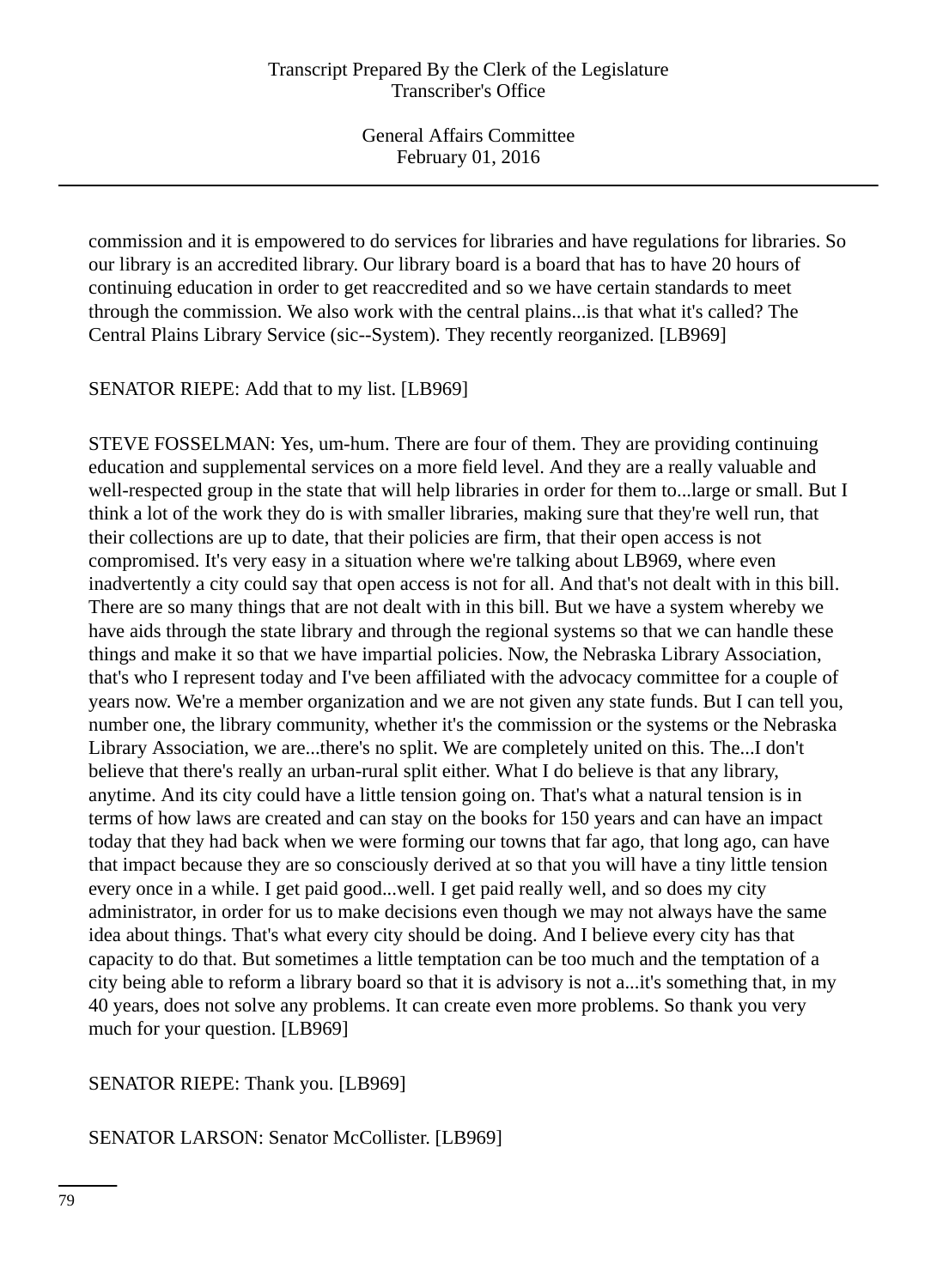commission and it is empowered to do services for libraries and have regulations for libraries. So our library is an accredited library. Our library board is a board that has to have 20 hours of continuing education in order to get reaccredited and so we have certain standards to meet through the commission. We also work with the central plains...is that what it's called? The Central Plains Library Service (sic--System). They recently reorganized. [LB969]

SENATOR RIEPE: Add that to my list. [LB969]

STEVE FOSSELMAN: Yes, um-hum. There are four of them. They are providing continuing education and supplemental services on a more field level. And they are a really valuable and well-respected group in the state that will help libraries in order for them to...large or small. But I think a lot of the work they do is with smaller libraries, making sure that they're well run, that their collections are up to date, that their policies are firm, that their open access is not compromised. It's very easy in a situation where we're talking about LB969, where even inadvertently a city could say that open access is not for all. And that's not dealt with in this bill. There are so many things that are not dealt with in this bill. But we have a system whereby we have aids through the state library and through the regional systems so that we can handle these things and make it so that we have impartial policies. Now, the Nebraska Library Association, that's who I represent today and I've been affiliated with the advocacy committee for a couple of years now. We're a member organization and we are not given any state funds. But I can tell you, number one, the library community, whether it's the commission or the systems or the Nebraska Library Association, we are...there's no split. We are completely united on this. The...I don't believe that there's really an urban-rural split either. What I do believe is that any library, anytime. And its city could have a little tension going on. That's what a natural tension is in terms of how laws are created and can stay on the books for 150 years and can have an impact today that they had back when we were forming our towns that far ago, that long ago, can have that impact because they are so consciously derived at so that you will have a tiny little tension every once in a while. I get paid good...well. I get paid really well, and so does my city administrator, in order for us to make decisions even though we may not always have the same idea about things. That's what every city should be doing. And I believe every city has that capacity to do that. But sometimes a little temptation can be too much and the temptation of a city being able to reform a library board so that it is advisory is not a...it's something that, in my 40 years, does not solve any problems. It can create even more problems. So thank you very much for your question. [LB969]

SENATOR RIEPE: Thank you. [LB969]

SENATOR LARSON: Senator McCollister. [LB969]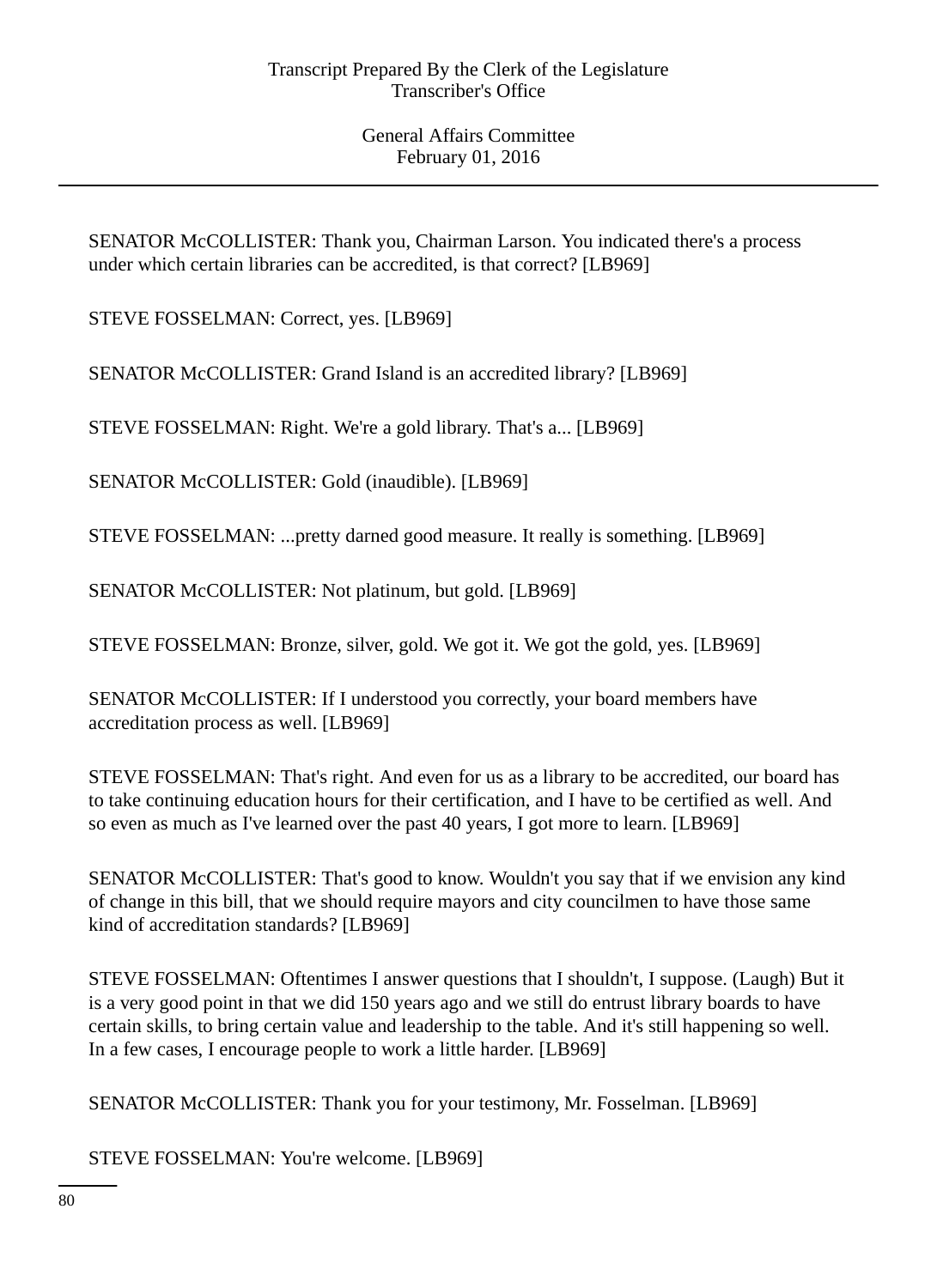SENATOR McCOLLISTER: Thank you, Chairman Larson. You indicated there's a process under which certain libraries can be accredited, is that correct? [LB969]

STEVE FOSSELMAN: Correct, yes. [LB969]

SENATOR McCOLLISTER: Grand Island is an accredited library? [LB969]

STEVE FOSSELMAN: Right. We're a gold library. That's a... [LB969]

SENATOR McCOLLISTER: Gold (inaudible). [LB969]

STEVE FOSSELMAN: ...pretty darned good measure. It really is something. [LB969]

SENATOR McCOLLISTER: Not platinum, but gold. [LB969]

STEVE FOSSELMAN: Bronze, silver, gold. We got it. We got the gold, yes. [LB969]

SENATOR McCOLLISTER: If I understood you correctly, your board members have accreditation process as well. [LB969]

STEVE FOSSELMAN: That's right. And even for us as a library to be accredited, our board has to take continuing education hours for their certification, and I have to be certified as well. And so even as much as I've learned over the past 40 years, I got more to learn. [LB969]

SENATOR McCOLLISTER: That's good to know. Wouldn't you say that if we envision any kind of change in this bill, that we should require mayors and city councilmen to have those same kind of accreditation standards? [LB969]

STEVE FOSSELMAN: Oftentimes I answer questions that I shouldn't, I suppose. (Laugh) But it is a very good point in that we did 150 years ago and we still do entrust library boards to have certain skills, to bring certain value and leadership to the table. And it's still happening so well. In a few cases, I encourage people to work a little harder. [LB969]

SENATOR McCOLLISTER: Thank you for your testimony, Mr. Fosselman. [LB969]

STEVE FOSSELMAN: You're welcome. [LB969]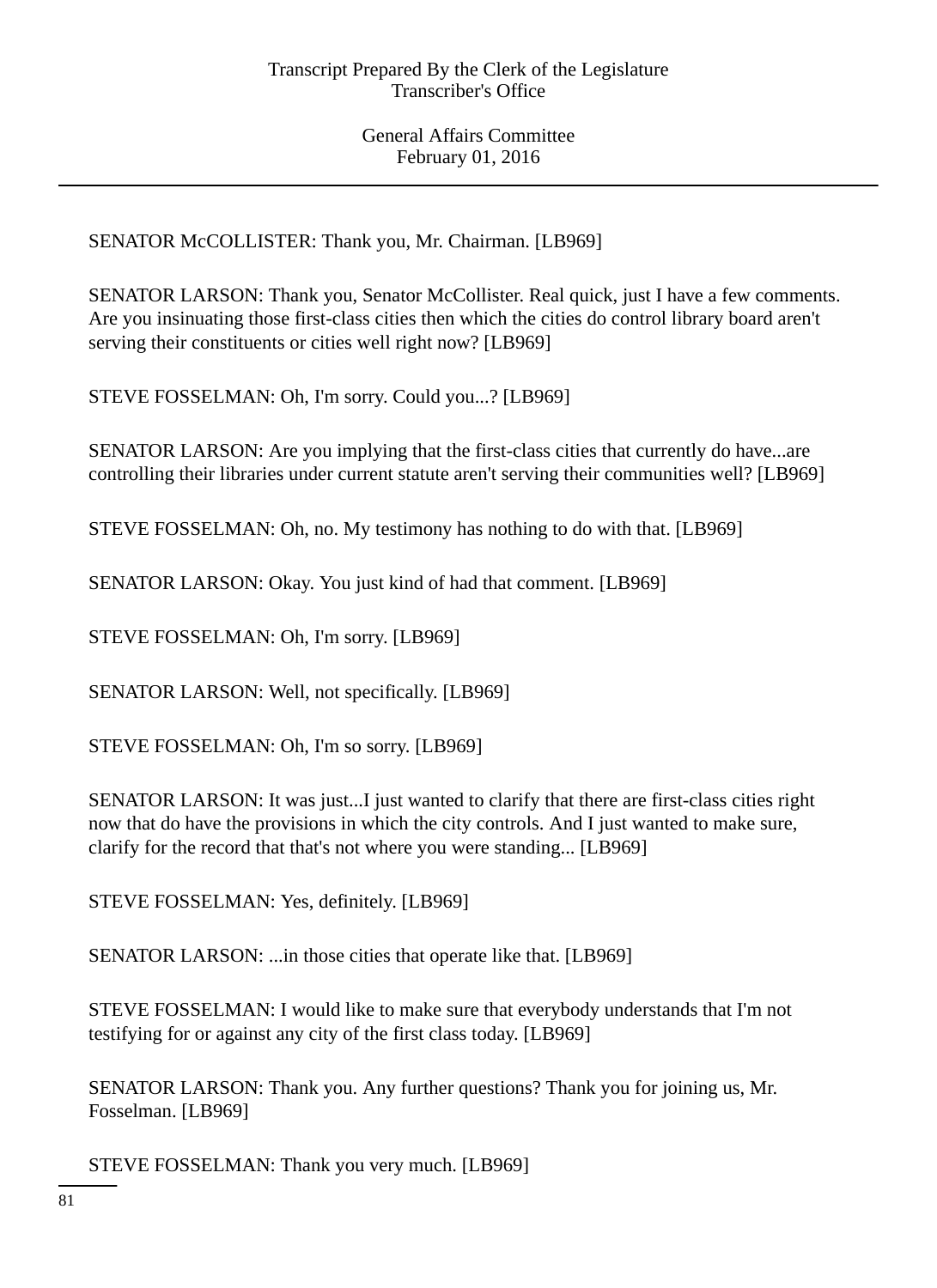SENATOR McCOLLISTER: Thank you, Mr. Chairman. [LB969]

SENATOR LARSON: Thank you, Senator McCollister. Real quick, just I have a few comments. Are you insinuating those first-class cities then which the cities do control library board aren't serving their constituents or cities well right now? [LB969]

STEVE FOSSELMAN: Oh, I'm sorry. Could you...? [LB969]

SENATOR LARSON: Are you implying that the first-class cities that currently do have...are controlling their libraries under current statute aren't serving their communities well? [LB969]

STEVE FOSSELMAN: Oh, no. My testimony has nothing to do with that. [LB969]

SENATOR LARSON: Okay. You just kind of had that comment. [LB969]

STEVE FOSSELMAN: Oh, I'm sorry. [LB969]

SENATOR LARSON: Well, not specifically. [LB969]

STEVE FOSSELMAN: Oh, I'm so sorry. [LB969]

SENATOR LARSON: It was just...I just wanted to clarify that there are first-class cities right now that do have the provisions in which the city controls. And I just wanted to make sure, clarify for the record that that's not where you were standing... [LB969]

STEVE FOSSELMAN: Yes, definitely. [LB969]

SENATOR LARSON: ...in those cities that operate like that. [LB969]

STEVE FOSSELMAN: I would like to make sure that everybody understands that I'm not testifying for or against any city of the first class today. [LB969]

SENATOR LARSON: Thank you. Any further questions? Thank you for joining us, Mr. Fosselman. [LB969]

STEVE FOSSELMAN: Thank you very much. [LB969]